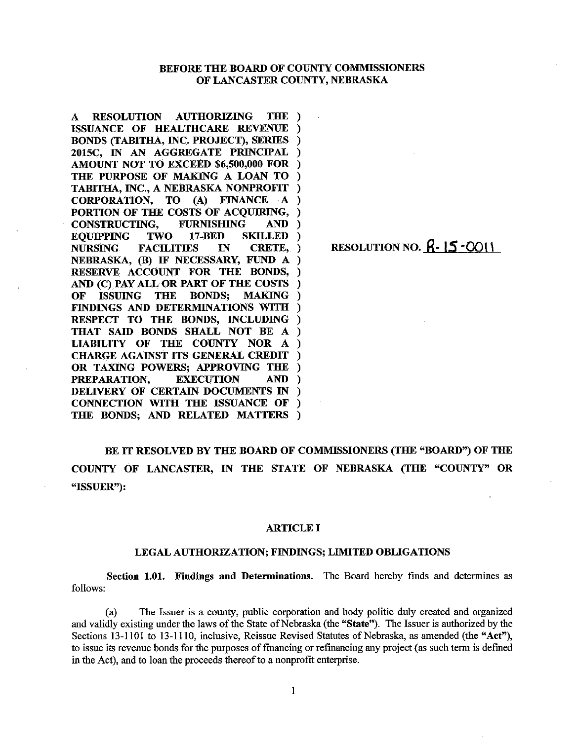## BEFORE THE BOARD OF COUNTY COMMISSIONERS OF LANCASTER COUNTY, NEBRASKA

**RESOLUTION AUTHORIZING** THE )  $\mathbf{A}$ ISSUANCE OF HEALTHCARE REVENUE ì **BONDS (TABITHA, INC. PROJECT), SERIES** 2015C, IN AN AGGREGATE PRINCIPAL AMOUNT NOT TO EXCEED \$6,500,000 FOR ) THE PURPOSE OF MAKING A LOAN TO TABITHA, INC., A NEBRASKA NONPROFIT CORPORATION, TO (A) FINANCE  $\cdot$  A PORTION OF THE COSTS OF ACOUIRING, **CONSTRUCTING. FURNISHING AND**  $17 - BED$ **EOUIPPING TWO SKILLED NURSING FACILITIES**  $\mathbf{I}$ CRETE, NEBRASKA, (B) IF NECESSARY, FUND A RESERVE ACCOUNT FOR THE BONDS, AND (C) PAY ALL OR PART OF THE COSTS **ISSUING THE BONDS: MAKING** OF FINDINGS AND DETERMINATIONS WITH RESPECT TO THE BONDS, INCLUDING THAT SAID BONDS SHALL NOT BE A λ LIABILITY OF THE COUNTY NOR A **CHARGE AGAINST ITS GENERAL CREDIT** OR TAXING POWERS: APPROVING THE PREPARATION. **EXECUTION AND** ١ DELIVERY OF CERTAIN DOCUMENTS IN  $\lambda$ CONNECTION WITH THE ISSUANCE OF  $\lambda$ THE BONDS; AND RELATED MATTERS )

RESOLUTION NO.  $\mathsf{R}\text{-}15$ -0011

BE IT RESOLVED BY THE BOARD OF COMMISSIONERS (THE "BOARD") OF THE COUNTY OF LANCASTER, IN THE STATE OF NEBRASKA (THE "COUNTY" OR "ISSUER"):

#### **ARTICLE I**

#### LEGAL AUTHORIZATION; FINDINGS; LIMITED OBLIGATIONS

Section 1.01. Findings and Determinations. The Board hereby finds and determines as follows:

The Issuer is a county, public corporation and body politic duly created and organized  $(a)$ and validly existing under the laws of the State of Nebraska (the "State"). The Issuer is authorized by the Sections 13-1101 to 13-1110, inclusive, Reissue Revised Statutes of Nebraska, as amended (the "Act"), to issue its revenue bonds for the purposes of financing or refinancing any project (as such term is defined in the Act), and to loan the proceeds thereof to a nonprofit enterprise.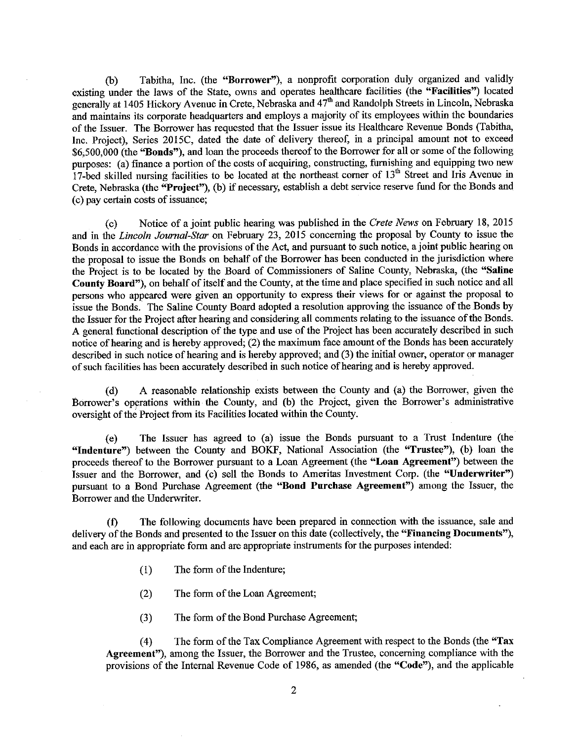Tabitha, Inc. (the "Borrower"), a nonprofit corporation duly organized and validly  $(b)$ existing under the laws of the State, owns and operates healthcare facilities (the "Facilities") located generally at 1405 Hickory Avenue in Crete, Nebraska and 47<sup>th</sup> and Randolph Streets in Lincoln, Nebraska and maintains its corporate headquarters and employs a majority of its employees within the boundaries of the Issuer. The Borrower has requested that the Issuer issue its Healthcare Revenue Bonds (Tabitha, Inc. Project). Series 2015C, dated the date of delivery thereof, in a principal amount not to exceed \$6,500,000 (the "Bonds"), and loan the proceeds thereof to the Borrower for all or some of the following purposes: (a) finance a portion of the costs of acquiring, constructing, furnishing and equipping two new 17-bed skilled nursing facilities to be located at the northeast corner of 13<sup>th</sup> Street and Iris Avenue in Crete, Nebraska (the "Project"), (b) if necessary, establish a debt service reserve fund for the Bonds and (c) pay certain costs of issuance;

Notice of a joint public hearing was published in the Crete News on February 18, 2015  $(c)$ and in the Lincoln Journal-Star on February 23, 2015 concerning the proposal by County to issue the Bonds in accordance with the provisions of the Act, and pursuant to such notice, a joint public hearing on the proposal to issue the Bonds on behalf of the Borrower has been conducted in the jurisdiction where the Project is to be located by the Board of Commissioners of Saline County, Nebraska, (the "Saline" County Board"), on behalf of itself and the County, at the time and place specified in such notice and all persons who appeared were given an opportunity to express their views for or against the proposal to issue the Bonds. The Saline County Board adopted a resolution approving the issuance of the Bonds by the Issuer for the Project after hearing and considering all comments relating to the issuance of the Bonds. A general functional description of the type and use of the Project has been accurately described in such notice of hearing and is hereby approved; (2) the maximum face amount of the Bonds has been accurately described in such notice of hearing and is hereby approved; and (3) the initial owner, operator or manager of such facilities has been accurately described in such notice of hearing and is hereby approved.

A reasonable relationship exists between the County and (a) the Borrower, given the  $(d)$ Borrower's operations within the County, and (b) the Project, given the Borrower's administrative oversight of the Project from its Facilities located within the County.

The Issuer has agreed to (a) issue the Bonds pursuant to a Trust Indenture (the  $(e)$ "Indenture") between the County and BOKF, National Association (the "Trustee"), (b) loan the proceeds thereof to the Borrower pursuant to a Loan Agreement (the "Loan Agreement") between the Issuer and the Borrower, and (c) sell the Bonds to Ameritas Investment Corp. (the "Underwriter") pursuant to a Bond Purchase Agreement (the "Bond Purchase Agreement") among the Issuer, the Borrower and the Underwriter.

The following documents have been prepared in connection with the issuance, sale and  $(f)$ delivery of the Bonds and presented to the Issuer on this date (collectively, the "Financing Documents"), and each are in appropriate form and are appropriate instruments for the purposes intended:

- The form of the Indenture:  $(1)$
- $(2)$ The form of the Loan Agreement;
- The form of the Bond Purchase Agreement;  $(3)$

 $(4)$ The form of the Tax Compliance Agreement with respect to the Bonds (the "Tax" Agreement"), among the Issuer, the Borrower and the Trustee, concerning compliance with the provisions of the Internal Revenue Code of 1986, as amended (the "Code"), and the applicable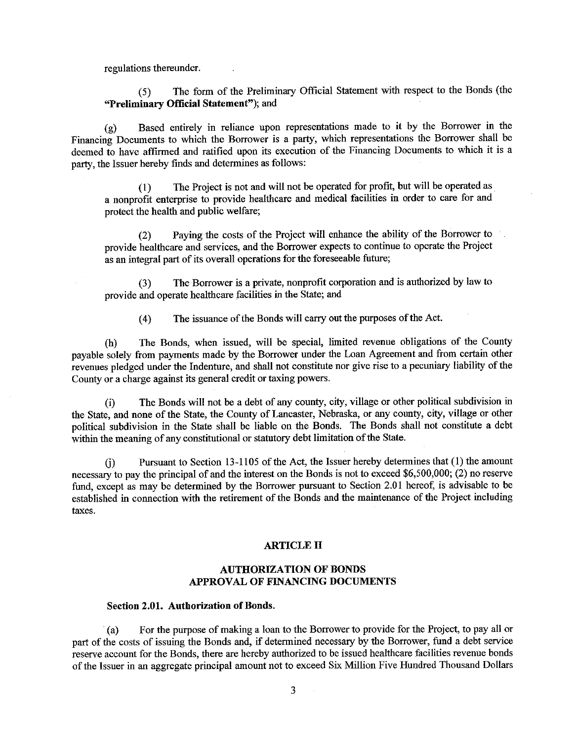regulations thereunder.

The form of the Preliminary Official Statement with respect to the Bonds (the  $(5)$ "Preliminary Official Statement"); and

Based entirely in reliance upon representations made to it by the Borrower in the  $(g)$ Financing Documents to which the Borrower is a party, which representations the Borrower shall be deemed to have affirmed and ratified upon its execution of the Financing Documents to which it is a party, the Issuer hereby finds and determines as follows:

The Project is not and will not be operated for profit, but will be operated as  $(1)$ a nonprofit enterprise to provide healthcare and medical facilities in order to care for and protect the health and public welfare;

Paying the costs of the Project will enhance the ability of the Borrower to  $(2)$ provide healthcare and services, and the Borrower expects to continue to operate the Project as an integral part of its overall operations for the foreseeable future;

The Borrower is a private, nonprofit corporation and is authorized by law to  $(3)$ provide and operate healthcare facilities in the State; and

 $(4)$ The issuance of the Bonds will carry out the purposes of the Act.

The Bonds, when issued, will be special, limited revenue obligations of the County  $(h)$ payable solely from payments made by the Borrower under the Loan Agreement and from certain other revenues pledged under the Indenture, and shall not constitute nor give rise to a pecuniary liability of the County or a charge against its general credit or taxing powers.

The Bonds will not be a debt of any county, city, village or other political subdivision in  $(i)$ the State, and none of the State, the County of Lancaster, Nebraska, or any county, city, village or other political subdivision in the State shall be liable on the Bonds. The Bonds shall not constitute a debt within the meaning of any constitutional or statutory debt limitation of the State.

Pursuant to Section 13-1105 of the Act, the Issuer hereby determines that (1) the amount  $(i)$ necessary to pay the principal of and the interest on the Bonds is not to exceed \$6,500,000;  $(2)$  no reserve fund, except as may be determined by the Borrower pursuant to Section 2.01 hereof, is advisable to be established in connection with the retirement of the Bonds and the maintenance of the Project including taxes.

#### **ARTICLE II**

### **AUTHORIZATION OF BONDS** APPROVAL OF FINANCING DOCUMENTS

#### Section 2.01. Authorization of Bonds.

For the purpose of making a loan to the Borrower to provide for the Project, to pay all or  $(a)$ part of the costs of issuing the Bonds and, if determined necessary by the Borrower, fund a debt service reserve account for the Bonds, there are hereby authorized to be issued healthcare facilities revenue bonds of the Issuer in an aggregate principal amount not to exceed Six Million Five Hundred Thousand Dollars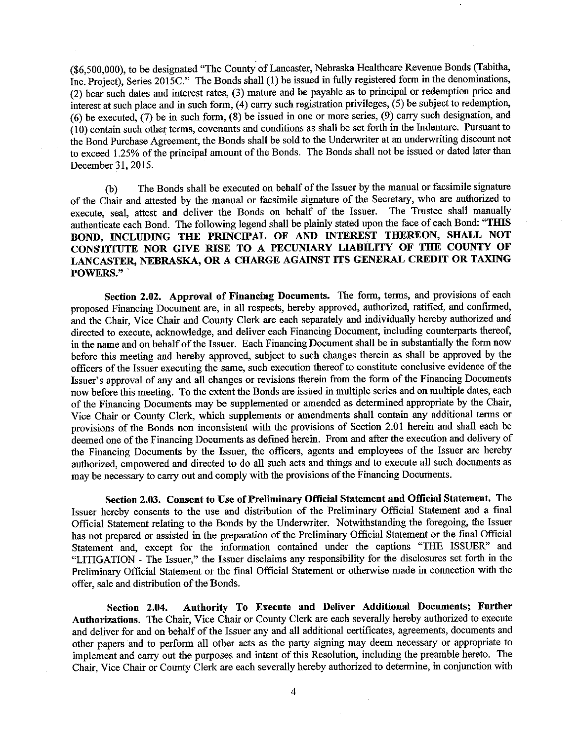(\$6,500,000), to be designated "The County of Lancaster, Nebraska Healthcare Revenue Bonds (Tabitha, Inc. Project), Series 2015C." The Bonds shall (1) be issued in fully registered form in the denominations, (2) bear such dates and interest rates, (3) mature and be payable as to principal or redemption price and interest at such place and in such form,  $(4)$  carry such registration privileges,  $(5)$  be subject to redemption, (6) be executed, (7) be in such form, (8) be issued in one or more series, (9) carry such designation, and (10) contain such other terms, covenants and conditions as shall be set forth in the Indenture. Pursuant to the Bond Purchase Agreement, the Bonds shall be sold to the Underwriter at an underwriting discount not to exceed 1.25% of the principal amount of the Bonds. The Bonds shall not be issued or dated later than December 31, 2015.

The Bonds shall be executed on behalf of the Issuer by the manual or facsimile signature  $(b)$ of the Chair and attested by the manual or facsimile signature of the Secretary, who are authorized to execute, seal, attest and deliver the Bonds on behalf of the Issuer. The Trustee shall manually authenticate each Bond. The following legend shall be plainly stated upon the face of each Bond: "THIS BOND, INCLUDING THE PRINCIPAL OF AND INTEREST THEREON, SHALL NOT CONSTITUTE NOR GIVE RISE TO A PECUNIARY LIABILITY OF THE COUNTY OF LANCASTER, NEBRASKA, OR A CHARGE AGAINST ITS GENERAL CREDIT OR TAXING **POWERS."** 

Section 2.02. Approval of Financing Documents. The form, terms, and provisions of each proposed Financing Document are, in all respects, hereby approved, authorized, ratified, and confirmed, and the Chair, Vice Chair and County Clerk are each separately and individually hereby authorized and directed to execute, acknowledge, and deliver each Financing Document, including counterparts thereof, in the name and on behalf of the Issuer. Each Financing Document shall be in substantially the form now before this meeting and hereby approved, subject to such changes therein as shall be approved by the officers of the Issuer executing the same, such execution thereof to constitute conclusive evidence of the Issuer's approval of any and all changes or revisions therein from the form of the Financing Documents now before this meeting. To the extent the Bonds are issued in multiple series and on multiple dates, each of the Financing Documents may be supplemented or amended as determined appropriate by the Chair, Vice Chair or County Clerk, which supplements or amendments shall contain any additional terms or provisions of the Bonds non inconsistent with the provisions of Section 2.01 herein and shall each be deemed one of the Financing Documents as defined herein. From and after the execution and delivery of the Financing Documents by the Issuer, the officers, agents and employees of the Issuer are hereby authorized, empowered and directed to do all such acts and things and to execute all such documents as may be necessary to carry out and comply with the provisions of the Financing Documents.

Section 2.03. Consent to Use of Preliminary Official Statement and Official Statement. The Issuer hereby consents to the use and distribution of the Preliminary Official Statement and a final Official Statement relating to the Bonds by the Underwriter. Notwithstanding the foregoing, the Issuer has not prepared or assisted in the preparation of the Preliminary Official Statement or the final Official Statement and, except for the information contained under the captions "THE ISSUER" and "LITIGATION - The Issuer," the Issuer disclaims any responsibility for the disclosures set forth in the Preliminary Official Statement or the final Official Statement or otherwise made in connection with the offer, sale and distribution of the Bonds.

Authority To Execute and Deliver Additional Documents; Further Section 2.04. Authorizations. The Chair, Vice Chair or County Clerk are each severally hereby authorized to execute and deliver for and on behalf of the Issuer any and all additional certificates, agreements, documents and other papers and to perform all other acts as the party signing may deem necessary or appropriate to implement and carry out the purposes and intent of this Resolution, including the preamble hereto. The Chair, Vice Chair or County Clerk are each severally hereby authorized to determine, in conjunction with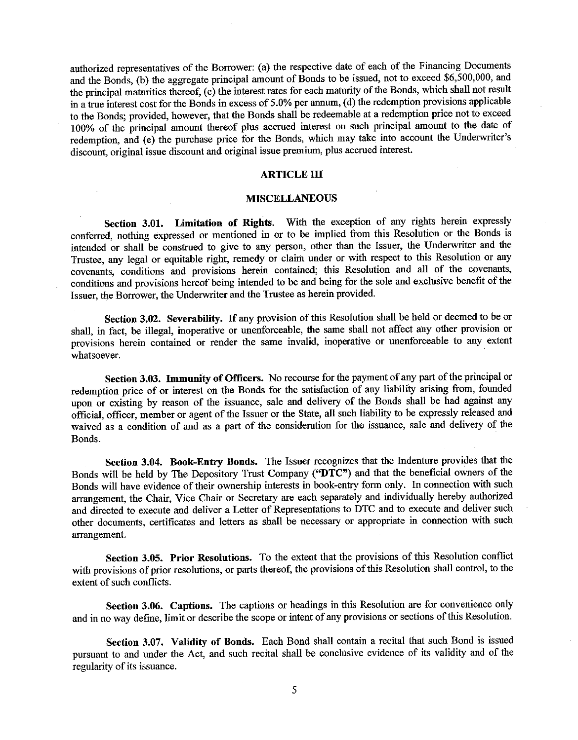authorized representatives of the Borrower: (a) the respective date of each of the Financing Documents and the Bonds, (b) the aggregate principal amount of Bonds to be issued, not to exceed \$6,500,000, and the principal maturities thereof, (c) the interest rates for each maturity of the Bonds, which shall not result in a true interest cost for the Bonds in excess of  $5.0\%$  per annum, (d) the redemption provisions applicable to the Bonds; provided, however, that the Bonds shall be redeemable at a redemption price not to exceed 100% of the principal amount thereof plus accrued interest on such principal amount to the date of redemption, and (e) the purchase price for the Bonds, which may take into account the Underwriter's discount, original issue discount and original issue premium, plus accrued interest.

#### **ARTICLE III**

#### **MISCELLANEOUS**

Section 3.01. Limitation of Rights. With the exception of any rights herein expressly conferred, nothing expressed or mentioned in or to be implied from this Resolution or the Bonds is intended or shall be construed to give to any person, other than the Issuer, the Underwriter and the Trustee, any legal or equitable right, remedy or claim under or with respect to this Resolution or any covenants, conditions and provisions herein contained; this Resolution and all of the covenants, conditions and provisions hereof being intended to be and being for the sole and exclusive benefit of the Issuer, the Borrower, the Underwriter and the Trustee as herein provided.

Section 3.02. Severability. If any provision of this Resolution shall be held or deemed to be or shall, in fact, be illegal, inoperative or unenforceable, the same shall not affect any other provision or provisions herein contained or render the same invalid, inoperative or unenforceable to any extent whatsoever.

Section 3.03. Immunity of Officers. No recourse for the payment of any part of the principal or redemption price of or interest on the Bonds for the satisfaction of any liability arising from, founded upon or existing by reason of the issuance, sale and delivery of the Bonds shall be had against any official, officer, member or agent of the Issuer or the State, all such liability to be expressly released and waived as a condition of and as a part of the consideration for the issuance, sale and delivery of the Bonds.

Section 3.04. Book-Entry Bonds. The Issuer recognizes that the Indenture provides that the Bonds will be held by The Depository Trust Company ("DTC") and that the beneficial owners of the Bonds will have evidence of their ownership interests in book-entry form only. In connection with such arrangement, the Chair, Vice Chair or Secretary are each separately and individually hereby authorized and directed to execute and deliver a Letter of Representations to DTC and to execute and deliver such other documents, certificates and letters as shall be necessary or appropriate in connection with such arrangement.

Section 3.05. Prior Resolutions. To the extent that the provisions of this Resolution conflict with provisions of prior resolutions, or parts thereof, the provisions of this Resolution shall control, to the extent of such conflicts.

Section 3.06. Captions. The captions or headings in this Resolution are for convenience only and in no way define, limit or describe the scope or intent of any provisions or sections of this Resolution.

Section 3.07. Validity of Bonds. Each Bond shall contain a recital that such Bond is issued pursuant to and under the Act, and such recital shall be conclusive evidence of its validity and of the regularity of its issuance.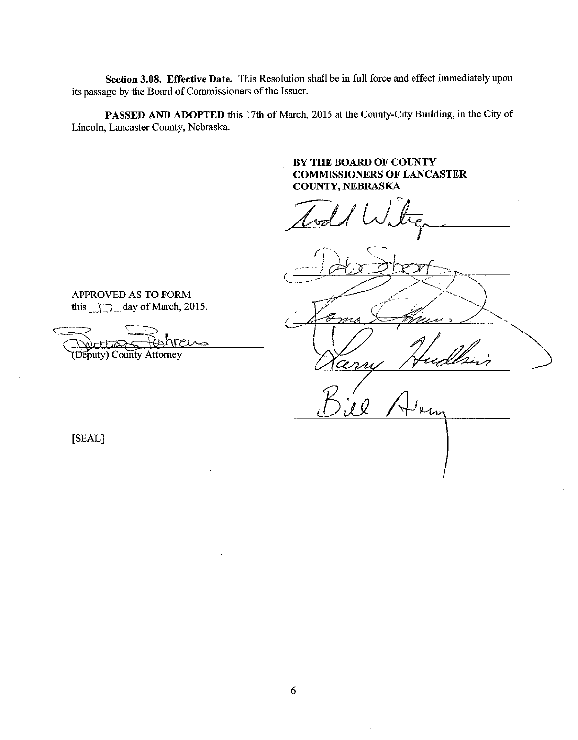Section 3.08. Effective Date. This Resolution shall be in full force and effect immediately upon its passage by the Board of Commissioners of the Issuer.

PASSED AND ADOPTED this 17th of March, 2015 at the County-City Building, in the City of Lincoln, Lancaster County, Nebraska.

> BY THE BOARD OF COUNTY **COMMISSIONERS OF LANCASTER COUNTY, NEBRASKA**

APPROVED AS TO FORM this  $\Box$  day of March, 2015.

(Deputy) County Attorney

ann

[SEAL]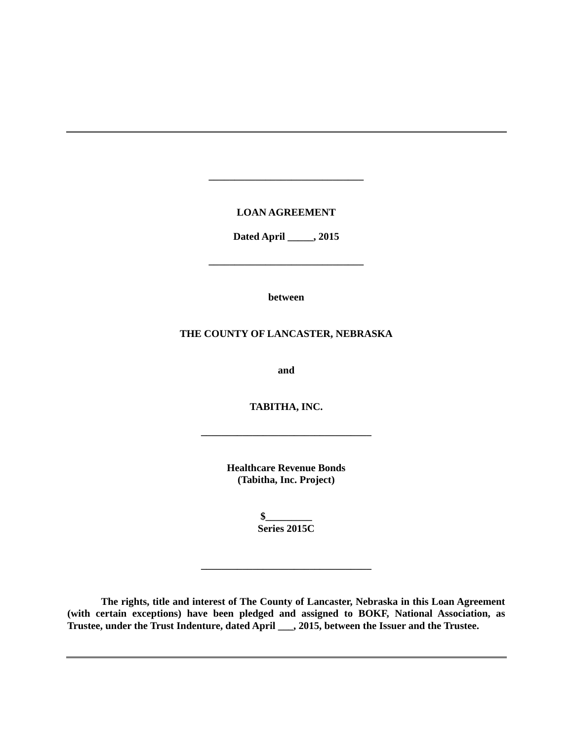## **LOAN AGREEMENT**

**\_\_\_\_\_\_\_\_\_\_\_\_\_\_\_\_\_\_\_\_\_\_\_\_\_\_\_\_\_\_**

**Dated April \_\_\_\_\_, 2015**

**\_\_\_\_\_\_\_\_\_\_\_\_\_\_\_\_\_\_\_\_\_\_\_\_\_\_\_\_\_\_**

**between**

## **THE COUNTY OF LANCASTER, NEBRASKA**

**and**

**TABITHA, INC.**

**\_\_\_\_\_\_\_\_\_\_\_\_\_\_\_\_\_\_\_\_\_\_\_\_\_\_\_\_\_\_\_\_\_**

**Healthcare Revenue Bonds (Tabitha, Inc. Project)** 

> **\$\_\_\_\_\_\_\_\_\_ Series 2015C**

**\_\_\_\_\_\_\_\_\_\_\_\_\_\_\_\_\_\_\_\_\_\_\_\_\_\_\_\_\_\_\_\_\_**

 **The rights, title and interest of The County of Lancaster, Nebraska in this Loan Agreement (with certain exceptions) have been pledged and assigned to BOKF, National Association, as Trustee, under the Trust Indenture, dated April \_\_\_, 2015, between the Issuer and the Trustee.**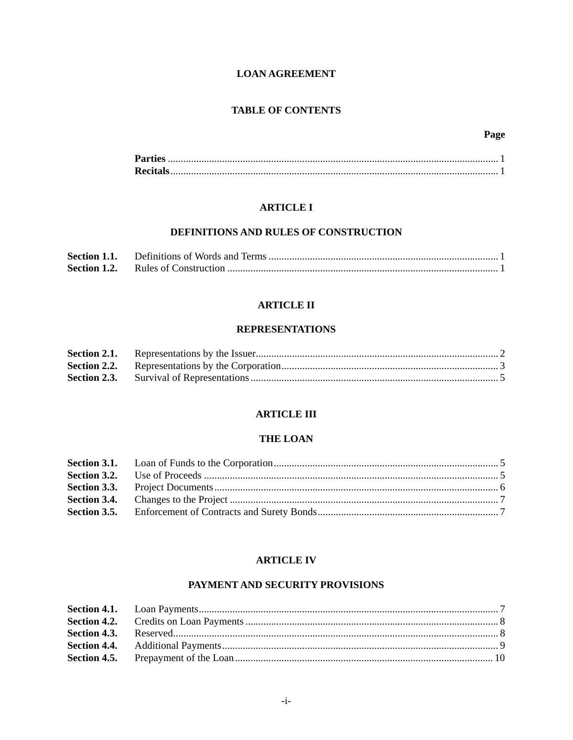## **LOAN AGREEMENT**

## **TABLE OF CONTENTS**

# **ARTICLE I**

# DEFINITIONS AND RULES OF CONSTRUCTION

## **ARTICLE II**

## **REPRESENTATIONS**

# **ARTICLE III**

## **THE LOAN**

## **ARTICLE IV**

# PAYMENT AND SECURITY PROVISIONS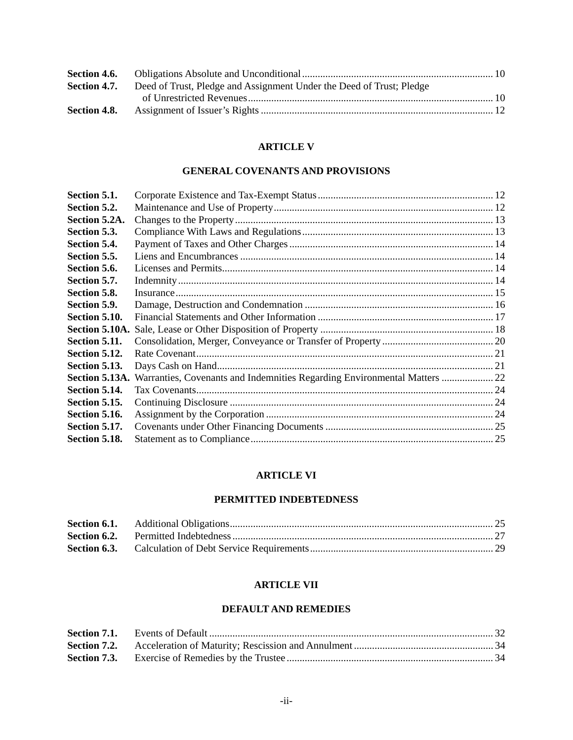| <b>Section 4.7.</b> Deed of Trust, Pledge and Assignment Under the Deed of Trust; Pledge |  |
|------------------------------------------------------------------------------------------|--|
|                                                                                          |  |
|                                                                                          |  |

## **ARTICLE V**

# **GENERAL COVENANTS AND PROVISIONS**

| Section 5.1.         |                                                                                          |  |
|----------------------|------------------------------------------------------------------------------------------|--|
| Section 5.2.         |                                                                                          |  |
| Section 5.2A.        |                                                                                          |  |
| Section 5.3.         |                                                                                          |  |
| Section 5.4.         |                                                                                          |  |
| Section 5.5.         |                                                                                          |  |
| Section 5.6.         |                                                                                          |  |
| Section 5.7.         |                                                                                          |  |
| Section 5.8.         |                                                                                          |  |
| Section 5.9.         |                                                                                          |  |
| Section 5.10.        |                                                                                          |  |
| Section 5.10A.       |                                                                                          |  |
| Section 5.11.        |                                                                                          |  |
| Section 5.12.        |                                                                                          |  |
| Section 5.13.        |                                                                                          |  |
|                      | Section 5.13A. Warranties, Covenants and Indemnities Regarding Environmental Matters  22 |  |
| Section 5.14.        |                                                                                          |  |
| <b>Section 5.15.</b> |                                                                                          |  |
| Section 5.16.        |                                                                                          |  |
| Section 5.17.        |                                                                                          |  |
| Section 5.18.        |                                                                                          |  |
|                      |                                                                                          |  |

# **ARTICLE VI**

# **PERMITTED INDEBTEDNESS**

## **ARTICLE VII**

# **DEFAULT AND REMEDIES**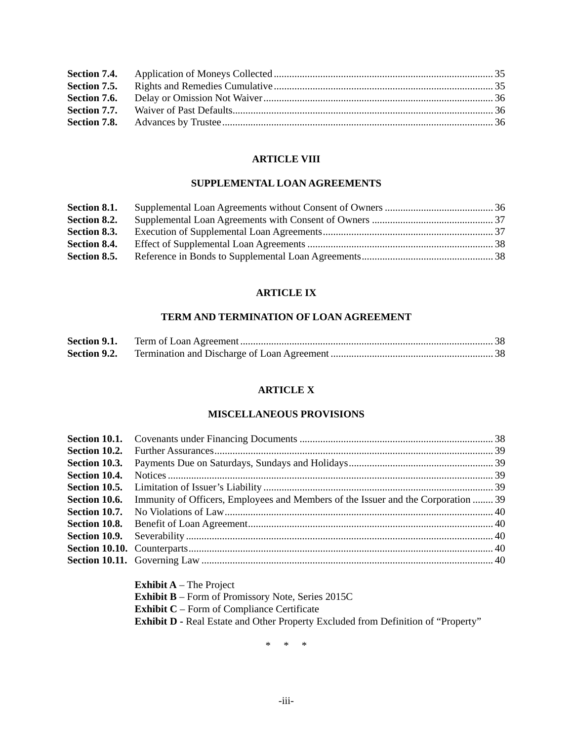### **ARTICLE VIII**

### **SUPPLEMENTAL LOAN AGREEMENTS**

| Section 8.1. |  |
|--------------|--|
| Section 8.2. |  |
| Section 8.3. |  |
| Section 8.4. |  |
| Section 8.5. |  |

# **ARTICLE IX**

# **TERM AND TERMINATION OF LOAN AGREEMENT**

### **ARTICLE X**

## **MISCELLANEOUS PROVISIONS**

| Section 10.3. |                                                                                                        |  |
|---------------|--------------------------------------------------------------------------------------------------------|--|
| Section 10.4. |                                                                                                        |  |
|               |                                                                                                        |  |
|               | <b>Section 10.6.</b> Immunity of Officers, Employees and Members of the Issuer and the Corporation  39 |  |
|               |                                                                                                        |  |
|               |                                                                                                        |  |
|               |                                                                                                        |  |
|               |                                                                                                        |  |
|               |                                                                                                        |  |

**Exhibit A** – The Project **Exhibit B** – Form of Promissory Note, Series 2015C **Exhibit C** – Form of Compliance Certificate **Exhibit D - Real Estate and Other Property Excluded from Definition of "Property"** 

\* \* \*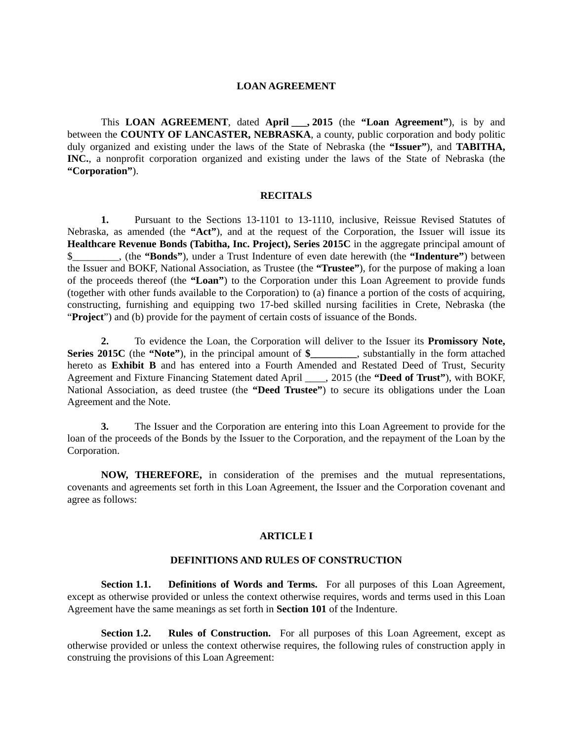#### **LOAN AGREEMENT**

This **LOAN AGREEMENT**, dated **April \_\_\_, 2015** (the **"Loan Agreement"**), is by and between the **COUNTY OF LANCASTER, NEBRASKA**, a county, public corporation and body politic duly organized and existing under the laws of the State of Nebraska (the **"Issuer"**), and **TABITHA, INC.**, a nonprofit corporation organized and existing under the laws of the State of Nebraska (the **"Corporation"**).

### **RECITALS**

 **1.** Pursuant to the Sections 13-1101 to 13-1110, inclusive, Reissue Revised Statutes of Nebraska, as amended (the **"Act"**), and at the request of the Corporation, the Issuer will issue its **Healthcare Revenue Bonds (Tabitha, Inc. Project), Series 2015C** in the aggregate principal amount of \$\_\_\_\_\_\_\_\_\_, (the **"Bonds"**), under a Trust Indenture of even date herewith (the **"Indenture"**) between the Issuer and BOKF, National Association, as Trustee (the **"Trustee"**), for the purpose of making a loan of the proceeds thereof (the **"Loan"**) to the Corporation under this Loan Agreement to provide funds (together with other funds available to the Corporation) to (a) finance a portion of the costs of acquiring, constructing, furnishing and equipping two 17-bed skilled nursing facilities in Crete, Nebraska (the "Project") and (b) provide for the payment of certain costs of issuance of the Bonds.

 **2.** To evidence the Loan, the Corporation will deliver to the Issuer its **Promissory Note, Series 2015C** (the **"Note"**), in the principal amount of **\$\_\_\_\_\_\_\_\_\_**, substantially in the form attached hereto as **Exhibit B** and has entered into a Fourth Amended and Restated Deed of Trust, Security Agreement and Fixture Financing Statement dated April \_\_\_\_, 2015 (the **"Deed of Trust"**), with BOKF, National Association, as deed trustee (the **"Deed Trustee"**) to secure its obligations under the Loan Agreement and the Note.

 **3.** The Issuer and the Corporation are entering into this Loan Agreement to provide for the loan of the proceeds of the Bonds by the Issuer to the Corporation, and the repayment of the Loan by the Corporation.

 **NOW, THEREFORE,** in consideration of the premises and the mutual representations, covenants and agreements set forth in this Loan Agreement, the Issuer and the Corporation covenant and agree as follows:

#### **ARTICLE I**

### **DEFINITIONS AND RULES OF CONSTRUCTION**

**Section 1.1. Definitions of Words and Terms.** For all purposes of this Loan Agreement, except as otherwise provided or unless the context otherwise requires, words and terms used in this Loan Agreement have the same meanings as set forth in **Section 101** of the Indenture.

**Section 1.2. Rules of Construction.** For all purposes of this Loan Agreement, except as otherwise provided or unless the context otherwise requires, the following rules of construction apply in construing the provisions of this Loan Agreement: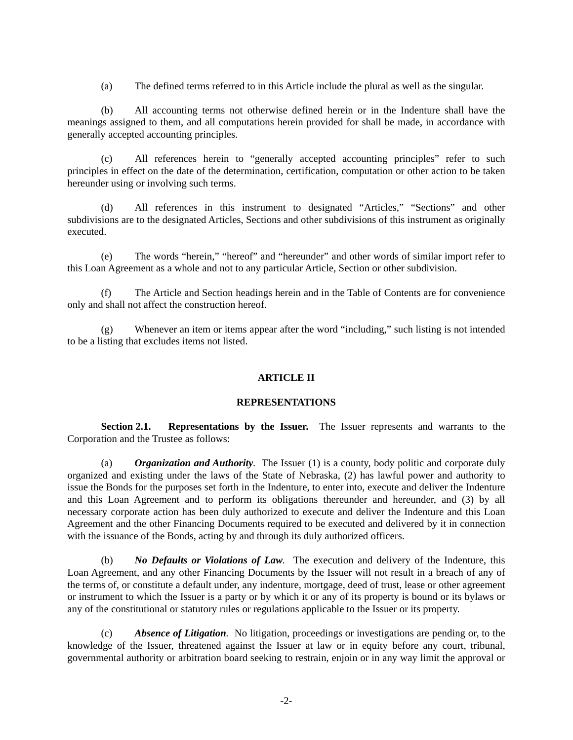(a) The defined terms referred to in this Article include the plural as well as the singular.

(b) All accounting terms not otherwise defined herein or in the Indenture shall have the meanings assigned to them, and all computations herein provided for shall be made, in accordance with generally accepted accounting principles.

(c) All references herein to "generally accepted accounting principles" refer to such principles in effect on the date of the determination, certification, computation or other action to be taken hereunder using or involving such terms.

(d) All references in this instrument to designated "Articles," "Sections" and other subdivisions are to the designated Articles, Sections and other subdivisions of this instrument as originally executed.

(e) The words "herein," "hereof" and "hereunder" and other words of similar import refer to this Loan Agreement as a whole and not to any particular Article, Section or other subdivision.

The Article and Section headings herein and in the Table of Contents are for convenience only and shall not affect the construction hereof.

(g) Whenever an item or items appear after the word "including," such listing is not intended to be a listing that excludes items not listed.

## **ARTICLE II**

### **REPRESENTATIONS**

**Section 2.1.** Representations by the Issuer. The Issuer represents and warrants to the Corporation and the Trustee as follows:

(a) *Organization and Authority.* The Issuer (1) is a county, body politic and corporate duly organized and existing under the laws of the State of Nebraska, (2) has lawful power and authority to issue the Bonds for the purposes set forth in the Indenture, to enter into, execute and deliver the Indenture and this Loan Agreement and to perform its obligations thereunder and hereunder, and (3) by all necessary corporate action has been duly authorized to execute and deliver the Indenture and this Loan Agreement and the other Financing Documents required to be executed and delivered by it in connection with the issuance of the Bonds, acting by and through its duly authorized officers.

(b) *No Defaults or Violations of Law.* The execution and delivery of the Indenture, this Loan Agreement, and any other Financing Documents by the Issuer will not result in a breach of any of the terms of, or constitute a default under, any indenture, mortgage, deed of trust, lease or other agreement or instrument to which the Issuer is a party or by which it or any of its property is bound or its bylaws or any of the constitutional or statutory rules or regulations applicable to the Issuer or its property.

(c) *Absence of Litigation.* No litigation, proceedings or investigations are pending or, to the knowledge of the Issuer, threatened against the Issuer at law or in equity before any court, tribunal, governmental authority or arbitration board seeking to restrain, enjoin or in any way limit the approval or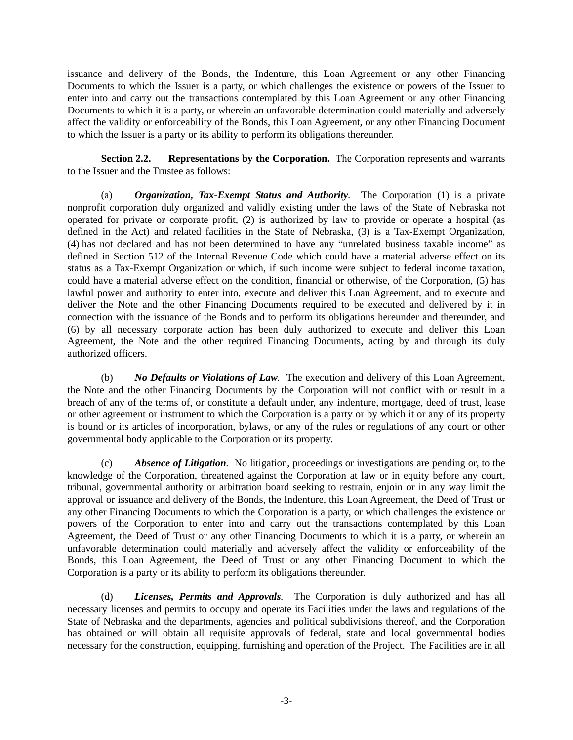issuance and delivery of the Bonds, the Indenture, this Loan Agreement or any other Financing Documents to which the Issuer is a party, or which challenges the existence or powers of the Issuer to enter into and carry out the transactions contemplated by this Loan Agreement or any other Financing Documents to which it is a party, or wherein an unfavorable determination could materially and adversely affect the validity or enforceability of the Bonds, this Loan Agreement, or any other Financing Document to which the Issuer is a party or its ability to perform its obligations thereunder.

**Section 2.2.** Representations by the Corporation. The Corporation represents and warrants to the Issuer and the Trustee as follows:

(a) *Organization, Tax-Exempt Status and Authority.* The Corporation (1) is a private nonprofit corporation duly organized and validly existing under the laws of the State of Nebraska not operated for private or corporate profit, (2) is authorized by law to provide or operate a hospital (as defined in the Act) and related facilities in the State of Nebraska, (3) is a Tax-Exempt Organization, (4) has not declared and has not been determined to have any "unrelated business taxable income" as defined in Section 512 of the Internal Revenue Code which could have a material adverse effect on its status as a Tax-Exempt Organization or which, if such income were subject to federal income taxation, could have a material adverse effect on the condition, financial or otherwise, of the Corporation, (5) has lawful power and authority to enter into, execute and deliver this Loan Agreement, and to execute and deliver the Note and the other Financing Documents required to be executed and delivered by it in connection with the issuance of the Bonds and to perform its obligations hereunder and thereunder, and (6) by all necessary corporate action has been duly authorized to execute and deliver this Loan Agreement, the Note and the other required Financing Documents, acting by and through its duly authorized officers.

(b) *No Defaults or Violations of Law.* The execution and delivery of this Loan Agreement, the Note and the other Financing Documents by the Corporation will not conflict with or result in a breach of any of the terms of, or constitute a default under, any indenture, mortgage, deed of trust, lease or other agreement or instrument to which the Corporation is a party or by which it or any of its property is bound or its articles of incorporation, bylaws, or any of the rules or regulations of any court or other governmental body applicable to the Corporation or its property.

(c) *Absence of Litigation.* No litigation, proceedings or investigations are pending or, to the knowledge of the Corporation, threatened against the Corporation at law or in equity before any court, tribunal, governmental authority or arbitration board seeking to restrain, enjoin or in any way limit the approval or issuance and delivery of the Bonds, the Indenture, this Loan Agreement, the Deed of Trust or any other Financing Documents to which the Corporation is a party, or which challenges the existence or powers of the Corporation to enter into and carry out the transactions contemplated by this Loan Agreement, the Deed of Trust or any other Financing Documents to which it is a party, or wherein an unfavorable determination could materially and adversely affect the validity or enforceability of the Bonds, this Loan Agreement, the Deed of Trust or any other Financing Document to which the Corporation is a party or its ability to perform its obligations thereunder.

 (d) *Licenses, Permits and Approvals.* The Corporation is duly authorized and has all necessary licenses and permits to occupy and operate its Facilities under the laws and regulations of the State of Nebraska and the departments, agencies and political subdivisions thereof, and the Corporation has obtained or will obtain all requisite approvals of federal, state and local governmental bodies necessary for the construction, equipping, furnishing and operation of the Project. The Facilities are in all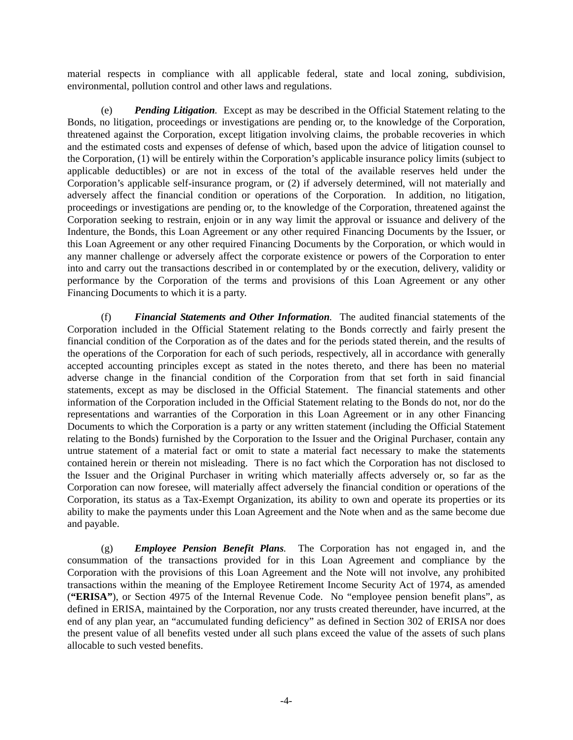material respects in compliance with all applicable federal, state and local zoning, subdivision, environmental, pollution control and other laws and regulations.

(e) *Pending Litigation.* Except as may be described in the Official Statement relating to the Bonds, no litigation, proceedings or investigations are pending or, to the knowledge of the Corporation, threatened against the Corporation, except litigation involving claims, the probable recoveries in which and the estimated costs and expenses of defense of which, based upon the advice of litigation counsel to the Corporation, (1) will be entirely within the Corporation's applicable insurance policy limits (subject to applicable deductibles) or are not in excess of the total of the available reserves held under the Corporation's applicable self-insurance program, or (2) if adversely determined, will not materially and adversely affect the financial condition or operations of the Corporation. In addition, no litigation, proceedings or investigations are pending or, to the knowledge of the Corporation, threatened against the Corporation seeking to restrain, enjoin or in any way limit the approval or issuance and delivery of the Indenture, the Bonds, this Loan Agreement or any other required Financing Documents by the Issuer, or this Loan Agreement or any other required Financing Documents by the Corporation, or which would in any manner challenge or adversely affect the corporate existence or powers of the Corporation to enter into and carry out the transactions described in or contemplated by or the execution, delivery, validity or performance by the Corporation of the terms and provisions of this Loan Agreement or any other Financing Documents to which it is a party.

(f) *Financial Statements and Other Information.* The audited financial statements of the Corporation included in the Official Statement relating to the Bonds correctly and fairly present the financial condition of the Corporation as of the dates and for the periods stated therein, and the results of the operations of the Corporation for each of such periods, respectively, all in accordance with generally accepted accounting principles except as stated in the notes thereto, and there has been no material adverse change in the financial condition of the Corporation from that set forth in said financial statements, except as may be disclosed in the Official Statement. The financial statements and other information of the Corporation included in the Official Statement relating to the Bonds do not, nor do the representations and warranties of the Corporation in this Loan Agreement or in any other Financing Documents to which the Corporation is a party or any written statement (including the Official Statement relating to the Bonds) furnished by the Corporation to the Issuer and the Original Purchaser, contain any untrue statement of a material fact or omit to state a material fact necessary to make the statements contained herein or therein not misleading. There is no fact which the Corporation has not disclosed to the Issuer and the Original Purchaser in writing which materially affects adversely or, so far as the Corporation can now foresee, will materially affect adversely the financial condition or operations of the Corporation, its status as a Tax-Exempt Organization, its ability to own and operate its properties or its ability to make the payments under this Loan Agreement and the Note when and as the same become due and payable.

(g) *Employee Pension Benefit Plans.* The Corporation has not engaged in, and the consummation of the transactions provided for in this Loan Agreement and compliance by the Corporation with the provisions of this Loan Agreement and the Note will not involve, any prohibited transactions within the meaning of the Employee Retirement Income Security Act of 1974, as amended (**"ERISA"**), or Section 4975 of the Internal Revenue Code. No "employee pension benefit plans", as defined in ERISA, maintained by the Corporation, nor any trusts created thereunder, have incurred, at the end of any plan year, an "accumulated funding deficiency" as defined in Section 302 of ERISA nor does the present value of all benefits vested under all such plans exceed the value of the assets of such plans allocable to such vested benefits.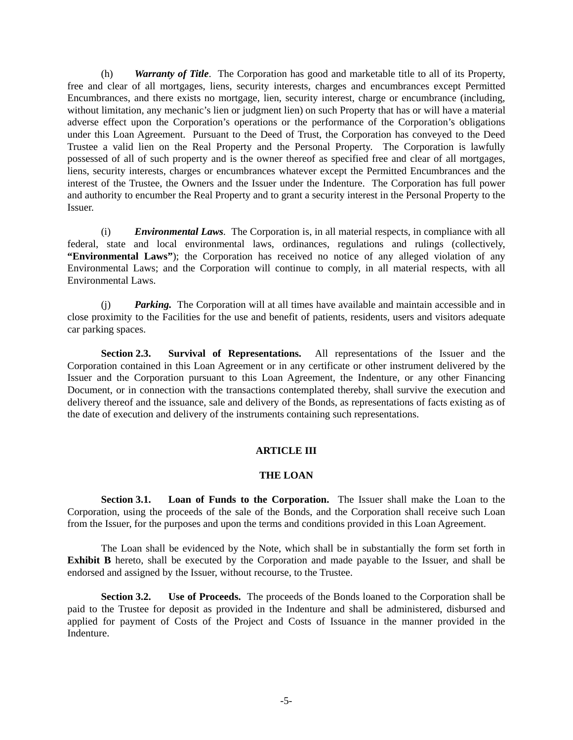(h) *Warranty of Title*. The Corporation has good and marketable title to all of its Property, free and clear of all mortgages, liens, security interests, charges and encumbrances except Permitted Encumbrances, and there exists no mortgage, lien, security interest, charge or encumbrance (including, without limitation, any mechanic's lien or judgment lien) on such Property that has or will have a material adverse effect upon the Corporation's operations or the performance of the Corporation's obligations under this Loan Agreement. Pursuant to the Deed of Trust, the Corporation has conveyed to the Deed Trustee a valid lien on the Real Property and the Personal Property. The Corporation is lawfully possessed of all of such property and is the owner thereof as specified free and clear of all mortgages, liens, security interests, charges or encumbrances whatever except the Permitted Encumbrances and the interest of the Trustee, the Owners and the Issuer under the Indenture. The Corporation has full power and authority to encumber the Real Property and to grant a security interest in the Personal Property to the Issuer.

(i) *Environmental Laws.* The Corporation is, in all material respects, in compliance with all federal, state and local environmental laws, ordinances, regulations and rulings (collectively, **"Environmental Laws"**); the Corporation has received no notice of any alleged violation of any Environmental Laws; and the Corporation will continue to comply, in all material respects, with all Environmental Laws.

(j) *Parking.* The Corporation will at all times have available and maintain accessible and in close proximity to the Facilities for the use and benefit of patients, residents, users and visitors adequate car parking spaces.

 **Section 2.3. Survival of Representations.** All representations of the Issuer and the Corporation contained in this Loan Agreement or in any certificate or other instrument delivered by the Issuer and the Corporation pursuant to this Loan Agreement, the Indenture, or any other Financing Document, or in connection with the transactions contemplated thereby, shall survive the execution and delivery thereof and the issuance, sale and delivery of the Bonds, as representations of facts existing as of the date of execution and delivery of the instruments containing such representations.

### **ARTICLE III**

### **THE LOAN**

 **Section 3.1. Loan of Funds to the Corporation.** The Issuer shall make the Loan to the Corporation, using the proceeds of the sale of the Bonds, and the Corporation shall receive such Loan from the Issuer, for the purposes and upon the terms and conditions provided in this Loan Agreement.

 The Loan shall be evidenced by the Note, which shall be in substantially the form set forth in **Exhibit B** hereto, shall be executed by the Corporation and made payable to the Issuer, and shall be endorsed and assigned by the Issuer, without recourse, to the Trustee.

**Section 3.2. Use of Proceeds.** The proceeds of the Bonds loaned to the Corporation shall be paid to the Trustee for deposit as provided in the Indenture and shall be administered, disbursed and applied for payment of Costs of the Project and Costs of Issuance in the manner provided in the Indenture.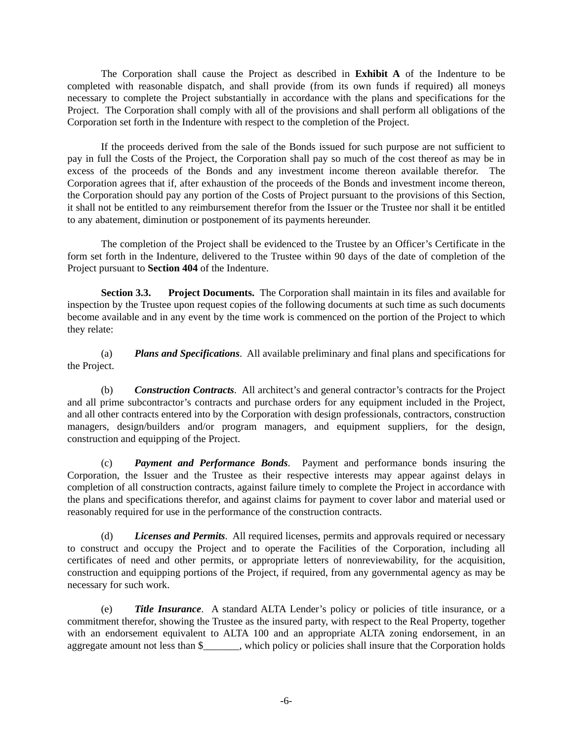The Corporation shall cause the Project as described in **Exhibit A** of the Indenture to be completed with reasonable dispatch, and shall provide (from its own funds if required) all moneys necessary to complete the Project substantially in accordance with the plans and specifications for the Project. The Corporation shall comply with all of the provisions and shall perform all obligations of the Corporation set forth in the Indenture with respect to the completion of the Project.

 If the proceeds derived from the sale of the Bonds issued for such purpose are not sufficient to pay in full the Costs of the Project, the Corporation shall pay so much of the cost thereof as may be in excess of the proceeds of the Bonds and any investment income thereon available therefor. The Corporation agrees that if, after exhaustion of the proceeds of the Bonds and investment income thereon, the Corporation should pay any portion of the Costs of Project pursuant to the provisions of this Section, it shall not be entitled to any reimbursement therefor from the Issuer or the Trustee nor shall it be entitled to any abatement, diminution or postponement of its payments hereunder.

 The completion of the Project shall be evidenced to the Trustee by an Officer's Certificate in the form set forth in the Indenture, delivered to the Trustee within 90 days of the date of completion of the Project pursuant to **Section 404** of the Indenture.

**Section 3.3. Project Documents.** The Corporation shall maintain in its files and available for inspection by the Trustee upon request copies of the following documents at such time as such documents become available and in any event by the time work is commenced on the portion of the Project to which they relate:

(a) *Plans and Specifications*. All available preliminary and final plans and specifications for the Project.

(b) *Construction Contracts*. All architect's and general contractor's contracts for the Project and all prime subcontractor's contracts and purchase orders for any equipment included in the Project, and all other contracts entered into by the Corporation with design professionals, contractors, construction managers, design/builders and/or program managers, and equipment suppliers, for the design, construction and equipping of the Project.

(c) *Payment and Performance Bonds*. Payment and performance bonds insuring the Corporation, the Issuer and the Trustee as their respective interests may appear against delays in completion of all construction contracts, against failure timely to complete the Project in accordance with the plans and specifications therefor, and against claims for payment to cover labor and material used or reasonably required for use in the performance of the construction contracts.

(d) *Licenses and Permits*. All required licenses, permits and approvals required or necessary to construct and occupy the Project and to operate the Facilities of the Corporation, including all certificates of need and other permits, or appropriate letters of nonreviewability, for the acquisition, construction and equipping portions of the Project, if required, from any governmental agency as may be necessary for such work.

(e) *Title Insurance*. A standard ALTA Lender's policy or policies of title insurance, or a commitment therefor, showing the Trustee as the insured party, with respect to the Real Property, together with an endorsement equivalent to ALTA 100 and an appropriate ALTA zoning endorsement, in an aggregate amount not less than \$\_\_\_\_\_\_\_, which policy or policies shall insure that the Corporation holds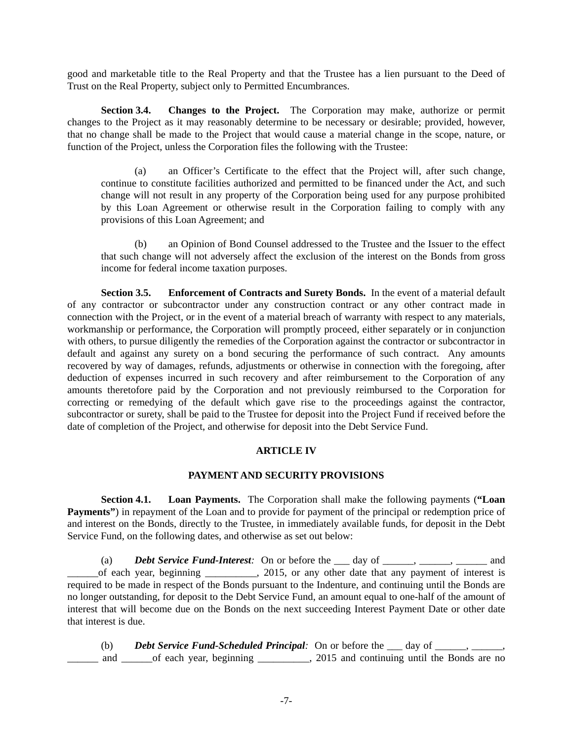good and marketable title to the Real Property and that the Trustee has a lien pursuant to the Deed of Trust on the Real Property, subject only to Permitted Encumbrances.

**Section 3.4. Changes to the Project.** The Corporation may make, authorize or permit changes to the Project as it may reasonably determine to be necessary or desirable; provided, however, that no change shall be made to the Project that would cause a material change in the scope, nature, or function of the Project, unless the Corporation files the following with the Trustee:

 (a) an Officer's Certificate to the effect that the Project will, after such change, continue to constitute facilities authorized and permitted to be financed under the Act, and such change will not result in any property of the Corporation being used for any purpose prohibited by this Loan Agreement or otherwise result in the Corporation failing to comply with any provisions of this Loan Agreement; and

 (b) an Opinion of Bond Counsel addressed to the Trustee and the Issuer to the effect that such change will not adversely affect the exclusion of the interest on the Bonds from gross income for federal income taxation purposes.

 **Section 3.5. Enforcement of Contracts and Surety Bonds.** In the event of a material default of any contractor or subcontractor under any construction contract or any other contract made in connection with the Project, or in the event of a material breach of warranty with respect to any materials, workmanship or performance, the Corporation will promptly proceed, either separately or in conjunction with others, to pursue diligently the remedies of the Corporation against the contractor or subcontractor in default and against any surety on a bond securing the performance of such contract. Any amounts recovered by way of damages, refunds, adjustments or otherwise in connection with the foregoing, after deduction of expenses incurred in such recovery and after reimbursement to the Corporation of any amounts theretofore paid by the Corporation and not previously reimbursed to the Corporation for correcting or remedying of the default which gave rise to the proceedings against the contractor, subcontractor or surety, shall be paid to the Trustee for deposit into the Project Fund if received before the date of completion of the Project, and otherwise for deposit into the Debt Service Fund.

### **ARTICLE IV**

#### **PAYMENT AND SECURITY PROVISIONS**

 **Section 4.1. Loan Payments.** The Corporation shall make the following payments (**"Loan Payments"**) in repayment of the Loan and to provide for payment of the principal or redemption price of and interest on the Bonds, directly to the Trustee, in immediately available funds, for deposit in the Debt Service Fund, on the following dates, and otherwise as set out below:

(a) *Debt Service Fund-Interest:* On or before the \_\_\_ day of \_\_\_\_\_, \_\_\_\_\_, \_\_\_\_\_ and of each year, beginning \_\_\_\_\_\_\_\_, 2015, or any other date that any payment of interest is required to be made in respect of the Bonds pursuant to the Indenture, and continuing until the Bonds are no longer outstanding, for deposit to the Debt Service Fund, an amount equal to one-half of the amount of interest that will become due on the Bonds on the next succeeding Interest Payment Date or other date that interest is due.

(b) *Debt Service Fund-Scheduled Principal*: On or before the day of  $\cdot$ , and of each year, beginning 2015 and continuing until the Bonds are no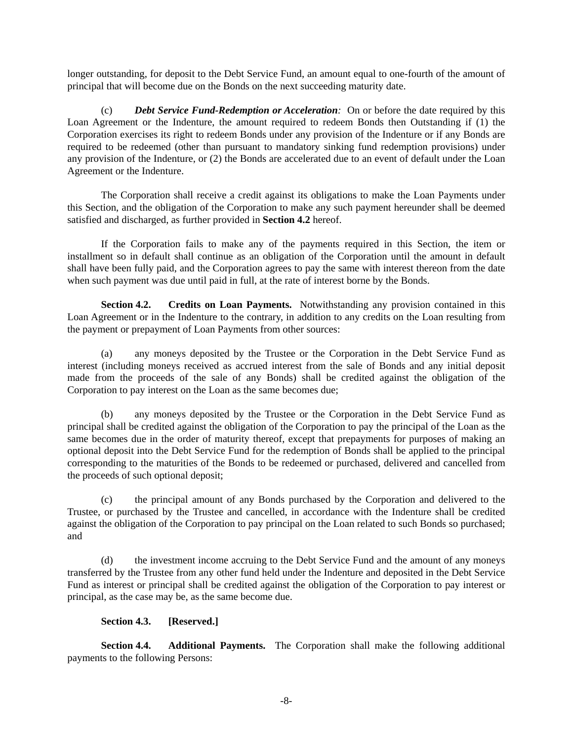longer outstanding, for deposit to the Debt Service Fund, an amount equal to one-fourth of the amount of principal that will become due on the Bonds on the next succeeding maturity date.

(c) *Debt Service Fund-Redemption or Acceleration:* On or before the date required by this Loan Agreement or the Indenture, the amount required to redeem Bonds then Outstanding if (1) the Corporation exercises its right to redeem Bonds under any provision of the Indenture or if any Bonds are required to be redeemed (other than pursuant to mandatory sinking fund redemption provisions) under any provision of the Indenture, or (2) the Bonds are accelerated due to an event of default under the Loan Agreement or the Indenture.

 The Corporation shall receive a credit against its obligations to make the Loan Payments under this Section, and the obligation of the Corporation to make any such payment hereunder shall be deemed satisfied and discharged, as further provided in **Section 4.2** hereof.

 If the Corporation fails to make any of the payments required in this Section, the item or installment so in default shall continue as an obligation of the Corporation until the amount in default shall have been fully paid, and the Corporation agrees to pay the same with interest thereon from the date when such payment was due until paid in full, at the rate of interest borne by the Bonds.

**Section 4.2.** Credits on Loan Payments. Notwithstanding any provision contained in this Loan Agreement or in the Indenture to the contrary, in addition to any credits on the Loan resulting from the payment or prepayment of Loan Payments from other sources:

(a) any moneys deposited by the Trustee or the Corporation in the Debt Service Fund as interest (including moneys received as accrued interest from the sale of Bonds and any initial deposit made from the proceeds of the sale of any Bonds) shall be credited against the obligation of the Corporation to pay interest on the Loan as the same becomes due;

(b) any moneys deposited by the Trustee or the Corporation in the Debt Service Fund as principal shall be credited against the obligation of the Corporation to pay the principal of the Loan as the same becomes due in the order of maturity thereof, except that prepayments for purposes of making an optional deposit into the Debt Service Fund for the redemption of Bonds shall be applied to the principal corresponding to the maturities of the Bonds to be redeemed or purchased, delivered and cancelled from the proceeds of such optional deposit;

(c) the principal amount of any Bonds purchased by the Corporation and delivered to the Trustee, or purchased by the Trustee and cancelled, in accordance with the Indenture shall be credited against the obligation of the Corporation to pay principal on the Loan related to such Bonds so purchased; and

(d) the investment income accruing to the Debt Service Fund and the amount of any moneys transferred by the Trustee from any other fund held under the Indenture and deposited in the Debt Service Fund as interest or principal shall be credited against the obligation of the Corporation to pay interest or principal, as the case may be, as the same become due.

## **Section 4.3. [Reserved.]**

**Section 4.4. Additional Payments.** The Corporation shall make the following additional payments to the following Persons: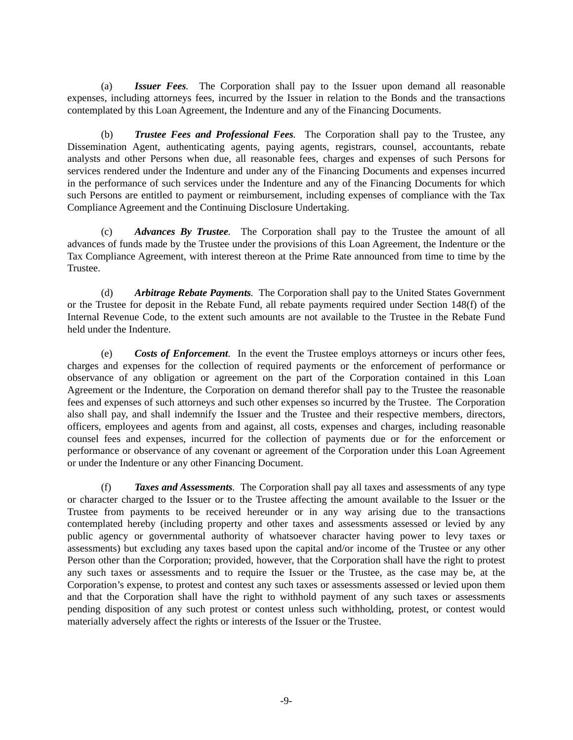(a) *Issuer Fees.* The Corporation shall pay to the Issuer upon demand all reasonable expenses, including attorneys fees, incurred by the Issuer in relation to the Bonds and the transactions contemplated by this Loan Agreement, the Indenture and any of the Financing Documents.

(b) *Trustee Fees and Professional Fees.* The Corporation shall pay to the Trustee, any Dissemination Agent, authenticating agents, paying agents, registrars, counsel, accountants, rebate analysts and other Persons when due, all reasonable fees, charges and expenses of such Persons for services rendered under the Indenture and under any of the Financing Documents and expenses incurred in the performance of such services under the Indenture and any of the Financing Documents for which such Persons are entitled to payment or reimbursement, including expenses of compliance with the Tax Compliance Agreement and the Continuing Disclosure Undertaking.

(c) *Advances By Trustee.* The Corporation shall pay to the Trustee the amount of all advances of funds made by the Trustee under the provisions of this Loan Agreement, the Indenture or the Tax Compliance Agreement, with interest thereon at the Prime Rate announced from time to time by the Trustee.

(d) *Arbitrage Rebate Payments.* The Corporation shall pay to the United States Government or the Trustee for deposit in the Rebate Fund, all rebate payments required under Section 148(f) of the Internal Revenue Code, to the extent such amounts are not available to the Trustee in the Rebate Fund held under the Indenture.

(e) *Costs of Enforcement.* In the event the Trustee employs attorneys or incurs other fees, charges and expenses for the collection of required payments or the enforcement of performance or observance of any obligation or agreement on the part of the Corporation contained in this Loan Agreement or the Indenture, the Corporation on demand therefor shall pay to the Trustee the reasonable fees and expenses of such attorneys and such other expenses so incurred by the Trustee. The Corporation also shall pay, and shall indemnify the Issuer and the Trustee and their respective members, directors, officers, employees and agents from and against, all costs, expenses and charges, including reasonable counsel fees and expenses, incurred for the collection of payments due or for the enforcement or performance or observance of any covenant or agreement of the Corporation under this Loan Agreement or under the Indenture or any other Financing Document.

(f) *Taxes and Assessments.* The Corporation shall pay all taxes and assessments of any type or character charged to the Issuer or to the Trustee affecting the amount available to the Issuer or the Trustee from payments to be received hereunder or in any way arising due to the transactions contemplated hereby (including property and other taxes and assessments assessed or levied by any public agency or governmental authority of whatsoever character having power to levy taxes or assessments) but excluding any taxes based upon the capital and/or income of the Trustee or any other Person other than the Corporation; provided, however, that the Corporation shall have the right to protest any such taxes or assessments and to require the Issuer or the Trustee, as the case may be, at the Corporation's expense, to protest and contest any such taxes or assessments assessed or levied upon them and that the Corporation shall have the right to withhold payment of any such taxes or assessments pending disposition of any such protest or contest unless such withholding, protest, or contest would materially adversely affect the rights or interests of the Issuer or the Trustee.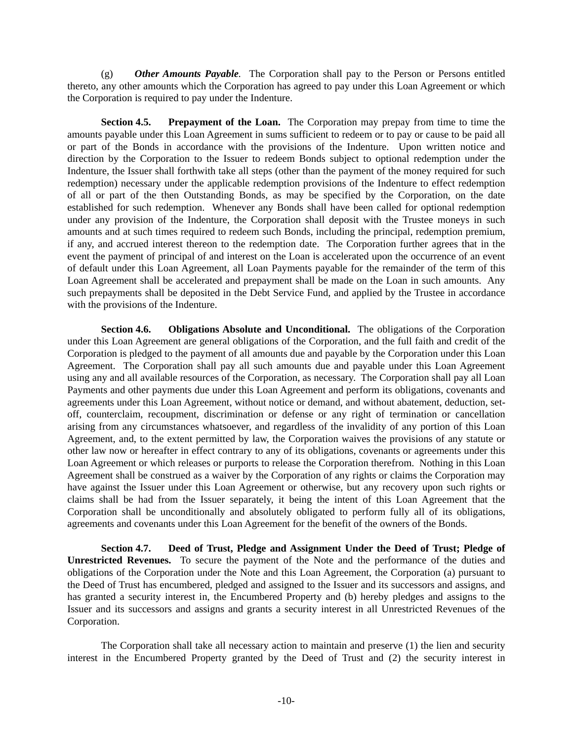(g) *Other Amounts Payable.* The Corporation shall pay to the Person or Persons entitled thereto, any other amounts which the Corporation has agreed to pay under this Loan Agreement or which the Corporation is required to pay under the Indenture.

 **Section 4.5. Prepayment of the Loan.** The Corporation may prepay from time to time the amounts payable under this Loan Agreement in sums sufficient to redeem or to pay or cause to be paid all or part of the Bonds in accordance with the provisions of the Indenture. Upon written notice and direction by the Corporation to the Issuer to redeem Bonds subject to optional redemption under the Indenture, the Issuer shall forthwith take all steps (other than the payment of the money required for such redemption) necessary under the applicable redemption provisions of the Indenture to effect redemption of all or part of the then Outstanding Bonds, as may be specified by the Corporation, on the date established for such redemption. Whenever any Bonds shall have been called for optional redemption under any provision of the Indenture, the Corporation shall deposit with the Trustee moneys in such amounts and at such times required to redeem such Bonds, including the principal, redemption premium, if any, and accrued interest thereon to the redemption date. The Corporation further agrees that in the event the payment of principal of and interest on the Loan is accelerated upon the occurrence of an event of default under this Loan Agreement, all Loan Payments payable for the remainder of the term of this Loan Agreement shall be accelerated and prepayment shall be made on the Loan in such amounts. Any such prepayments shall be deposited in the Debt Service Fund, and applied by the Trustee in accordance with the provisions of the Indenture.

 **Section 4.6. Obligations Absolute and Unconditional.** The obligations of the Corporation under this Loan Agreement are general obligations of the Corporation, and the full faith and credit of the Corporation is pledged to the payment of all amounts due and payable by the Corporation under this Loan Agreement. The Corporation shall pay all such amounts due and payable under this Loan Agreement using any and all available resources of the Corporation, as necessary. The Corporation shall pay all Loan Payments and other payments due under this Loan Agreement and perform its obligations, covenants and agreements under this Loan Agreement, without notice or demand, and without abatement, deduction, setoff, counterclaim, recoupment, discrimination or defense or any right of termination or cancellation arising from any circumstances whatsoever, and regardless of the invalidity of any portion of this Loan Agreement, and, to the extent permitted by law, the Corporation waives the provisions of any statute or other law now or hereafter in effect contrary to any of its obligations, covenants or agreements under this Loan Agreement or which releases or purports to release the Corporation therefrom. Nothing in this Loan Agreement shall be construed as a waiver by the Corporation of any rights or claims the Corporation may have against the Issuer under this Loan Agreement or otherwise, but any recovery upon such rights or claims shall be had from the Issuer separately, it being the intent of this Loan Agreement that the Corporation shall be unconditionally and absolutely obligated to perform fully all of its obligations, agreements and covenants under this Loan Agreement for the benefit of the owners of the Bonds.

 **Section 4.7. Deed of Trust, Pledge and Assignment Under the Deed of Trust; Pledge of Unrestricted Revenues.** To secure the payment of the Note and the performance of the duties and obligations of the Corporation under the Note and this Loan Agreement, the Corporation (a) pursuant to the Deed of Trust has encumbered, pledged and assigned to the Issuer and its successors and assigns, and has granted a security interest in, the Encumbered Property and (b) hereby pledges and assigns to the Issuer and its successors and assigns and grants a security interest in all Unrestricted Revenues of the Corporation.

 The Corporation shall take all necessary action to maintain and preserve (1) the lien and security interest in the Encumbered Property granted by the Deed of Trust and (2) the security interest in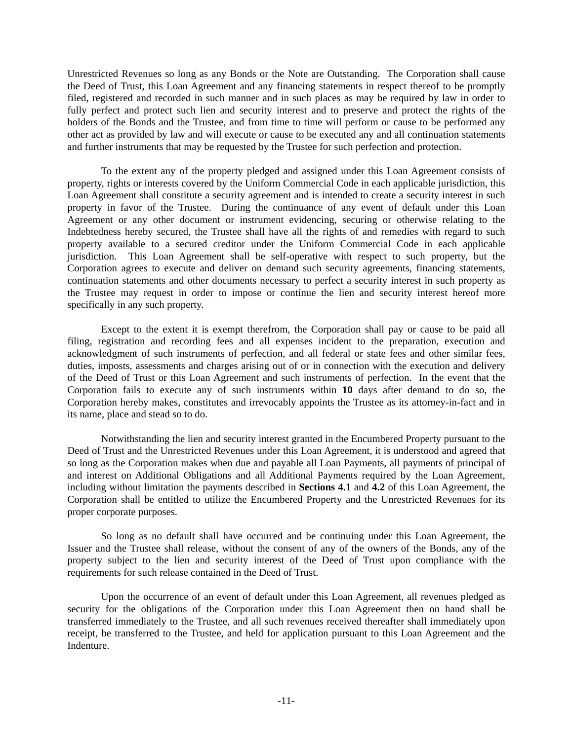Unrestricted Revenues so long as any Bonds or the Note are Outstanding. The Corporation shall cause the Deed of Trust, this Loan Agreement and any financing statements in respect thereof to be promptly filed, registered and recorded in such manner and in such places as may be required by law in order to fully perfect and protect such lien and security interest and to preserve and protect the rights of the holders of the Bonds and the Trustee, and from time to time will perform or cause to be performed any other act as provided by law and will execute or cause to be executed any and all continuation statements and further instruments that may be requested by the Trustee for such perfection and protection.

 To the extent any of the property pledged and assigned under this Loan Agreement consists of property, rights or interests covered by the Uniform Commercial Code in each applicable jurisdiction, this Loan Agreement shall constitute a security agreement and is intended to create a security interest in such property in favor of the Trustee. During the continuance of any event of default under this Loan Agreement or any other document or instrument evidencing, securing or otherwise relating to the Indebtedness hereby secured, the Trustee shall have all the rights of and remedies with regard to such property available to a secured creditor under the Uniform Commercial Code in each applicable jurisdiction. This Loan Agreement shall be self-operative with respect to such property, but the Corporation agrees to execute and deliver on demand such security agreements, financing statements, continuation statements and other documents necessary to perfect a security interest in such property as the Trustee may request in order to impose or continue the lien and security interest hereof more specifically in any such property.

 Except to the extent it is exempt therefrom, the Corporation shall pay or cause to be paid all filing, registration and recording fees and all expenses incident to the preparation, execution and acknowledgment of such instruments of perfection, and all federal or state fees and other similar fees, duties, imposts, assessments and charges arising out of or in connection with the execution and delivery of the Deed of Trust or this Loan Agreement and such instruments of perfection. In the event that the Corporation fails to execute any of such instruments within **10** days after demand to do so, the Corporation hereby makes, constitutes and irrevocably appoints the Trustee as its attorney-in-fact and in its name, place and stead so to do.

 Notwithstanding the lien and security interest granted in the Encumbered Property pursuant to the Deed of Trust and the Unrestricted Revenues under this Loan Agreement, it is understood and agreed that so long as the Corporation makes when due and payable all Loan Payments, all payments of principal of and interest on Additional Obligations and all Additional Payments required by the Loan Agreement, including without limitation the payments described in **Sections 4.1** and **4.2** of this Loan Agreement, the Corporation shall be entitled to utilize the Encumbered Property and the Unrestricted Revenues for its proper corporate purposes.

 So long as no default shall have occurred and be continuing under this Loan Agreement, the Issuer and the Trustee shall release, without the consent of any of the owners of the Bonds, any of the property subject to the lien and security interest of the Deed of Trust upon compliance with the requirements for such release contained in the Deed of Trust.

 Upon the occurrence of an event of default under this Loan Agreement, all revenues pledged as security for the obligations of the Corporation under this Loan Agreement then on hand shall be transferred immediately to the Trustee, and all such revenues received thereafter shall immediately upon receipt, be transferred to the Trustee, and held for application pursuant to this Loan Agreement and the Indenture.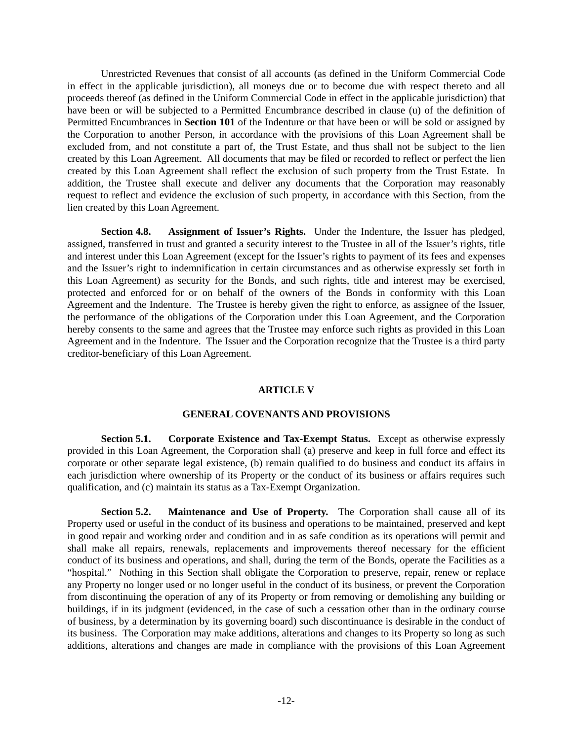Unrestricted Revenues that consist of all accounts (as defined in the Uniform Commercial Code in effect in the applicable jurisdiction), all moneys due or to become due with respect thereto and all proceeds thereof (as defined in the Uniform Commercial Code in effect in the applicable jurisdiction) that have been or will be subjected to a Permitted Encumbrance described in clause (u) of the definition of Permitted Encumbrances in **Section 101** of the Indenture or that have been or will be sold or assigned by the Corporation to another Person, in accordance with the provisions of this Loan Agreement shall be excluded from, and not constitute a part of, the Trust Estate, and thus shall not be subject to the lien created by this Loan Agreement. All documents that may be filed or recorded to reflect or perfect the lien created by this Loan Agreement shall reflect the exclusion of such property from the Trust Estate. In addition, the Trustee shall execute and deliver any documents that the Corporation may reasonably request to reflect and evidence the exclusion of such property, in accordance with this Section, from the lien created by this Loan Agreement.

 **Section 4.8. Assignment of Issuer's Rights.** Under the Indenture, the Issuer has pledged, assigned, transferred in trust and granted a security interest to the Trustee in all of the Issuer's rights, title and interest under this Loan Agreement (except for the Issuer's rights to payment of its fees and expenses and the Issuer's right to indemnification in certain circumstances and as otherwise expressly set forth in this Loan Agreement) as security for the Bonds, and such rights, title and interest may be exercised, protected and enforced for or on behalf of the owners of the Bonds in conformity with this Loan Agreement and the Indenture. The Trustee is hereby given the right to enforce, as assignee of the Issuer, the performance of the obligations of the Corporation under this Loan Agreement, and the Corporation hereby consents to the same and agrees that the Trustee may enforce such rights as provided in this Loan Agreement and in the Indenture. The Issuer and the Corporation recognize that the Trustee is a third party creditor-beneficiary of this Loan Agreement.

## **ARTICLE V**

## **GENERAL COVENANTS AND PROVISIONS**

**Section 5.1.** Corporate Existence and Tax-Exempt Status. Except as otherwise expressly provided in this Loan Agreement, the Corporation shall (a) preserve and keep in full force and effect its corporate or other separate legal existence, (b) remain qualified to do business and conduct its affairs in each jurisdiction where ownership of its Property or the conduct of its business or affairs requires such qualification, and (c) maintain its status as a Tax-Exempt Organization.

**Section 5.2.** Maintenance and Use of Property. The Corporation shall cause all of its Property used or useful in the conduct of its business and operations to be maintained, preserved and kept in good repair and working order and condition and in as safe condition as its operations will permit and shall make all repairs, renewals, replacements and improvements thereof necessary for the efficient conduct of its business and operations, and shall, during the term of the Bonds, operate the Facilities as a "hospital." Nothing in this Section shall obligate the Corporation to preserve, repair, renew or replace any Property no longer used or no longer useful in the conduct of its business, or prevent the Corporation from discontinuing the operation of any of its Property or from removing or demolishing any building or buildings, if in its judgment (evidenced, in the case of such a cessation other than in the ordinary course of business, by a determination by its governing board) such discontinuance is desirable in the conduct of its business. The Corporation may make additions, alterations and changes to its Property so long as such additions, alterations and changes are made in compliance with the provisions of this Loan Agreement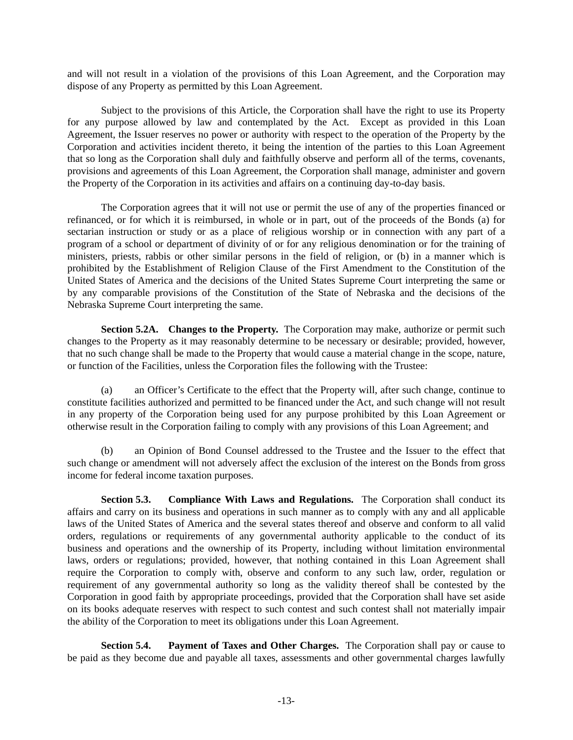and will not result in a violation of the provisions of this Loan Agreement, and the Corporation may dispose of any Property as permitted by this Loan Agreement.

 Subject to the provisions of this Article, the Corporation shall have the right to use its Property for any purpose allowed by law and contemplated by the Act. Except as provided in this Loan Agreement, the Issuer reserves no power or authority with respect to the operation of the Property by the Corporation and activities incident thereto, it being the intention of the parties to this Loan Agreement that so long as the Corporation shall duly and faithfully observe and perform all of the terms, covenants, provisions and agreements of this Loan Agreement, the Corporation shall manage, administer and govern the Property of the Corporation in its activities and affairs on a continuing day-to-day basis.

 The Corporation agrees that it will not use or permit the use of any of the properties financed or refinanced, or for which it is reimbursed, in whole or in part, out of the proceeds of the Bonds (a) for sectarian instruction or study or as a place of religious worship or in connection with any part of a program of a school or department of divinity of or for any religious denomination or for the training of ministers, priests, rabbis or other similar persons in the field of religion, or (b) in a manner which is prohibited by the Establishment of Religion Clause of the First Amendment to the Constitution of the United States of America and the decisions of the United States Supreme Court interpreting the same or by any comparable provisions of the Constitution of the State of Nebraska and the decisions of the Nebraska Supreme Court interpreting the same.

**Section 5.2A. Changes to the Property.** The Corporation may make, authorize or permit such changes to the Property as it may reasonably determine to be necessary or desirable; provided, however, that no such change shall be made to the Property that would cause a material change in the scope, nature, or function of the Facilities, unless the Corporation files the following with the Trustee:

(a) an Officer's Certificate to the effect that the Property will, after such change, continue to constitute facilities authorized and permitted to be financed under the Act, and such change will not result in any property of the Corporation being used for any purpose prohibited by this Loan Agreement or otherwise result in the Corporation failing to comply with any provisions of this Loan Agreement; and

(b) an Opinion of Bond Counsel addressed to the Trustee and the Issuer to the effect that such change or amendment will not adversely affect the exclusion of the interest on the Bonds from gross income for federal income taxation purposes.

**Section 5.3.** Compliance With Laws and Regulations. The Corporation shall conduct its affairs and carry on its business and operations in such manner as to comply with any and all applicable laws of the United States of America and the several states thereof and observe and conform to all valid orders, regulations or requirements of any governmental authority applicable to the conduct of its business and operations and the ownership of its Property, including without limitation environmental laws, orders or regulations; provided, however, that nothing contained in this Loan Agreement shall require the Corporation to comply with, observe and conform to any such law, order, regulation or requirement of any governmental authority so long as the validity thereof shall be contested by the Corporation in good faith by appropriate proceedings, provided that the Corporation shall have set aside on its books adequate reserves with respect to such contest and such contest shall not materially impair the ability of the Corporation to meet its obligations under this Loan Agreement.

 **Section 5.4. Payment of Taxes and Other Charges.** The Corporation shall pay or cause to be paid as they become due and payable all taxes, assessments and other governmental charges lawfully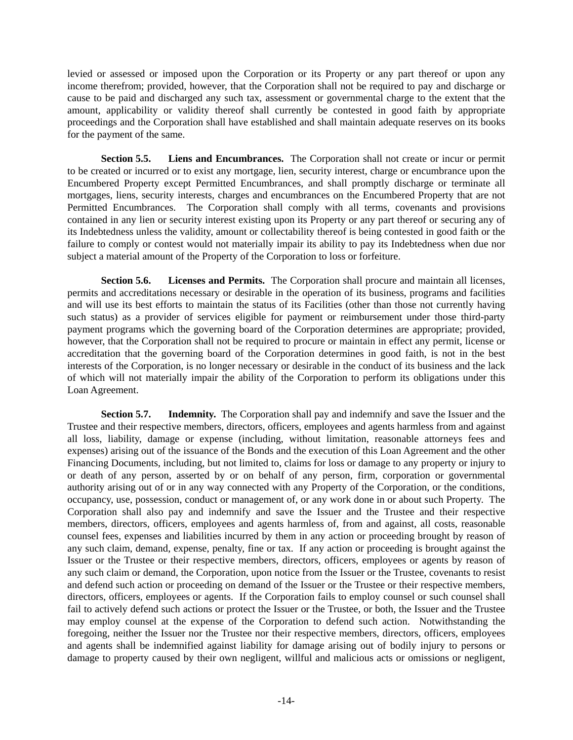levied or assessed or imposed upon the Corporation or its Property or any part thereof or upon any income therefrom; provided, however, that the Corporation shall not be required to pay and discharge or cause to be paid and discharged any such tax, assessment or governmental charge to the extent that the amount, applicability or validity thereof shall currently be contested in good faith by appropriate proceedings and the Corporation shall have established and shall maintain adequate reserves on its books for the payment of the same.

 **Section 5.5. Liens and Encumbrances.** The Corporation shall not create or incur or permit to be created or incurred or to exist any mortgage, lien, security interest, charge or encumbrance upon the Encumbered Property except Permitted Encumbrances, and shall promptly discharge or terminate all mortgages, liens, security interests, charges and encumbrances on the Encumbered Property that are not Permitted Encumbrances. The Corporation shall comply with all terms, covenants and provisions contained in any lien or security interest existing upon its Property or any part thereof or securing any of its Indebtedness unless the validity, amount or collectability thereof is being contested in good faith or the failure to comply or contest would not materially impair its ability to pay its Indebtedness when due nor subject a material amount of the Property of the Corporation to loss or forfeiture.

 **Section 5.6. Licenses and Permits.** The Corporation shall procure and maintain all licenses, permits and accreditations necessary or desirable in the operation of its business, programs and facilities and will use its best efforts to maintain the status of its Facilities (other than those not currently having such status) as a provider of services eligible for payment or reimbursement under those third-party payment programs which the governing board of the Corporation determines are appropriate; provided, however, that the Corporation shall not be required to procure or maintain in effect any permit, license or accreditation that the governing board of the Corporation determines in good faith, is not in the best interests of the Corporation, is no longer necessary or desirable in the conduct of its business and the lack of which will not materially impair the ability of the Corporation to perform its obligations under this Loan Agreement.

**Section 5.7.** Indemnity. The Corporation shall pay and indemnity and save the Issuer and the Trustee and their respective members, directors, officers, employees and agents harmless from and against all loss, liability, damage or expense (including, without limitation, reasonable attorneys fees and expenses) arising out of the issuance of the Bonds and the execution of this Loan Agreement and the other Financing Documents, including, but not limited to, claims for loss or damage to any property or injury to or death of any person, asserted by or on behalf of any person, firm, corporation or governmental authority arising out of or in any way connected with any Property of the Corporation, or the conditions, occupancy, use, possession, conduct or management of, or any work done in or about such Property. The Corporation shall also pay and indemnify and save the Issuer and the Trustee and their respective members, directors, officers, employees and agents harmless of, from and against, all costs, reasonable counsel fees, expenses and liabilities incurred by them in any action or proceeding brought by reason of any such claim, demand, expense, penalty, fine or tax. If any action or proceeding is brought against the Issuer or the Trustee or their respective members, directors, officers, employees or agents by reason of any such claim or demand, the Corporation, upon notice from the Issuer or the Trustee, covenants to resist and defend such action or proceeding on demand of the Issuer or the Trustee or their respective members, directors, officers, employees or agents. If the Corporation fails to employ counsel or such counsel shall fail to actively defend such actions or protect the Issuer or the Trustee, or both, the Issuer and the Trustee may employ counsel at the expense of the Corporation to defend such action. Notwithstanding the foregoing, neither the Issuer nor the Trustee nor their respective members, directors, officers, employees and agents shall be indemnified against liability for damage arising out of bodily injury to persons or damage to property caused by their own negligent, willful and malicious acts or omissions or negligent,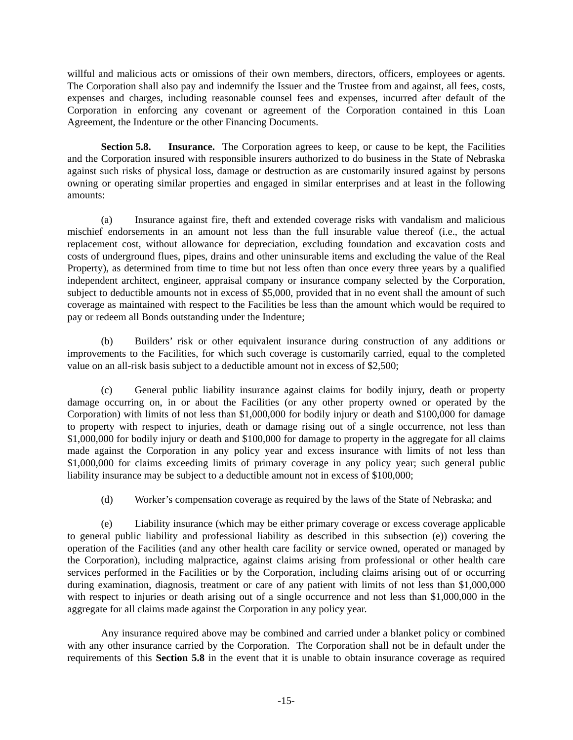willful and malicious acts or omissions of their own members, directors, officers, employees or agents. The Corporation shall also pay and indemnify the Issuer and the Trustee from and against, all fees, costs, expenses and charges, including reasonable counsel fees and expenses, incurred after default of the Corporation in enforcing any covenant or agreement of the Corporation contained in this Loan Agreement, the Indenture or the other Financing Documents.

**Section 5.8.** Insurance. The Corporation agrees to keep, or cause to be kept, the Facilities and the Corporation insured with responsible insurers authorized to do business in the State of Nebraska against such risks of physical loss, damage or destruction as are customarily insured against by persons owning or operating similar properties and engaged in similar enterprises and at least in the following amounts:

(a) Insurance against fire, theft and extended coverage risks with vandalism and malicious mischief endorsements in an amount not less than the full insurable value thereof (i.e., the actual replacement cost, without allowance for depreciation, excluding foundation and excavation costs and costs of underground flues, pipes, drains and other uninsurable items and excluding the value of the Real Property), as determined from time to time but not less often than once every three years by a qualified independent architect, engineer, appraisal company or insurance company selected by the Corporation, subject to deductible amounts not in excess of \$5,000, provided that in no event shall the amount of such coverage as maintained with respect to the Facilities be less than the amount which would be required to pay or redeem all Bonds outstanding under the Indenture;

(b) Builders' risk or other equivalent insurance during construction of any additions or improvements to the Facilities, for which such coverage is customarily carried, equal to the completed value on an all-risk basis subject to a deductible amount not in excess of \$2,500;

(c) General public liability insurance against claims for bodily injury, death or property damage occurring on, in or about the Facilities (or any other property owned or operated by the Corporation) with limits of not less than \$1,000,000 for bodily injury or death and \$100,000 for damage to property with respect to injuries, death or damage rising out of a single occurrence, not less than \$1,000,000 for bodily injury or death and \$100,000 for damage to property in the aggregate for all claims made against the Corporation in any policy year and excess insurance with limits of not less than \$1,000,000 for claims exceeding limits of primary coverage in any policy year; such general public liability insurance may be subject to a deductible amount not in excess of \$100,000;

(d) Worker's compensation coverage as required by the laws of the State of Nebraska; and

(e) Liability insurance (which may be either primary coverage or excess coverage applicable to general public liability and professional liability as described in this subsection (e)) covering the operation of the Facilities (and any other health care facility or service owned, operated or managed by the Corporation), including malpractice, against claims arising from professional or other health care services performed in the Facilities or by the Corporation, including claims arising out of or occurring during examination, diagnosis, treatment or care of any patient with limits of not less than \$1,000,000 with respect to injuries or death arising out of a single occurrence and not less than \$1,000,000 in the aggregate for all claims made against the Corporation in any policy year.

 Any insurance required above may be combined and carried under a blanket policy or combined with any other insurance carried by the Corporation. The Corporation shall not be in default under the requirements of this **Section 5.8** in the event that it is unable to obtain insurance coverage as required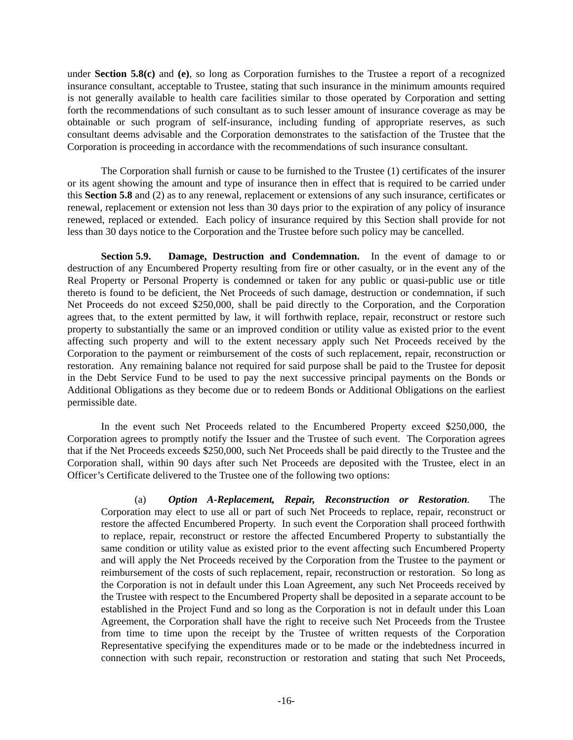under **Section 5.8(c)** and **(e)**, so long as Corporation furnishes to the Trustee a report of a recognized insurance consultant, acceptable to Trustee, stating that such insurance in the minimum amounts required is not generally available to health care facilities similar to those operated by Corporation and setting forth the recommendations of such consultant as to such lesser amount of insurance coverage as may be obtainable or such program of self-insurance, including funding of appropriate reserves, as such consultant deems advisable and the Corporation demonstrates to the satisfaction of the Trustee that the Corporation is proceeding in accordance with the recommendations of such insurance consultant.

 The Corporation shall furnish or cause to be furnished to the Trustee (1) certificates of the insurer or its agent showing the amount and type of insurance then in effect that is required to be carried under this **Section 5.8** and (2) as to any renewal, replacement or extensions of any such insurance, certificates or renewal, replacement or extension not less than 30 days prior to the expiration of any policy of insurance renewed, replaced or extended. Each policy of insurance required by this Section shall provide for not less than 30 days notice to the Corporation and the Trustee before such policy may be cancelled.

 **Section 5.9. Damage, Destruction and Condemnation.** In the event of damage to or destruction of any Encumbered Property resulting from fire or other casualty, or in the event any of the Real Property or Personal Property is condemned or taken for any public or quasi-public use or title thereto is found to be deficient, the Net Proceeds of such damage, destruction or condemnation, if such Net Proceeds do not exceed \$250,000, shall be paid directly to the Corporation, and the Corporation agrees that, to the extent permitted by law, it will forthwith replace, repair, reconstruct or restore such property to substantially the same or an improved condition or utility value as existed prior to the event affecting such property and will to the extent necessary apply such Net Proceeds received by the Corporation to the payment or reimbursement of the costs of such replacement, repair, reconstruction or restoration. Any remaining balance not required for said purpose shall be paid to the Trustee for deposit in the Debt Service Fund to be used to pay the next successive principal payments on the Bonds or Additional Obligations as they become due or to redeem Bonds or Additional Obligations on the earliest permissible date.

 In the event such Net Proceeds related to the Encumbered Property exceed \$250,000, the Corporation agrees to promptly notify the Issuer and the Trustee of such event. The Corporation agrees that if the Net Proceeds exceeds \$250,000, such Net Proceeds shall be paid directly to the Trustee and the Corporation shall, within 90 days after such Net Proceeds are deposited with the Trustee, elect in an Officer's Certificate delivered to the Trustee one of the following two options:

 (a) *Option A-Replacement, Repair, Reconstruction or Restoration.* The Corporation may elect to use all or part of such Net Proceeds to replace, repair, reconstruct or restore the affected Encumbered Property. In such event the Corporation shall proceed forthwith to replace, repair, reconstruct or restore the affected Encumbered Property to substantially the same condition or utility value as existed prior to the event affecting such Encumbered Property and will apply the Net Proceeds received by the Corporation from the Trustee to the payment or reimbursement of the costs of such replacement, repair, reconstruction or restoration. So long as the Corporation is not in default under this Loan Agreement, any such Net Proceeds received by the Trustee with respect to the Encumbered Property shall be deposited in a separate account to be established in the Project Fund and so long as the Corporation is not in default under this Loan Agreement, the Corporation shall have the right to receive such Net Proceeds from the Trustee from time to time upon the receipt by the Trustee of written requests of the Corporation Representative specifying the expenditures made or to be made or the indebtedness incurred in connection with such repair, reconstruction or restoration and stating that such Net Proceeds,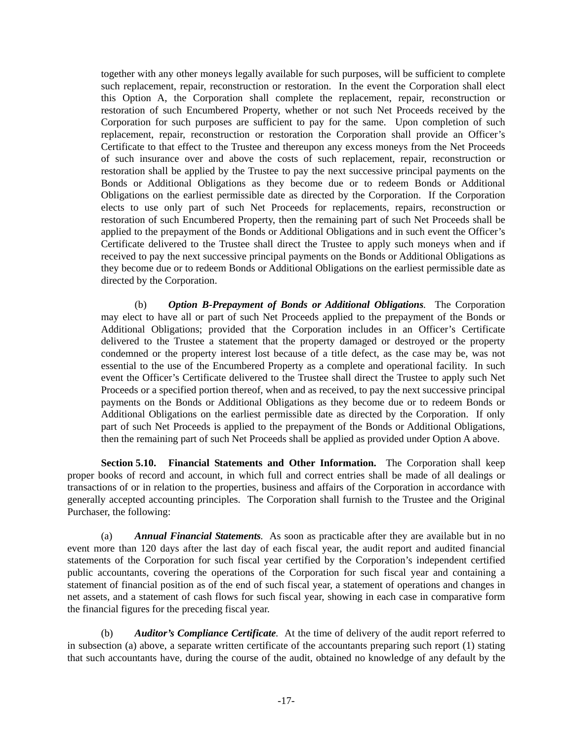together with any other moneys legally available for such purposes, will be sufficient to complete such replacement, repair, reconstruction or restoration. In the event the Corporation shall elect this Option A, the Corporation shall complete the replacement, repair, reconstruction or restoration of such Encumbered Property, whether or not such Net Proceeds received by the Corporation for such purposes are sufficient to pay for the same. Upon completion of such replacement, repair, reconstruction or restoration the Corporation shall provide an Officer's Certificate to that effect to the Trustee and thereupon any excess moneys from the Net Proceeds of such insurance over and above the costs of such replacement, repair, reconstruction or restoration shall be applied by the Trustee to pay the next successive principal payments on the Bonds or Additional Obligations as they become due or to redeem Bonds or Additional Obligations on the earliest permissible date as directed by the Corporation. If the Corporation elects to use only part of such Net Proceeds for replacements, repairs, reconstruction or restoration of such Encumbered Property, then the remaining part of such Net Proceeds shall be applied to the prepayment of the Bonds or Additional Obligations and in such event the Officer's Certificate delivered to the Trustee shall direct the Trustee to apply such moneys when and if received to pay the next successive principal payments on the Bonds or Additional Obligations as they become due or to redeem Bonds or Additional Obligations on the earliest permissible date as directed by the Corporation.

 (b) *Option B-Prepayment of Bonds or Additional Obligations.* The Corporation may elect to have all or part of such Net Proceeds applied to the prepayment of the Bonds or Additional Obligations; provided that the Corporation includes in an Officer's Certificate delivered to the Trustee a statement that the property damaged or destroyed or the property condemned or the property interest lost because of a title defect, as the case may be, was not essential to the use of the Encumbered Property as a complete and operational facility. In such event the Officer's Certificate delivered to the Trustee shall direct the Trustee to apply such Net Proceeds or a specified portion thereof, when and as received, to pay the next successive principal payments on the Bonds or Additional Obligations as they become due or to redeem Bonds or Additional Obligations on the earliest permissible date as directed by the Corporation. If only part of such Net Proceeds is applied to the prepayment of the Bonds or Additional Obligations, then the remaining part of such Net Proceeds shall be applied as provided under Option A above.

**Section 5.10. Financial Statements and Other Information.** The Corporation shall keep proper books of record and account, in which full and correct entries shall be made of all dealings or transactions of or in relation to the properties, business and affairs of the Corporation in accordance with generally accepted accounting principles. The Corporation shall furnish to the Trustee and the Original Purchaser, the following:

(a) *Annual Financial Statements.* As soon as practicable after they are available but in no event more than 120 days after the last day of each fiscal year, the audit report and audited financial statements of the Corporation for such fiscal year certified by the Corporation's independent certified public accountants, covering the operations of the Corporation for such fiscal year and containing a statement of financial position as of the end of such fiscal year, a statement of operations and changes in net assets, and a statement of cash flows for such fiscal year, showing in each case in comparative form the financial figures for the preceding fiscal year.

(b) *Auditor's Compliance Certificate.* At the time of delivery of the audit report referred to in subsection (a) above, a separate written certificate of the accountants preparing such report (1) stating that such accountants have, during the course of the audit, obtained no knowledge of any default by the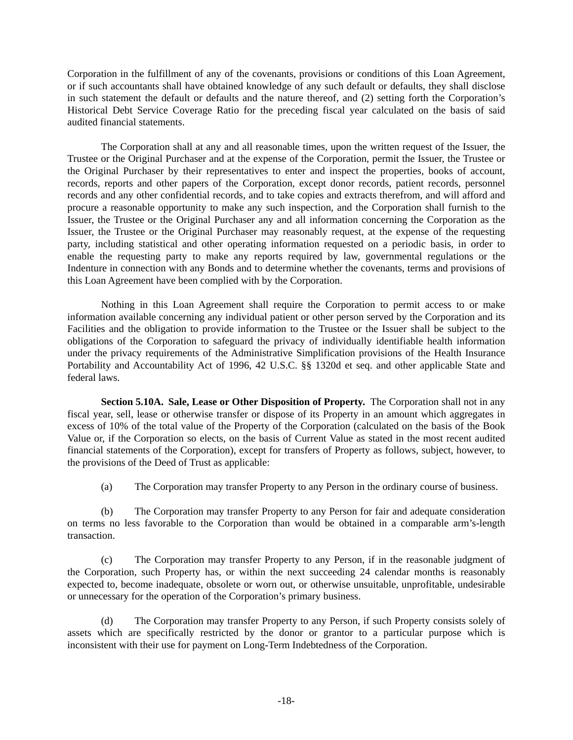Corporation in the fulfillment of any of the covenants, provisions or conditions of this Loan Agreement, or if such accountants shall have obtained knowledge of any such default or defaults, they shall disclose in such statement the default or defaults and the nature thereof, and (2) setting forth the Corporation's Historical Debt Service Coverage Ratio for the preceding fiscal year calculated on the basis of said audited financial statements.

 The Corporation shall at any and all reasonable times, upon the written request of the Issuer, the Trustee or the Original Purchaser and at the expense of the Corporation, permit the Issuer, the Trustee or the Original Purchaser by their representatives to enter and inspect the properties, books of account, records, reports and other papers of the Corporation, except donor records, patient records, personnel records and any other confidential records, and to take copies and extracts therefrom, and will afford and procure a reasonable opportunity to make any such inspection, and the Corporation shall furnish to the Issuer, the Trustee or the Original Purchaser any and all information concerning the Corporation as the Issuer, the Trustee or the Original Purchaser may reasonably request, at the expense of the requesting party, including statistical and other operating information requested on a periodic basis, in order to enable the requesting party to make any reports required by law, governmental regulations or the Indenture in connection with any Bonds and to determine whether the covenants, terms and provisions of this Loan Agreement have been complied with by the Corporation.

Nothing in this Loan Agreement shall require the Corporation to permit access to or make information available concerning any individual patient or other person served by the Corporation and its Facilities and the obligation to provide information to the Trustee or the Issuer shall be subject to the obligations of the Corporation to safeguard the privacy of individually identifiable health information under the privacy requirements of the Administrative Simplification provisions of the Health Insurance Portability and Accountability Act of 1996, 42 U.S.C. §§ 1320d et seq. and other applicable State and federal laws.

 **Section 5.10A. Sale, Lease or Other Disposition of Property.** The Corporation shall not in any fiscal year, sell, lease or otherwise transfer or dispose of its Property in an amount which aggregates in excess of 10% of the total value of the Property of the Corporation (calculated on the basis of the Book Value or, if the Corporation so elects, on the basis of Current Value as stated in the most recent audited financial statements of the Corporation), except for transfers of Property as follows, subject, however, to the provisions of the Deed of Trust as applicable:

(a) The Corporation may transfer Property to any Person in the ordinary course of business.

(b) The Corporation may transfer Property to any Person for fair and adequate consideration on terms no less favorable to the Corporation than would be obtained in a comparable arm's-length transaction.

(c) The Corporation may transfer Property to any Person, if in the reasonable judgment of the Corporation, such Property has, or within the next succeeding 24 calendar months is reasonably expected to, become inadequate, obsolete or worn out, or otherwise unsuitable, unprofitable, undesirable or unnecessary for the operation of the Corporation's primary business.

(d) The Corporation may transfer Property to any Person, if such Property consists solely of assets which are specifically restricted by the donor or grantor to a particular purpose which is inconsistent with their use for payment on Long-Term Indebtedness of the Corporation.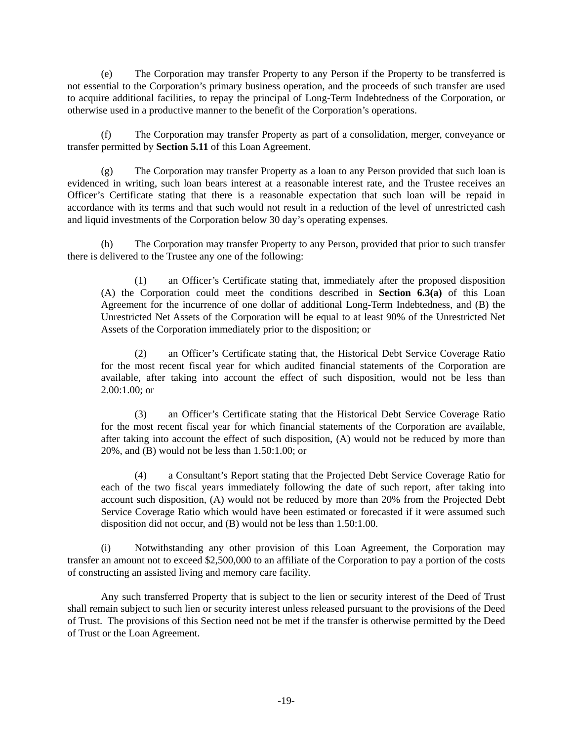(e) The Corporation may transfer Property to any Person if the Property to be transferred is not essential to the Corporation's primary business operation, and the proceeds of such transfer are used to acquire additional facilities, to repay the principal of Long-Term Indebtedness of the Corporation, or otherwise used in a productive manner to the benefit of the Corporation's operations.

(f) The Corporation may transfer Property as part of a consolidation, merger, conveyance or transfer permitted by **Section 5.11** of this Loan Agreement.

(g) The Corporation may transfer Property as a loan to any Person provided that such loan is evidenced in writing, such loan bears interest at a reasonable interest rate, and the Trustee receives an Officer's Certificate stating that there is a reasonable expectation that such loan will be repaid in accordance with its terms and that such would not result in a reduction of the level of unrestricted cash and liquid investments of the Corporation below 30 day's operating expenses.

(h) The Corporation may transfer Property to any Person, provided that prior to such transfer there is delivered to the Trustee any one of the following:

(1) an Officer's Certificate stating that, immediately after the proposed disposition (A) the Corporation could meet the conditions described in **Section 6.3(a)** of this Loan Agreement for the incurrence of one dollar of additional Long-Term Indebtedness, and (B) the Unrestricted Net Assets of the Corporation will be equal to at least 90% of the Unrestricted Net Assets of the Corporation immediately prior to the disposition; or

(2) an Officer's Certificate stating that, the Historical Debt Service Coverage Ratio for the most recent fiscal year for which audited financial statements of the Corporation are available, after taking into account the effect of such disposition, would not be less than 2.00:1.00; or

(3) an Officer's Certificate stating that the Historical Debt Service Coverage Ratio for the most recent fiscal year for which financial statements of the Corporation are available, after taking into account the effect of such disposition, (A) would not be reduced by more than 20%, and (B) would not be less than 1.50:1.00; or

(4) a Consultant's Report stating that the Projected Debt Service Coverage Ratio for each of the two fiscal years immediately following the date of such report, after taking into account such disposition, (A) would not be reduced by more than 20% from the Projected Debt Service Coverage Ratio which would have been estimated or forecasted if it were assumed such disposition did not occur, and (B) would not be less than 1.50:1.00.

(i) Notwithstanding any other provision of this Loan Agreement, the Corporation may transfer an amount not to exceed \$2,500,000 to an affiliate of the Corporation to pay a portion of the costs of constructing an assisted living and memory care facility.

 Any such transferred Property that is subject to the lien or security interest of the Deed of Trust shall remain subject to such lien or security interest unless released pursuant to the provisions of the Deed of Trust. The provisions of this Section need not be met if the transfer is otherwise permitted by the Deed of Trust or the Loan Agreement.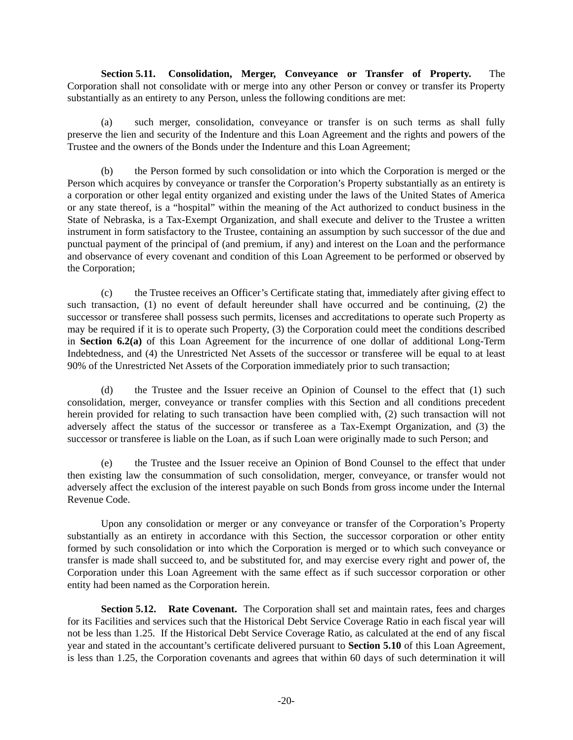**Section 5.11. Consolidation, Merger, Conveyance or Transfer of Property.** The Corporation shall not consolidate with or merge into any other Person or convey or transfer its Property substantially as an entirety to any Person, unless the following conditions are met:

(a) such merger, consolidation, conveyance or transfer is on such terms as shall fully preserve the lien and security of the Indenture and this Loan Agreement and the rights and powers of the Trustee and the owners of the Bonds under the Indenture and this Loan Agreement;

(b) the Person formed by such consolidation or into which the Corporation is merged or the Person which acquires by conveyance or transfer the Corporation's Property substantially as an entirety is a corporation or other legal entity organized and existing under the laws of the United States of America or any state thereof, is a "hospital" within the meaning of the Act authorized to conduct business in the State of Nebraska, is a Tax-Exempt Organization, and shall execute and deliver to the Trustee a written instrument in form satisfactory to the Trustee, containing an assumption by such successor of the due and punctual payment of the principal of (and premium, if any) and interest on the Loan and the performance and observance of every covenant and condition of this Loan Agreement to be performed or observed by the Corporation;

(c) the Trustee receives an Officer's Certificate stating that, immediately after giving effect to such transaction, (1) no event of default hereunder shall have occurred and be continuing, (2) the successor or transferee shall possess such permits, licenses and accreditations to operate such Property as may be required if it is to operate such Property, (3) the Corporation could meet the conditions described in **Section 6.2(a)** of this Loan Agreement for the incurrence of one dollar of additional Long-Term Indebtedness, and (4) the Unrestricted Net Assets of the successor or transferee will be equal to at least 90% of the Unrestricted Net Assets of the Corporation immediately prior to such transaction;

(d) the Trustee and the Issuer receive an Opinion of Counsel to the effect that (1) such consolidation, merger, conveyance or transfer complies with this Section and all conditions precedent herein provided for relating to such transaction have been complied with, (2) such transaction will not adversely affect the status of the successor or transferee as a Tax-Exempt Organization, and (3) the successor or transferee is liable on the Loan, as if such Loan were originally made to such Person; and

(e) the Trustee and the Issuer receive an Opinion of Bond Counsel to the effect that under then existing law the consummation of such consolidation, merger, conveyance, or transfer would not adversely affect the exclusion of the interest payable on such Bonds from gross income under the Internal Revenue Code.

 Upon any consolidation or merger or any conveyance or transfer of the Corporation's Property substantially as an entirety in accordance with this Section, the successor corporation or other entity formed by such consolidation or into which the Corporation is merged or to which such conveyance or transfer is made shall succeed to, and be substituted for, and may exercise every right and power of, the Corporation under this Loan Agreement with the same effect as if such successor corporation or other entity had been named as the Corporation herein.

**Section 5.12. Rate Covenant.** The Corporation shall set and maintain rates, fees and charges for its Facilities and services such that the Historical Debt Service Coverage Ratio in each fiscal year will not be less than 1.25. If the Historical Debt Service Coverage Ratio, as calculated at the end of any fiscal year and stated in the accountant's certificate delivered pursuant to **Section 5.10** of this Loan Agreement, is less than 1.25, the Corporation covenants and agrees that within 60 days of such determination it will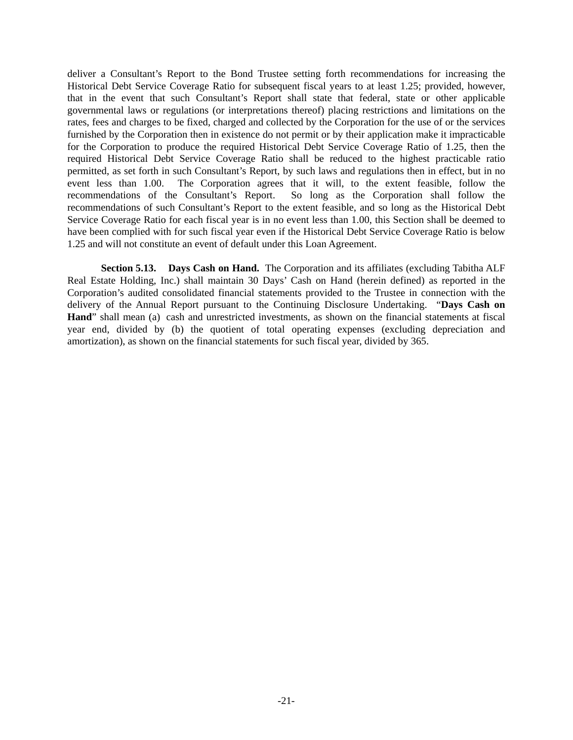deliver a Consultant's Report to the Bond Trustee setting forth recommendations for increasing the Historical Debt Service Coverage Ratio for subsequent fiscal years to at least 1.25; provided, however, that in the event that such Consultant's Report shall state that federal, state or other applicable governmental laws or regulations (or interpretations thereof) placing restrictions and limitations on the rates, fees and charges to be fixed, charged and collected by the Corporation for the use of or the services furnished by the Corporation then in existence do not permit or by their application make it impracticable for the Corporation to produce the required Historical Debt Service Coverage Ratio of 1.25, then the required Historical Debt Service Coverage Ratio shall be reduced to the highest practicable ratio permitted, as set forth in such Consultant's Report, by such laws and regulations then in effect, but in no event less than 1.00. The Corporation agrees that it will, to the extent feasible, follow the recommendations of the Consultant's Report. So long as the Corporation shall follow the recommendations of such Consultant's Report to the extent feasible, and so long as the Historical Debt Service Coverage Ratio for each fiscal year is in no event less than 1.00, this Section shall be deemed to have been complied with for such fiscal year even if the Historical Debt Service Coverage Ratio is below 1.25 and will not constitute an event of default under this Loan Agreement.

**Section 5.13. Days Cash on Hand.** The Corporation and its affiliates (excluding Tabitha ALF Real Estate Holding, Inc.) shall maintain 30 Days' Cash on Hand (herein defined) as reported in the Corporation's audited consolidated financial statements provided to the Trustee in connection with the delivery of the Annual Report pursuant to the Continuing Disclosure Undertaking. "**Days Cash on Hand**" shall mean (a) cash and unrestricted investments, as shown on the financial statements at fiscal year end, divided by (b) the quotient of total operating expenses (excluding depreciation and amortization), as shown on the financial statements for such fiscal year, divided by 365.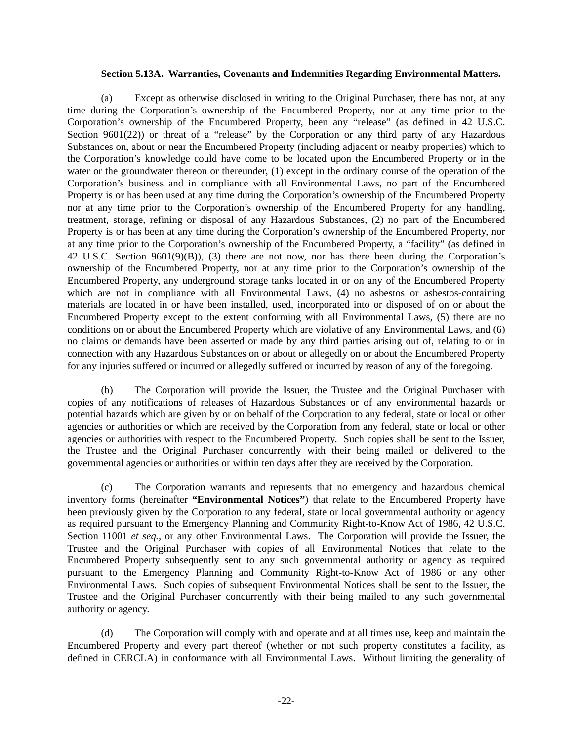#### **Section 5.13A. Warranties, Covenants and Indemnities Regarding Environmental Matters.**

 (a) Except as otherwise disclosed in writing to the Original Purchaser, there has not, at any time during the Corporation's ownership of the Encumbered Property, nor at any time prior to the Corporation's ownership of the Encumbered Property, been any "release" (as defined in 42 U.S.C. Section 9601(22)) or threat of a "release" by the Corporation or any third party of any Hazardous Substances on, about or near the Encumbered Property (including adjacent or nearby properties) which to the Corporation's knowledge could have come to be located upon the Encumbered Property or in the water or the groundwater thereon or thereunder, (1) except in the ordinary course of the operation of the Corporation's business and in compliance with all Environmental Laws, no part of the Encumbered Property is or has been used at any time during the Corporation's ownership of the Encumbered Property nor at any time prior to the Corporation's ownership of the Encumbered Property for any handling, treatment, storage, refining or disposal of any Hazardous Substances, (2) no part of the Encumbered Property is or has been at any time during the Corporation's ownership of the Encumbered Property, nor at any time prior to the Corporation's ownership of the Encumbered Property, a "facility" (as defined in 42 U.S.C. Section 9601(9)(B)), (3) there are not now, nor has there been during the Corporation's ownership of the Encumbered Property, nor at any time prior to the Corporation's ownership of the Encumbered Property, any underground storage tanks located in or on any of the Encumbered Property which are not in compliance with all Environmental Laws, (4) no asbestos or asbestos-containing materials are located in or have been installed, used, incorporated into or disposed of on or about the Encumbered Property except to the extent conforming with all Environmental Laws, (5) there are no conditions on or about the Encumbered Property which are violative of any Environmental Laws, and (6) no claims or demands have been asserted or made by any third parties arising out of, relating to or in connection with any Hazardous Substances on or about or allegedly on or about the Encumbered Property for any injuries suffered or incurred or allegedly suffered or incurred by reason of any of the foregoing.

 (b) The Corporation will provide the Issuer, the Trustee and the Original Purchaser with copies of any notifications of releases of Hazardous Substances or of any environmental hazards or potential hazards which are given by or on behalf of the Corporation to any federal, state or local or other agencies or authorities or which are received by the Corporation from any federal, state or local or other agencies or authorities with respect to the Encumbered Property. Such copies shall be sent to the Issuer, the Trustee and the Original Purchaser concurrently with their being mailed or delivered to the governmental agencies or authorities or within ten days after they are received by the Corporation.

 (c) The Corporation warrants and represents that no emergency and hazardous chemical inventory forms (hereinafter **"Environmental Notices"**) that relate to the Encumbered Property have been previously given by the Corporation to any federal, state or local governmental authority or agency as required pursuant to the Emergency Planning and Community Right-to-Know Act of 1986, 42 U.S.C. Section 11001 *et seq.*, or any other Environmental Laws. The Corporation will provide the Issuer, the Trustee and the Original Purchaser with copies of all Environmental Notices that relate to the Encumbered Property subsequently sent to any such governmental authority or agency as required pursuant to the Emergency Planning and Community Right-to-Know Act of 1986 or any other Environmental Laws. Such copies of subsequent Environmental Notices shall be sent to the Issuer, the Trustee and the Original Purchaser concurrently with their being mailed to any such governmental authority or agency.

 (d) The Corporation will comply with and operate and at all times use, keep and maintain the Encumbered Property and every part thereof (whether or not such property constitutes a facility, as defined in CERCLA) in conformance with all Environmental Laws. Without limiting the generality of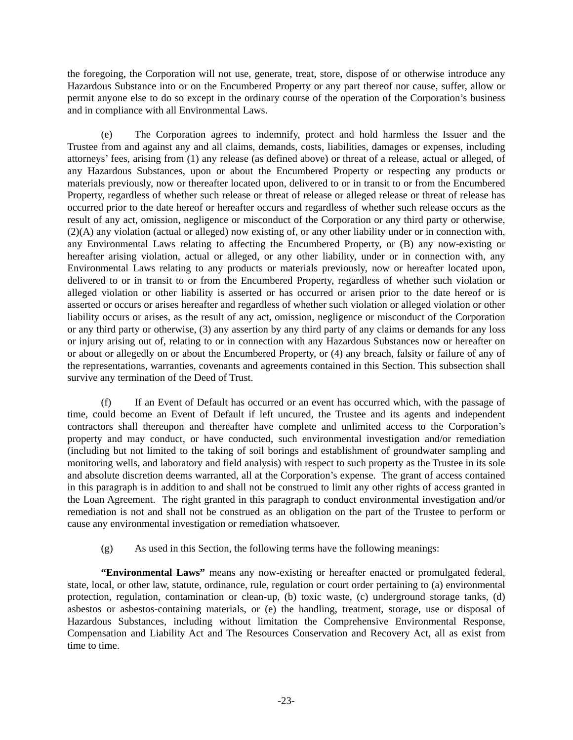the foregoing, the Corporation will not use, generate, treat, store, dispose of or otherwise introduce any Hazardous Substance into or on the Encumbered Property or any part thereof nor cause, suffer, allow or permit anyone else to do so except in the ordinary course of the operation of the Corporation's business and in compliance with all Environmental Laws.

 (e) The Corporation agrees to indemnify, protect and hold harmless the Issuer and the Trustee from and against any and all claims, demands, costs, liabilities, damages or expenses, including attorneys' fees, arising from (1) any release (as defined above) or threat of a release, actual or alleged, of any Hazardous Substances, upon or about the Encumbered Property or respecting any products or materials previously, now or thereafter located upon, delivered to or in transit to or from the Encumbered Property, regardless of whether such release or threat of release or alleged release or threat of release has occurred prior to the date hereof or hereafter occurs and regardless of whether such release occurs as the result of any act, omission, negligence or misconduct of the Corporation or any third party or otherwise, (2)(A) any violation (actual or alleged) now existing of, or any other liability under or in connection with, any Environmental Laws relating to affecting the Encumbered Property, or (B) any now-existing or hereafter arising violation, actual or alleged, or any other liability, under or in connection with, any Environmental Laws relating to any products or materials previously, now or hereafter located upon, delivered to or in transit to or from the Encumbered Property, regardless of whether such violation or alleged violation or other liability is asserted or has occurred or arisen prior to the date hereof or is asserted or occurs or arises hereafter and regardless of whether such violation or alleged violation or other liability occurs or arises, as the result of any act, omission, negligence or misconduct of the Corporation or any third party or otherwise, (3) any assertion by any third party of any claims or demands for any loss or injury arising out of, relating to or in connection with any Hazardous Substances now or hereafter on or about or allegedly on or about the Encumbered Property, or (4) any breach, falsity or failure of any of the representations, warranties, covenants and agreements contained in this Section. This subsection shall survive any termination of the Deed of Trust.

 (f) If an Event of Default has occurred or an event has occurred which, with the passage of time, could become an Event of Default if left uncured, the Trustee and its agents and independent contractors shall thereupon and thereafter have complete and unlimited access to the Corporation's property and may conduct, or have conducted, such environmental investigation and/or remediation (including but not limited to the taking of soil borings and establishment of groundwater sampling and monitoring wells, and laboratory and field analysis) with respect to such property as the Trustee in its sole and absolute discretion deems warranted, all at the Corporation's expense. The grant of access contained in this paragraph is in addition to and shall not be construed to limit any other rights of access granted in the Loan Agreement. The right granted in this paragraph to conduct environmental investigation and/or remediation is not and shall not be construed as an obligation on the part of the Trustee to perform or cause any environmental investigation or remediation whatsoever.

(g) As used in this Section, the following terms have the following meanings:

**"Environmental Laws"** means any now-existing or hereafter enacted or promulgated federal, state, local, or other law, statute, ordinance, rule, regulation or court order pertaining to (a) environmental protection, regulation, contamination or clean-up, (b) toxic waste, (c) underground storage tanks, (d) asbestos or asbestos-containing materials, or (e) the handling, treatment, storage, use or disposal of Hazardous Substances, including without limitation the Comprehensive Environmental Response, Compensation and Liability Act and The Resources Conservation and Recovery Act, all as exist from time to time.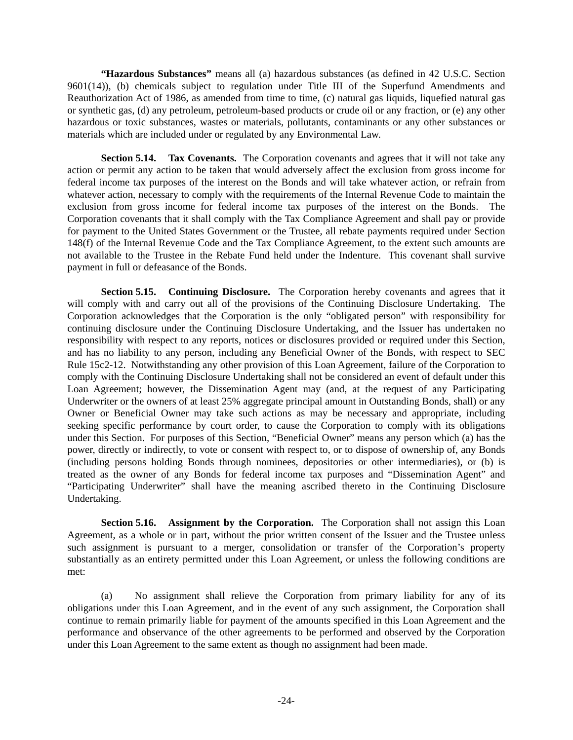**"Hazardous Substances"** means all (a) hazardous substances (as defined in 42 U.S.C. Section 9601(14)), (b) chemicals subject to regulation under Title III of the Superfund Amendments and Reauthorization Act of 1986, as amended from time to time, (c) natural gas liquids, liquefied natural gas or synthetic gas, (d) any petroleum, petroleum-based products or crude oil or any fraction, or (e) any other hazardous or toxic substances, wastes or materials, pollutants, contaminants or any other substances or materials which are included under or regulated by any Environmental Law.

**Section 5.14. Tax Covenants.** The Corporation covenants and agrees that it will not take any action or permit any action to be taken that would adversely affect the exclusion from gross income for federal income tax purposes of the interest on the Bonds and will take whatever action, or refrain from whatever action, necessary to comply with the requirements of the Internal Revenue Code to maintain the exclusion from gross income for federal income tax purposes of the interest on the Bonds. The Corporation covenants that it shall comply with the Tax Compliance Agreement and shall pay or provide for payment to the United States Government or the Trustee, all rebate payments required under Section 148(f) of the Internal Revenue Code and the Tax Compliance Agreement, to the extent such amounts are not available to the Trustee in the Rebate Fund held under the Indenture. This covenant shall survive payment in full or defeasance of the Bonds.

 **Section 5.15. Continuing Disclosure.** The Corporation hereby covenants and agrees that it will comply with and carry out all of the provisions of the Continuing Disclosure Undertaking. The Corporation acknowledges that the Corporation is the only "obligated person" with responsibility for continuing disclosure under the Continuing Disclosure Undertaking, and the Issuer has undertaken no responsibility with respect to any reports, notices or disclosures provided or required under this Section, and has no liability to any person, including any Beneficial Owner of the Bonds, with respect to SEC Rule 15c2-12. Notwithstanding any other provision of this Loan Agreement, failure of the Corporation to comply with the Continuing Disclosure Undertaking shall not be considered an event of default under this Loan Agreement; however, the Dissemination Agent may (and, at the request of any Participating Underwriter or the owners of at least 25% aggregate principal amount in Outstanding Bonds, shall) or any Owner or Beneficial Owner may take such actions as may be necessary and appropriate, including seeking specific performance by court order, to cause the Corporation to comply with its obligations under this Section. For purposes of this Section, "Beneficial Owner" means any person which (a) has the power, directly or indirectly, to vote or consent with respect to, or to dispose of ownership of, any Bonds (including persons holding Bonds through nominees, depositories or other intermediaries), or (b) is treated as the owner of any Bonds for federal income tax purposes and "Dissemination Agent" and "Participating Underwriter" shall have the meaning ascribed thereto in the Continuing Disclosure Undertaking.

 **Section 5.16. Assignment by the Corporation.** The Corporation shall not assign this Loan Agreement, as a whole or in part, without the prior written consent of the Issuer and the Trustee unless such assignment is pursuant to a merger, consolidation or transfer of the Corporation's property substantially as an entirety permitted under this Loan Agreement, or unless the following conditions are met:

(a) No assignment shall relieve the Corporation from primary liability for any of its obligations under this Loan Agreement, and in the event of any such assignment, the Corporation shall continue to remain primarily liable for payment of the amounts specified in this Loan Agreement and the performance and observance of the other agreements to be performed and observed by the Corporation under this Loan Agreement to the same extent as though no assignment had been made.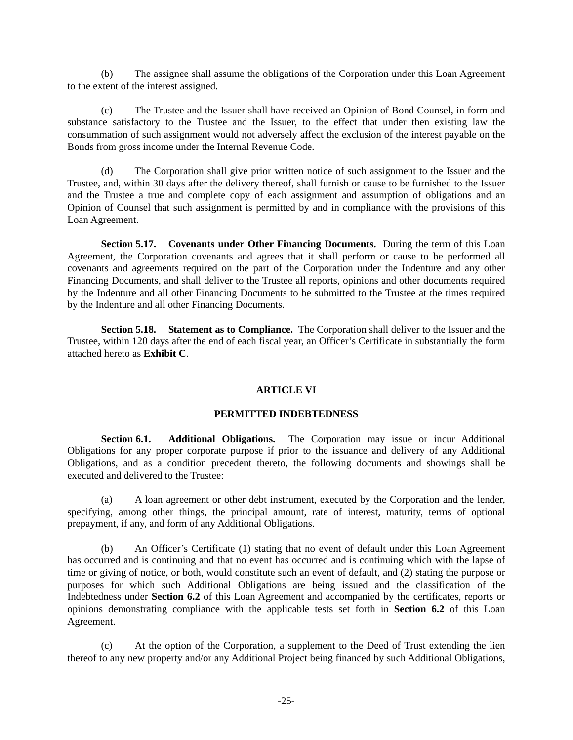(b) The assignee shall assume the obligations of the Corporation under this Loan Agreement to the extent of the interest assigned.

(c) The Trustee and the Issuer shall have received an Opinion of Bond Counsel, in form and substance satisfactory to the Trustee and the Issuer, to the effect that under then existing law the consummation of such assignment would not adversely affect the exclusion of the interest payable on the Bonds from gross income under the Internal Revenue Code.

(d) The Corporation shall give prior written notice of such assignment to the Issuer and the Trustee, and, within 30 days after the delivery thereof, shall furnish or cause to be furnished to the Issuer and the Trustee a true and complete copy of each assignment and assumption of obligations and an Opinion of Counsel that such assignment is permitted by and in compliance with the provisions of this Loan Agreement.

**Section 5.17. Covenants under Other Financing Documents.** During the term of this Loan Agreement, the Corporation covenants and agrees that it shall perform or cause to be performed all covenants and agreements required on the part of the Corporation under the Indenture and any other Financing Documents, and shall deliver to the Trustee all reports, opinions and other documents required by the Indenture and all other Financing Documents to be submitted to the Trustee at the times required by the Indenture and all other Financing Documents.

**Section 5.18. Statement as to Compliance.** The Corporation shall deliver to the Issuer and the Trustee, within 120 days after the end of each fiscal year, an Officer's Certificate in substantially the form attached hereto as **Exhibit C**.

## **ARTICLE VI**

### **PERMITTED INDEBTEDNESS**

 **Section 6.1. Additional Obligations.** The Corporation may issue or incur Additional Obligations for any proper corporate purpose if prior to the issuance and delivery of any Additional Obligations, and as a condition precedent thereto, the following documents and showings shall be executed and delivered to the Trustee:

(a) A loan agreement or other debt instrument, executed by the Corporation and the lender, specifying, among other things, the principal amount, rate of interest, maturity, terms of optional prepayment, if any, and form of any Additional Obligations.

(b) An Officer's Certificate (1) stating that no event of default under this Loan Agreement has occurred and is continuing and that no event has occurred and is continuing which with the lapse of time or giving of notice, or both, would constitute such an event of default, and (2) stating the purpose or purposes for which such Additional Obligations are being issued and the classification of the Indebtedness under **Section 6.2** of this Loan Agreement and accompanied by the certificates, reports or opinions demonstrating compliance with the applicable tests set forth in **Section 6.2** of this Loan Agreement.

(c) At the option of the Corporation, a supplement to the Deed of Trust extending the lien thereof to any new property and/or any Additional Project being financed by such Additional Obligations,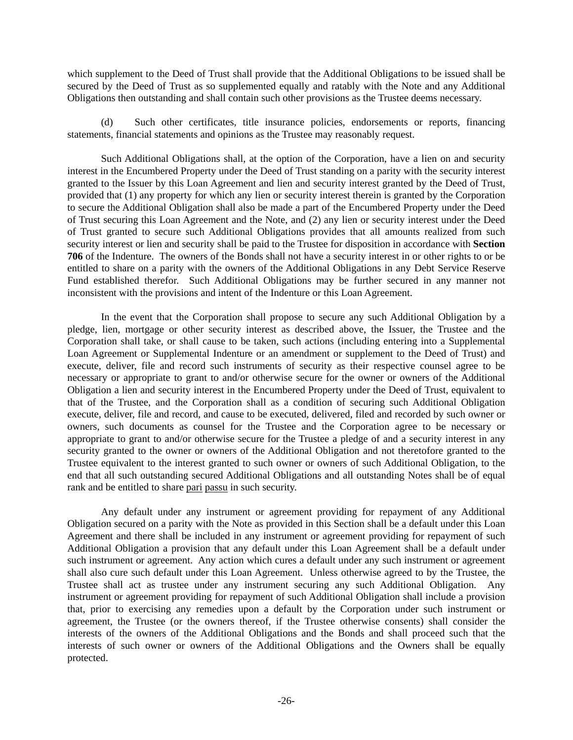which supplement to the Deed of Trust shall provide that the Additional Obligations to be issued shall be secured by the Deed of Trust as so supplemented equally and ratably with the Note and any Additional Obligations then outstanding and shall contain such other provisions as the Trustee deems necessary.

(d) Such other certificates, title insurance policies, endorsements or reports, financing statements, financial statements and opinions as the Trustee may reasonably request.

 Such Additional Obligations shall, at the option of the Corporation, have a lien on and security interest in the Encumbered Property under the Deed of Trust standing on a parity with the security interest granted to the Issuer by this Loan Agreement and lien and security interest granted by the Deed of Trust, provided that (1) any property for which any lien or security interest therein is granted by the Corporation to secure the Additional Obligation shall also be made a part of the Encumbered Property under the Deed of Trust securing this Loan Agreement and the Note, and (2) any lien or security interest under the Deed of Trust granted to secure such Additional Obligations provides that all amounts realized from such security interest or lien and security shall be paid to the Trustee for disposition in accordance with **Section 706** of the Indenture. The owners of the Bonds shall not have a security interest in or other rights to or be entitled to share on a parity with the owners of the Additional Obligations in any Debt Service Reserve Fund established therefor. Such Additional Obligations may be further secured in any manner not inconsistent with the provisions and intent of the Indenture or this Loan Agreement.

 In the event that the Corporation shall propose to secure any such Additional Obligation by a pledge, lien, mortgage or other security interest as described above, the Issuer, the Trustee and the Corporation shall take, or shall cause to be taken, such actions (including entering into a Supplemental Loan Agreement or Supplemental Indenture or an amendment or supplement to the Deed of Trust) and execute, deliver, file and record such instruments of security as their respective counsel agree to be necessary or appropriate to grant to and/or otherwise secure for the owner or owners of the Additional Obligation a lien and security interest in the Encumbered Property under the Deed of Trust, equivalent to that of the Trustee, and the Corporation shall as a condition of securing such Additional Obligation execute, deliver, file and record, and cause to be executed, delivered, filed and recorded by such owner or owners, such documents as counsel for the Trustee and the Corporation agree to be necessary or appropriate to grant to and/or otherwise secure for the Trustee a pledge of and a security interest in any security granted to the owner or owners of the Additional Obligation and not theretofore granted to the Trustee equivalent to the interest granted to such owner or owners of such Additional Obligation, to the end that all such outstanding secured Additional Obligations and all outstanding Notes shall be of equal rank and be entitled to share pari passu in such security.

 Any default under any instrument or agreement providing for repayment of any Additional Obligation secured on a parity with the Note as provided in this Section shall be a default under this Loan Agreement and there shall be included in any instrument or agreement providing for repayment of such Additional Obligation a provision that any default under this Loan Agreement shall be a default under such instrument or agreement. Any action which cures a default under any such instrument or agreement shall also cure such default under this Loan Agreement. Unless otherwise agreed to by the Trustee, the Trustee shall act as trustee under any instrument securing any such Additional Obligation. Any instrument or agreement providing for repayment of such Additional Obligation shall include a provision that, prior to exercising any remedies upon a default by the Corporation under such instrument or agreement, the Trustee (or the owners thereof, if the Trustee otherwise consents) shall consider the interests of the owners of the Additional Obligations and the Bonds and shall proceed such that the interests of such owner or owners of the Additional Obligations and the Owners shall be equally protected.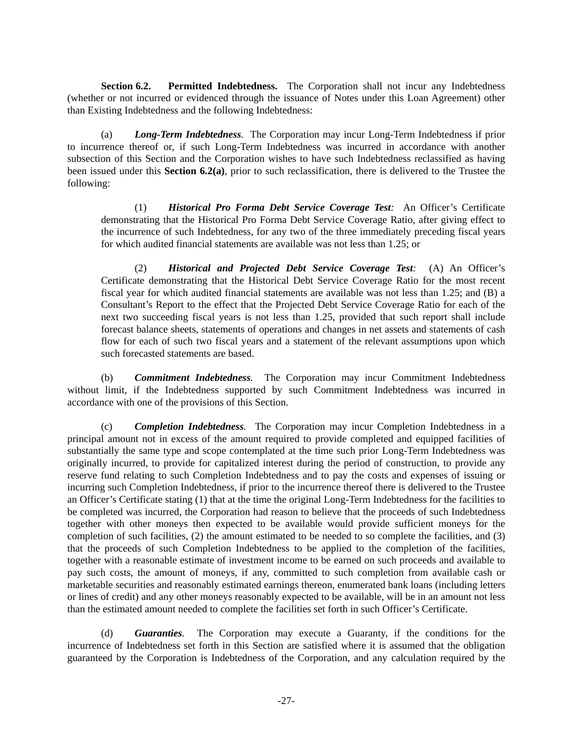**Section 6.2. Permitted Indebtedness.** The Corporation shall not incur any Indebtedness (whether or not incurred or evidenced through the issuance of Notes under this Loan Agreement) other than Existing Indebtedness and the following Indebtedness:

(a) *Long-Term Indebtedness.* The Corporation may incur Long-Term Indebtedness if prior to incurrence thereof or, if such Long-Term Indebtedness was incurred in accordance with another subsection of this Section and the Corporation wishes to have such Indebtedness reclassified as having been issued under this **Section 6.2(a)**, prior to such reclassification, there is delivered to the Trustee the following:

(1) *Historical Pro Forma Debt Service Coverage Test:* An Officer's Certificate demonstrating that the Historical Pro Forma Debt Service Coverage Ratio, after giving effect to the incurrence of such Indebtedness, for any two of the three immediately preceding fiscal years for which audited financial statements are available was not less than 1.25; or

(2) *Historical and Projected Debt Service Coverage Test:* (A) An Officer's Certificate demonstrating that the Historical Debt Service Coverage Ratio for the most recent fiscal year for which audited financial statements are available was not less than 1.25; and (B) a Consultant's Report to the effect that the Projected Debt Service Coverage Ratio for each of the next two succeeding fiscal years is not less than 1.25, provided that such report shall include forecast balance sheets, statements of operations and changes in net assets and statements of cash flow for each of such two fiscal years and a statement of the relevant assumptions upon which such forecasted statements are based.

(b) *Commitment Indebtedness.* The Corporation may incur Commitment Indebtedness without limit, if the Indebtedness supported by such Commitment Indebtedness was incurred in accordance with one of the provisions of this Section.

(c) *Completion Indebtedness.* The Corporation may incur Completion Indebtedness in a principal amount not in excess of the amount required to provide completed and equipped facilities of substantially the same type and scope contemplated at the time such prior Long-Term Indebtedness was originally incurred, to provide for capitalized interest during the period of construction, to provide any reserve fund relating to such Completion Indebtedness and to pay the costs and expenses of issuing or incurring such Completion Indebtedness, if prior to the incurrence thereof there is delivered to the Trustee an Officer's Certificate stating (1) that at the time the original Long-Term Indebtedness for the facilities to be completed was incurred, the Corporation had reason to believe that the proceeds of such Indebtedness together with other moneys then expected to be available would provide sufficient moneys for the completion of such facilities, (2) the amount estimated to be needed to so complete the facilities, and (3) that the proceeds of such Completion Indebtedness to be applied to the completion of the facilities, together with a reasonable estimate of investment income to be earned on such proceeds and available to pay such costs, the amount of moneys, if any, committed to such completion from available cash or marketable securities and reasonably estimated earnings thereon, enumerated bank loans (including letters or lines of credit) and any other moneys reasonably expected to be available, will be in an amount not less than the estimated amount needed to complete the facilities set forth in such Officer's Certificate.

(d) *Guaranties.* The Corporation may execute a Guaranty, if the conditions for the incurrence of Indebtedness set forth in this Section are satisfied where it is assumed that the obligation guaranteed by the Corporation is Indebtedness of the Corporation, and any calculation required by the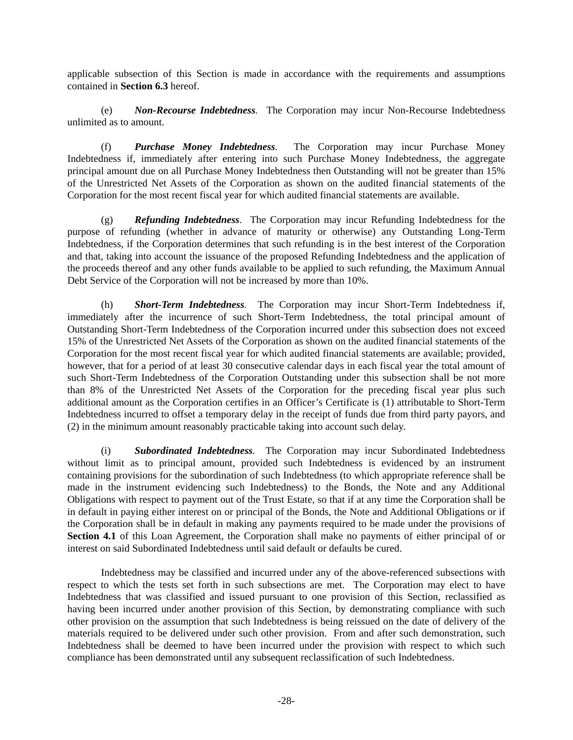applicable subsection of this Section is made in accordance with the requirements and assumptions contained in **Section 6.3** hereof.

(e) *Non-Recourse Indebtedness.* The Corporation may incur Non-Recourse Indebtedness unlimited as to amount.

(f) *Purchase Money Indebtedness.* The Corporation may incur Purchase Money Indebtedness if, immediately after entering into such Purchase Money Indebtedness, the aggregate principal amount due on all Purchase Money Indebtedness then Outstanding will not be greater than 15% of the Unrestricted Net Assets of the Corporation as shown on the audited financial statements of the Corporation for the most recent fiscal year for which audited financial statements are available.

(g) *Refunding Indebtedness.* The Corporation may incur Refunding Indebtedness for the purpose of refunding (whether in advance of maturity or otherwise) any Outstanding Long-Term Indebtedness, if the Corporation determines that such refunding is in the best interest of the Corporation and that, taking into account the issuance of the proposed Refunding Indebtedness and the application of the proceeds thereof and any other funds available to be applied to such refunding, the Maximum Annual Debt Service of the Corporation will not be increased by more than 10%.

(h) *Short-Term Indebtedness.* The Corporation may incur Short-Term Indebtedness if, immediately after the incurrence of such Short-Term Indebtedness, the total principal amount of Outstanding Short-Term Indebtedness of the Corporation incurred under this subsection does not exceed 15% of the Unrestricted Net Assets of the Corporation as shown on the audited financial statements of the Corporation for the most recent fiscal year for which audited financial statements are available; provided, however, that for a period of at least 30 consecutive calendar days in each fiscal year the total amount of such Short-Term Indebtedness of the Corporation Outstanding under this subsection shall be not more than 8% of the Unrestricted Net Assets of the Corporation for the preceding fiscal year plus such additional amount as the Corporation certifies in an Officer's Certificate is (1) attributable to Short-Term Indebtedness incurred to offset a temporary delay in the receipt of funds due from third party payors, and (2) in the minimum amount reasonably practicable taking into account such delay.

(i) *Subordinated Indebtedness.* The Corporation may incur Subordinated Indebtedness without limit as to principal amount, provided such Indebtedness is evidenced by an instrument containing provisions for the subordination of such Indebtedness (to which appropriate reference shall be made in the instrument evidencing such Indebtedness) to the Bonds, the Note and any Additional Obligations with respect to payment out of the Trust Estate, so that if at any time the Corporation shall be in default in paying either interest on or principal of the Bonds, the Note and Additional Obligations or if the Corporation shall be in default in making any payments required to be made under the provisions of **Section 4.1** of this Loan Agreement, the Corporation shall make no payments of either principal of or interest on said Subordinated Indebtedness until said default or defaults be cured.

 Indebtedness may be classified and incurred under any of the above-referenced subsections with respect to which the tests set forth in such subsections are met. The Corporation may elect to have Indebtedness that was classified and issued pursuant to one provision of this Section, reclassified as having been incurred under another provision of this Section, by demonstrating compliance with such other provision on the assumption that such Indebtedness is being reissued on the date of delivery of the materials required to be delivered under such other provision. From and after such demonstration, such Indebtedness shall be deemed to have been incurred under the provision with respect to which such compliance has been demonstrated until any subsequent reclassification of such Indebtedness.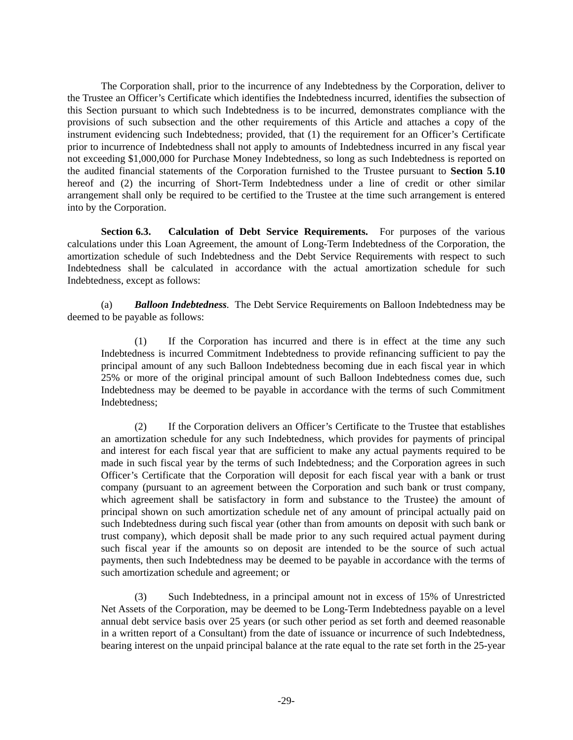The Corporation shall, prior to the incurrence of any Indebtedness by the Corporation, deliver to the Trustee an Officer's Certificate which identifies the Indebtedness incurred, identifies the subsection of this Section pursuant to which such Indebtedness is to be incurred, demonstrates compliance with the provisions of such subsection and the other requirements of this Article and attaches a copy of the instrument evidencing such Indebtedness; provided, that (1) the requirement for an Officer's Certificate prior to incurrence of Indebtedness shall not apply to amounts of Indebtedness incurred in any fiscal year not exceeding \$1,000,000 for Purchase Money Indebtedness, so long as such Indebtedness is reported on the audited financial statements of the Corporation furnished to the Trustee pursuant to **Section 5.10** hereof and (2) the incurring of Short-Term Indebtedness under a line of credit or other similar arrangement shall only be required to be certified to the Trustee at the time such arrangement is entered into by the Corporation.

**Section 6.3.** Calculation of Debt Service Requirements. For purposes of the various calculations under this Loan Agreement, the amount of Long-Term Indebtedness of the Corporation, the amortization schedule of such Indebtedness and the Debt Service Requirements with respect to such Indebtedness shall be calculated in accordance with the actual amortization schedule for such Indebtedness, except as follows:

(a) *Balloon Indebtedness.* The Debt Service Requirements on Balloon Indebtedness may be deemed to be payable as follows:

(1) If the Corporation has incurred and there is in effect at the time any such Indebtedness is incurred Commitment Indebtedness to provide refinancing sufficient to pay the principal amount of any such Balloon Indebtedness becoming due in each fiscal year in which 25% or more of the original principal amount of such Balloon Indebtedness comes due, such Indebtedness may be deemed to be payable in accordance with the terms of such Commitment Indebtedness;

(2) If the Corporation delivers an Officer's Certificate to the Trustee that establishes an amortization schedule for any such Indebtedness, which provides for payments of principal and interest for each fiscal year that are sufficient to make any actual payments required to be made in such fiscal year by the terms of such Indebtedness; and the Corporation agrees in such Officer's Certificate that the Corporation will deposit for each fiscal year with a bank or trust company (pursuant to an agreement between the Corporation and such bank or trust company, which agreement shall be satisfactory in form and substance to the Trustee) the amount of principal shown on such amortization schedule net of any amount of principal actually paid on such Indebtedness during such fiscal year (other than from amounts on deposit with such bank or trust company), which deposit shall be made prior to any such required actual payment during such fiscal year if the amounts so on deposit are intended to be the source of such actual payments, then such Indebtedness may be deemed to be payable in accordance with the terms of such amortization schedule and agreement; or

(3) Such Indebtedness, in a principal amount not in excess of 15% of Unrestricted Net Assets of the Corporation, may be deemed to be Long-Term Indebtedness payable on a level annual debt service basis over 25 years (or such other period as set forth and deemed reasonable in a written report of a Consultant) from the date of issuance or incurrence of such Indebtedness, bearing interest on the unpaid principal balance at the rate equal to the rate set forth in the 25-year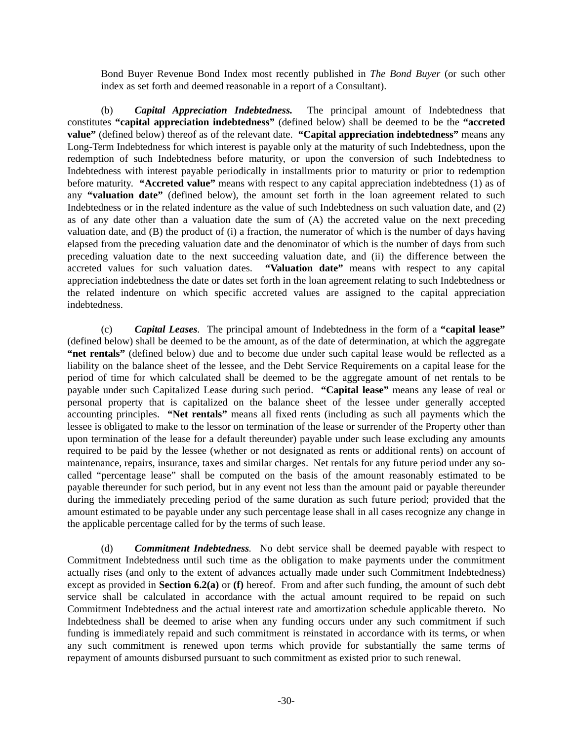Bond Buyer Revenue Bond Index most recently published in *The Bond Buyer* (or such other index as set forth and deemed reasonable in a report of a Consultant).

(b) *Capital Appreciation Indebtedness.* The principal amount of Indebtedness that constitutes **"capital appreciation indebtedness"** (defined below) shall be deemed to be the **"accreted value"** (defined below) thereof as of the relevant date. **"Capital appreciation indebtedness"** means any Long-Term Indebtedness for which interest is payable only at the maturity of such Indebtedness, upon the redemption of such Indebtedness before maturity, or upon the conversion of such Indebtedness to Indebtedness with interest payable periodically in installments prior to maturity or prior to redemption before maturity. **"Accreted value"** means with respect to any capital appreciation indebtedness (1) as of any **"valuation date"** (defined below), the amount set forth in the loan agreement related to such Indebtedness or in the related indenture as the value of such Indebtedness on such valuation date, and (2) as of any date other than a valuation date the sum of (A) the accreted value on the next preceding valuation date, and (B) the product of (i) a fraction, the numerator of which is the number of days having elapsed from the preceding valuation date and the denominator of which is the number of days from such preceding valuation date to the next succeeding valuation date, and (ii) the difference between the accreted values for such valuation dates. **"Valuation date"** means with respect to any capital appreciation indebtedness the date or dates set forth in the loan agreement relating to such Indebtedness or the related indenture on which specific accreted values are assigned to the capital appreciation indebtedness.

(c) *Capital Leases.* The principal amount of Indebtedness in the form of a **"capital lease"** (defined below) shall be deemed to be the amount, as of the date of determination, at which the aggregate **"net rentals"** (defined below) due and to become due under such capital lease would be reflected as a liability on the balance sheet of the lessee, and the Debt Service Requirements on a capital lease for the period of time for which calculated shall be deemed to be the aggregate amount of net rentals to be payable under such Capitalized Lease during such period. **"Capital lease"** means any lease of real or personal property that is capitalized on the balance sheet of the lessee under generally accepted accounting principles. **"Net rentals"** means all fixed rents (including as such all payments which the lessee is obligated to make to the lessor on termination of the lease or surrender of the Property other than upon termination of the lease for a default thereunder) payable under such lease excluding any amounts required to be paid by the lessee (whether or not designated as rents or additional rents) on account of maintenance, repairs, insurance, taxes and similar charges. Net rentals for any future period under any socalled "percentage lease" shall be computed on the basis of the amount reasonably estimated to be payable thereunder for such period, but in any event not less than the amount paid or payable thereunder during the immediately preceding period of the same duration as such future period; provided that the amount estimated to be payable under any such percentage lease shall in all cases recognize any change in the applicable percentage called for by the terms of such lease.

(d) *Commitment Indebtedness.* No debt service shall be deemed payable with respect to Commitment Indebtedness until such time as the obligation to make payments under the commitment actually rises (and only to the extent of advances actually made under such Commitment Indebtedness) except as provided in **Section 6.2(a)** or **(f)** hereof. From and after such funding, the amount of such debt service shall be calculated in accordance with the actual amount required to be repaid on such Commitment Indebtedness and the actual interest rate and amortization schedule applicable thereto. No Indebtedness shall be deemed to arise when any funding occurs under any such commitment if such funding is immediately repaid and such commitment is reinstated in accordance with its terms, or when any such commitment is renewed upon terms which provide for substantially the same terms of repayment of amounts disbursed pursuant to such commitment as existed prior to such renewal.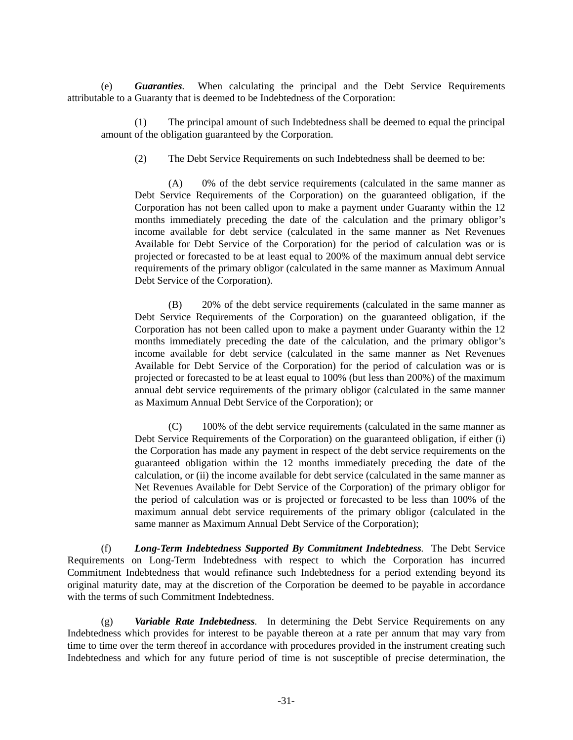(e) *Guaranties.* When calculating the principal and the Debt Service Requirements attributable to a Guaranty that is deemed to be Indebtedness of the Corporation:

(1) The principal amount of such Indebtedness shall be deemed to equal the principal amount of the obligation guaranteed by the Corporation.

(2) The Debt Service Requirements on such Indebtedness shall be deemed to be:

(A) 0% of the debt service requirements (calculated in the same manner as Debt Service Requirements of the Corporation) on the guaranteed obligation, if the Corporation has not been called upon to make a payment under Guaranty within the 12 months immediately preceding the date of the calculation and the primary obligor's income available for debt service (calculated in the same manner as Net Revenues Available for Debt Service of the Corporation) for the period of calculation was or is projected or forecasted to be at least equal to 200% of the maximum annual debt service requirements of the primary obligor (calculated in the same manner as Maximum Annual Debt Service of the Corporation).

(B) 20% of the debt service requirements (calculated in the same manner as Debt Service Requirements of the Corporation) on the guaranteed obligation, if the Corporation has not been called upon to make a payment under Guaranty within the 12 months immediately preceding the date of the calculation, and the primary obligor's income available for debt service (calculated in the same manner as Net Revenues Available for Debt Service of the Corporation) for the period of calculation was or is projected or forecasted to be at least equal to 100% (but less than 200%) of the maximum annual debt service requirements of the primary obligor (calculated in the same manner as Maximum Annual Debt Service of the Corporation); or

(C) 100% of the debt service requirements (calculated in the same manner as Debt Service Requirements of the Corporation) on the guaranteed obligation, if either (i) the Corporation has made any payment in respect of the debt service requirements on the guaranteed obligation within the 12 months immediately preceding the date of the calculation, or (ii) the income available for debt service (calculated in the same manner as Net Revenues Available for Debt Service of the Corporation) of the primary obligor for the period of calculation was or is projected or forecasted to be less than 100% of the maximum annual debt service requirements of the primary obligor (calculated in the same manner as Maximum Annual Debt Service of the Corporation);

(f) *Long-Term Indebtedness Supported By Commitment Indebtedness.* The Debt Service Requirements on Long-Term Indebtedness with respect to which the Corporation has incurred Commitment Indebtedness that would refinance such Indebtedness for a period extending beyond its original maturity date, may at the discretion of the Corporation be deemed to be payable in accordance with the terms of such Commitment Indebtedness.

(g) *Variable Rate Indebtedness.* In determining the Debt Service Requirements on any Indebtedness which provides for interest to be payable thereon at a rate per annum that may vary from time to time over the term thereof in accordance with procedures provided in the instrument creating such Indebtedness and which for any future period of time is not susceptible of precise determination, the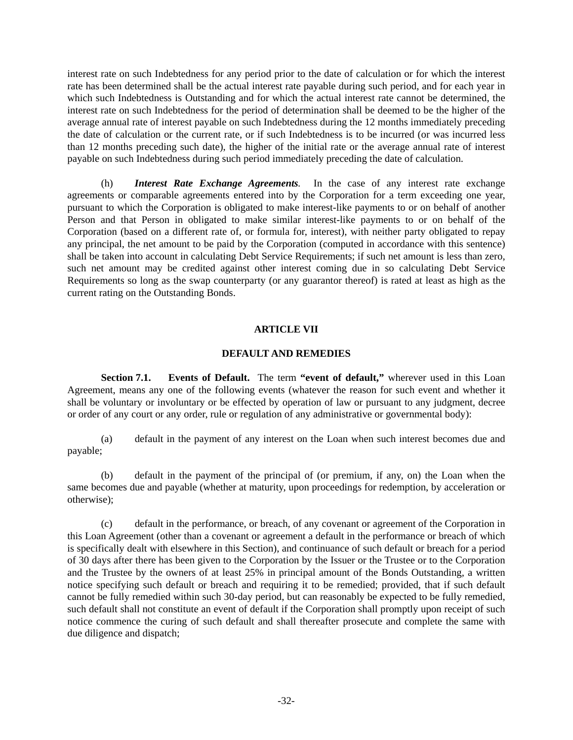interest rate on such Indebtedness for any period prior to the date of calculation or for which the interest rate has been determined shall be the actual interest rate payable during such period, and for each year in which such Indebtedness is Outstanding and for which the actual interest rate cannot be determined, the interest rate on such Indebtedness for the period of determination shall be deemed to be the higher of the average annual rate of interest payable on such Indebtedness during the 12 months immediately preceding the date of calculation or the current rate, or if such Indebtedness is to be incurred (or was incurred less than 12 months preceding such date), the higher of the initial rate or the average annual rate of interest payable on such Indebtedness during such period immediately preceding the date of calculation.

(h) *Interest Rate Exchange Agreements.* In the case of any interest rate exchange agreements or comparable agreements entered into by the Corporation for a term exceeding one year, pursuant to which the Corporation is obligated to make interest-like payments to or on behalf of another Person and that Person in obligated to make similar interest-like payments to or on behalf of the Corporation (based on a different rate of, or formula for, interest), with neither party obligated to repay any principal, the net amount to be paid by the Corporation (computed in accordance with this sentence) shall be taken into account in calculating Debt Service Requirements; if such net amount is less than zero, such net amount may be credited against other interest coming due in so calculating Debt Service Requirements so long as the swap counterparty (or any guarantor thereof) is rated at least as high as the current rating on the Outstanding Bonds.

## **ARTICLE VII**

#### **DEFAULT AND REMEDIES**

**Section 7.1.** Events of Default. The term "event of default," wherever used in this Loan Agreement, means any one of the following events (whatever the reason for such event and whether it shall be voluntary or involuntary or be effected by operation of law or pursuant to any judgment, decree or order of any court or any order, rule or regulation of any administrative or governmental body):

(a) default in the payment of any interest on the Loan when such interest becomes due and payable;

(b) default in the payment of the principal of (or premium, if any, on) the Loan when the same becomes due and payable (whether at maturity, upon proceedings for redemption, by acceleration or otherwise);

(c) default in the performance, or breach, of any covenant or agreement of the Corporation in this Loan Agreement (other than a covenant or agreement a default in the performance or breach of which is specifically dealt with elsewhere in this Section), and continuance of such default or breach for a period of 30 days after there has been given to the Corporation by the Issuer or the Trustee or to the Corporation and the Trustee by the owners of at least 25% in principal amount of the Bonds Outstanding, a written notice specifying such default or breach and requiring it to be remedied; provided, that if such default cannot be fully remedied within such 30-day period, but can reasonably be expected to be fully remedied, such default shall not constitute an event of default if the Corporation shall promptly upon receipt of such notice commence the curing of such default and shall thereafter prosecute and complete the same with due diligence and dispatch;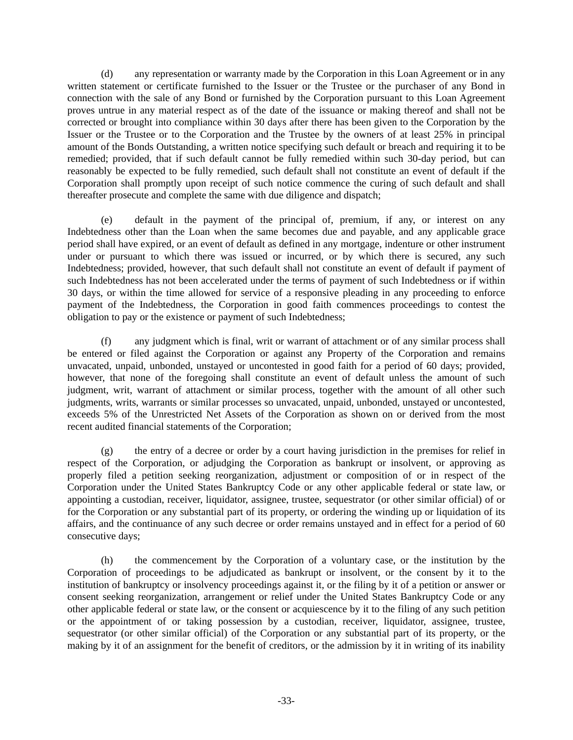(d) any representation or warranty made by the Corporation in this Loan Agreement or in any written statement or certificate furnished to the Issuer or the Trustee or the purchaser of any Bond in connection with the sale of any Bond or furnished by the Corporation pursuant to this Loan Agreement proves untrue in any material respect as of the date of the issuance or making thereof and shall not be corrected or brought into compliance within 30 days after there has been given to the Corporation by the Issuer or the Trustee or to the Corporation and the Trustee by the owners of at least 25% in principal amount of the Bonds Outstanding, a written notice specifying such default or breach and requiring it to be remedied; provided, that if such default cannot be fully remedied within such 30-day period, but can reasonably be expected to be fully remedied, such default shall not constitute an event of default if the Corporation shall promptly upon receipt of such notice commence the curing of such default and shall thereafter prosecute and complete the same with due diligence and dispatch;

(e) default in the payment of the principal of, premium, if any, or interest on any Indebtedness other than the Loan when the same becomes due and payable, and any applicable grace period shall have expired, or an event of default as defined in any mortgage, indenture or other instrument under or pursuant to which there was issued or incurred, or by which there is secured, any such Indebtedness; provided, however, that such default shall not constitute an event of default if payment of such Indebtedness has not been accelerated under the terms of payment of such Indebtedness or if within 30 days, or within the time allowed for service of a responsive pleading in any proceeding to enforce payment of the Indebtedness, the Corporation in good faith commences proceedings to contest the obligation to pay or the existence or payment of such Indebtedness;

(f) any judgment which is final, writ or warrant of attachment or of any similar process shall be entered or filed against the Corporation or against any Property of the Corporation and remains unvacated, unpaid, unbonded, unstayed or uncontested in good faith for a period of 60 days; provided, however, that none of the foregoing shall constitute an event of default unless the amount of such judgment, writ, warrant of attachment or similar process, together with the amount of all other such judgments, writs, warrants or similar processes so unvacated, unpaid, unbonded, unstayed or uncontested, exceeds 5% of the Unrestricted Net Assets of the Corporation as shown on or derived from the most recent audited financial statements of the Corporation;

(g) the entry of a decree or order by a court having jurisdiction in the premises for relief in respect of the Corporation, or adjudging the Corporation as bankrupt or insolvent, or approving as properly filed a petition seeking reorganization, adjustment or composition of or in respect of the Corporation under the United States Bankruptcy Code or any other applicable federal or state law, or appointing a custodian, receiver, liquidator, assignee, trustee, sequestrator (or other similar official) of or for the Corporation or any substantial part of its property, or ordering the winding up or liquidation of its affairs, and the continuance of any such decree or order remains unstayed and in effect for a period of 60 consecutive days;

(h) the commencement by the Corporation of a voluntary case, or the institution by the Corporation of proceedings to be adjudicated as bankrupt or insolvent, or the consent by it to the institution of bankruptcy or insolvency proceedings against it, or the filing by it of a petition or answer or consent seeking reorganization, arrangement or relief under the United States Bankruptcy Code or any other applicable federal or state law, or the consent or acquiescence by it to the filing of any such petition or the appointment of or taking possession by a custodian, receiver, liquidator, assignee, trustee, sequestrator (or other similar official) of the Corporation or any substantial part of its property, or the making by it of an assignment for the benefit of creditors, or the admission by it in writing of its inability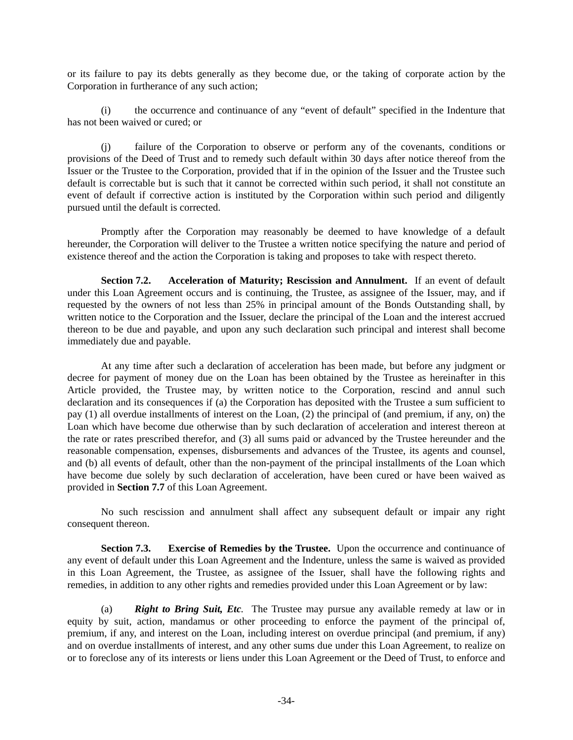or its failure to pay its debts generally as they become due, or the taking of corporate action by the Corporation in furtherance of any such action;

(i) the occurrence and continuance of any "event of default" specified in the Indenture that has not been waived or cured; or

(j) failure of the Corporation to observe or perform any of the covenants, conditions or provisions of the Deed of Trust and to remedy such default within 30 days after notice thereof from the Issuer or the Trustee to the Corporation, provided that if in the opinion of the Issuer and the Trustee such default is correctable but is such that it cannot be corrected within such period, it shall not constitute an event of default if corrective action is instituted by the Corporation within such period and diligently pursued until the default is corrected.

 Promptly after the Corporation may reasonably be deemed to have knowledge of a default hereunder, the Corporation will deliver to the Trustee a written notice specifying the nature and period of existence thereof and the action the Corporation is taking and proposes to take with respect thereto.

**Section 7.2.** Acceleration of Maturity; Rescission and Annulment. If an event of default under this Loan Agreement occurs and is continuing, the Trustee, as assignee of the Issuer, may, and if requested by the owners of not less than 25% in principal amount of the Bonds Outstanding shall, by written notice to the Corporation and the Issuer, declare the principal of the Loan and the interest accrued thereon to be due and payable, and upon any such declaration such principal and interest shall become immediately due and payable.

 At any time after such a declaration of acceleration has been made, but before any judgment or decree for payment of money due on the Loan has been obtained by the Trustee as hereinafter in this Article provided, the Trustee may, by written notice to the Corporation, rescind and annul such declaration and its consequences if (a) the Corporation has deposited with the Trustee a sum sufficient to pay (1) all overdue installments of interest on the Loan, (2) the principal of (and premium, if any, on) the Loan which have become due otherwise than by such declaration of acceleration and interest thereon at the rate or rates prescribed therefor, and (3) all sums paid or advanced by the Trustee hereunder and the reasonable compensation, expenses, disbursements and advances of the Trustee, its agents and counsel, and (b) all events of default, other than the non-payment of the principal installments of the Loan which have become due solely by such declaration of acceleration, have been cured or have been waived as provided in **Section 7.7** of this Loan Agreement.

 No such rescission and annulment shall affect any subsequent default or impair any right consequent thereon.

**Section 7.3.** Exercise of Remedies by the Trustee. Upon the occurrence and continuance of any event of default under this Loan Agreement and the Indenture, unless the same is waived as provided in this Loan Agreement, the Trustee, as assignee of the Issuer, shall have the following rights and remedies, in addition to any other rights and remedies provided under this Loan Agreement or by law:

(a) *Right to Bring Suit, Etc.* The Trustee may pursue any available remedy at law or in equity by suit, action, mandamus or other proceeding to enforce the payment of the principal of, premium, if any, and interest on the Loan, including interest on overdue principal (and premium, if any) and on overdue installments of interest, and any other sums due under this Loan Agreement, to realize on or to foreclose any of its interests or liens under this Loan Agreement or the Deed of Trust, to enforce and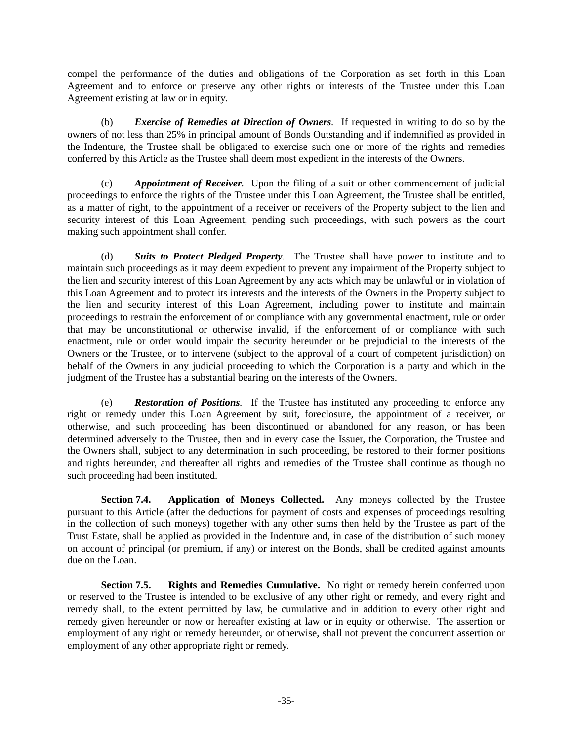compel the performance of the duties and obligations of the Corporation as set forth in this Loan Agreement and to enforce or preserve any other rights or interests of the Trustee under this Loan Agreement existing at law or in equity.

(b) *Exercise of Remedies at Direction of Owners.* If requested in writing to do so by the owners of not less than 25% in principal amount of Bonds Outstanding and if indemnified as provided in the Indenture, the Trustee shall be obligated to exercise such one or more of the rights and remedies conferred by this Article as the Trustee shall deem most expedient in the interests of the Owners.

(c) *Appointment of Receiver.* Upon the filing of a suit or other commencement of judicial proceedings to enforce the rights of the Trustee under this Loan Agreement, the Trustee shall be entitled, as a matter of right, to the appointment of a receiver or receivers of the Property subject to the lien and security interest of this Loan Agreement, pending such proceedings, with such powers as the court making such appointment shall confer.

(d) *Suits to Protect Pledged Property*. The Trustee shall have power to institute and to maintain such proceedings as it may deem expedient to prevent any impairment of the Property subject to the lien and security interest of this Loan Agreement by any acts which may be unlawful or in violation of this Loan Agreement and to protect its interests and the interests of the Owners in the Property subject to the lien and security interest of this Loan Agreement, including power to institute and maintain proceedings to restrain the enforcement of or compliance with any governmental enactment, rule or order that may be unconstitutional or otherwise invalid, if the enforcement of or compliance with such enactment, rule or order would impair the security hereunder or be prejudicial to the interests of the Owners or the Trustee, or to intervene (subject to the approval of a court of competent jurisdiction) on behalf of the Owners in any judicial proceeding to which the Corporation is a party and which in the judgment of the Trustee has a substantial bearing on the interests of the Owners.

(e) *Restoration of Positions.* If the Trustee has instituted any proceeding to enforce any right or remedy under this Loan Agreement by suit, foreclosure, the appointment of a receiver, or otherwise, and such proceeding has been discontinued or abandoned for any reason, or has been determined adversely to the Trustee, then and in every case the Issuer, the Corporation, the Trustee and the Owners shall, subject to any determination in such proceeding, be restored to their former positions and rights hereunder, and thereafter all rights and remedies of the Trustee shall continue as though no such proceeding had been instituted.

 **Section 7.4. Application of Moneys Collected.** Any moneys collected by the Trustee pursuant to this Article (after the deductions for payment of costs and expenses of proceedings resulting in the collection of such moneys) together with any other sums then held by the Trustee as part of the Trust Estate, shall be applied as provided in the Indenture and, in case of the distribution of such money on account of principal (or premium, if any) or interest on the Bonds, shall be credited against amounts due on the Loan.

**Section 7.5.** Rights and Remedies Cumulative. No right or remedy herein conferred upon or reserved to the Trustee is intended to be exclusive of any other right or remedy, and every right and remedy shall, to the extent permitted by law, be cumulative and in addition to every other right and remedy given hereunder or now or hereafter existing at law or in equity or otherwise. The assertion or employment of any right or remedy hereunder, or otherwise, shall not prevent the concurrent assertion or employment of any other appropriate right or remedy.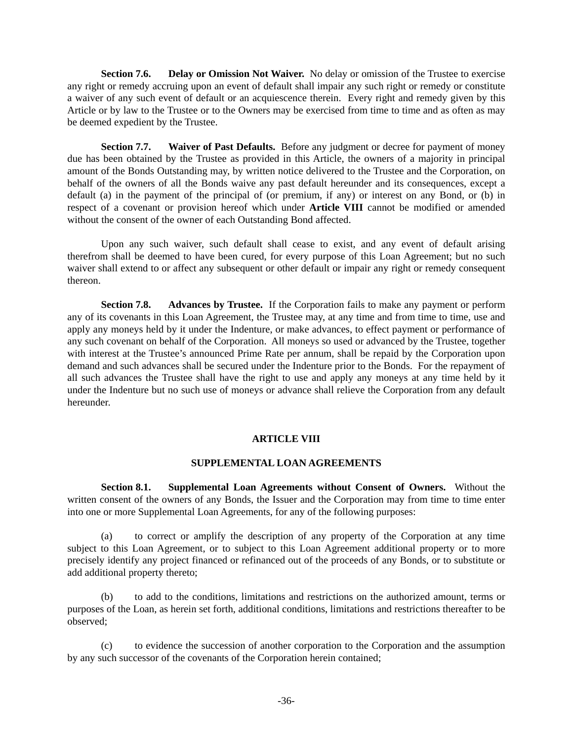**Section 7.6.** Delay or Omission Not Waiver. No delay or omission of the Trustee to exercise any right or remedy accruing upon an event of default shall impair any such right or remedy or constitute a waiver of any such event of default or an acquiescence therein. Every right and remedy given by this Article or by law to the Trustee or to the Owners may be exercised from time to time and as often as may be deemed expedient by the Trustee.

**Section 7.7.** Waiver of Past Defaults. Before any judgment or decree for payment of money due has been obtained by the Trustee as provided in this Article, the owners of a majority in principal amount of the Bonds Outstanding may, by written notice delivered to the Trustee and the Corporation, on behalf of the owners of all the Bonds waive any past default hereunder and its consequences, except a default (a) in the payment of the principal of (or premium, if any) or interest on any Bond, or (b) in respect of a covenant or provision hereof which under **Article VIII** cannot be modified or amended without the consent of the owner of each Outstanding Bond affected.

 Upon any such waiver, such default shall cease to exist, and any event of default arising therefrom shall be deemed to have been cured, for every purpose of this Loan Agreement; but no such waiver shall extend to or affect any subsequent or other default or impair any right or remedy consequent thereon.

 **Section 7.8. Advances by Trustee.** If the Corporation fails to make any payment or perform any of its covenants in this Loan Agreement, the Trustee may, at any time and from time to time, use and apply any moneys held by it under the Indenture, or make advances, to effect payment or performance of any such covenant on behalf of the Corporation. All moneys so used or advanced by the Trustee, together with interest at the Trustee's announced Prime Rate per annum, shall be repaid by the Corporation upon demand and such advances shall be secured under the Indenture prior to the Bonds. For the repayment of all such advances the Trustee shall have the right to use and apply any moneys at any time held by it under the Indenture but no such use of moneys or advance shall relieve the Corporation from any default hereunder.

#### **ARTICLE VIII**

#### **SUPPLEMENTAL LOAN AGREEMENTS**

 **Section 8.1. Supplemental Loan Agreements without Consent of Owners.** Without the written consent of the owners of any Bonds, the Issuer and the Corporation may from time to time enter into one or more Supplemental Loan Agreements, for any of the following purposes:

(a) to correct or amplify the description of any property of the Corporation at any time subject to this Loan Agreement, or to subject to this Loan Agreement additional property or to more precisely identify any project financed or refinanced out of the proceeds of any Bonds, or to substitute or add additional property thereto;

(b) to add to the conditions, limitations and restrictions on the authorized amount, terms or purposes of the Loan, as herein set forth, additional conditions, limitations and restrictions thereafter to be observed;

(c) to evidence the succession of another corporation to the Corporation and the assumption by any such successor of the covenants of the Corporation herein contained;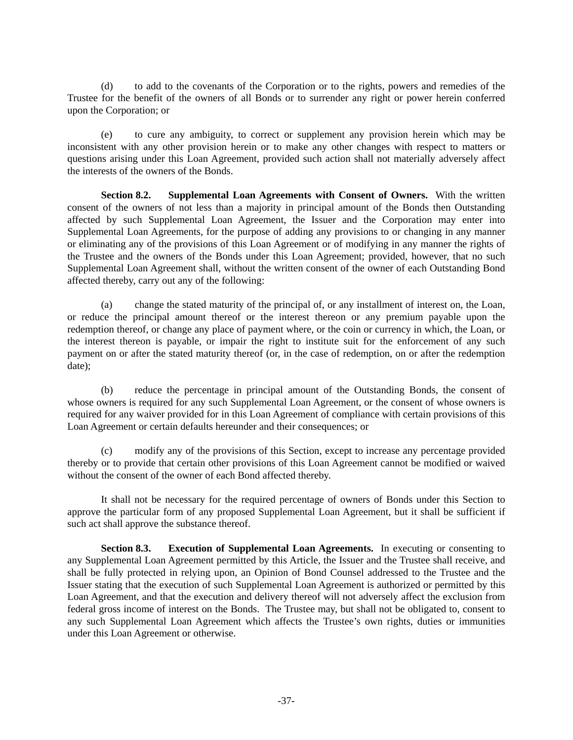(d) to add to the covenants of the Corporation or to the rights, powers and remedies of the Trustee for the benefit of the owners of all Bonds or to surrender any right or power herein conferred upon the Corporation; or

(e) to cure any ambiguity, to correct or supplement any provision herein which may be inconsistent with any other provision herein or to make any other changes with respect to matters or questions arising under this Loan Agreement, provided such action shall not materially adversely affect the interests of the owners of the Bonds.

 **Section 8.2. Supplemental Loan Agreements with Consent of Owners.** With the written consent of the owners of not less than a majority in principal amount of the Bonds then Outstanding affected by such Supplemental Loan Agreement, the Issuer and the Corporation may enter into Supplemental Loan Agreements, for the purpose of adding any provisions to or changing in any manner or eliminating any of the provisions of this Loan Agreement or of modifying in any manner the rights of the Trustee and the owners of the Bonds under this Loan Agreement; provided, however, that no such Supplemental Loan Agreement shall, without the written consent of the owner of each Outstanding Bond affected thereby, carry out any of the following:

(a) change the stated maturity of the principal of, or any installment of interest on, the Loan, or reduce the principal amount thereof or the interest thereon or any premium payable upon the redemption thereof, or change any place of payment where, or the coin or currency in which, the Loan, or the interest thereon is payable, or impair the right to institute suit for the enforcement of any such payment on or after the stated maturity thereof (or, in the case of redemption, on or after the redemption date);

(b) reduce the percentage in principal amount of the Outstanding Bonds, the consent of whose owners is required for any such Supplemental Loan Agreement, or the consent of whose owners is required for any waiver provided for in this Loan Agreement of compliance with certain provisions of this Loan Agreement or certain defaults hereunder and their consequences; or

(c) modify any of the provisions of this Section, except to increase any percentage provided thereby or to provide that certain other provisions of this Loan Agreement cannot be modified or waived without the consent of the owner of each Bond affected thereby.

 It shall not be necessary for the required percentage of owners of Bonds under this Section to approve the particular form of any proposed Supplemental Loan Agreement, but it shall be sufficient if such act shall approve the substance thereof.

**Section 8.3.** Execution of Supplemental Loan Agreements. In executing or consenting to any Supplemental Loan Agreement permitted by this Article, the Issuer and the Trustee shall receive, and shall be fully protected in relying upon, an Opinion of Bond Counsel addressed to the Trustee and the Issuer stating that the execution of such Supplemental Loan Agreement is authorized or permitted by this Loan Agreement, and that the execution and delivery thereof will not adversely affect the exclusion from federal gross income of interest on the Bonds. The Trustee may, but shall not be obligated to, consent to any such Supplemental Loan Agreement which affects the Trustee's own rights, duties or immunities under this Loan Agreement or otherwise.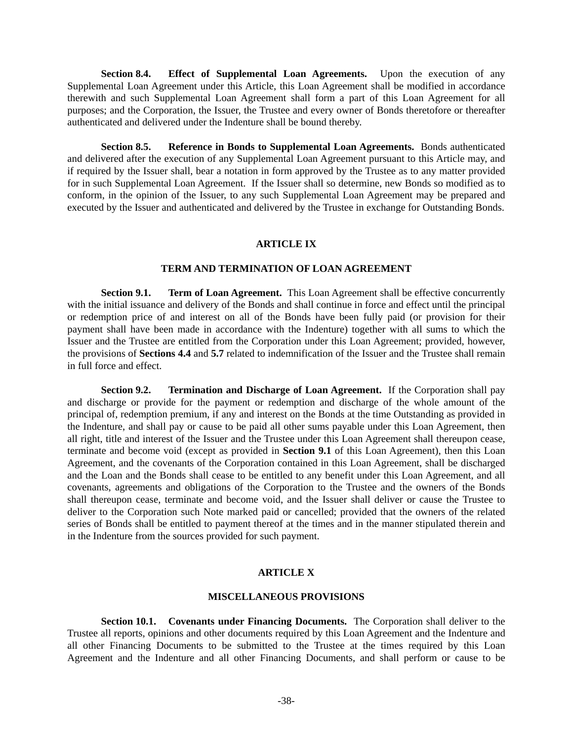**Section 8.4.** Effect of Supplemental Loan Agreements. Upon the execution of any Supplemental Loan Agreement under this Article, this Loan Agreement shall be modified in accordance therewith and such Supplemental Loan Agreement shall form a part of this Loan Agreement for all purposes; and the Corporation, the Issuer, the Trustee and every owner of Bonds theretofore or thereafter authenticated and delivered under the Indenture shall be bound thereby.

 **Section 8.5. Reference in Bonds to Supplemental Loan Agreements.** Bonds authenticated and delivered after the execution of any Supplemental Loan Agreement pursuant to this Article may, and if required by the Issuer shall, bear a notation in form approved by the Trustee as to any matter provided for in such Supplemental Loan Agreement. If the Issuer shall so determine, new Bonds so modified as to conform, in the opinion of the Issuer, to any such Supplemental Loan Agreement may be prepared and executed by the Issuer and authenticated and delivered by the Trustee in exchange for Outstanding Bonds.

#### **ARTICLE IX**

#### **TERM AND TERMINATION OF LOAN AGREEMENT**

**Section 9.1.** Term of Loan Agreement. This Loan Agreement shall be effective concurrently with the initial issuance and delivery of the Bonds and shall continue in force and effect until the principal or redemption price of and interest on all of the Bonds have been fully paid (or provision for their payment shall have been made in accordance with the Indenture) together with all sums to which the Issuer and the Trustee are entitled from the Corporation under this Loan Agreement; provided, however, the provisions of **Sections 4.4** and **5.7** related to indemnification of the Issuer and the Trustee shall remain in full force and effect.

**Section 9.2.** Termination and Discharge of Loan Agreement. If the Corporation shall pay and discharge or provide for the payment or redemption and discharge of the whole amount of the principal of, redemption premium, if any and interest on the Bonds at the time Outstanding as provided in the Indenture, and shall pay or cause to be paid all other sums payable under this Loan Agreement, then all right, title and interest of the Issuer and the Trustee under this Loan Agreement shall thereupon cease, terminate and become void (except as provided in **Section 9.1** of this Loan Agreement), then this Loan Agreement, and the covenants of the Corporation contained in this Loan Agreement, shall be discharged and the Loan and the Bonds shall cease to be entitled to any benefit under this Loan Agreement, and all covenants, agreements and obligations of the Corporation to the Trustee and the owners of the Bonds shall thereupon cease, terminate and become void, and the Issuer shall deliver or cause the Trustee to deliver to the Corporation such Note marked paid or cancelled; provided that the owners of the related series of Bonds shall be entitled to payment thereof at the times and in the manner stipulated therein and in the Indenture from the sources provided for such payment.

#### **ARTICLE X**

#### **MISCELLANEOUS PROVISIONS**

 **Section 10.1. Covenants under Financing Documents.** The Corporation shall deliver to the Trustee all reports, opinions and other documents required by this Loan Agreement and the Indenture and all other Financing Documents to be submitted to the Trustee at the times required by this Loan Agreement and the Indenture and all other Financing Documents, and shall perform or cause to be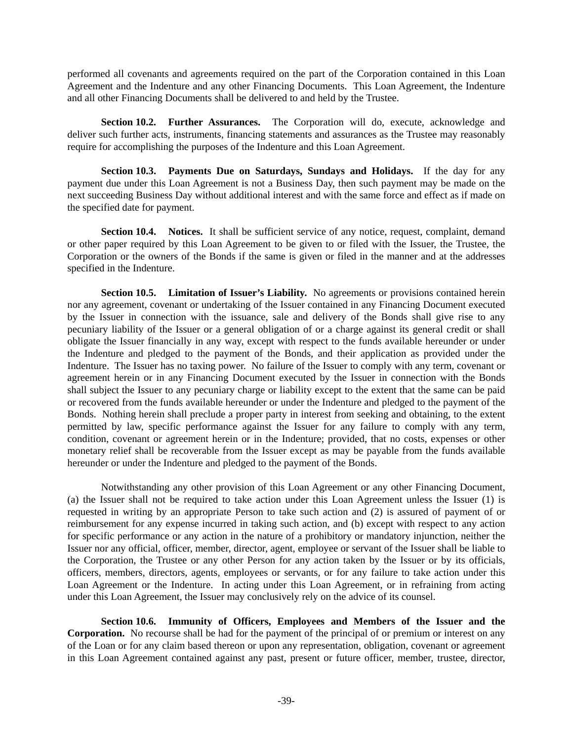performed all covenants and agreements required on the part of the Corporation contained in this Loan Agreement and the Indenture and any other Financing Documents. This Loan Agreement, the Indenture and all other Financing Documents shall be delivered to and held by the Trustee.

**Section 10.2. Further Assurances.** The Corporation will do, execute, acknowledge and deliver such further acts, instruments, financing statements and assurances as the Trustee may reasonably require for accomplishing the purposes of the Indenture and this Loan Agreement.

 **Section 10.3. Payments Due on Saturdays, Sundays and Holidays.** If the day for any payment due under this Loan Agreement is not a Business Day, then such payment may be made on the next succeeding Business Day without additional interest and with the same force and effect as if made on the specified date for payment.

**Section 10.4.** Notices. It shall be sufficient service of any notice, request, complaint, demand or other paper required by this Loan Agreement to be given to or filed with the Issuer, the Trustee, the Corporation or the owners of the Bonds if the same is given or filed in the manner and at the addresses specified in the Indenture.

 **Section 10.5. Limitation of Issuer's Liability.** No agreements or provisions contained herein nor any agreement, covenant or undertaking of the Issuer contained in any Financing Document executed by the Issuer in connection with the issuance, sale and delivery of the Bonds shall give rise to any pecuniary liability of the Issuer or a general obligation of or a charge against its general credit or shall obligate the Issuer financially in any way, except with respect to the funds available hereunder or under the Indenture and pledged to the payment of the Bonds, and their application as provided under the Indenture. The Issuer has no taxing power. No failure of the Issuer to comply with any term, covenant or agreement herein or in any Financing Document executed by the Issuer in connection with the Bonds shall subject the Issuer to any pecuniary charge or liability except to the extent that the same can be paid or recovered from the funds available hereunder or under the Indenture and pledged to the payment of the Bonds. Nothing herein shall preclude a proper party in interest from seeking and obtaining, to the extent permitted by law, specific performance against the Issuer for any failure to comply with any term, condition, covenant or agreement herein or in the Indenture; provided, that no costs, expenses or other monetary relief shall be recoverable from the Issuer except as may be payable from the funds available hereunder or under the Indenture and pledged to the payment of the Bonds.

 Notwithstanding any other provision of this Loan Agreement or any other Financing Document, (a) the Issuer shall not be required to take action under this Loan Agreement unless the Issuer (1) is requested in writing by an appropriate Person to take such action and (2) is assured of payment of or reimbursement for any expense incurred in taking such action, and (b) except with respect to any action for specific performance or any action in the nature of a prohibitory or mandatory injunction, neither the Issuer nor any official, officer, member, director, agent, employee or servant of the Issuer shall be liable to the Corporation, the Trustee or any other Person for any action taken by the Issuer or by its officials, officers, members, directors, agents, employees or servants, or for any failure to take action under this Loan Agreement or the Indenture. In acting under this Loan Agreement, or in refraining from acting under this Loan Agreement, the Issuer may conclusively rely on the advice of its counsel.

 **Section 10.6. Immunity of Officers, Employees and Members of the Issuer and the Corporation.** No recourse shall be had for the payment of the principal of or premium or interest on any of the Loan or for any claim based thereon or upon any representation, obligation, covenant or agreement in this Loan Agreement contained against any past, present or future officer, member, trustee, director,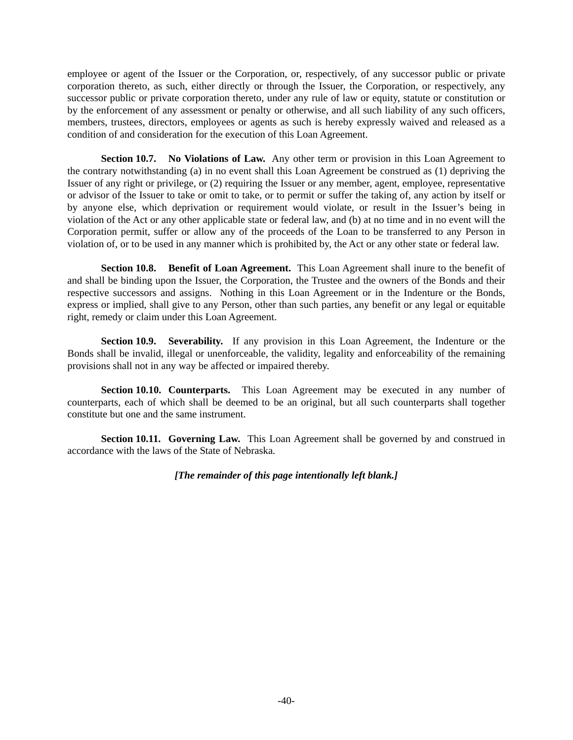employee or agent of the Issuer or the Corporation, or, respectively, of any successor public or private corporation thereto, as such, either directly or through the Issuer, the Corporation, or respectively, any successor public or private corporation thereto, under any rule of law or equity, statute or constitution or by the enforcement of any assessment or penalty or otherwise, and all such liability of any such officers, members, trustees, directors, employees or agents as such is hereby expressly waived and released as a condition of and consideration for the execution of this Loan Agreement.

 **Section 10.7. No Violations of Law.** Any other term or provision in this Loan Agreement to the contrary notwithstanding (a) in no event shall this Loan Agreement be construed as (1) depriving the Issuer of any right or privilege, or (2) requiring the Issuer or any member, agent, employee, representative or advisor of the Issuer to take or omit to take, or to permit or suffer the taking of, any action by itself or by anyone else, which deprivation or requirement would violate, or result in the Issuer's being in violation of the Act or any other applicable state or federal law, and (b) at no time and in no event will the Corporation permit, suffer or allow any of the proceeds of the Loan to be transferred to any Person in violation of, or to be used in any manner which is prohibited by, the Act or any other state or federal law.

**Section 10.8. Benefit of Loan Agreement.** This Loan Agreement shall inure to the benefit of and shall be binding upon the Issuer, the Corporation, the Trustee and the owners of the Bonds and their respective successors and assigns. Nothing in this Loan Agreement or in the Indenture or the Bonds, express or implied, shall give to any Person, other than such parties, any benefit or any legal or equitable right, remedy or claim under this Loan Agreement.

 **Section 10.9. Severability.** If any provision in this Loan Agreement, the Indenture or the Bonds shall be invalid, illegal or unenforceable, the validity, legality and enforceability of the remaining provisions shall not in any way be affected or impaired thereby.

 **Section 10.10. Counterparts.** This Loan Agreement may be executed in any number of counterparts, each of which shall be deemed to be an original, but all such counterparts shall together constitute but one and the same instrument.

 **Section 10.11. Governing Law.** This Loan Agreement shall be governed by and construed in accordance with the laws of the State of Nebraska.

*[The remainder of this page intentionally left blank.]*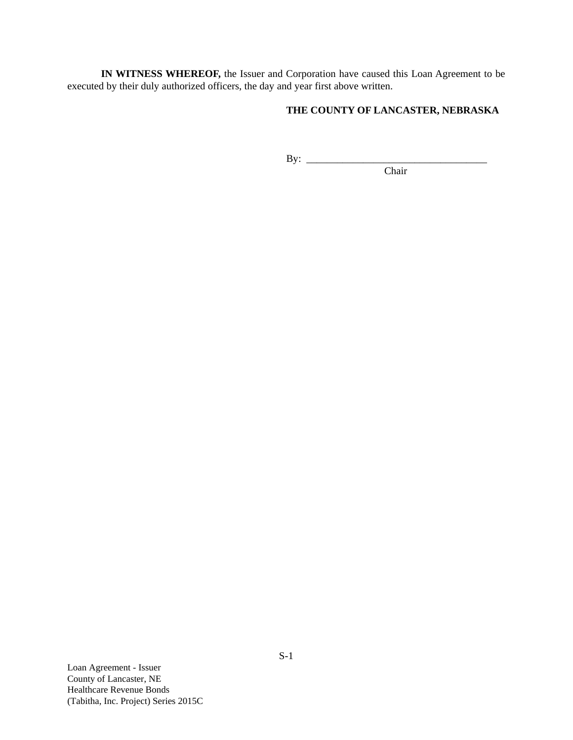**IN WITNESS WHEREOF,** the Issuer and Corporation have caused this Loan Agreement to be executed by their duly authorized officers, the day and year first above written.

## **THE COUNTY OF LANCASTER, NEBRASKA**

By: \_\_\_\_\_\_\_\_\_\_\_\_\_\_\_\_\_\_\_\_\_\_\_\_\_\_\_\_\_\_\_\_\_\_\_

Chair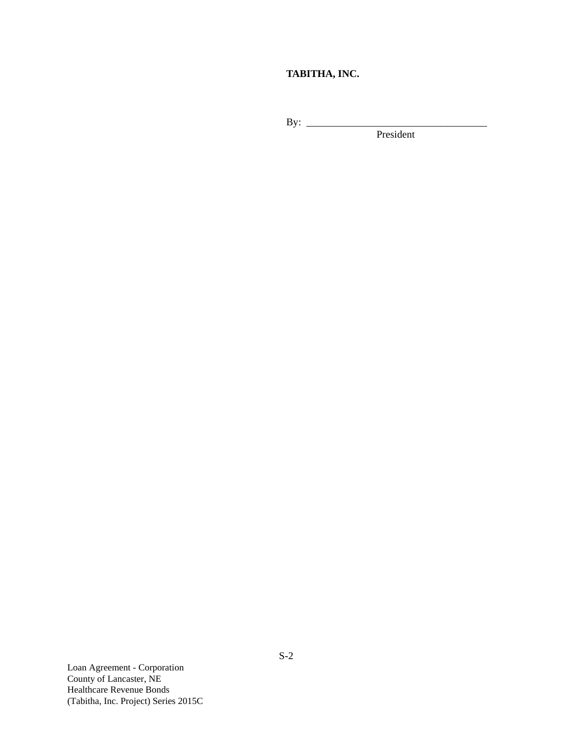# **TABITHA, INC.**

By: \_\_\_\_\_\_\_\_\_\_\_\_\_\_\_\_\_\_\_\_\_\_\_\_\_\_\_\_\_\_\_\_\_\_\_ President

Loan Agreement - Corporation County of Lancaster, NE Healthcare Revenue Bonds (Tabitha, Inc. Project) Series 2015C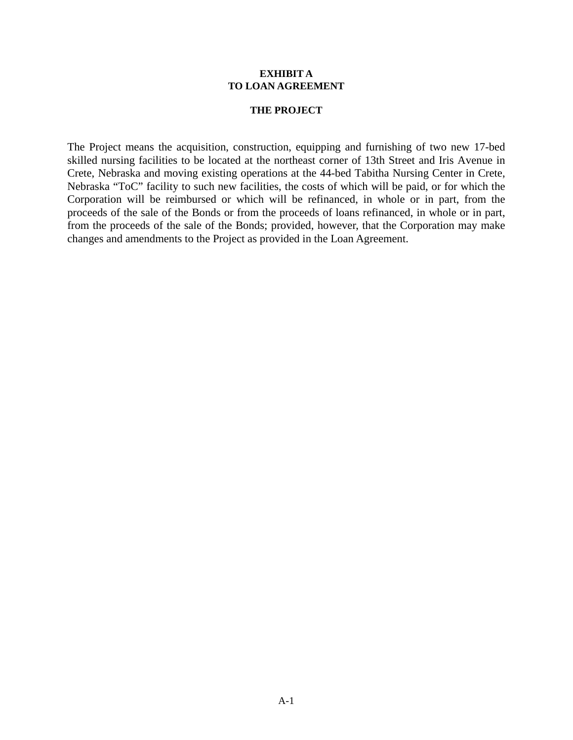### **EXHIBIT A TO LOAN AGREEMENT**

#### **THE PROJECT**

The Project means the acquisition, construction, equipping and furnishing of two new 17-bed skilled nursing facilities to be located at the northeast corner of 13th Street and Iris Avenue in Crete, Nebraska and moving existing operations at the 44-bed Tabitha Nursing Center in Crete, Nebraska "ToC" facility to such new facilities, the costs of which will be paid, or for which the Corporation will be reimbursed or which will be refinanced, in whole or in part, from the proceeds of the sale of the Bonds or from the proceeds of loans refinanced, in whole or in part, from the proceeds of the sale of the Bonds; provided, however, that the Corporation may make changes and amendments to the Project as provided in the Loan Agreement.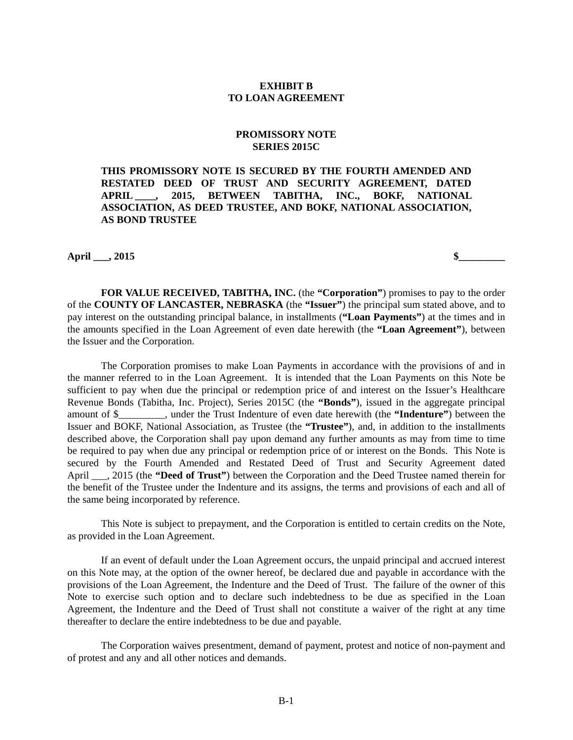#### **EXHIBIT B TO LOAN AGREEMENT**

#### **PROMISSORY NOTE SERIES 2015C**

**THIS PROMISSORY NOTE IS SECURED BY THE FOURTH AMENDED AND RESTATED DEED OF TRUST AND SECURITY AGREEMENT, DATED APRIL \_\_\_\_, 2015, BETWEEN TABITHA, INC., BOKF, NATIONAL ASSOCIATION, AS DEED TRUSTEE, AND BOKF, NATIONAL ASSOCIATION, AS BOND TRUSTEE**

**April \_\_\_, 2015** \$

 **FOR VALUE RECEIVED, TABITHA, INC.** (the **"Corporation"**) promises to pay to the order of the **COUNTY OF LANCASTER, NEBRASKA** (the **"Issuer"**) the principal sum stated above, and to pay interest on the outstanding principal balance, in installments (**"Loan Payments"**) at the times and in the amounts specified in the Loan Agreement of even date herewith (the **"Loan Agreement"**), between the Issuer and the Corporation.

 The Corporation promises to make Loan Payments in accordance with the provisions of and in the manner referred to in the Loan Agreement. It is intended that the Loan Payments on this Note be sufficient to pay when due the principal or redemption price of and interest on the Issuer's Healthcare Revenue Bonds (Tabitha, Inc. Project), Series 2015C (the **"Bonds"**), issued in the aggregate principal amount of \$\_\_\_\_\_\_\_\_\_, under the Trust Indenture of even date herewith (the **"Indenture"**) between the Issuer and BOKF, National Association, as Trustee (the **"Trustee"**), and, in addition to the installments described above, the Corporation shall pay upon demand any further amounts as may from time to time be required to pay when due any principal or redemption price of or interest on the Bonds. This Note is secured by the Fourth Amended and Restated Deed of Trust and Security Agreement dated April \_\_\_, 2015 (the **"Deed of Trust"**) between the Corporation and the Deed Trustee named therein for the benefit of the Trustee under the Indenture and its assigns, the terms and provisions of each and all of the same being incorporated by reference.

 This Note is subject to prepayment, and the Corporation is entitled to certain credits on the Note, as provided in the Loan Agreement.

 If an event of default under the Loan Agreement occurs, the unpaid principal and accrued interest on this Note may, at the option of the owner hereof, be declared due and payable in accordance with the provisions of the Loan Agreement, the Indenture and the Deed of Trust. The failure of the owner of this Note to exercise such option and to declare such indebtedness to be due as specified in the Loan Agreement, the Indenture and the Deed of Trust shall not constitute a waiver of the right at any time thereafter to declare the entire indebtedness to be due and payable.

 The Corporation waives presentment, demand of payment, protest and notice of non-payment and of protest and any and all other notices and demands.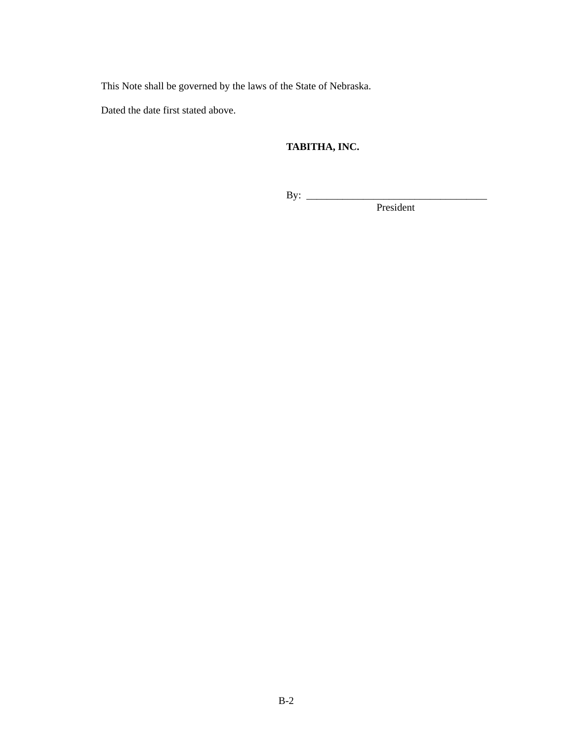This Note shall be governed by the laws of the State of Nebraska.

Dated the date first stated above.

# **TABITHA, INC.**

By: \_\_\_\_\_\_\_\_\_\_\_\_\_\_\_\_\_\_\_\_\_\_\_\_\_\_\_\_\_\_\_\_\_\_\_

President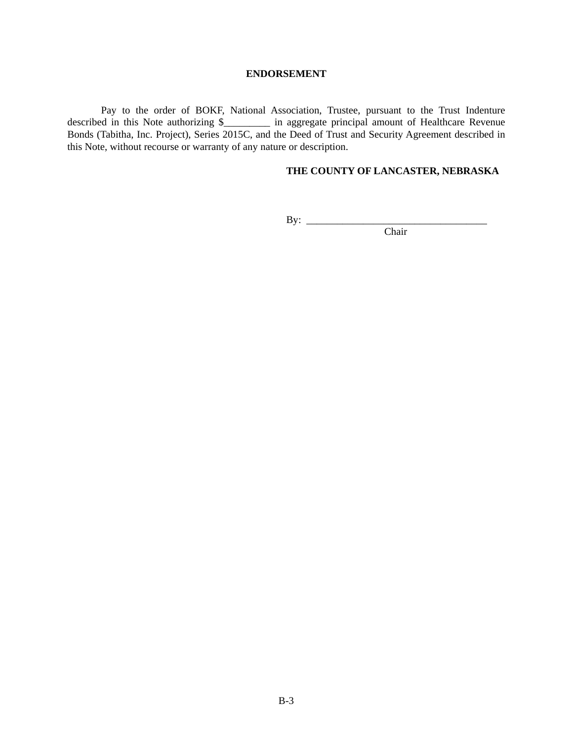#### **ENDORSEMENT**

 Pay to the order of BOKF, National Association, Trustee, pursuant to the Trust Indenture described in this Note authorizing \$\_\_\_\_\_\_\_\_\_ in aggregate principal amount of Healthcare Revenue Bonds (Tabitha, Inc. Project), Series 2015C, and the Deed of Trust and Security Agreement described in this Note, without recourse or warranty of any nature or description.

#### **THE COUNTY OF LANCASTER, NEBRASKA**

By: \_\_\_\_\_\_\_\_\_\_\_\_\_\_\_\_\_\_\_\_\_\_\_\_\_\_\_\_\_\_\_\_\_\_\_

**Chair**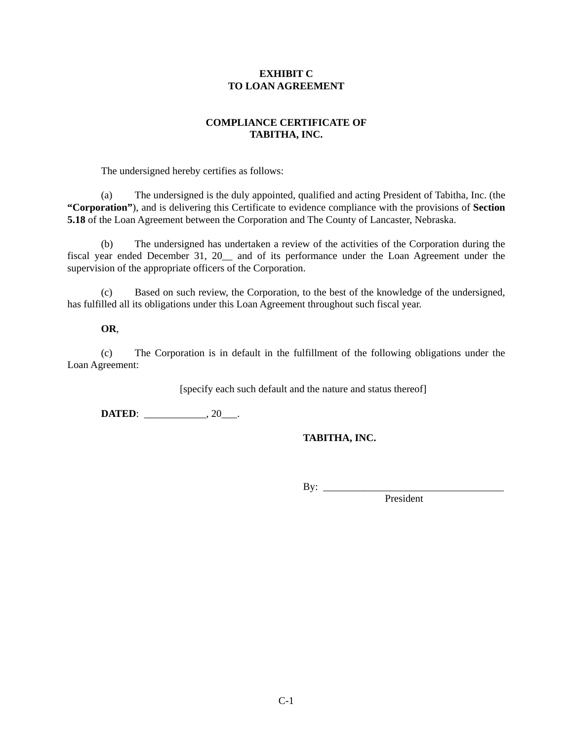## **EXHIBIT C TO LOAN AGREEMENT**

### **COMPLIANCE CERTIFICATE OF TABITHA, INC.**

The undersigned hereby certifies as follows:

(a) The undersigned is the duly appointed, qualified and acting President of Tabitha, Inc. (the **"Corporation"**), and is delivering this Certificate to evidence compliance with the provisions of **Section 5.18** of the Loan Agreement between the Corporation and The County of Lancaster, Nebraska.

(b) The undersigned has undertaken a review of the activities of the Corporation during the fiscal year ended December 31, 20\_\_ and of its performance under the Loan Agreement under the supervision of the appropriate officers of the Corporation.

(c) Based on such review, the Corporation, to the best of the knowledge of the undersigned, has fulfilled all its obligations under this Loan Agreement throughout such fiscal year.

#### **OR**,

(c) The Corporation is in default in the fulfillment of the following obligations under the Loan Agreement:

[specify each such default and the nature and status thereof]

**DATED**: \_\_\_\_\_\_\_\_\_\_\_\_, 20\_\_\_.

**TABITHA, INC.** 

 $\mathbf{By:} \quad \qquad$ 

President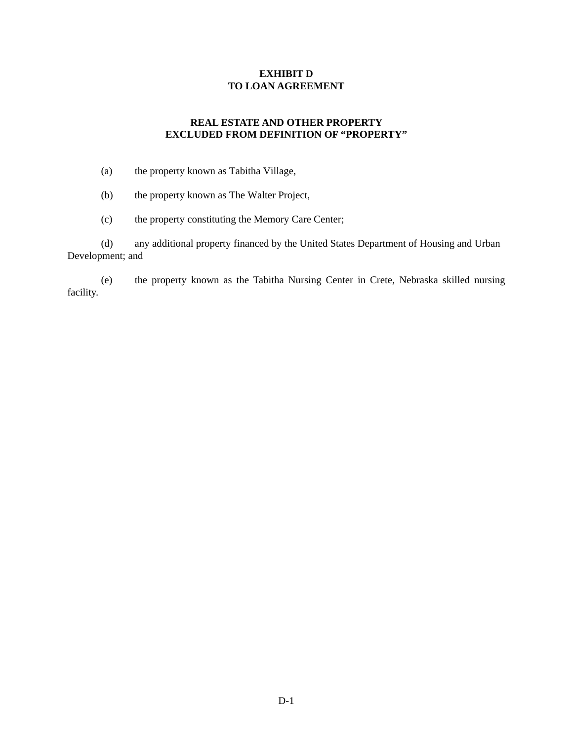## **EXHIBIT D TO LOAN AGREEMENT**

### **REAL ESTATE AND OTHER PROPERTY EXCLUDED FROM DEFINITION OF "PROPERTY"**

- (a) the property known as Tabitha Village,
- (b) the property known as The Walter Project,
- (c) the property constituting the Memory Care Center;

 (d) any additional property financed by the United States Department of Housing and Urban Development; and

 (e) the property known as the Tabitha Nursing Center in Crete, Nebraska skilled nursing facility.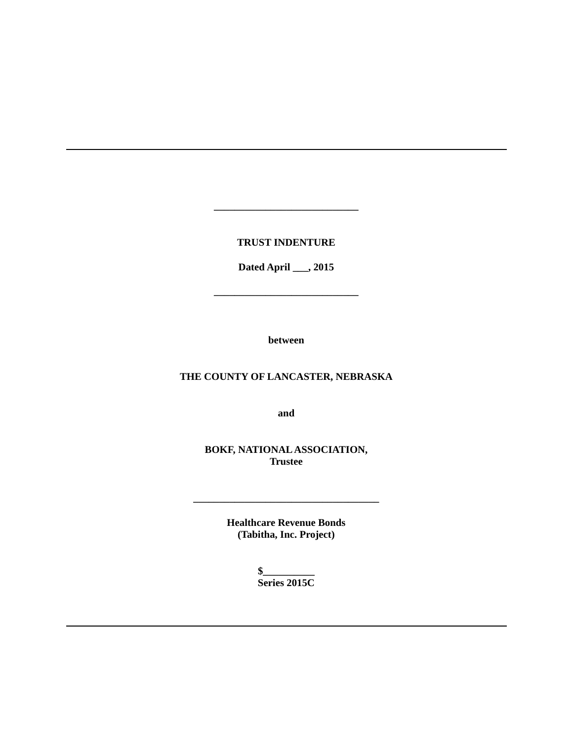**TRUST INDENTURE**

**\_\_\_\_\_\_\_\_\_\_\_\_\_\_\_\_\_\_\_\_\_\_\_\_\_\_\_\_**

**Dated April \_\_\_, 2015**

**\_\_\_\_\_\_\_\_\_\_\_\_\_\_\_\_\_\_\_\_\_\_\_\_\_\_\_\_**

**between**

## **THE COUNTY OF LANCASTER, NEBRASKA**

**and**

**BOKF, NATIONAL ASSOCIATION, Trustee**

> **Healthcare Revenue Bonds (Tabitha, Inc. Project)**

**\_\_\_\_\_\_\_\_\_\_\_\_\_\_\_\_\_\_\_\_\_\_\_\_\_\_\_\_\_\_\_\_\_\_\_\_**

 $\bullet$ **Series 2015C**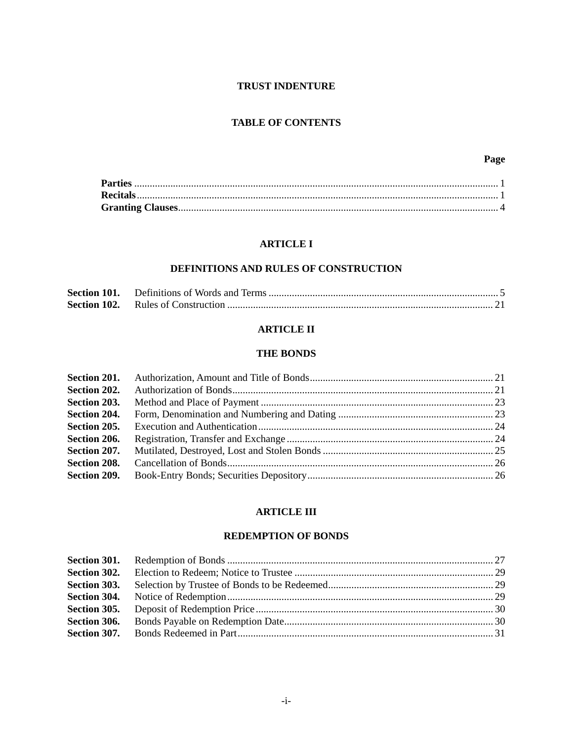#### **TRUST INDENTURE**

#### **TABLE OF CONTENTS**

## **ARTICLE I**

## DEFINITIONS AND RULES OF CONSTRUCTION

### **ARTICLE II**

#### **THE BONDS**

| Section 202.        |  |
|---------------------|--|
| Section 203.        |  |
| <b>Section 204.</b> |  |
| Section 205.        |  |
| Section 206.        |  |
| Section 207.        |  |
| Section 208.        |  |
| Section 209.        |  |
|                     |  |

### **ARTICLE III**

## **REDEMPTION OF BONDS**

| Section 306. |  |
|--------------|--|
|              |  |
|              |  |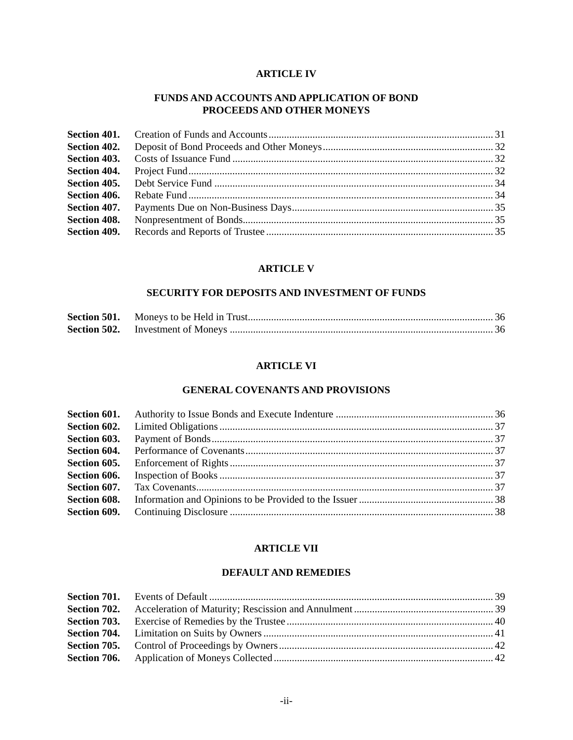#### **ARTICLE IV**

## **FUNDS AND ACCOUNTS AND APPLICATION OF BOND PROCEEDS AND OTHER MONEYS**

| <b>Section 402.</b> |  |
|---------------------|--|
| Section 403.        |  |
| <b>Section 404.</b> |  |
| <b>Section 405.</b> |  |
| Section 406.        |  |
| Section 407.        |  |
| <b>Section 408.</b> |  |
|                     |  |
|                     |  |

#### **ARTICLE V**

### **SECURITY FOR DEPOSITS AND INVESTMENT OF FUNDS**

#### **ARTICLE VI**

#### **GENERAL COVENANTS AND PROVISIONS**

| Section 603. |  |
|--------------|--|
|              |  |
| Section 605. |  |
| Section 606. |  |
| Section 607. |  |
| Section 608. |  |
|              |  |

#### **ARTICLE VII**

## **DEFAULT AND REMEDIES**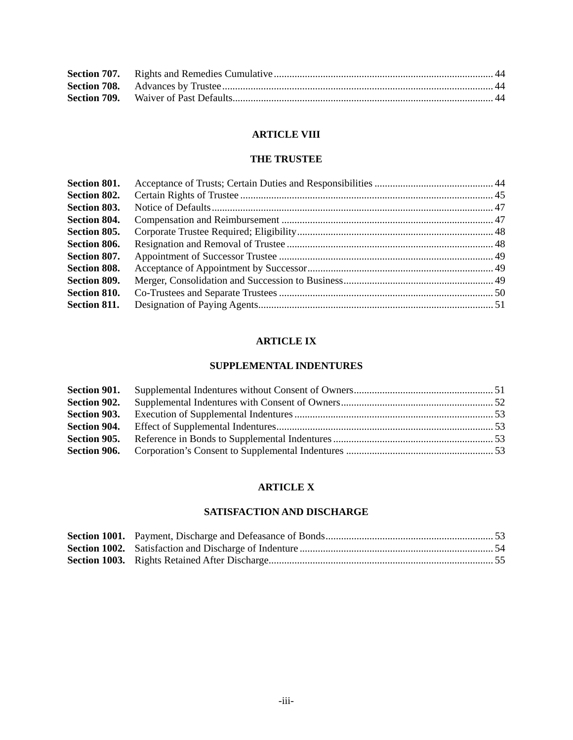## **ARTICLE VIII**

#### **THE TRUSTEE**

| Section 801.        |  |
|---------------------|--|
| <b>Section 802.</b> |  |
| Section 803.        |  |
| <b>Section 804.</b> |  |
| Section 805.        |  |
| <b>Section 806.</b> |  |
| Section 807.        |  |
| <b>Section 808.</b> |  |
| Section 809.        |  |
| Section 810.        |  |
| Section 811.        |  |

# **ARTICLE IX**

# **SUPPLEMENTAL INDENTURES**

| Section 902. |  |
|--------------|--|
|              |  |
|              |  |
|              |  |
|              |  |

#### **ARTICLE X**

# **SATISFACTION AND DISCHARGE**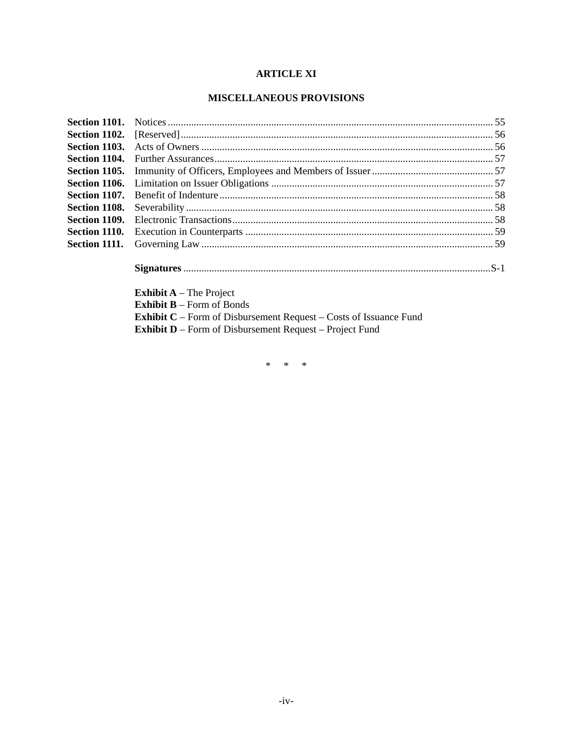## **ARTICLE XI**

## **MISCELLANEOUS PROVISIONS**

| <b>Exhibit A</b> – The Project   |  |
|----------------------------------|--|
| <b>Exhibit B</b> – Form of Bonds |  |

**Exhibit C** – Form of Disbursement Request – Costs of Issuance Fund Exhibit D - Form of Disbursement Request - Project Fund

 $*$  \* \*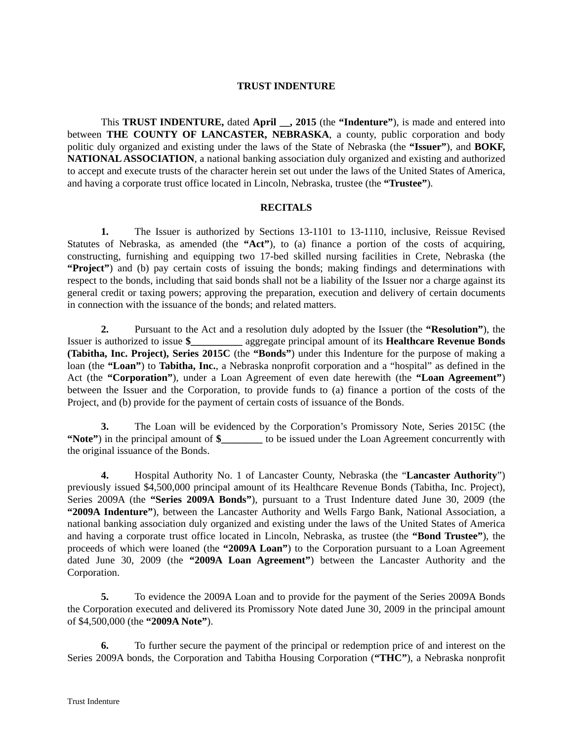#### **TRUST INDENTURE**

This **TRUST INDENTURE,** dated **April \_\_, 2015** (the **"Indenture"**), is made and entered into between **THE COUNTY OF LANCASTER, NEBRASKA**, a county, public corporation and body politic duly organized and existing under the laws of the State of Nebraska (the **"Issuer"**), and **BOKF, NATIONAL ASSOCIATION**, a national banking association duly organized and existing and authorized to accept and execute trusts of the character herein set out under the laws of the United States of America, and having a corporate trust office located in Lincoln, Nebraska, trustee (the **"Trustee"**).

#### **RECITALS**

 **1.** The Issuer is authorized by Sections 13-1101 to 13-1110, inclusive, Reissue Revised Statutes of Nebraska, as amended (the **"Act"**), to (a) finance a portion of the costs of acquiring, constructing, furnishing and equipping two 17-bed skilled nursing facilities in Crete, Nebraska (the **"Project"**) and (b) pay certain costs of issuing the bonds; making findings and determinations with respect to the bonds, including that said bonds shall not be a liability of the Issuer nor a charge against its general credit or taxing powers; approving the preparation, execution and delivery of certain documents in connection with the issuance of the bonds; and related matters.

 **2.** Pursuant to the Act and a resolution duly adopted by the Issuer (the **"Resolution"**), the Issuer is authorized to issue **\$\_\_\_\_\_\_\_\_\_\_** aggregate principal amount of its **Healthcare Revenue Bonds (Tabitha, Inc. Project), Series 2015C** (the **"Bonds"**) under this Indenture for the purpose of making a loan (the **"Loan"**) to **Tabitha, Inc.**, a Nebraska nonprofit corporation and a "hospital" as defined in the Act (the **"Corporation"**), under a Loan Agreement of even date herewith (the **"Loan Agreement"**) between the Issuer and the Corporation, to provide funds to (a) finance a portion of the costs of the Project, and (b) provide for the payment of certain costs of issuance of the Bonds.

 **3.** The Loan will be evidenced by the Corporation's Promissory Note, Series 2015C (the **"Note"**) in the principal amount of **\$\_\_\_\_\_\_\_\_** to be issued under the Loan Agreement concurrently with the original issuance of the Bonds.

**4.** Hospital Authority No. 1 of Lancaster County, Nebraska (the "**Lancaster Authority**") previously issued \$4,500,000 principal amount of its Healthcare Revenue Bonds (Tabitha, Inc. Project), Series 2009A (the **"Series 2009A Bonds"**), pursuant to a Trust Indenture dated June 30, 2009 (the **"2009A Indenture"**), between the Lancaster Authority and Wells Fargo Bank, National Association, a national banking association duly organized and existing under the laws of the United States of America and having a corporate trust office located in Lincoln, Nebraska, as trustee (the **"Bond Trustee"**), the proceeds of which were loaned (the **"2009A Loan"**) to the Corporation pursuant to a Loan Agreement dated June 30, 2009 (the **"2009A Loan Agreement"**) between the Lancaster Authority and the Corporation.

 **5.** To evidence the 2009A Loan and to provide for the payment of the Series 2009A Bonds the Corporation executed and delivered its Promissory Note dated June 30, 2009 in the principal amount of \$4,500,000 (the **"2009A Note"**).

 **6.** To further secure the payment of the principal or redemption price of and interest on the Series 2009A bonds, the Corporation and Tabitha Housing Corporation (**"THC"**), a Nebraska nonprofit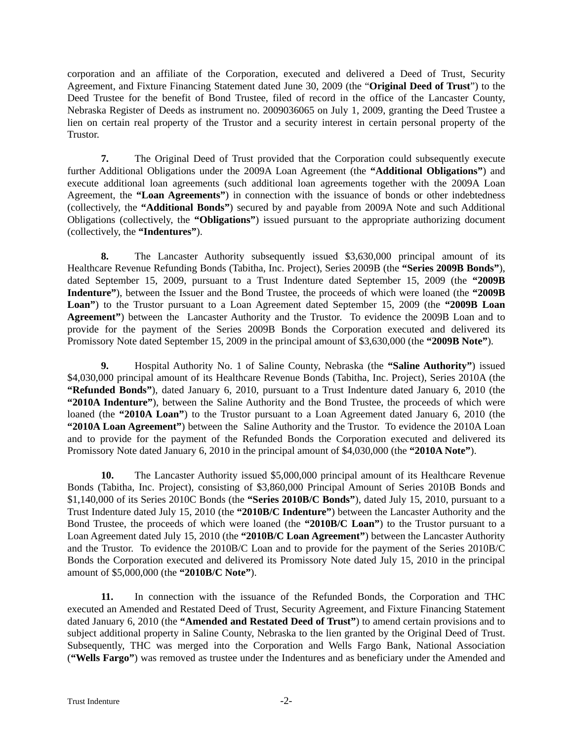corporation and an affiliate of the Corporation, executed and delivered a Deed of Trust, Security Agreement, and Fixture Financing Statement dated June 30, 2009 (the "**Original Deed of Trust**") to the Deed Trustee for the benefit of Bond Trustee, filed of record in the office of the Lancaster County, Nebraska Register of Deeds as instrument no. 2009036065 on July 1, 2009, granting the Deed Trustee a lien on certain real property of the Trustor and a security interest in certain personal property of the Trustor.

**7.** The Original Deed of Trust provided that the Corporation could subsequently execute further Additional Obligations under the 2009A Loan Agreement (the **"Additional Obligations"**) and execute additional loan agreements (such additional loan agreements together with the 2009A Loan Agreement, the **"Loan Agreements"**) in connection with the issuance of bonds or other indebtedness (collectively, the **"Additional Bonds"**) secured by and payable from 2009A Note and such Additional Obligations (collectively, the **"Obligations"**) issued pursuant to the appropriate authorizing document (collectively, the **"Indentures"**).

**8.** The Lancaster Authority subsequently issued \$3,630,000 principal amount of its Healthcare Revenue Refunding Bonds (Tabitha, Inc. Project), Series 2009B (the **"Series 2009B Bonds"**), dated September 15, 2009, pursuant to a Trust Indenture dated September 15, 2009 (the **"2009B Indenture"**), between the Issuer and the Bond Trustee, the proceeds of which were loaned (the **"2009B Loan"**) to the Trustor pursuant to a Loan Agreement dated September 15, 2009 (the **"2009B Loan Agreement"**) between the Lancaster Authority and the Trustor. To evidence the 2009B Loan and to provide for the payment of the Series 2009B Bonds the Corporation executed and delivered its Promissory Note dated September 15, 2009 in the principal amount of \$3,630,000 (the **"2009B Note"**).

 **9.** Hospital Authority No. 1 of Saline County, Nebraska (the **"Saline Authority"**) issued \$4,030,000 principal amount of its Healthcare Revenue Bonds (Tabitha, Inc. Project), Series 2010A (the **"Refunded Bonds"**), dated January 6, 2010, pursuant to a Trust Indenture dated January 6, 2010 (the **"2010A Indenture"**), between the Saline Authority and the Bond Trustee, the proceeds of which were loaned (the **"2010A Loan"**) to the Trustor pursuant to a Loan Agreement dated January 6, 2010 (the **"2010A Loan Agreement"**) between the Saline Authority and the Trustor. To evidence the 2010A Loan and to provide for the payment of the Refunded Bonds the Corporation executed and delivered its Promissory Note dated January 6, 2010 in the principal amount of \$4,030,000 (the **"2010A Note"**).

**10.** The Lancaster Authority issued \$5,000,000 principal amount of its Healthcare Revenue Bonds (Tabitha, Inc. Project), consisting of \$3,860,000 Principal Amount of Series 2010B Bonds and \$1,140,000 of its Series 2010C Bonds (the **"Series 2010B/C Bonds"**), dated July 15, 2010, pursuant to a Trust Indenture dated July 15, 2010 (the **"2010B/C Indenture"**) between the Lancaster Authority and the Bond Trustee, the proceeds of which were loaned (the **"2010B/C Loan"**) to the Trustor pursuant to a Loan Agreement dated July 15, 2010 (the **"2010B/C Loan Agreement"**) between the Lancaster Authority and the Trustor. To evidence the 2010B/C Loan and to provide for the payment of the Series 2010B/C Bonds the Corporation executed and delivered its Promissory Note dated July 15, 2010 in the principal amount of \$5,000,000 (the **"2010B/C Note"**).

 **11.** In connection with the issuance of the Refunded Bonds, the Corporation and THC executed an Amended and Restated Deed of Trust, Security Agreement, and Fixture Financing Statement dated January 6, 2010 (the **"Amended and Restated Deed of Trust"**) to amend certain provisions and to subject additional property in Saline County, Nebraska to the lien granted by the Original Deed of Trust. Subsequently, THC was merged into the Corporation and Wells Fargo Bank, National Association (**"Wells Fargo"**) was removed as trustee under the Indentures and as beneficiary under the Amended and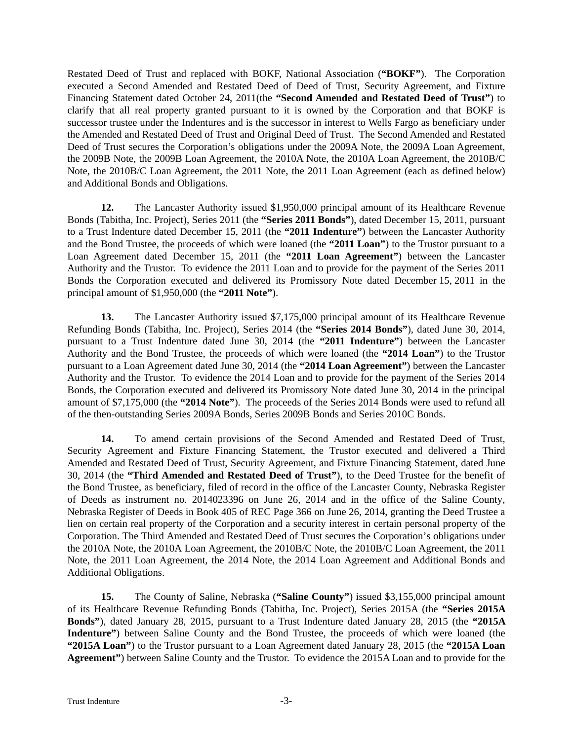Restated Deed of Trust and replaced with BOKF, National Association (**"BOKF"**). The Corporation executed a Second Amended and Restated Deed of Deed of Trust, Security Agreement, and Fixture Financing Statement dated October 24, 2011(the **"Second Amended and Restated Deed of Trust"**) to clarify that all real property granted pursuant to it is owned by the Corporation and that BOKF is successor trustee under the Indentures and is the successor in interest to Wells Fargo as beneficiary under the Amended and Restated Deed of Trust and Original Deed of Trust. The Second Amended and Restated Deed of Trust secures the Corporation's obligations under the 2009A Note, the 2009A Loan Agreement, the 2009B Note, the 2009B Loan Agreement, the 2010A Note, the 2010A Loan Agreement, the 2010B/C Note, the 2010B/C Loan Agreement, the 2011 Note, the 2011 Loan Agreement (each as defined below) and Additional Bonds and Obligations.

**12.** The Lancaster Authority issued \$1,950,000 principal amount of its Healthcare Revenue Bonds (Tabitha, Inc. Project), Series 2011 (the **"Series 2011 Bonds"**), dated December 15, 2011, pursuant to a Trust Indenture dated December 15, 2011 (the **"2011 Indenture"**) between the Lancaster Authority and the Bond Trustee, the proceeds of which were loaned (the **"2011 Loan"**) to the Trustor pursuant to a Loan Agreement dated December 15, 2011 (the **"2011 Loan Agreement"**) between the Lancaster Authority and the Trustor. To evidence the 2011 Loan and to provide for the payment of the Series 2011 Bonds the Corporation executed and delivered its Promissory Note dated December 15, 2011 in the principal amount of \$1,950,000 (the **"2011 Note"**).

**13.** The Lancaster Authority issued \$7,175,000 principal amount of its Healthcare Revenue Refunding Bonds (Tabitha, Inc. Project), Series 2014 (the **"Series 2014 Bonds"**), dated June 30, 2014, pursuant to a Trust Indenture dated June 30, 2014 (the **"2011 Indenture"**) between the Lancaster Authority and the Bond Trustee, the proceeds of which were loaned (the **"2014 Loan"**) to the Trustor pursuant to a Loan Agreement dated June 30, 2014 (the **"2014 Loan Agreement"**) between the Lancaster Authority and the Trustor. To evidence the 2014 Loan and to provide for the payment of the Series 2014 Bonds, the Corporation executed and delivered its Promissory Note dated June 30, 2014 in the principal amount of \$7,175,000 (the **"2014 Note"**). The proceeds of the Series 2014 Bonds were used to refund all of the then-outstanding Series 2009A Bonds, Series 2009B Bonds and Series 2010C Bonds.

**14.** To amend certain provisions of the Second Amended and Restated Deed of Trust, Security Agreement and Fixture Financing Statement, the Trustor executed and delivered a Third Amended and Restated Deed of Trust, Security Agreement, and Fixture Financing Statement, dated June 30, 2014 (the **"Third Amended and Restated Deed of Trust"**), to the Deed Trustee for the benefit of the Bond Trustee, as beneficiary, filed of record in the office of the Lancaster County, Nebraska Register of Deeds as instrument no. 2014023396 on June 26, 2014 and in the office of the Saline County, Nebraska Register of Deeds in Book 405 of REC Page 366 on June 26, 2014, granting the Deed Trustee a lien on certain real property of the Corporation and a security interest in certain personal property of the Corporation. The Third Amended and Restated Deed of Trust secures the Corporation's obligations under the 2010A Note, the 2010A Loan Agreement, the 2010B/C Note, the 2010B/C Loan Agreement, the 2011 Note, the 2011 Loan Agreement, the 2014 Note, the 2014 Loan Agreement and Additional Bonds and Additional Obligations.

**15.** The County of Saline, Nebraska (**"Saline County"**) issued \$3,155,000 principal amount of its Healthcare Revenue Refunding Bonds (Tabitha, Inc. Project), Series 2015A (the **"Series 2015A Bonds"**), dated January 28, 2015, pursuant to a Trust Indenture dated January 28, 2015 (the **"2015A Indenture"**) between Saline County and the Bond Trustee, the proceeds of which were loaned (the **"2015A Loan"**) to the Trustor pursuant to a Loan Agreement dated January 28, 2015 (the **"2015A Loan Agreement"**) between Saline County and the Trustor. To evidence the 2015A Loan and to provide for the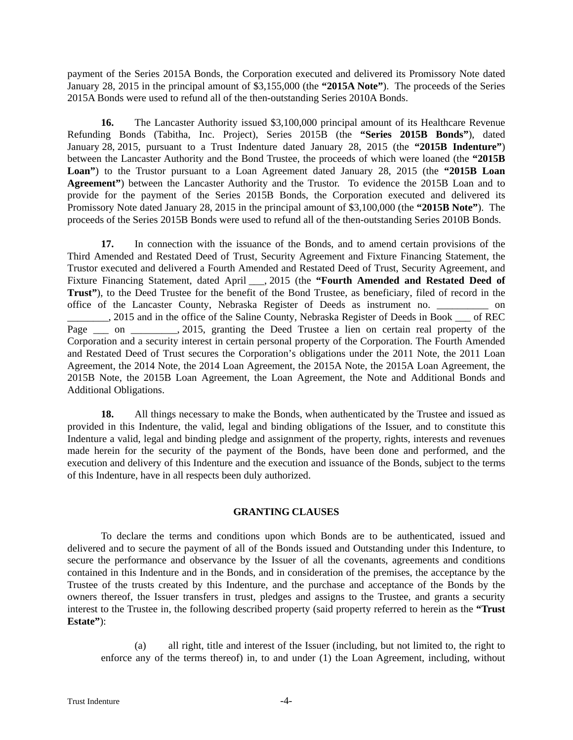payment of the Series 2015A Bonds, the Corporation executed and delivered its Promissory Note dated January 28, 2015 in the principal amount of \$3,155,000 (the **"2015A Note"**). The proceeds of the Series 2015A Bonds were used to refund all of the then-outstanding Series 2010A Bonds.

**16.** The Lancaster Authority issued \$3,100,000 principal amount of its Healthcare Revenue Refunding Bonds (Tabitha, Inc. Project), Series 2015B (the **"Series 2015B Bonds"**), dated January 28, 2015, pursuant to a Trust Indenture dated January 28, 2015 (the **"2015B Indenture"**) between the Lancaster Authority and the Bond Trustee, the proceeds of which were loaned (the **"2015B Loan"**) to the Trustor pursuant to a Loan Agreement dated January 28, 2015 (the **"2015B Loan Agreement"**) between the Lancaster Authority and the Trustor. To evidence the 2015B Loan and to provide for the payment of the Series 2015B Bonds, the Corporation executed and delivered its Promissory Note dated January 28, 2015 in the principal amount of \$3,100,000 (the **"2015B Note"**). The proceeds of the Series 2015B Bonds were used to refund all of the then-outstanding Series 2010B Bonds.

**17.** In connection with the issuance of the Bonds, and to amend certain provisions of the Third Amended and Restated Deed of Trust, Security Agreement and Fixture Financing Statement, the Trustor executed and delivered a Fourth Amended and Restated Deed of Trust, Security Agreement, and Fixture Financing Statement, dated April \_\_\_, 2015 (the **"Fourth Amended and Restated Deed of Trust"**), to the Deed Trustee for the benefit of the Bond Trustee, as beneficiary, filed of record in the office of the Lancaster County, Nebraska Register of Deeds as instrument no.  $\qquad$  on \_\_\_\_\_\_\_\_, 2015 and in the office of the Saline County, Nebraska Register of Deeds in Book \_\_\_ of REC Page \_\_\_ on \_\_\_\_\_\_\_\_, 2015, granting the Deed Trustee a lien on certain real property of the Corporation and a security interest in certain personal property of the Corporation. The Fourth Amended and Restated Deed of Trust secures the Corporation's obligations under the 2011 Note, the 2011 Loan Agreement, the 2014 Note, the 2014 Loan Agreement, the 2015A Note, the 2015A Loan Agreement, the 2015B Note, the 2015B Loan Agreement, the Loan Agreement, the Note and Additional Bonds and Additional Obligations.

 **18.** All things necessary to make the Bonds, when authenticated by the Trustee and issued as provided in this Indenture, the valid, legal and binding obligations of the Issuer, and to constitute this Indenture a valid, legal and binding pledge and assignment of the property, rights, interests and revenues made herein for the security of the payment of the Bonds, have been done and performed, and the execution and delivery of this Indenture and the execution and issuance of the Bonds, subject to the terms of this Indenture, have in all respects been duly authorized.

#### **GRANTING CLAUSES**

 To declare the terms and conditions upon which Bonds are to be authenticated, issued and delivered and to secure the payment of all of the Bonds issued and Outstanding under this Indenture, to secure the performance and observance by the Issuer of all the covenants, agreements and conditions contained in this Indenture and in the Bonds, and in consideration of the premises, the acceptance by the Trustee of the trusts created by this Indenture, and the purchase and acceptance of the Bonds by the owners thereof, the Issuer transfers in trust, pledges and assigns to the Trustee, and grants a security interest to the Trustee in, the following described property (said property referred to herein as the **"Trust Estate"**):

 (a) all right, title and interest of the Issuer (including, but not limited to, the right to enforce any of the terms thereof) in, to and under (1) the Loan Agreement, including, without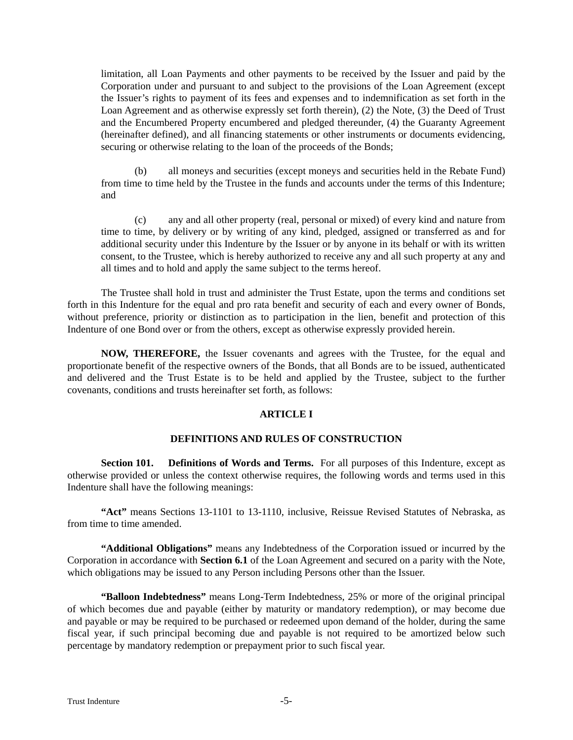limitation, all Loan Payments and other payments to be received by the Issuer and paid by the Corporation under and pursuant to and subject to the provisions of the Loan Agreement (except the Issuer's rights to payment of its fees and expenses and to indemnification as set forth in the Loan Agreement and as otherwise expressly set forth therein), (2) the Note, (3) the Deed of Trust and the Encumbered Property encumbered and pledged thereunder, (4) the Guaranty Agreement (hereinafter defined), and all financing statements or other instruments or documents evidencing, securing or otherwise relating to the loan of the proceeds of the Bonds;

 (b) all moneys and securities (except moneys and securities held in the Rebate Fund) from time to time held by the Trustee in the funds and accounts under the terms of this Indenture; and

 (c) any and all other property (real, personal or mixed) of every kind and nature from time to time, by delivery or by writing of any kind, pledged, assigned or transferred as and for additional security under this Indenture by the Issuer or by anyone in its behalf or with its written consent, to the Trustee, which is hereby authorized to receive any and all such property at any and all times and to hold and apply the same subject to the terms hereof.

 The Trustee shall hold in trust and administer the Trust Estate, upon the terms and conditions set forth in this Indenture for the equal and pro rata benefit and security of each and every owner of Bonds, without preference, priority or distinction as to participation in the lien, benefit and protection of this Indenture of one Bond over or from the others, except as otherwise expressly provided herein.

 **NOW, THEREFORE,** the Issuer covenants and agrees with the Trustee, for the equal and proportionate benefit of the respective owners of the Bonds, that all Bonds are to be issued, authenticated and delivered and the Trust Estate is to be held and applied by the Trustee, subject to the further covenants, conditions and trusts hereinafter set forth, as follows:

#### **ARTICLE I**

#### **DEFINITIONS AND RULES OF CONSTRUCTION**

**Section 101.** Definitions of Words and Terms. For all purposes of this Indenture, except as otherwise provided or unless the context otherwise requires, the following words and terms used in this Indenture shall have the following meanings:

**"Act"** means Sections 13-1101 to 13-1110, inclusive, Reissue Revised Statutes of Nebraska, as from time to time amended.

 **"Additional Obligations"** means any Indebtedness of the Corporation issued or incurred by the Corporation in accordance with **Section 6.1** of the Loan Agreement and secured on a parity with the Note, which obligations may be issued to any Person including Persons other than the Issuer.

 **"Balloon Indebtedness"** means Long-Term Indebtedness, 25% or more of the original principal of which becomes due and payable (either by maturity or mandatory redemption), or may become due and payable or may be required to be purchased or redeemed upon demand of the holder, during the same fiscal year, if such principal becoming due and payable is not required to be amortized below such percentage by mandatory redemption or prepayment prior to such fiscal year.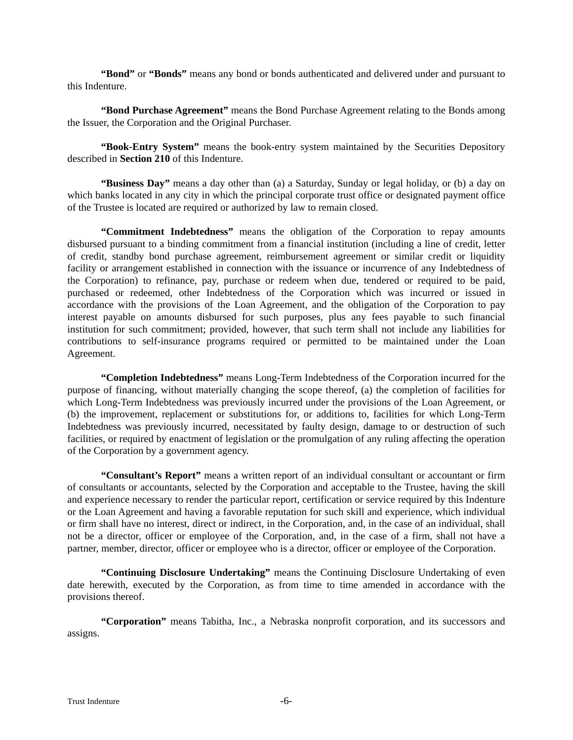**"Bond"** or **"Bonds"** means any bond or bonds authenticated and delivered under and pursuant to this Indenture.

**"Bond Purchase Agreement"** means the Bond Purchase Agreement relating to the Bonds among the Issuer, the Corporation and the Original Purchaser.

 **"Book-Entry System"** means the book-entry system maintained by the Securities Depository described in **Section 210** of this Indenture.

 **"Business Day"** means a day other than (a) a Saturday, Sunday or legal holiday, or (b) a day on which banks located in any city in which the principal corporate trust office or designated payment office of the Trustee is located are required or authorized by law to remain closed.

 **"Commitment Indebtedness"** means the obligation of the Corporation to repay amounts disbursed pursuant to a binding commitment from a financial institution (including a line of credit, letter of credit, standby bond purchase agreement, reimbursement agreement or similar credit or liquidity facility or arrangement established in connection with the issuance or incurrence of any Indebtedness of the Corporation) to refinance, pay, purchase or redeem when due, tendered or required to be paid, purchased or redeemed, other Indebtedness of the Corporation which was incurred or issued in accordance with the provisions of the Loan Agreement, and the obligation of the Corporation to pay interest payable on amounts disbursed for such purposes, plus any fees payable to such financial institution for such commitment; provided, however, that such term shall not include any liabilities for contributions to self-insurance programs required or permitted to be maintained under the Loan Agreement.

 **"Completion Indebtedness"** means Long-Term Indebtedness of the Corporation incurred for the purpose of financing, without materially changing the scope thereof, (a) the completion of facilities for which Long-Term Indebtedness was previously incurred under the provisions of the Loan Agreement, or (b) the improvement, replacement or substitutions for, or additions to, facilities for which Long-Term Indebtedness was previously incurred, necessitated by faulty design, damage to or destruction of such facilities, or required by enactment of legislation or the promulgation of any ruling affecting the operation of the Corporation by a government agency.

 **"Consultant's Report"** means a written report of an individual consultant or accountant or firm of consultants or accountants, selected by the Corporation and acceptable to the Trustee, having the skill and experience necessary to render the particular report, certification or service required by this Indenture or the Loan Agreement and having a favorable reputation for such skill and experience, which individual or firm shall have no interest, direct or indirect, in the Corporation, and, in the case of an individual, shall not be a director, officer or employee of the Corporation, and, in the case of a firm, shall not have a partner, member, director, officer or employee who is a director, officer or employee of the Corporation.

 **"Continuing Disclosure Undertaking"** means the Continuing Disclosure Undertaking of even date herewith, executed by the Corporation, as from time to time amended in accordance with the provisions thereof.

**"Corporation"** means Tabitha, Inc., a Nebraska nonprofit corporation, and its successors and assigns.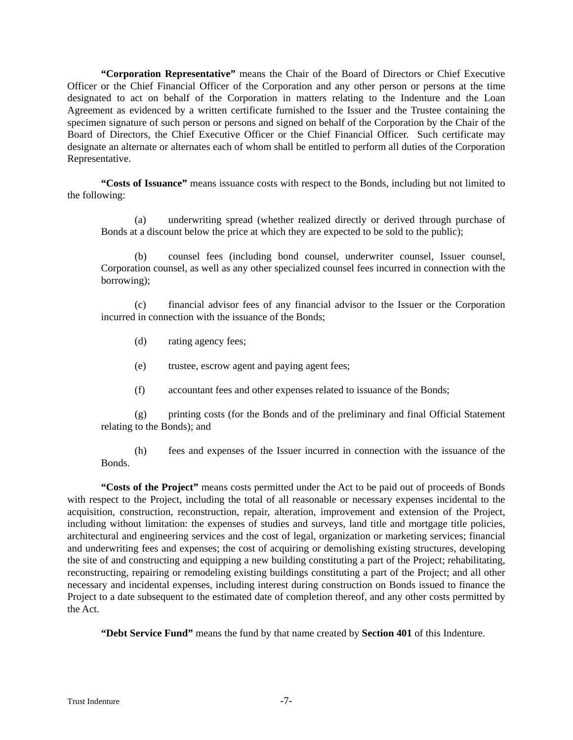**"Corporation Representative"** means the Chair of the Board of Directors or Chief Executive Officer or the Chief Financial Officer of the Corporation and any other person or persons at the time designated to act on behalf of the Corporation in matters relating to the Indenture and the Loan Agreement as evidenced by a written certificate furnished to the Issuer and the Trustee containing the specimen signature of such person or persons and signed on behalf of the Corporation by the Chair of the Board of Directors, the Chief Executive Officer or the Chief Financial Officer. Such certificate may designate an alternate or alternates each of whom shall be entitled to perform all duties of the Corporation Representative.

 **"Costs of Issuance"** means issuance costs with respect to the Bonds, including but not limited to the following:

 (a) underwriting spread (whether realized directly or derived through purchase of Bonds at a discount below the price at which they are expected to be sold to the public);

 (b) counsel fees (including bond counsel, underwriter counsel, Issuer counsel, Corporation counsel, as well as any other specialized counsel fees incurred in connection with the borrowing);

 (c) financial advisor fees of any financial advisor to the Issuer or the Corporation incurred in connection with the issuance of the Bonds;

- (d) rating agency fees;
- (e) trustee, escrow agent and paying agent fees;
- (f) accountant fees and other expenses related to issuance of the Bonds;

 (g) printing costs (for the Bonds and of the preliminary and final Official Statement relating to the Bonds); and

 (h) fees and expenses of the Issuer incurred in connection with the issuance of the Bonds.

 **"Costs of the Project"** means costs permitted under the Act to be paid out of proceeds of Bonds with respect to the Project, including the total of all reasonable or necessary expenses incidental to the acquisition, construction, reconstruction, repair, alteration, improvement and extension of the Project, including without limitation: the expenses of studies and surveys, land title and mortgage title policies, architectural and engineering services and the cost of legal, organization or marketing services; financial and underwriting fees and expenses; the cost of acquiring or demolishing existing structures, developing the site of and constructing and equipping a new building constituting a part of the Project; rehabilitating, reconstructing, repairing or remodeling existing buildings constituting a part of the Project; and all other necessary and incidental expenses, including interest during construction on Bonds issued to finance the Project to a date subsequent to the estimated date of completion thereof, and any other costs permitted by the Act.

**"Debt Service Fund"** means the fund by that name created by **Section 401** of this Indenture.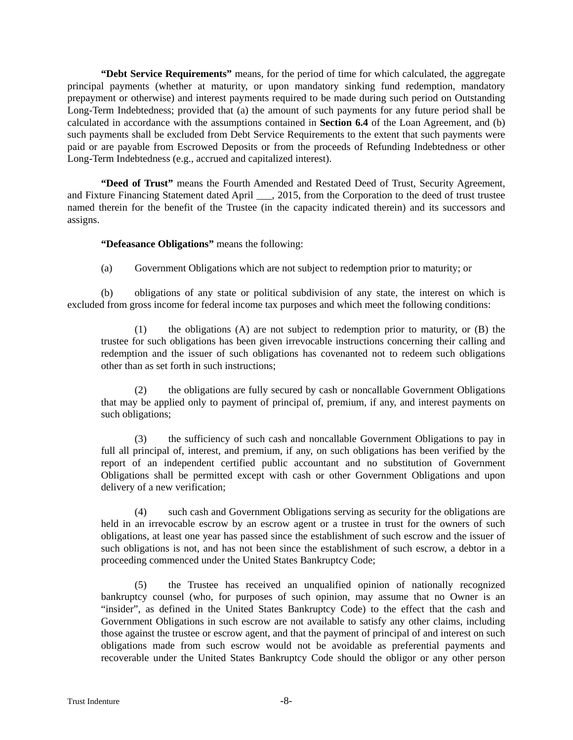**"Debt Service Requirements"** means, for the period of time for which calculated, the aggregate principal payments (whether at maturity, or upon mandatory sinking fund redemption, mandatory prepayment or otherwise) and interest payments required to be made during such period on Outstanding Long-Term Indebtedness; provided that (a) the amount of such payments for any future period shall be calculated in accordance with the assumptions contained in **Section 6.4** of the Loan Agreement, and (b) such payments shall be excluded from Debt Service Requirements to the extent that such payments were paid or are payable from Escrowed Deposits or from the proceeds of Refunding Indebtedness or other Long-Term Indebtedness (e.g., accrued and capitalized interest).

 **"Deed of Trust"** means the Fourth Amended and Restated Deed of Trust, Security Agreement, and Fixture Financing Statement dated April \_\_\_, 2015, from the Corporation to the deed of trust trustee named therein for the benefit of the Trustee (in the capacity indicated therein) and its successors and assigns.

## **"Defeasance Obligations"** means the following:

(a) Government Obligations which are not subject to redemption prior to maturity; or

(b) obligations of any state or political subdivision of any state, the interest on which is excluded from gross income for federal income tax purposes and which meet the following conditions:

(1) the obligations (A) are not subject to redemption prior to maturity, or (B) the trustee for such obligations has been given irrevocable instructions concerning their calling and redemption and the issuer of such obligations has covenanted not to redeem such obligations other than as set forth in such instructions;

(2) the obligations are fully secured by cash or noncallable Government Obligations that may be applied only to payment of principal of, premium, if any, and interest payments on such obligations;

(3) the sufficiency of such cash and noncallable Government Obligations to pay in full all principal of, interest, and premium, if any, on such obligations has been verified by the report of an independent certified public accountant and no substitution of Government Obligations shall be permitted except with cash or other Government Obligations and upon delivery of a new verification;

(4) such cash and Government Obligations serving as security for the obligations are held in an irrevocable escrow by an escrow agent or a trustee in trust for the owners of such obligations, at least one year has passed since the establishment of such escrow and the issuer of such obligations is not, and has not been since the establishment of such escrow, a debtor in a proceeding commenced under the United States Bankruptcy Code;

(5) the Trustee has received an unqualified opinion of nationally recognized bankruptcy counsel (who, for purposes of such opinion, may assume that no Owner is an "insider", as defined in the United States Bankruptcy Code) to the effect that the cash and Government Obligations in such escrow are not available to satisfy any other claims, including those against the trustee or escrow agent, and that the payment of principal of and interest on such obligations made from such escrow would not be avoidable as preferential payments and recoverable under the United States Bankruptcy Code should the obligor or any other person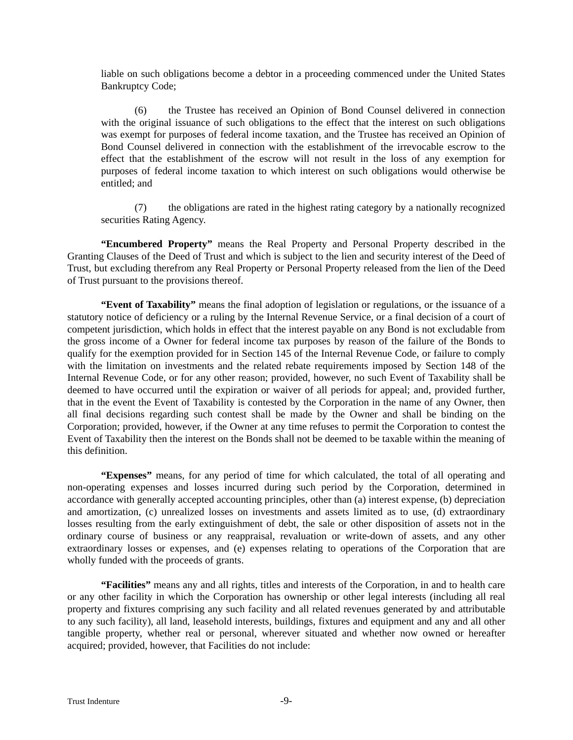liable on such obligations become a debtor in a proceeding commenced under the United States Bankruptcy Code;

(6) the Trustee has received an Opinion of Bond Counsel delivered in connection with the original issuance of such obligations to the effect that the interest on such obligations was exempt for purposes of federal income taxation, and the Trustee has received an Opinion of Bond Counsel delivered in connection with the establishment of the irrevocable escrow to the effect that the establishment of the escrow will not result in the loss of any exemption for purposes of federal income taxation to which interest on such obligations would otherwise be entitled; and

(7) the obligations are rated in the highest rating category by a nationally recognized securities Rating Agency.

 **"Encumbered Property"** means the Real Property and Personal Property described in the Granting Clauses of the Deed of Trust and which is subject to the lien and security interest of the Deed of Trust, but excluding therefrom any Real Property or Personal Property released from the lien of the Deed of Trust pursuant to the provisions thereof.

 **"Event of Taxability"** means the final adoption of legislation or regulations, or the issuance of a statutory notice of deficiency or a ruling by the Internal Revenue Service, or a final decision of a court of competent jurisdiction, which holds in effect that the interest payable on any Bond is not excludable from the gross income of a Owner for federal income tax purposes by reason of the failure of the Bonds to qualify for the exemption provided for in Section 145 of the Internal Revenue Code, or failure to comply with the limitation on investments and the related rebate requirements imposed by Section 148 of the Internal Revenue Code, or for any other reason; provided, however, no such Event of Taxability shall be deemed to have occurred until the expiration or waiver of all periods for appeal; and, provided further, that in the event the Event of Taxability is contested by the Corporation in the name of any Owner, then all final decisions regarding such contest shall be made by the Owner and shall be binding on the Corporation; provided, however, if the Owner at any time refuses to permit the Corporation to contest the Event of Taxability then the interest on the Bonds shall not be deemed to be taxable within the meaning of this definition.

 **"Expenses"** means, for any period of time for which calculated, the total of all operating and non-operating expenses and losses incurred during such period by the Corporation, determined in accordance with generally accepted accounting principles, other than (a) interest expense, (b) depreciation and amortization, (c) unrealized losses on investments and assets limited as to use, (d) extraordinary losses resulting from the early extinguishment of debt, the sale or other disposition of assets not in the ordinary course of business or any reappraisal, revaluation or write-down of assets, and any other extraordinary losses or expenses, and (e) expenses relating to operations of the Corporation that are wholly funded with the proceeds of grants.

**"Facilities"** means any and all rights, titles and interests of the Corporation, in and to health care or any other facility in which the Corporation has ownership or other legal interests (including all real property and fixtures comprising any such facility and all related revenues generated by and attributable to any such facility), all land, leasehold interests, buildings, fixtures and equipment and any and all other tangible property, whether real or personal, wherever situated and whether now owned or hereafter acquired; provided, however, that Facilities do not include: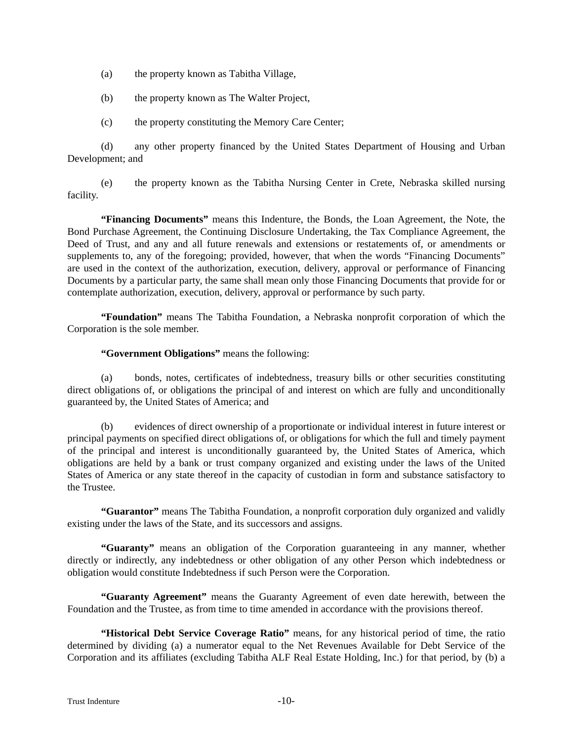- (a) the property known as Tabitha Village,
- (b) the property known as The Walter Project,
- (c) the property constituting the Memory Care Center;

(d) any other property financed by the United States Department of Housing and Urban Development; and

 (e) the property known as the Tabitha Nursing Center in Crete, Nebraska skilled nursing facility.

 **"Financing Documents"** means this Indenture, the Bonds, the Loan Agreement, the Note, the Bond Purchase Agreement, the Continuing Disclosure Undertaking, the Tax Compliance Agreement, the Deed of Trust, and any and all future renewals and extensions or restatements of, or amendments or supplements to, any of the foregoing; provided, however, that when the words "Financing Documents" are used in the context of the authorization, execution, delivery, approval or performance of Financing Documents by a particular party, the same shall mean only those Financing Documents that provide for or contemplate authorization, execution, delivery, approval or performance by such party.

**"Foundation"** means The Tabitha Foundation, a Nebraska nonprofit corporation of which the Corporation is the sole member.

## **"Government Obligations"** means the following:

(a) bonds, notes, certificates of indebtedness, treasury bills or other securities constituting direct obligations of, or obligations the principal of and interest on which are fully and unconditionally guaranteed by, the United States of America; and

(b) evidences of direct ownership of a proportionate or individual interest in future interest or principal payments on specified direct obligations of, or obligations for which the full and timely payment of the principal and interest is unconditionally guaranteed by, the United States of America, which obligations are held by a bank or trust company organized and existing under the laws of the United States of America or any state thereof in the capacity of custodian in form and substance satisfactory to the Trustee.

**"Guarantor"** means The Tabitha Foundation, a nonprofit corporation duly organized and validly existing under the laws of the State, and its successors and assigns.

 **"Guaranty"** means an obligation of the Corporation guaranteeing in any manner, whether directly or indirectly, any indebtedness or other obligation of any other Person which indebtedness or obligation would constitute Indebtedness if such Person were the Corporation.

**"Guaranty Agreement"** means the Guaranty Agreement of even date herewith, between the Foundation and the Trustee, as from time to time amended in accordance with the provisions thereof.

 **"Historical Debt Service Coverage Ratio"** means, for any historical period of time, the ratio determined by dividing (a) a numerator equal to the Net Revenues Available for Debt Service of the Corporation and its affiliates (excluding Tabitha ALF Real Estate Holding, Inc.) for that period, by (b) a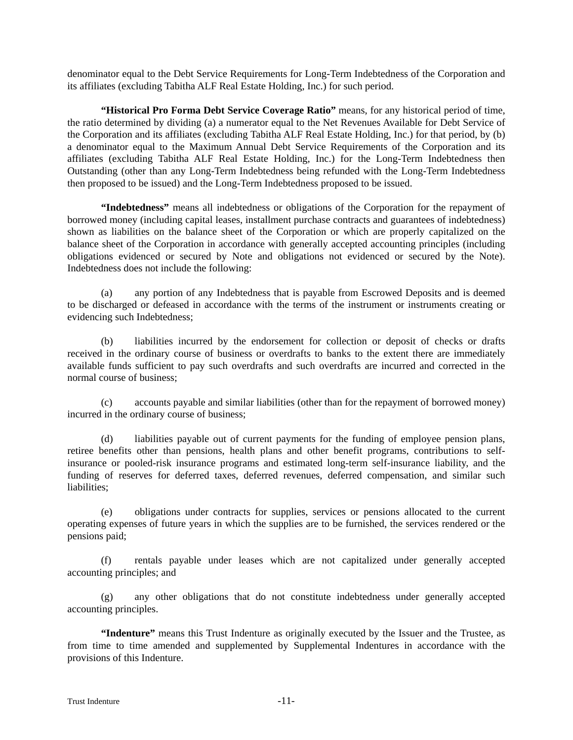denominator equal to the Debt Service Requirements for Long-Term Indebtedness of the Corporation and its affiliates (excluding Tabitha ALF Real Estate Holding, Inc.) for such period.

 **"Historical Pro Forma Debt Service Coverage Ratio"** means, for any historical period of time, the ratio determined by dividing (a) a numerator equal to the Net Revenues Available for Debt Service of the Corporation and its affiliates (excluding Tabitha ALF Real Estate Holding, Inc.) for that period, by (b) a denominator equal to the Maximum Annual Debt Service Requirements of the Corporation and its affiliates (excluding Tabitha ALF Real Estate Holding, Inc.) for the Long-Term Indebtedness then Outstanding (other than any Long-Term Indebtedness being refunded with the Long-Term Indebtedness then proposed to be issued) and the Long-Term Indebtedness proposed to be issued.

 **"Indebtedness"** means all indebtedness or obligations of the Corporation for the repayment of borrowed money (including capital leases, installment purchase contracts and guarantees of indebtedness) shown as liabilities on the balance sheet of the Corporation or which are properly capitalized on the balance sheet of the Corporation in accordance with generally accepted accounting principles (including obligations evidenced or secured by Note and obligations not evidenced or secured by the Note). Indebtedness does not include the following:

(a) any portion of any Indebtedness that is payable from Escrowed Deposits and is deemed to be discharged or defeased in accordance with the terms of the instrument or instruments creating or evidencing such Indebtedness;

(b) liabilities incurred by the endorsement for collection or deposit of checks or drafts received in the ordinary course of business or overdrafts to banks to the extent there are immediately available funds sufficient to pay such overdrafts and such overdrafts are incurred and corrected in the normal course of business;

(c) accounts payable and similar liabilities (other than for the repayment of borrowed money) incurred in the ordinary course of business;

(d) liabilities payable out of current payments for the funding of employee pension plans, retiree benefits other than pensions, health plans and other benefit programs, contributions to selfinsurance or pooled-risk insurance programs and estimated long-term self-insurance liability, and the funding of reserves for deferred taxes, deferred revenues, deferred compensation, and similar such liabilities;

(e) obligations under contracts for supplies, services or pensions allocated to the current operating expenses of future years in which the supplies are to be furnished, the services rendered or the pensions paid;

(f) rentals payable under leases which are not capitalized under generally accepted accounting principles; and

(g) any other obligations that do not constitute indebtedness under generally accepted accounting principles.

 **"Indenture"** means this Trust Indenture as originally executed by the Issuer and the Trustee, as from time to time amended and supplemented by Supplemental Indentures in accordance with the provisions of this Indenture.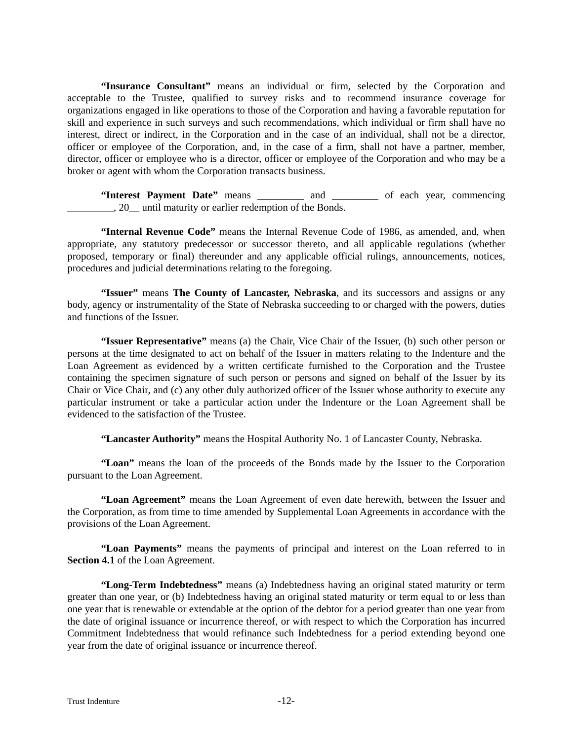**"Insurance Consultant"** means an individual or firm, selected by the Corporation and acceptable to the Trustee, qualified to survey risks and to recommend insurance coverage for organizations engaged in like operations to those of the Corporation and having a favorable reputation for skill and experience in such surveys and such recommendations, which individual or firm shall have no interest, direct or indirect, in the Corporation and in the case of an individual, shall not be a director, officer or employee of the Corporation, and, in the case of a firm, shall not have a partner, member, director, officer or employee who is a director, officer or employee of the Corporation and who may be a broker or agent with whom the Corporation transacts business.

**"Interest Payment Date"** means \_\_\_\_\_\_\_\_\_ and \_\_\_\_\_\_\_\_\_ of each year, commencing \_\_\_\_\_\_\_\_\_, 20\_\_ until maturity or earlier redemption of the Bonds.

 **"Internal Revenue Code"** means the Internal Revenue Code of 1986, as amended, and, when appropriate, any statutory predecessor or successor thereto, and all applicable regulations (whether proposed, temporary or final) thereunder and any applicable official rulings, announcements, notices, procedures and judicial determinations relating to the foregoing.

**"Issuer"** means **The County of Lancaster, Nebraska**, and its successors and assigns or any body, agency or instrumentality of the State of Nebraska succeeding to or charged with the powers, duties and functions of the Issuer.

 **"Issuer Representative"** means (a) the Chair, Vice Chair of the Issuer, (b) such other person or persons at the time designated to act on behalf of the Issuer in matters relating to the Indenture and the Loan Agreement as evidenced by a written certificate furnished to the Corporation and the Trustee containing the specimen signature of such person or persons and signed on behalf of the Issuer by its Chair or Vice Chair, and (c) any other duly authorized officer of the Issuer whose authority to execute any particular instrument or take a particular action under the Indenture or the Loan Agreement shall be evidenced to the satisfaction of the Trustee.

 **"Lancaster Authority"** means the Hospital Authority No. 1 of Lancaster County, Nebraska.

 **"Loan"** means the loan of the proceeds of the Bonds made by the Issuer to the Corporation pursuant to the Loan Agreement.

 **"Loan Agreement"** means the Loan Agreement of even date herewith, between the Issuer and the Corporation, as from time to time amended by Supplemental Loan Agreements in accordance with the provisions of the Loan Agreement.

 **"Loan Payments"** means the payments of principal and interest on the Loan referred to in **Section 4.1** of the Loan Agreement.

 **"Long-Term Indebtedness"** means (a) Indebtedness having an original stated maturity or term greater than one year, or (b) Indebtedness having an original stated maturity or term equal to or less than one year that is renewable or extendable at the option of the debtor for a period greater than one year from the date of original issuance or incurrence thereof, or with respect to which the Corporation has incurred Commitment Indebtedness that would refinance such Indebtedness for a period extending beyond one year from the date of original issuance or incurrence thereof.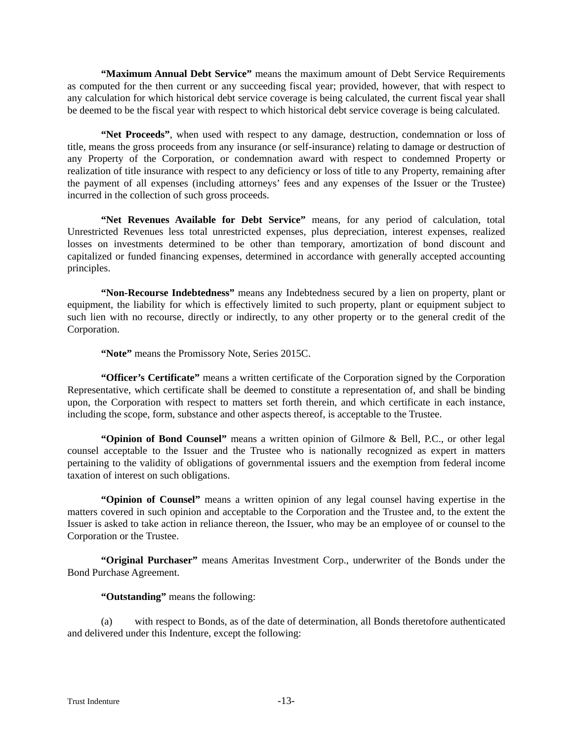**"Maximum Annual Debt Service"** means the maximum amount of Debt Service Requirements as computed for the then current or any succeeding fiscal year; provided, however, that with respect to any calculation for which historical debt service coverage is being calculated, the current fiscal year shall be deemed to be the fiscal year with respect to which historical debt service coverage is being calculated.

 **"Net Proceeds"**, when used with respect to any damage, destruction, condemnation or loss of title, means the gross proceeds from any insurance (or self-insurance) relating to damage or destruction of any Property of the Corporation, or condemnation award with respect to condemned Property or realization of title insurance with respect to any deficiency or loss of title to any Property, remaining after the payment of all expenses (including attorneys' fees and any expenses of the Issuer or the Trustee) incurred in the collection of such gross proceeds.

 **"Net Revenues Available for Debt Service"** means, for any period of calculation, total Unrestricted Revenues less total unrestricted expenses, plus depreciation, interest expenses, realized losses on investments determined to be other than temporary, amortization of bond discount and capitalized or funded financing expenses, determined in accordance with generally accepted accounting principles.

 **"Non-Recourse Indebtedness"** means any Indebtedness secured by a lien on property, plant or equipment, the liability for which is effectively limited to such property, plant or equipment subject to such lien with no recourse, directly or indirectly, to any other property or to the general credit of the Corporation.

 **"Note"** means the Promissory Note, Series 2015C.

 **"Officer's Certificate"** means a written certificate of the Corporation signed by the Corporation Representative, which certificate shall be deemed to constitute a representation of, and shall be binding upon, the Corporation with respect to matters set forth therein, and which certificate in each instance, including the scope, form, substance and other aspects thereof, is acceptable to the Trustee.

 **"Opinion of Bond Counsel"** means a written opinion of Gilmore & Bell, P.C., or other legal counsel acceptable to the Issuer and the Trustee who is nationally recognized as expert in matters pertaining to the validity of obligations of governmental issuers and the exemption from federal income taxation of interest on such obligations.

 **"Opinion of Counsel"** means a written opinion of any legal counsel having expertise in the matters covered in such opinion and acceptable to the Corporation and the Trustee and, to the extent the Issuer is asked to take action in reliance thereon, the Issuer, who may be an employee of or counsel to the Corporation or the Trustee.

 **"Original Purchaser"** means Ameritas Investment Corp., underwriter of the Bonds under the Bond Purchase Agreement.

 **"Outstanding"** means the following:

(a) with respect to Bonds, as of the date of determination, all Bonds theretofore authenticated and delivered under this Indenture, except the following: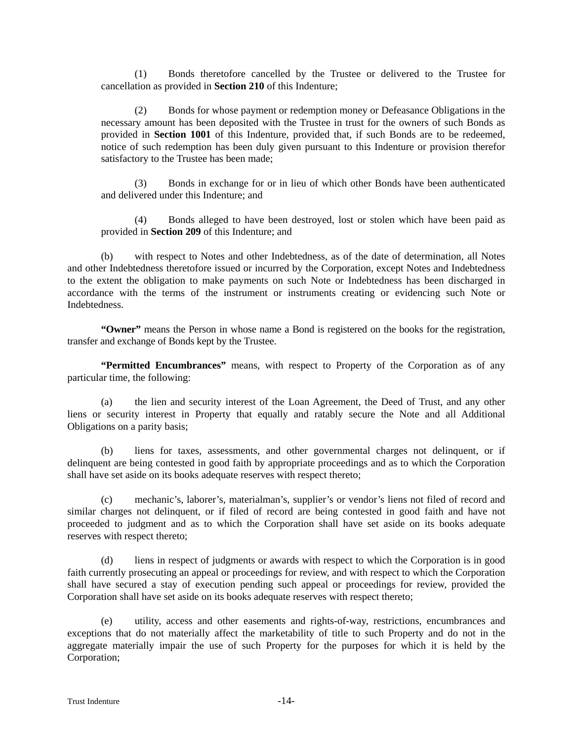(1) Bonds theretofore cancelled by the Trustee or delivered to the Trustee for cancellation as provided in **Section 210** of this Indenture;

(2) Bonds for whose payment or redemption money or Defeasance Obligations in the necessary amount has been deposited with the Trustee in trust for the owners of such Bonds as provided in **Section 1001** of this Indenture, provided that, if such Bonds are to be redeemed, notice of such redemption has been duly given pursuant to this Indenture or provision therefor satisfactory to the Trustee has been made;

(3) Bonds in exchange for or in lieu of which other Bonds have been authenticated and delivered under this Indenture; and

(4) Bonds alleged to have been destroyed, lost or stolen which have been paid as provided in **Section 209** of this Indenture; and

(b) with respect to Notes and other Indebtedness, as of the date of determination, all Notes and other Indebtedness theretofore issued or incurred by the Corporation, except Notes and Indebtedness to the extent the obligation to make payments on such Note or Indebtedness has been discharged in accordance with the terms of the instrument or instruments creating or evidencing such Note or Indebtedness.

 **"Owner"** means the Person in whose name a Bond is registered on the books for the registration, transfer and exchange of Bonds kept by the Trustee.

 **"Permitted Encumbrances"** means, with respect to Property of the Corporation as of any particular time, the following:

(a) the lien and security interest of the Loan Agreement, the Deed of Trust, and any other liens or security interest in Property that equally and ratably secure the Note and all Additional Obligations on a parity basis;

(b) liens for taxes, assessments, and other governmental charges not delinquent, or if delinquent are being contested in good faith by appropriate proceedings and as to which the Corporation shall have set aside on its books adequate reserves with respect thereto;

(c) mechanic's, laborer's, materialman's, supplier's or vendor's liens not filed of record and similar charges not delinquent, or if filed of record are being contested in good faith and have not proceeded to judgment and as to which the Corporation shall have set aside on its books adequate reserves with respect thereto;

(d) liens in respect of judgments or awards with respect to which the Corporation is in good faith currently prosecuting an appeal or proceedings for review, and with respect to which the Corporation shall have secured a stay of execution pending such appeal or proceedings for review, provided the Corporation shall have set aside on its books adequate reserves with respect thereto;

(e) utility, access and other easements and rights-of-way, restrictions, encumbrances and exceptions that do not materially affect the marketability of title to such Property and do not in the aggregate materially impair the use of such Property for the purposes for which it is held by the Corporation;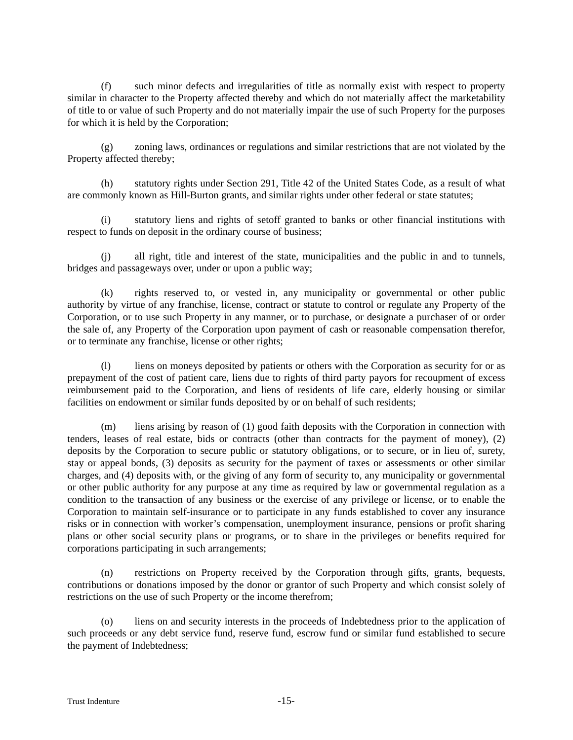(f) such minor defects and irregularities of title as normally exist with respect to property similar in character to the Property affected thereby and which do not materially affect the marketability of title to or value of such Property and do not materially impair the use of such Property for the purposes for which it is held by the Corporation;

(g) zoning laws, ordinances or regulations and similar restrictions that are not violated by the Property affected thereby;

(h) statutory rights under Section 291, Title 42 of the United States Code, as a result of what are commonly known as Hill-Burton grants, and similar rights under other federal or state statutes;

(i) statutory liens and rights of setoff granted to banks or other financial institutions with respect to funds on deposit in the ordinary course of business;

(j) all right, title and interest of the state, municipalities and the public in and to tunnels, bridges and passageways over, under or upon a public way;

(k) rights reserved to, or vested in, any municipality or governmental or other public authority by virtue of any franchise, license, contract or statute to control or regulate any Property of the Corporation, or to use such Property in any manner, or to purchase, or designate a purchaser of or order the sale of, any Property of the Corporation upon payment of cash or reasonable compensation therefor, or to terminate any franchise, license or other rights;

(l) liens on moneys deposited by patients or others with the Corporation as security for or as prepayment of the cost of patient care, liens due to rights of third party payors for recoupment of excess reimbursement paid to the Corporation, and liens of residents of life care, elderly housing or similar facilities on endowment or similar funds deposited by or on behalf of such residents;

(m) liens arising by reason of (1) good faith deposits with the Corporation in connection with tenders, leases of real estate, bids or contracts (other than contracts for the payment of money), (2) deposits by the Corporation to secure public or statutory obligations, or to secure, or in lieu of, surety, stay or appeal bonds, (3) deposits as security for the payment of taxes or assessments or other similar charges, and (4) deposits with, or the giving of any form of security to, any municipality or governmental or other public authority for any purpose at any time as required by law or governmental regulation as a condition to the transaction of any business or the exercise of any privilege or license, or to enable the Corporation to maintain self-insurance or to participate in any funds established to cover any insurance risks or in connection with worker's compensation, unemployment insurance, pensions or profit sharing plans or other social security plans or programs, or to share in the privileges or benefits required for corporations participating in such arrangements;

(n) restrictions on Property received by the Corporation through gifts, grants, bequests, contributions or donations imposed by the donor or grantor of such Property and which consist solely of restrictions on the use of such Property or the income therefrom;

(o) liens on and security interests in the proceeds of Indebtedness prior to the application of such proceeds or any debt service fund, reserve fund, escrow fund or similar fund established to secure the payment of Indebtedness;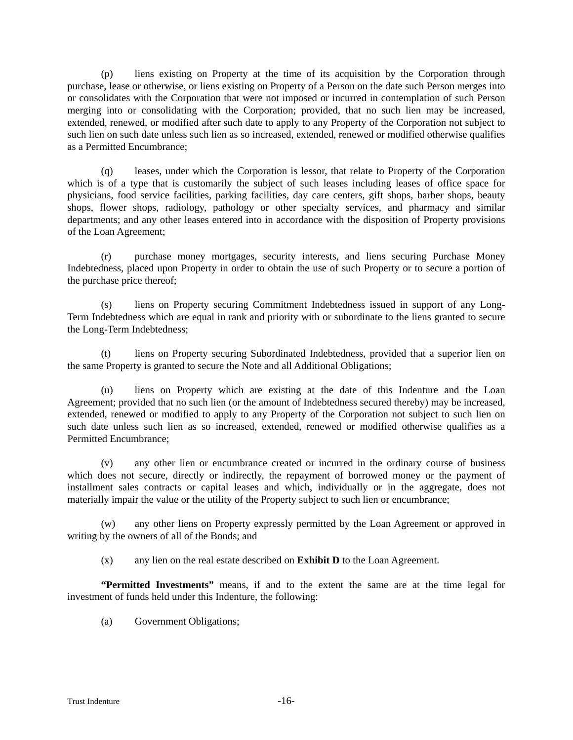(p) liens existing on Property at the time of its acquisition by the Corporation through purchase, lease or otherwise, or liens existing on Property of a Person on the date such Person merges into or consolidates with the Corporation that were not imposed or incurred in contemplation of such Person merging into or consolidating with the Corporation; provided, that no such lien may be increased, extended, renewed, or modified after such date to apply to any Property of the Corporation not subject to such lien on such date unless such lien as so increased, extended, renewed or modified otherwise qualifies as a Permitted Encumbrance;

(q) leases, under which the Corporation is lessor, that relate to Property of the Corporation which is of a type that is customarily the subject of such leases including leases of office space for physicians, food service facilities, parking facilities, day care centers, gift shops, barber shops, beauty shops, flower shops, radiology, pathology or other specialty services, and pharmacy and similar departments; and any other leases entered into in accordance with the disposition of Property provisions of the Loan Agreement;

(r) purchase money mortgages, security interests, and liens securing Purchase Money Indebtedness, placed upon Property in order to obtain the use of such Property or to secure a portion of the purchase price thereof;

(s) liens on Property securing Commitment Indebtedness issued in support of any Long-Term Indebtedness which are equal in rank and priority with or subordinate to the liens granted to secure the Long-Term Indebtedness;

(t) liens on Property securing Subordinated Indebtedness, provided that a superior lien on the same Property is granted to secure the Note and all Additional Obligations;

(u) liens on Property which are existing at the date of this Indenture and the Loan Agreement; provided that no such lien (or the amount of Indebtedness secured thereby) may be increased, extended, renewed or modified to apply to any Property of the Corporation not subject to such lien on such date unless such lien as so increased, extended, renewed or modified otherwise qualifies as a Permitted Encumbrance;

(v) any other lien or encumbrance created or incurred in the ordinary course of business which does not secure, directly or indirectly, the repayment of borrowed money or the payment of installment sales contracts or capital leases and which, individually or in the aggregate, does not materially impair the value or the utility of the Property subject to such lien or encumbrance;

(w) any other liens on Property expressly permitted by the Loan Agreement or approved in writing by the owners of all of the Bonds; and

(x) any lien on the real estate described on **Exhibit D** to the Loan Agreement.

 **"Permitted Investments"** means, if and to the extent the same are at the time legal for investment of funds held under this Indenture, the following:

(a) Government Obligations;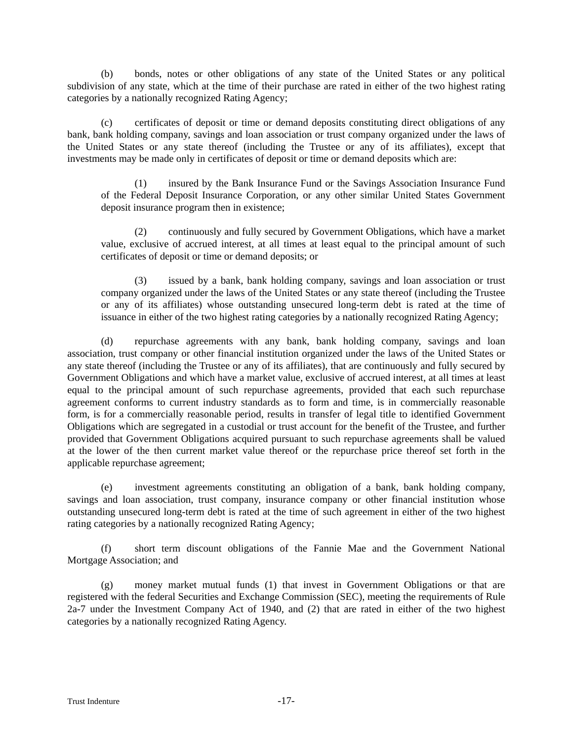(b) bonds, notes or other obligations of any state of the United States or any political subdivision of any state, which at the time of their purchase are rated in either of the two highest rating categories by a nationally recognized Rating Agency;

(c) certificates of deposit or time or demand deposits constituting direct obligations of any bank, bank holding company, savings and loan association or trust company organized under the laws of the United States or any state thereof (including the Trustee or any of its affiliates), except that investments may be made only in certificates of deposit or time or demand deposits which are:

(1) insured by the Bank Insurance Fund or the Savings Association Insurance Fund of the Federal Deposit Insurance Corporation, or any other similar United States Government deposit insurance program then in existence;

(2) continuously and fully secured by Government Obligations, which have a market value, exclusive of accrued interest, at all times at least equal to the principal amount of such certificates of deposit or time or demand deposits; or

(3) issued by a bank, bank holding company, savings and loan association or trust company organized under the laws of the United States or any state thereof (including the Trustee or any of its affiliates) whose outstanding unsecured long-term debt is rated at the time of issuance in either of the two highest rating categories by a nationally recognized Rating Agency;

(d) repurchase agreements with any bank, bank holding company, savings and loan association, trust company or other financial institution organized under the laws of the United States or any state thereof (including the Trustee or any of its affiliates), that are continuously and fully secured by Government Obligations and which have a market value, exclusive of accrued interest, at all times at least equal to the principal amount of such repurchase agreements, provided that each such repurchase agreement conforms to current industry standards as to form and time, is in commercially reasonable form, is for a commercially reasonable period, results in transfer of legal title to identified Government Obligations which are segregated in a custodial or trust account for the benefit of the Trustee, and further provided that Government Obligations acquired pursuant to such repurchase agreements shall be valued at the lower of the then current market value thereof or the repurchase price thereof set forth in the applicable repurchase agreement;

(e) investment agreements constituting an obligation of a bank, bank holding company, savings and loan association, trust company, insurance company or other financial institution whose outstanding unsecured long-term debt is rated at the time of such agreement in either of the two highest rating categories by a nationally recognized Rating Agency;

(f) short term discount obligations of the Fannie Mae and the Government National Mortgage Association; and

(g) money market mutual funds (1) that invest in Government Obligations or that are registered with the federal Securities and Exchange Commission (SEC), meeting the requirements of Rule 2a-7 under the Investment Company Act of 1940, and (2) that are rated in either of the two highest categories by a nationally recognized Rating Agency.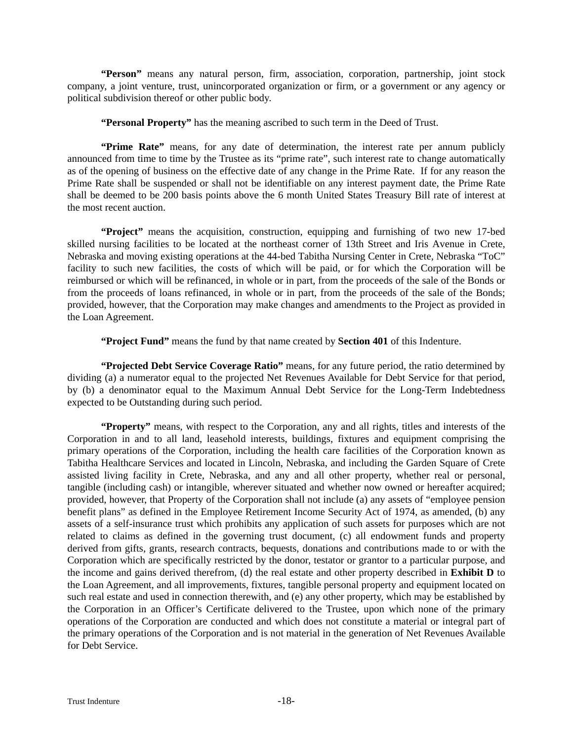**"Person"** means any natural person, firm, association, corporation, partnership, joint stock company, a joint venture, trust, unincorporated organization or firm, or a government or any agency or political subdivision thereof or other public body.

**"Personal Property"** has the meaning ascribed to such term in the Deed of Trust.

 **"Prime Rate"** means, for any date of determination, the interest rate per annum publicly announced from time to time by the Trustee as its "prime rate", such interest rate to change automatically as of the opening of business on the effective date of any change in the Prime Rate. If for any reason the Prime Rate shall be suspended or shall not be identifiable on any interest payment date, the Prime Rate shall be deemed to be 200 basis points above the 6 month United States Treasury Bill rate of interest at the most recent auction.

**"Project"** means the acquisition, construction, equipping and furnishing of two new 17-bed skilled nursing facilities to be located at the northeast corner of 13th Street and Iris Avenue in Crete, Nebraska and moving existing operations at the 44-bed Tabitha Nursing Center in Crete, Nebraska "ToC" facility to such new facilities, the costs of which will be paid, or for which the Corporation will be reimbursed or which will be refinanced, in whole or in part, from the proceeds of the sale of the Bonds or from the proceeds of loans refinanced, in whole or in part, from the proceeds of the sale of the Bonds; provided, however, that the Corporation may make changes and amendments to the Project as provided in the Loan Agreement.

 **"Project Fund"** means the fund by that name created by **Section 401** of this Indenture.

 **"Projected Debt Service Coverage Ratio"** means, for any future period, the ratio determined by dividing (a) a numerator equal to the projected Net Revenues Available for Debt Service for that period, by (b) a denominator equal to the Maximum Annual Debt Service for the Long-Term Indebtedness expected to be Outstanding during such period.

 **"Property"** means, with respect to the Corporation, any and all rights, titles and interests of the Corporation in and to all land, leasehold interests, buildings, fixtures and equipment comprising the primary operations of the Corporation, including the health care facilities of the Corporation known as Tabitha Healthcare Services and located in Lincoln, Nebraska, and including the Garden Square of Crete assisted living facility in Crete, Nebraska, and any and all other property, whether real or personal, tangible (including cash) or intangible, wherever situated and whether now owned or hereafter acquired; provided, however, that Property of the Corporation shall not include (a) any assets of "employee pension benefit plans" as defined in the Employee Retirement Income Security Act of 1974, as amended, (b) any assets of a self-insurance trust which prohibits any application of such assets for purposes which are not related to claims as defined in the governing trust document, (c) all endowment funds and property derived from gifts, grants, research contracts, bequests, donations and contributions made to or with the Corporation which are specifically restricted by the donor, testator or grantor to a particular purpose, and the income and gains derived therefrom, (d) the real estate and other property described in **Exhibit D** to the Loan Agreement, and all improvements, fixtures, tangible personal property and equipment located on such real estate and used in connection therewith, and (e) any other property, which may be established by the Corporation in an Officer's Certificate delivered to the Trustee, upon which none of the primary operations of the Corporation are conducted and which does not constitute a material or integral part of the primary operations of the Corporation and is not material in the generation of Net Revenues Available for Debt Service.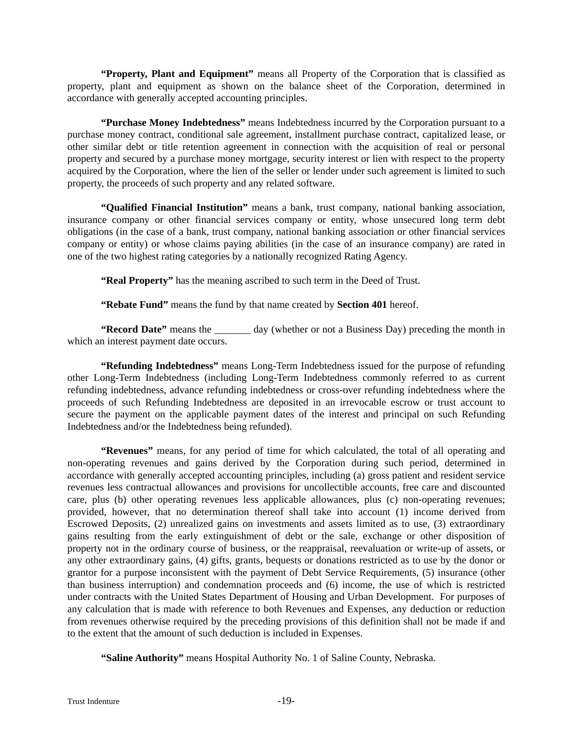**"Property, Plant and Equipment"** means all Property of the Corporation that is classified as property, plant and equipment as shown on the balance sheet of the Corporation, determined in accordance with generally accepted accounting principles.

 **"Purchase Money Indebtedness"** means Indebtedness incurred by the Corporation pursuant to a purchase money contract, conditional sale agreement, installment purchase contract, capitalized lease, or other similar debt or title retention agreement in connection with the acquisition of real or personal property and secured by a purchase money mortgage, security interest or lien with respect to the property acquired by the Corporation, where the lien of the seller or lender under such agreement is limited to such property, the proceeds of such property and any related software.

 **"Qualified Financial Institution"** means a bank, trust company, national banking association, insurance company or other financial services company or entity, whose unsecured long term debt obligations (in the case of a bank, trust company, national banking association or other financial services company or entity) or whose claims paying abilities (in the case of an insurance company) are rated in one of the two highest rating categories by a nationally recognized Rating Agency.

**"Real Property"** has the meaning ascribed to such term in the Deed of Trust.

 **"Rebate Fund"** means the fund by that name created by **Section 401** hereof.

**"Record Date"** means the day (whether or not a Business Day) preceding the month in which an interest payment date occurs.

 **"Refunding Indebtedness"** means Long-Term Indebtedness issued for the purpose of refunding other Long-Term Indebtedness (including Long-Term Indebtedness commonly referred to as current refunding indebtedness, advance refunding indebtedness or cross-over refunding indebtedness where the proceeds of such Refunding Indebtedness are deposited in an irrevocable escrow or trust account to secure the payment on the applicable payment dates of the interest and principal on such Refunding Indebtedness and/or the Indebtedness being refunded).

 **"Revenues"** means, for any period of time for which calculated, the total of all operating and non-operating revenues and gains derived by the Corporation during such period, determined in accordance with generally accepted accounting principles, including (a) gross patient and resident service revenues less contractual allowances and provisions for uncollectible accounts, free care and discounted care, plus (b) other operating revenues less applicable allowances, plus (c) non-operating revenues; provided, however, that no determination thereof shall take into account (1) income derived from Escrowed Deposits, (2) unrealized gains on investments and assets limited as to use, (3) extraordinary gains resulting from the early extinguishment of debt or the sale, exchange or other disposition of property not in the ordinary course of business, or the reappraisal, reevaluation or write-up of assets, or any other extraordinary gains, (4) gifts, grants, bequests or donations restricted as to use by the donor or grantor for a purpose inconsistent with the payment of Debt Service Requirements, (5) insurance (other than business interruption) and condemnation proceeds and (6) income, the use of which is restricted under contracts with the United States Department of Housing and Urban Development. For purposes of any calculation that is made with reference to both Revenues and Expenses, any deduction or reduction from revenues otherwise required by the preceding provisions of this definition shall not be made if and to the extent that the amount of such deduction is included in Expenses.

**"Saline Authority"** means Hospital Authority No. 1 of Saline County, Nebraska.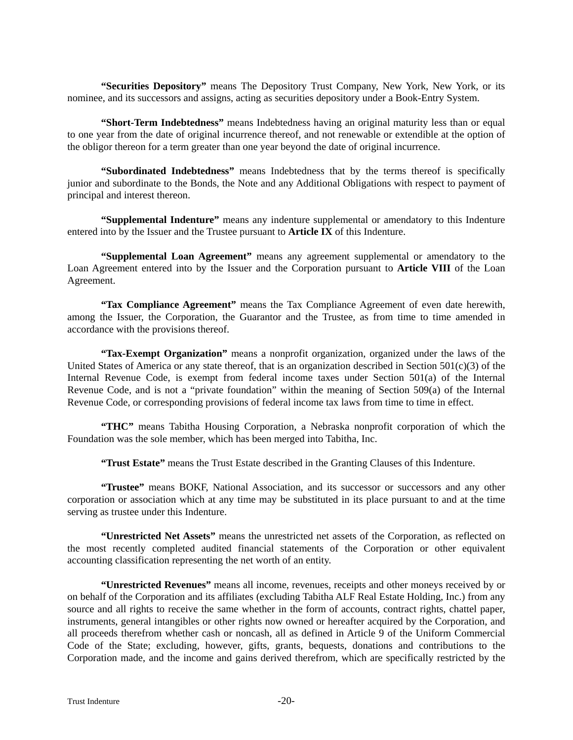**"Securities Depository"** means The Depository Trust Company, New York, New York, or its nominee, and its successors and assigns, acting as securities depository under a Book-Entry System.

**"Short-Term Indebtedness"** means Indebtedness having an original maturity less than or equal to one year from the date of original incurrence thereof, and not renewable or extendible at the option of the obligor thereon for a term greater than one year beyond the date of original incurrence.

 **"Subordinated Indebtedness"** means Indebtedness that by the terms thereof is specifically junior and subordinate to the Bonds, the Note and any Additional Obligations with respect to payment of principal and interest thereon.

 **"Supplemental Indenture"** means any indenture supplemental or amendatory to this Indenture entered into by the Issuer and the Trustee pursuant to **Article IX** of this Indenture.

 **"Supplemental Loan Agreement"** means any agreement supplemental or amendatory to the Loan Agreement entered into by the Issuer and the Corporation pursuant to **Article VIII** of the Loan Agreement.

 **"Tax Compliance Agreement"** means the Tax Compliance Agreement of even date herewith, among the Issuer, the Corporation, the Guarantor and the Trustee, as from time to time amended in accordance with the provisions thereof.

 **"Tax-Exempt Organization"** means a nonprofit organization, organized under the laws of the United States of America or any state thereof, that is an organization described in Section 501(c)(3) of the Internal Revenue Code, is exempt from federal income taxes under Section 501(a) of the Internal Revenue Code, and is not a "private foundation" within the meaning of Section 509(a) of the Internal Revenue Code, or corresponding provisions of federal income tax laws from time to time in effect.

**"THC"** means Tabitha Housing Corporation, a Nebraska nonprofit corporation of which the Foundation was the sole member, which has been merged into Tabitha, Inc.

 **"Trust Estate"** means the Trust Estate described in the Granting Clauses of this Indenture.

 **"Trustee"** means BOKF, National Association, and its successor or successors and any other corporation or association which at any time may be substituted in its place pursuant to and at the time serving as trustee under this Indenture.

 **"Unrestricted Net Assets"** means the unrestricted net assets of the Corporation, as reflected on the most recently completed audited financial statements of the Corporation or other equivalent accounting classification representing the net worth of an entity.

 **"Unrestricted Revenues"** means all income, revenues, receipts and other moneys received by or on behalf of the Corporation and its affiliates (excluding Tabitha ALF Real Estate Holding, Inc.) from any source and all rights to receive the same whether in the form of accounts, contract rights, chattel paper, instruments, general intangibles or other rights now owned or hereafter acquired by the Corporation, and all proceeds therefrom whether cash or noncash, all as defined in Article 9 of the Uniform Commercial Code of the State; excluding, however, gifts, grants, bequests, donations and contributions to the Corporation made, and the income and gains derived therefrom, which are specifically restricted by the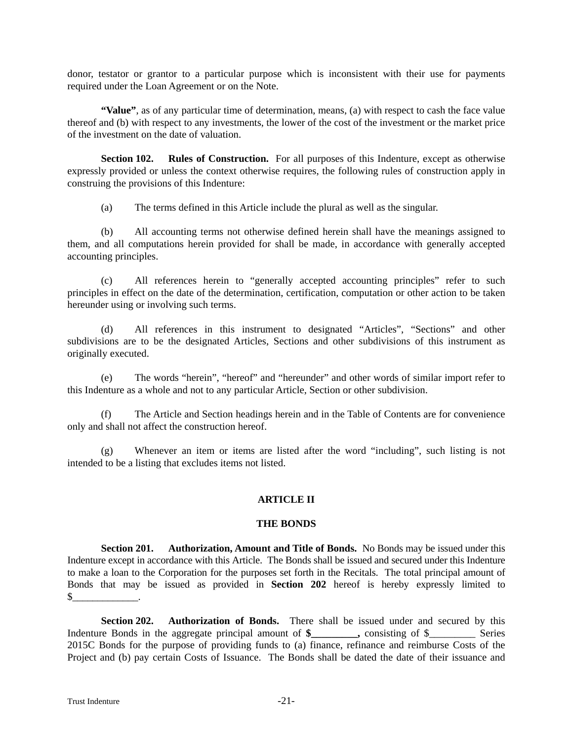donor, testator or grantor to a particular purpose which is inconsistent with their use for payments required under the Loan Agreement or on the Note.

 **"Value"**, as of any particular time of determination, means, (a) with respect to cash the face value thereof and (b) with respect to any investments, the lower of the cost of the investment or the market price of the investment on the date of valuation.

 **Section 102. Rules of Construction.** For all purposes of this Indenture, except as otherwise expressly provided or unless the context otherwise requires, the following rules of construction apply in construing the provisions of this Indenture:

(a) The terms defined in this Article include the plural as well as the singular.

(b) All accounting terms not otherwise defined herein shall have the meanings assigned to them, and all computations herein provided for shall be made, in accordance with generally accepted accounting principles.

(c) All references herein to "generally accepted accounting principles" refer to such principles in effect on the date of the determination, certification, computation or other action to be taken hereunder using or involving such terms.

(d) All references in this instrument to designated "Articles", "Sections" and other subdivisions are to be the designated Articles, Sections and other subdivisions of this instrument as originally executed.

(e) The words "herein", "hereof" and "hereunder" and other words of similar import refer to this Indenture as a whole and not to any particular Article, Section or other subdivision.

(f) The Article and Section headings herein and in the Table of Contents are for convenience only and shall not affect the construction hereof.

(g) Whenever an item or items are listed after the word "including", such listing is not intended to be a listing that excludes items not listed.

# **ARTICLE II**

## **THE BONDS**

**Section 201.** Authorization, Amount and Title of Bonds. No Bonds may be issued under this Indenture except in accordance with this Article. The Bonds shall be issued and secured under this Indenture to make a loan to the Corporation for the purposes set forth in the Recitals. The total principal amount of Bonds that may be issued as provided in **Section 202** hereof is hereby expressly limited to  $\mathbb S$  .

**Section 202.** Authorization of Bonds. There shall be issued under and secured by this Indenture Bonds in the aggregate principal amount of \$ consisting of \$ Series 2015C Bonds for the purpose of providing funds to (a) finance, refinance and reimburse Costs of the Project and (b) pay certain Costs of Issuance. The Bonds shall be dated the date of their issuance and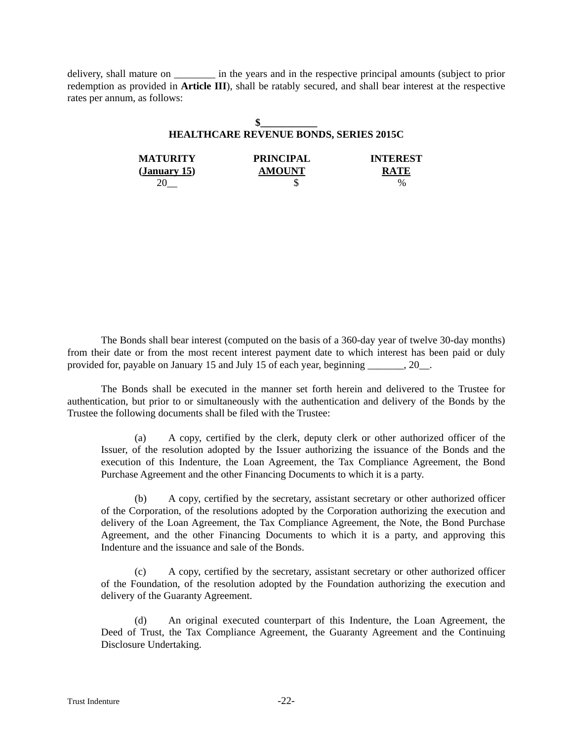delivery, shall mature on \_\_\_\_\_\_\_\_ in the years and in the respective principal amounts (subject to prior redemption as provided in **Article III**), shall be ratably secured, and shall bear interest at the respective rates per annum, as follows:

## **\$\_\_\_\_\_\_\_\_\_\_\_ HEALTHCARE REVENUE BONDS, SERIES 2015C**

| MATURITY     | <b>PRINCIPAL</b> | <b>INTEREST</b> |
|--------------|------------------|-----------------|
| (January 15) | <b>AMOUNT</b>    | <b>RATE</b>     |
| 20           |                  | $\%$            |

 The Bonds shall bear interest (computed on the basis of a 360-day year of twelve 30-day months) from their date or from the most recent interest payment date to which interest has been paid or duly provided for, payable on January 15 and July 15 of each year, beginning \_\_\_\_\_\_\_, 20\_\_.

 The Bonds shall be executed in the manner set forth herein and delivered to the Trustee for authentication, but prior to or simultaneously with the authentication and delivery of the Bonds by the Trustee the following documents shall be filed with the Trustee:

 (a) A copy, certified by the clerk, deputy clerk or other authorized officer of the Issuer, of the resolution adopted by the Issuer authorizing the issuance of the Bonds and the execution of this Indenture, the Loan Agreement, the Tax Compliance Agreement, the Bond Purchase Agreement and the other Financing Documents to which it is a party.

 (b) A copy, certified by the secretary, assistant secretary or other authorized officer of the Corporation, of the resolutions adopted by the Corporation authorizing the execution and delivery of the Loan Agreement, the Tax Compliance Agreement, the Note, the Bond Purchase Agreement, and the other Financing Documents to which it is a party, and approving this Indenture and the issuance and sale of the Bonds.

 (c) A copy, certified by the secretary, assistant secretary or other authorized officer of the Foundation, of the resolution adopted by the Foundation authorizing the execution and delivery of the Guaranty Agreement.

 (d) An original executed counterpart of this Indenture, the Loan Agreement, the Deed of Trust, the Tax Compliance Agreement, the Guaranty Agreement and the Continuing Disclosure Undertaking.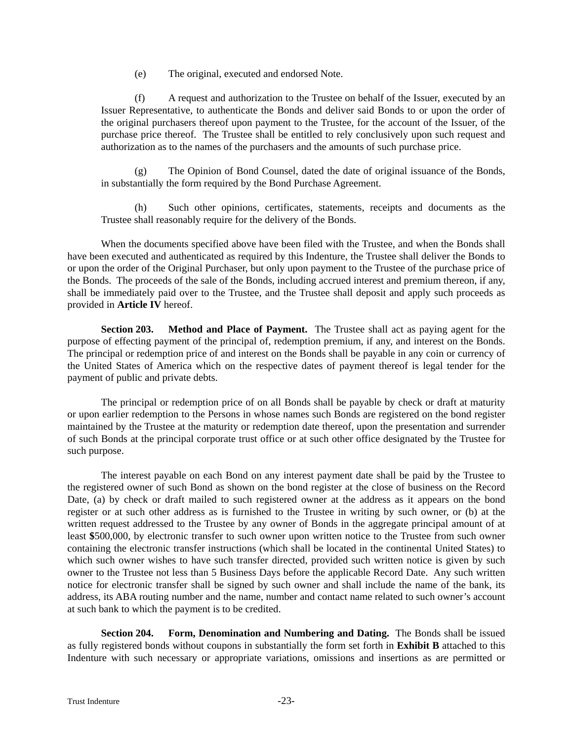(e) The original, executed and endorsed Note.

 (f) A request and authorization to the Trustee on behalf of the Issuer, executed by an Issuer Representative, to authenticate the Bonds and deliver said Bonds to or upon the order of the original purchasers thereof upon payment to the Trustee, for the account of the Issuer, of the purchase price thereof. The Trustee shall be entitled to rely conclusively upon such request and authorization as to the names of the purchasers and the amounts of such purchase price.

 (g) The Opinion of Bond Counsel, dated the date of original issuance of the Bonds, in substantially the form required by the Bond Purchase Agreement.

 (h) Such other opinions, certificates, statements, receipts and documents as the Trustee shall reasonably require for the delivery of the Bonds.

 When the documents specified above have been filed with the Trustee, and when the Bonds shall have been executed and authenticated as required by this Indenture, the Trustee shall deliver the Bonds to or upon the order of the Original Purchaser, but only upon payment to the Trustee of the purchase price of the Bonds. The proceeds of the sale of the Bonds, including accrued interest and premium thereon, if any, shall be immediately paid over to the Trustee, and the Trustee shall deposit and apply such proceeds as provided in **Article IV** hereof.

**Section 203.** Method and Place of Payment. The Trustee shall act as paying agent for the purpose of effecting payment of the principal of, redemption premium, if any, and interest on the Bonds. The principal or redemption price of and interest on the Bonds shall be payable in any coin or currency of the United States of America which on the respective dates of payment thereof is legal tender for the payment of public and private debts.

 The principal or redemption price of on all Bonds shall be payable by check or draft at maturity or upon earlier redemption to the Persons in whose names such Bonds are registered on the bond register maintained by the Trustee at the maturity or redemption date thereof, upon the presentation and surrender of such Bonds at the principal corporate trust office or at such other office designated by the Trustee for such purpose.

 The interest payable on each Bond on any interest payment date shall be paid by the Trustee to the registered owner of such Bond as shown on the bond register at the close of business on the Record Date, (a) by check or draft mailed to such registered owner at the address as it appears on the bond register or at such other address as is furnished to the Trustee in writing by such owner, or (b) at the written request addressed to the Trustee by any owner of Bonds in the aggregate principal amount of at least **\$**500,000, by electronic transfer to such owner upon written notice to the Trustee from such owner containing the electronic transfer instructions (which shall be located in the continental United States) to which such owner wishes to have such transfer directed, provided such written notice is given by such owner to the Trustee not less than 5 Business Days before the applicable Record Date. Any such written notice for electronic transfer shall be signed by such owner and shall include the name of the bank, its address, its ABA routing number and the name, number and contact name related to such owner's account at such bank to which the payment is to be credited.

 **Section 204. Form, Denomination and Numbering and Dating.** The Bonds shall be issued as fully registered bonds without coupons in substantially the form set forth in **Exhibit B** attached to this Indenture with such necessary or appropriate variations, omissions and insertions as are permitted or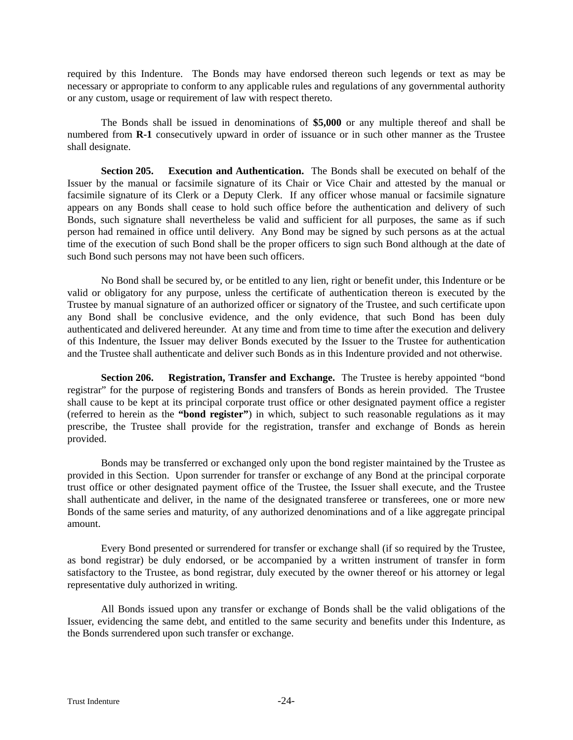required by this Indenture. The Bonds may have endorsed thereon such legends or text as may be necessary or appropriate to conform to any applicable rules and regulations of any governmental authority or any custom, usage or requirement of law with respect thereto.

 The Bonds shall be issued in denominations of **\$5,000** or any multiple thereof and shall be numbered from **R-1** consecutively upward in order of issuance or in such other manner as the Trustee shall designate.

 **Section 205. Execution and Authentication.** The Bonds shall be executed on behalf of the Issuer by the manual or facsimile signature of its Chair or Vice Chair and attested by the manual or facsimile signature of its Clerk or a Deputy Clerk. If any officer whose manual or facsimile signature appears on any Bonds shall cease to hold such office before the authentication and delivery of such Bonds, such signature shall nevertheless be valid and sufficient for all purposes, the same as if such person had remained in office until delivery. Any Bond may be signed by such persons as at the actual time of the execution of such Bond shall be the proper officers to sign such Bond although at the date of such Bond such persons may not have been such officers.

 No Bond shall be secured by, or be entitled to any lien, right or benefit under, this Indenture or be valid or obligatory for any purpose, unless the certificate of authentication thereon is executed by the Trustee by manual signature of an authorized officer or signatory of the Trustee, and such certificate upon any Bond shall be conclusive evidence, and the only evidence, that such Bond has been duly authenticated and delivered hereunder. At any time and from time to time after the execution and delivery of this Indenture, the Issuer may deliver Bonds executed by the Issuer to the Trustee for authentication and the Trustee shall authenticate and deliver such Bonds as in this Indenture provided and not otherwise.

 **Section 206. Registration, Transfer and Exchange.** The Trustee is hereby appointed "bond registrar" for the purpose of registering Bonds and transfers of Bonds as herein provided. The Trustee shall cause to be kept at its principal corporate trust office or other designated payment office a register (referred to herein as the **"bond register"**) in which, subject to such reasonable regulations as it may prescribe, the Trustee shall provide for the registration, transfer and exchange of Bonds as herein provided.

 Bonds may be transferred or exchanged only upon the bond register maintained by the Trustee as provided in this Section. Upon surrender for transfer or exchange of any Bond at the principal corporate trust office or other designated payment office of the Trustee, the Issuer shall execute, and the Trustee shall authenticate and deliver, in the name of the designated transferee or transferees, one or more new Bonds of the same series and maturity, of any authorized denominations and of a like aggregate principal amount.

 Every Bond presented or surrendered for transfer or exchange shall (if so required by the Trustee, as bond registrar) be duly endorsed, or be accompanied by a written instrument of transfer in form satisfactory to the Trustee, as bond registrar, duly executed by the owner thereof or his attorney or legal representative duly authorized in writing.

 All Bonds issued upon any transfer or exchange of Bonds shall be the valid obligations of the Issuer, evidencing the same debt, and entitled to the same security and benefits under this Indenture, as the Bonds surrendered upon such transfer or exchange.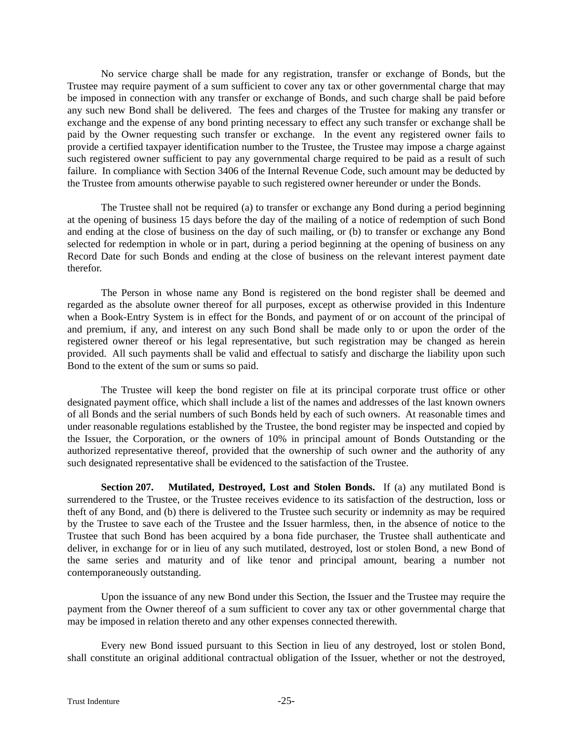No service charge shall be made for any registration, transfer or exchange of Bonds, but the Trustee may require payment of a sum sufficient to cover any tax or other governmental charge that may be imposed in connection with any transfer or exchange of Bonds, and such charge shall be paid before any such new Bond shall be delivered. The fees and charges of the Trustee for making any transfer or exchange and the expense of any bond printing necessary to effect any such transfer or exchange shall be paid by the Owner requesting such transfer or exchange. In the event any registered owner fails to provide a certified taxpayer identification number to the Trustee, the Trustee may impose a charge against such registered owner sufficient to pay any governmental charge required to be paid as a result of such failure. In compliance with Section 3406 of the Internal Revenue Code, such amount may be deducted by the Trustee from amounts otherwise payable to such registered owner hereunder or under the Bonds.

 The Trustee shall not be required (a) to transfer or exchange any Bond during a period beginning at the opening of business 15 days before the day of the mailing of a notice of redemption of such Bond and ending at the close of business on the day of such mailing, or (b) to transfer or exchange any Bond selected for redemption in whole or in part, during a period beginning at the opening of business on any Record Date for such Bonds and ending at the close of business on the relevant interest payment date therefor.

 The Person in whose name any Bond is registered on the bond register shall be deemed and regarded as the absolute owner thereof for all purposes, except as otherwise provided in this Indenture when a Book-Entry System is in effect for the Bonds, and payment of or on account of the principal of and premium, if any, and interest on any such Bond shall be made only to or upon the order of the registered owner thereof or his legal representative, but such registration may be changed as herein provided. All such payments shall be valid and effectual to satisfy and discharge the liability upon such Bond to the extent of the sum or sums so paid.

 The Trustee will keep the bond register on file at its principal corporate trust office or other designated payment office, which shall include a list of the names and addresses of the last known owners of all Bonds and the serial numbers of such Bonds held by each of such owners. At reasonable times and under reasonable regulations established by the Trustee, the bond register may be inspected and copied by the Issuer, the Corporation, or the owners of 10% in principal amount of Bonds Outstanding or the authorized representative thereof, provided that the ownership of such owner and the authority of any such designated representative shall be evidenced to the satisfaction of the Trustee.

 **Section 207. Mutilated, Destroyed, Lost and Stolen Bonds.** If (a) any mutilated Bond is surrendered to the Trustee, or the Trustee receives evidence to its satisfaction of the destruction, loss or theft of any Bond, and (b) there is delivered to the Trustee such security or indemnity as may be required by the Trustee to save each of the Trustee and the Issuer harmless, then, in the absence of notice to the Trustee that such Bond has been acquired by a bona fide purchaser, the Trustee shall authenticate and deliver, in exchange for or in lieu of any such mutilated, destroyed, lost or stolen Bond, a new Bond of the same series and maturity and of like tenor and principal amount, bearing a number not contemporaneously outstanding.

 Upon the issuance of any new Bond under this Section, the Issuer and the Trustee may require the payment from the Owner thereof of a sum sufficient to cover any tax or other governmental charge that may be imposed in relation thereto and any other expenses connected therewith.

 Every new Bond issued pursuant to this Section in lieu of any destroyed, lost or stolen Bond, shall constitute an original additional contractual obligation of the Issuer, whether or not the destroyed,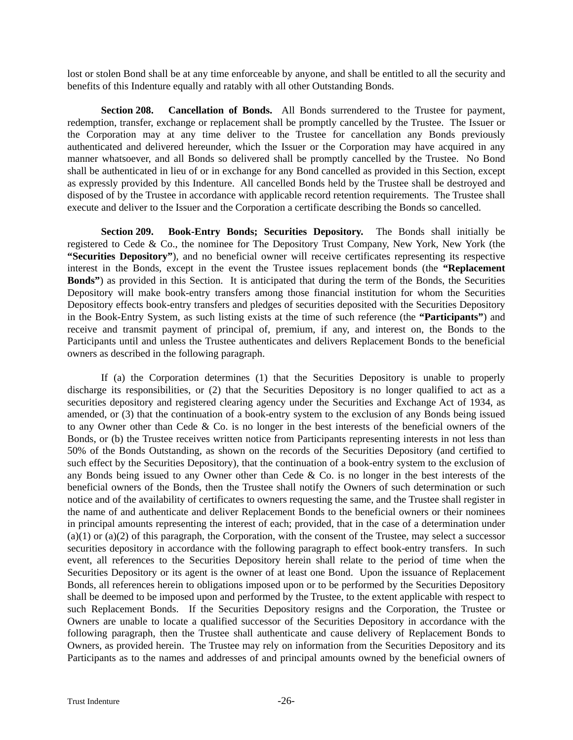lost or stolen Bond shall be at any time enforceable by anyone, and shall be entitled to all the security and benefits of this Indenture equally and ratably with all other Outstanding Bonds.

 **Section 208. Cancellation of Bonds.** All Bonds surrendered to the Trustee for payment, redemption, transfer, exchange or replacement shall be promptly cancelled by the Trustee. The Issuer or the Corporation may at any time deliver to the Trustee for cancellation any Bonds previously authenticated and delivered hereunder, which the Issuer or the Corporation may have acquired in any manner whatsoever, and all Bonds so delivered shall be promptly cancelled by the Trustee. No Bond shall be authenticated in lieu of or in exchange for any Bond cancelled as provided in this Section, except as expressly provided by this Indenture. All cancelled Bonds held by the Trustee shall be destroyed and disposed of by the Trustee in accordance with applicable record retention requirements. The Trustee shall execute and deliver to the Issuer and the Corporation a certificate describing the Bonds so cancelled.

 **Section 209. Book-Entry Bonds; Securities Depository.** The Bonds shall initially be registered to Cede & Co., the nominee for The Depository Trust Company, New York, New York (the **"Securities Depository"**), and no beneficial owner will receive certificates representing its respective interest in the Bonds, except in the event the Trustee issues replacement bonds (the **"Replacement Bonds"**) as provided in this Section. It is anticipated that during the term of the Bonds, the Securities Depository will make book-entry transfers among those financial institution for whom the Securities Depository effects book-entry transfers and pledges of securities deposited with the Securities Depository in the Book-Entry System, as such listing exists at the time of such reference (the **"Participants"**) and receive and transmit payment of principal of, premium, if any, and interest on, the Bonds to the Participants until and unless the Trustee authenticates and delivers Replacement Bonds to the beneficial owners as described in the following paragraph.

 If (a) the Corporation determines (1) that the Securities Depository is unable to properly discharge its responsibilities, or (2) that the Securities Depository is no longer qualified to act as a securities depository and registered clearing agency under the Securities and Exchange Act of 1934, as amended, or (3) that the continuation of a book-entry system to the exclusion of any Bonds being issued to any Owner other than Cede & Co. is no longer in the best interests of the beneficial owners of the Bonds, or (b) the Trustee receives written notice from Participants representing interests in not less than 50% of the Bonds Outstanding, as shown on the records of the Securities Depository (and certified to such effect by the Securities Depository), that the continuation of a book-entry system to the exclusion of any Bonds being issued to any Owner other than Cede & Co. is no longer in the best interests of the beneficial owners of the Bonds, then the Trustee shall notify the Owners of such determination or such notice and of the availability of certificates to owners requesting the same, and the Trustee shall register in the name of and authenticate and deliver Replacement Bonds to the beneficial owners or their nominees in principal amounts representing the interest of each; provided, that in the case of a determination under  $(a)(1)$  or  $(a)(2)$  of this paragraph, the Corporation, with the consent of the Trustee, may select a successor securities depository in accordance with the following paragraph to effect book-entry transfers. In such event, all references to the Securities Depository herein shall relate to the period of time when the Securities Depository or its agent is the owner of at least one Bond. Upon the issuance of Replacement Bonds, all references herein to obligations imposed upon or to be performed by the Securities Depository shall be deemed to be imposed upon and performed by the Trustee, to the extent applicable with respect to such Replacement Bonds. If the Securities Depository resigns and the Corporation, the Trustee or Owners are unable to locate a qualified successor of the Securities Depository in accordance with the following paragraph, then the Trustee shall authenticate and cause delivery of Replacement Bonds to Owners, as provided herein. The Trustee may rely on information from the Securities Depository and its Participants as to the names and addresses of and principal amounts owned by the beneficial owners of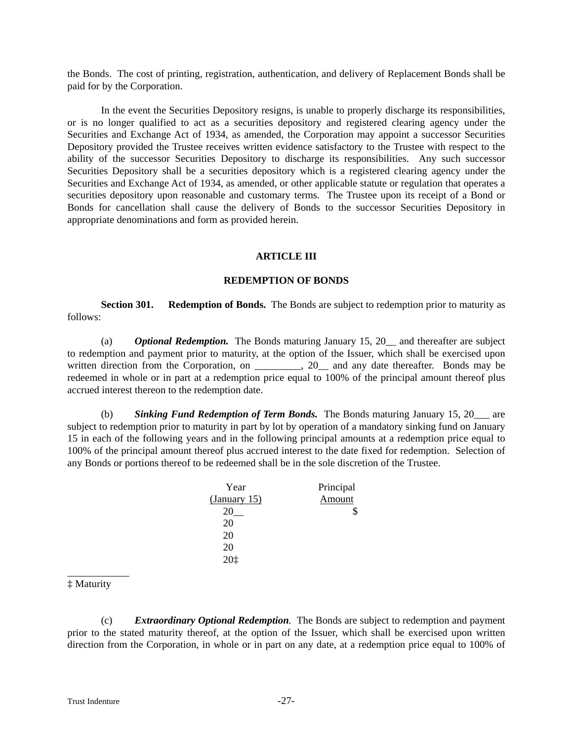the Bonds. The cost of printing, registration, authentication, and delivery of Replacement Bonds shall be paid for by the Corporation.

 In the event the Securities Depository resigns, is unable to properly discharge its responsibilities, or is no longer qualified to act as a securities depository and registered clearing agency under the Securities and Exchange Act of 1934, as amended, the Corporation may appoint a successor Securities Depository provided the Trustee receives written evidence satisfactory to the Trustee with respect to the ability of the successor Securities Depository to discharge its responsibilities. Any such successor Securities Depository shall be a securities depository which is a registered clearing agency under the Securities and Exchange Act of 1934, as amended, or other applicable statute or regulation that operates a securities depository upon reasonable and customary terms. The Trustee upon its receipt of a Bond or Bonds for cancellation shall cause the delivery of Bonds to the successor Securities Depository in appropriate denominations and form as provided herein.

# **ARTICLE III**

# **REDEMPTION OF BONDS**

**Section 301.** Redemption of Bonds. The Bonds are subject to redemption prior to maturity as follows:

 (a) *Optional Redemption.* The Bonds maturing January 15, 20\_\_ and thereafter are subject to redemption and payment prior to maturity, at the option of the Issuer, which shall be exercised upon written direction from the Corporation, on \_\_\_\_\_\_\_\_, 20\_\_ and any date thereafter. Bonds may be redeemed in whole or in part at a redemption price equal to 100% of the principal amount thereof plus accrued interest thereon to the redemption date.

(b) *Sinking Fund Redemption of Term Bonds.* The Bonds maturing January 15, 20\_\_\_ are subject to redemption prior to maturity in part by lot by operation of a mandatory sinking fund on January 15 in each of the following years and in the following principal amounts at a redemption price equal to 100% of the principal amount thereof plus accrued interest to the date fixed for redemption. Selection of any Bonds or portions thereof to be redeemed shall be in the sole discretion of the Trustee.

| Year            | Principal |
|-----------------|-----------|
| (January 15)    | Amount    |
| 20              | \$        |
| 20              |           |
| 20              |           |
| 20              |           |
| 20 <sup>†</sup> |           |
|                 |           |

‡ Maturity

\_\_\_\_\_\_\_\_\_\_\_\_

(c) *Extraordinary Optional Redemption.* The Bonds are subject to redemption and payment prior to the stated maturity thereof, at the option of the Issuer, which shall be exercised upon written direction from the Corporation, in whole or in part on any date, at a redemption price equal to 100% of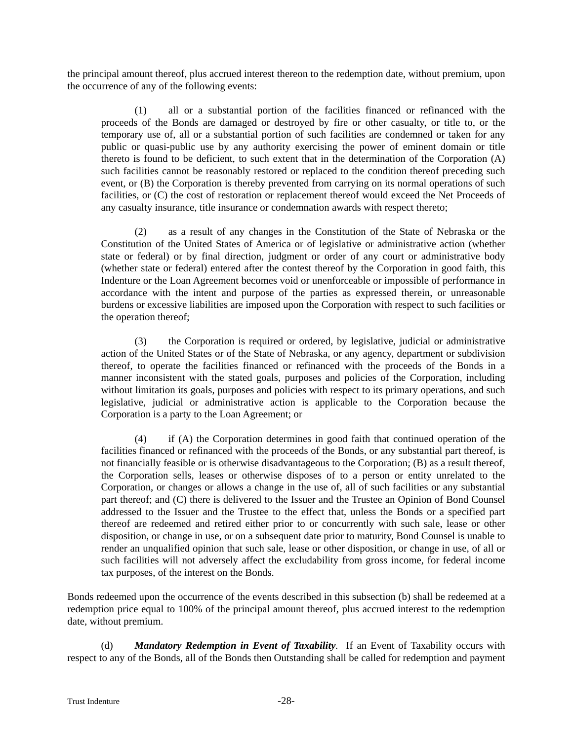the principal amount thereof, plus accrued interest thereon to the redemption date, without premium, upon the occurrence of any of the following events:

(1) all or a substantial portion of the facilities financed or refinanced with the proceeds of the Bonds are damaged or destroyed by fire or other casualty, or title to, or the temporary use of, all or a substantial portion of such facilities are condemned or taken for any public or quasi-public use by any authority exercising the power of eminent domain or title thereto is found to be deficient, to such extent that in the determination of the Corporation (A) such facilities cannot be reasonably restored or replaced to the condition thereof preceding such event, or (B) the Corporation is thereby prevented from carrying on its normal operations of such facilities, or (C) the cost of restoration or replacement thereof would exceed the Net Proceeds of any casualty insurance, title insurance or condemnation awards with respect thereto;

(2) as a result of any changes in the Constitution of the State of Nebraska or the Constitution of the United States of America or of legislative or administrative action (whether state or federal) or by final direction, judgment or order of any court or administrative body (whether state or federal) entered after the contest thereof by the Corporation in good faith, this Indenture or the Loan Agreement becomes void or unenforceable or impossible of performance in accordance with the intent and purpose of the parties as expressed therein, or unreasonable burdens or excessive liabilities are imposed upon the Corporation with respect to such facilities or the operation thereof;

(3) the Corporation is required or ordered, by legislative, judicial or administrative action of the United States or of the State of Nebraska, or any agency, department or subdivision thereof, to operate the facilities financed or refinanced with the proceeds of the Bonds in a manner inconsistent with the stated goals, purposes and policies of the Corporation, including without limitation its goals, purposes and policies with respect to its primary operations, and such legislative, judicial or administrative action is applicable to the Corporation because the Corporation is a party to the Loan Agreement; or

(4) if (A) the Corporation determines in good faith that continued operation of the facilities financed or refinanced with the proceeds of the Bonds, or any substantial part thereof, is not financially feasible or is otherwise disadvantageous to the Corporation; (B) as a result thereof, the Corporation sells, leases or otherwise disposes of to a person or entity unrelated to the Corporation, or changes or allows a change in the use of, all of such facilities or any substantial part thereof; and (C) there is delivered to the Issuer and the Trustee an Opinion of Bond Counsel addressed to the Issuer and the Trustee to the effect that, unless the Bonds or a specified part thereof are redeemed and retired either prior to or concurrently with such sale, lease or other disposition, or change in use, or on a subsequent date prior to maturity, Bond Counsel is unable to render an unqualified opinion that such sale, lease or other disposition, or change in use, of all or such facilities will not adversely affect the excludability from gross income, for federal income tax purposes, of the interest on the Bonds.

Bonds redeemed upon the occurrence of the events described in this subsection (b) shall be redeemed at a redemption price equal to 100% of the principal amount thereof, plus accrued interest to the redemption date, without premium.

(d) *Mandatory Redemption in Event of Taxability.* If an Event of Taxability occurs with respect to any of the Bonds, all of the Bonds then Outstanding shall be called for redemption and payment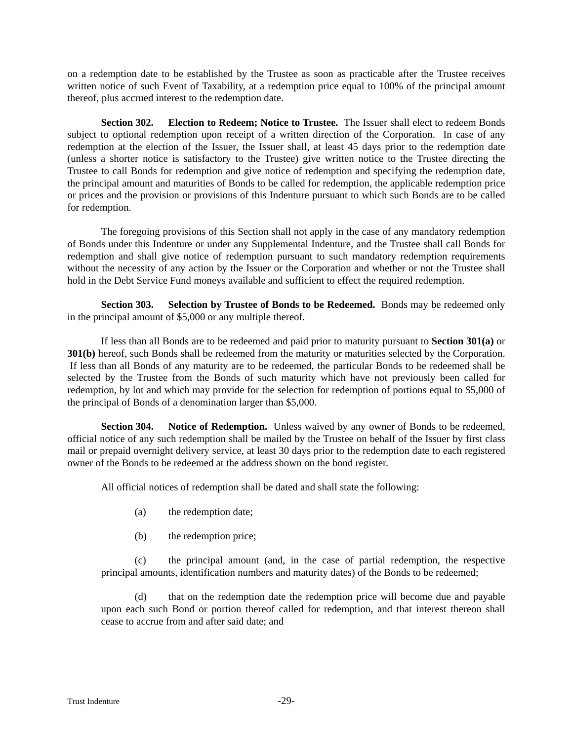on a redemption date to be established by the Trustee as soon as practicable after the Trustee receives written notice of such Event of Taxability, at a redemption price equal to 100% of the principal amount thereof, plus accrued interest to the redemption date.

 **Section 302. Election to Redeem; Notice to Trustee.** The Issuer shall elect to redeem Bonds subject to optional redemption upon receipt of a written direction of the Corporation. In case of any redemption at the election of the Issuer, the Issuer shall, at least 45 days prior to the redemption date (unless a shorter notice is satisfactory to the Trustee) give written notice to the Trustee directing the Trustee to call Bonds for redemption and give notice of redemption and specifying the redemption date, the principal amount and maturities of Bonds to be called for redemption, the applicable redemption price or prices and the provision or provisions of this Indenture pursuant to which such Bonds are to be called for redemption.

 The foregoing provisions of this Section shall not apply in the case of any mandatory redemption of Bonds under this Indenture or under any Supplemental Indenture, and the Trustee shall call Bonds for redemption and shall give notice of redemption pursuant to such mandatory redemption requirements without the necessity of any action by the Issuer or the Corporation and whether or not the Trustee shall hold in the Debt Service Fund moneys available and sufficient to effect the required redemption.

**Section 303.** Selection by Trustee of Bonds to be Redeemed. Bonds may be redeemed only in the principal amount of \$5,000 or any multiple thereof.

 If less than all Bonds are to be redeemed and paid prior to maturity pursuant to **Section 301(a)** or **301(b)** hereof, such Bonds shall be redeemed from the maturity or maturities selected by the Corporation. If less than all Bonds of any maturity are to be redeemed, the particular Bonds to be redeemed shall be selected by the Trustee from the Bonds of such maturity which have not previously been called for redemption, by lot and which may provide for the selection for redemption of portions equal to \$5,000 of the principal of Bonds of a denomination larger than \$5,000.

**Section 304.** Notice of Redemption. Unless waived by any owner of Bonds to be redeemed, official notice of any such redemption shall be mailed by the Trustee on behalf of the Issuer by first class mail or prepaid overnight delivery service, at least 30 days prior to the redemption date to each registered owner of the Bonds to be redeemed at the address shown on the bond register.

All official notices of redemption shall be dated and shall state the following:

- (a) the redemption date;
- (b) the redemption price;

 (c) the principal amount (and, in the case of partial redemption, the respective principal amounts, identification numbers and maturity dates) of the Bonds to be redeemed;

 (d) that on the redemption date the redemption price will become due and payable upon each such Bond or portion thereof called for redemption, and that interest thereon shall cease to accrue from and after said date; and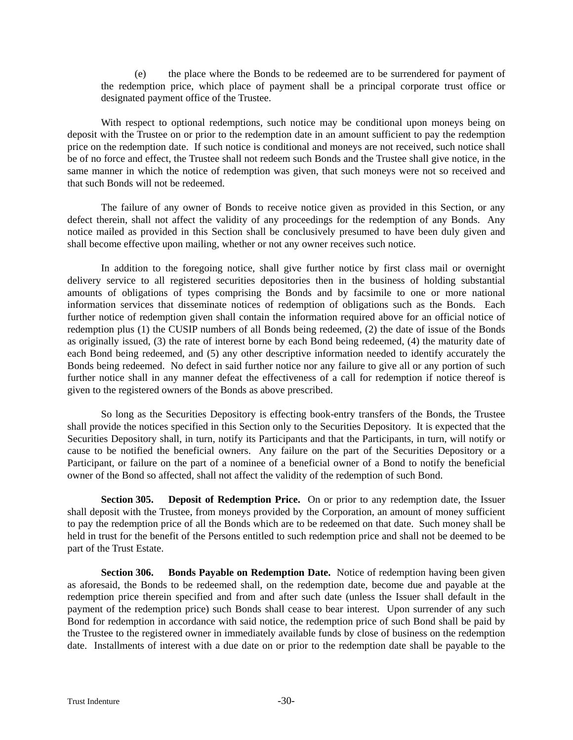(e) the place where the Bonds to be redeemed are to be surrendered for payment of the redemption price, which place of payment shall be a principal corporate trust office or designated payment office of the Trustee.

 With respect to optional redemptions, such notice may be conditional upon moneys being on deposit with the Trustee on or prior to the redemption date in an amount sufficient to pay the redemption price on the redemption date. If such notice is conditional and moneys are not received, such notice shall be of no force and effect, the Trustee shall not redeem such Bonds and the Trustee shall give notice, in the same manner in which the notice of redemption was given, that such moneys were not so received and that such Bonds will not be redeemed.

 The failure of any owner of Bonds to receive notice given as provided in this Section, or any defect therein, shall not affect the validity of any proceedings for the redemption of any Bonds. Any notice mailed as provided in this Section shall be conclusively presumed to have been duly given and shall become effective upon mailing, whether or not any owner receives such notice.

 In addition to the foregoing notice, shall give further notice by first class mail or overnight delivery service to all registered securities depositories then in the business of holding substantial amounts of obligations of types comprising the Bonds and by facsimile to one or more national information services that disseminate notices of redemption of obligations such as the Bonds. Each further notice of redemption given shall contain the information required above for an official notice of redemption plus (1) the CUSIP numbers of all Bonds being redeemed, (2) the date of issue of the Bonds as originally issued, (3) the rate of interest borne by each Bond being redeemed, (4) the maturity date of each Bond being redeemed, and (5) any other descriptive information needed to identify accurately the Bonds being redeemed. No defect in said further notice nor any failure to give all or any portion of such further notice shall in any manner defeat the effectiveness of a call for redemption if notice thereof is given to the registered owners of the Bonds as above prescribed.

 So long as the Securities Depository is effecting book-entry transfers of the Bonds, the Trustee shall provide the notices specified in this Section only to the Securities Depository. It is expected that the Securities Depository shall, in turn, notify its Participants and that the Participants, in turn, will notify or cause to be notified the beneficial owners. Any failure on the part of the Securities Depository or a Participant, or failure on the part of a nominee of a beneficial owner of a Bond to notify the beneficial owner of the Bond so affected, shall not affect the validity of the redemption of such Bond.

 **Section 305. Deposit of Redemption Price.** On or prior to any redemption date, the Issuer shall deposit with the Trustee, from moneys provided by the Corporation, an amount of money sufficient to pay the redemption price of all the Bonds which are to be redeemed on that date. Such money shall be held in trust for the benefit of the Persons entitled to such redemption price and shall not be deemed to be part of the Trust Estate.

**Section 306.** Bonds Payable on Redemption Date. Notice of redemption having been given as aforesaid, the Bonds to be redeemed shall, on the redemption date, become due and payable at the redemption price therein specified and from and after such date (unless the Issuer shall default in the payment of the redemption price) such Bonds shall cease to bear interest. Upon surrender of any such Bond for redemption in accordance with said notice, the redemption price of such Bond shall be paid by the Trustee to the registered owner in immediately available funds by close of business on the redemption date. Installments of interest with a due date on or prior to the redemption date shall be payable to the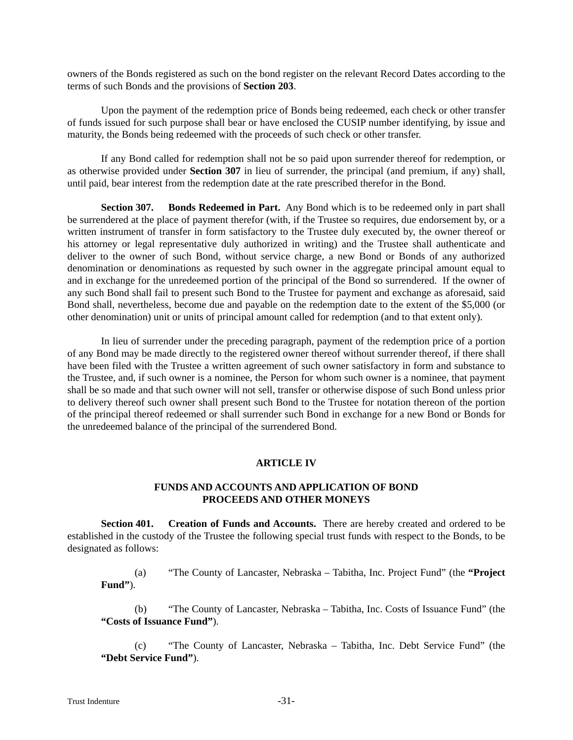owners of the Bonds registered as such on the bond register on the relevant Record Dates according to the terms of such Bonds and the provisions of **Section 203**.

 Upon the payment of the redemption price of Bonds being redeemed, each check or other transfer of funds issued for such purpose shall bear or have enclosed the CUSIP number identifying, by issue and maturity, the Bonds being redeemed with the proceeds of such check or other transfer.

 If any Bond called for redemption shall not be so paid upon surrender thereof for redemption, or as otherwise provided under **Section 307** in lieu of surrender, the principal (and premium, if any) shall, until paid, bear interest from the redemption date at the rate prescribed therefor in the Bond.

**Section 307.** Bonds Redeemed in Part. Any Bond which is to be redeemed only in part shall be surrendered at the place of payment therefor (with, if the Trustee so requires, due endorsement by, or a written instrument of transfer in form satisfactory to the Trustee duly executed by, the owner thereof or his attorney or legal representative duly authorized in writing) and the Trustee shall authenticate and deliver to the owner of such Bond, without service charge, a new Bond or Bonds of any authorized denomination or denominations as requested by such owner in the aggregate principal amount equal to and in exchange for the unredeemed portion of the principal of the Bond so surrendered. If the owner of any such Bond shall fail to present such Bond to the Trustee for payment and exchange as aforesaid, said Bond shall, nevertheless, become due and payable on the redemption date to the extent of the \$5,000 (or other denomination) unit or units of principal amount called for redemption (and to that extent only).

 In lieu of surrender under the preceding paragraph, payment of the redemption price of a portion of any Bond may be made directly to the registered owner thereof without surrender thereof, if there shall have been filed with the Trustee a written agreement of such owner satisfactory in form and substance to the Trustee, and, if such owner is a nominee, the Person for whom such owner is a nominee, that payment shall be so made and that such owner will not sell, transfer or otherwise dispose of such Bond unless prior to delivery thereof such owner shall present such Bond to the Trustee for notation thereon of the portion of the principal thereof redeemed or shall surrender such Bond in exchange for a new Bond or Bonds for the unredeemed balance of the principal of the surrendered Bond.

## **ARTICLE IV**

# **FUNDS AND ACCOUNTS AND APPLICATION OF BOND PROCEEDS AND OTHER MONEYS**

 **Section 401. Creation of Funds and Accounts.** There are hereby created and ordered to be established in the custody of the Trustee the following special trust funds with respect to the Bonds, to be designated as follows:

(a) "The County of Lancaster, Nebraska – Tabitha, Inc. Project Fund" (the **"Project Fund"**).

"The County of Lancaster, Nebraska – Tabitha, Inc. Costs of Issuance Fund" (the **"Costs of Issuance Fund"**).

 (c) "The County of Lancaster, Nebraska – Tabitha, Inc. Debt Service Fund" (the **"Debt Service Fund"**).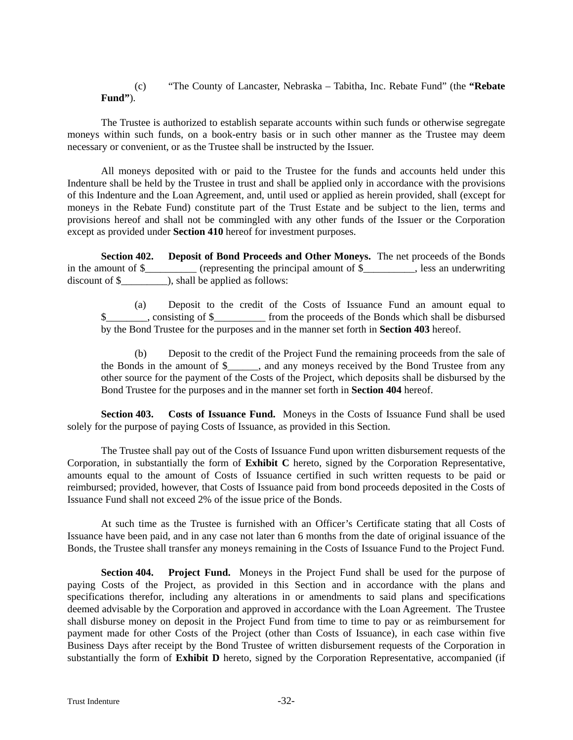(c) "The County of Lancaster, Nebraska – Tabitha, Inc. Rebate Fund" (the **"Rebate Fund"**).

 The Trustee is authorized to establish separate accounts within such funds or otherwise segregate moneys within such funds, on a book-entry basis or in such other manner as the Trustee may deem necessary or convenient, or as the Trustee shall be instructed by the Issuer.

All moneys deposited with or paid to the Trustee for the funds and accounts held under this Indenture shall be held by the Trustee in trust and shall be applied only in accordance with the provisions of this Indenture and the Loan Agreement, and, until used or applied as herein provided, shall (except for moneys in the Rebate Fund) constitute part of the Trust Estate and be subject to the lien, terms and provisions hereof and shall not be commingled with any other funds of the Issuer or the Corporation except as provided under **Section 410** hereof for investment purposes.

 **Section 402. Deposit of Bond Proceeds and Other Moneys.** The net proceeds of the Bonds in the amount of  $\$\$  (representing the principal amount of  $\$\$ , less an underwriting discount of \$  $\Box$ , shall be applied as follows:

(a) Deposit to the credit of the Costs of Issuance Fund an amount equal to \$\_\_\_\_\_\_\_\_, consisting of \$\_\_\_\_\_\_\_\_\_\_ from the proceeds of the Bonds which shall be disbursed by the Bond Trustee for the purposes and in the manner set forth in **Section 403** hereof.

(b) Deposit to the credit of the Project Fund the remaining proceeds from the sale of the Bonds in the amount of \$\_\_\_\_\_\_, and any moneys received by the Bond Trustee from any other source for the payment of the Costs of the Project, which deposits shall be disbursed by the Bond Trustee for the purposes and in the manner set forth in **Section 404** hereof.

**Section 403.** Costs of Issuance Fund. Moneys in the Costs of Issuance Fund shall be used solely for the purpose of paying Costs of Issuance, as provided in this Section.

 The Trustee shall pay out of the Costs of Issuance Fund upon written disbursement requests of the Corporation, in substantially the form of **Exhibit C** hereto, signed by the Corporation Representative, amounts equal to the amount of Costs of Issuance certified in such written requests to be paid or reimbursed; provided, however, that Costs of Issuance paid from bond proceeds deposited in the Costs of Issuance Fund shall not exceed 2% of the issue price of the Bonds.

 At such time as the Trustee is furnished with an Officer's Certificate stating that all Costs of Issuance have been paid, and in any case not later than 6 months from the date of original issuance of the Bonds, the Trustee shall transfer any moneys remaining in the Costs of Issuance Fund to the Project Fund.

**Section 404. Project Fund.** Moneys in the Project Fund shall be used for the purpose of paying Costs of the Project, as provided in this Section and in accordance with the plans and specifications therefor, including any alterations in or amendments to said plans and specifications deemed advisable by the Corporation and approved in accordance with the Loan Agreement. The Trustee shall disburse money on deposit in the Project Fund from time to time to pay or as reimbursement for payment made for other Costs of the Project (other than Costs of Issuance), in each case within five Business Days after receipt by the Bond Trustee of written disbursement requests of the Corporation in substantially the form of **Exhibit D** hereto, signed by the Corporation Representative, accompanied (if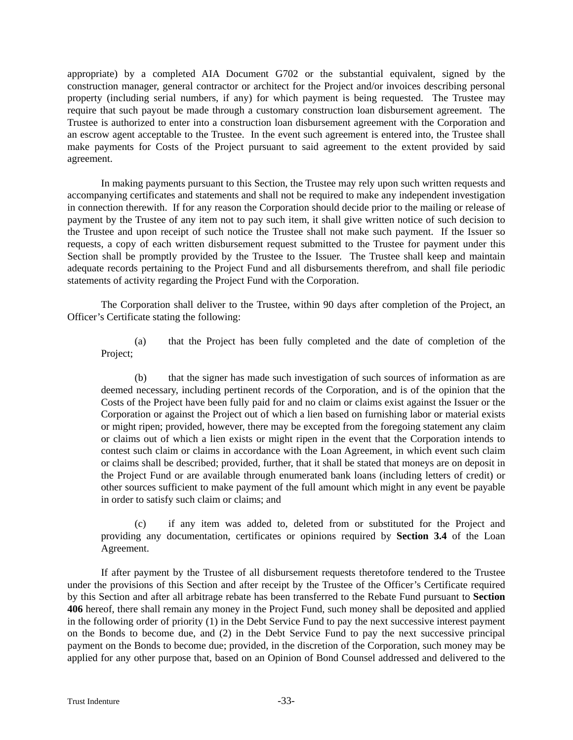appropriate) by a completed AIA Document G702 or the substantial equivalent, signed by the construction manager, general contractor or architect for the Project and/or invoices describing personal property (including serial numbers, if any) for which payment is being requested. The Trustee may require that such payout be made through a customary construction loan disbursement agreement. The Trustee is authorized to enter into a construction loan disbursement agreement with the Corporation and an escrow agent acceptable to the Trustee. In the event such agreement is entered into, the Trustee shall make payments for Costs of the Project pursuant to said agreement to the extent provided by said agreement.

 In making payments pursuant to this Section, the Trustee may rely upon such written requests and accompanying certificates and statements and shall not be required to make any independent investigation in connection therewith. If for any reason the Corporation should decide prior to the mailing or release of payment by the Trustee of any item not to pay such item, it shall give written notice of such decision to the Trustee and upon receipt of such notice the Trustee shall not make such payment. If the Issuer so requests, a copy of each written disbursement request submitted to the Trustee for payment under this Section shall be promptly provided by the Trustee to the Issuer. The Trustee shall keep and maintain adequate records pertaining to the Project Fund and all disbursements therefrom, and shall file periodic statements of activity regarding the Project Fund with the Corporation.

 The Corporation shall deliver to the Trustee, within 90 days after completion of the Project, an Officer's Certificate stating the following:

 (a) that the Project has been fully completed and the date of completion of the Project;

 (b) that the signer has made such investigation of such sources of information as are deemed necessary, including pertinent records of the Corporation, and is of the opinion that the Costs of the Project have been fully paid for and no claim or claims exist against the Issuer or the Corporation or against the Project out of which a lien based on furnishing labor or material exists or might ripen; provided, however, there may be excepted from the foregoing statement any claim or claims out of which a lien exists or might ripen in the event that the Corporation intends to contest such claim or claims in accordance with the Loan Agreement, in which event such claim or claims shall be described; provided, further, that it shall be stated that moneys are on deposit in the Project Fund or are available through enumerated bank loans (including letters of credit) or other sources sufficient to make payment of the full amount which might in any event be payable in order to satisfy such claim or claims; and

 (c) if any item was added to, deleted from or substituted for the Project and providing any documentation, certificates or opinions required by **Section 3.4** of the Loan Agreement.

 If after payment by the Trustee of all disbursement requests theretofore tendered to the Trustee under the provisions of this Section and after receipt by the Trustee of the Officer's Certificate required by this Section and after all arbitrage rebate has been transferred to the Rebate Fund pursuant to **Section 406** hereof, there shall remain any money in the Project Fund, such money shall be deposited and applied in the following order of priority (1) in the Debt Service Fund to pay the next successive interest payment on the Bonds to become due, and (2) in the Debt Service Fund to pay the next successive principal payment on the Bonds to become due; provided, in the discretion of the Corporation, such money may be applied for any other purpose that, based on an Opinion of Bond Counsel addressed and delivered to the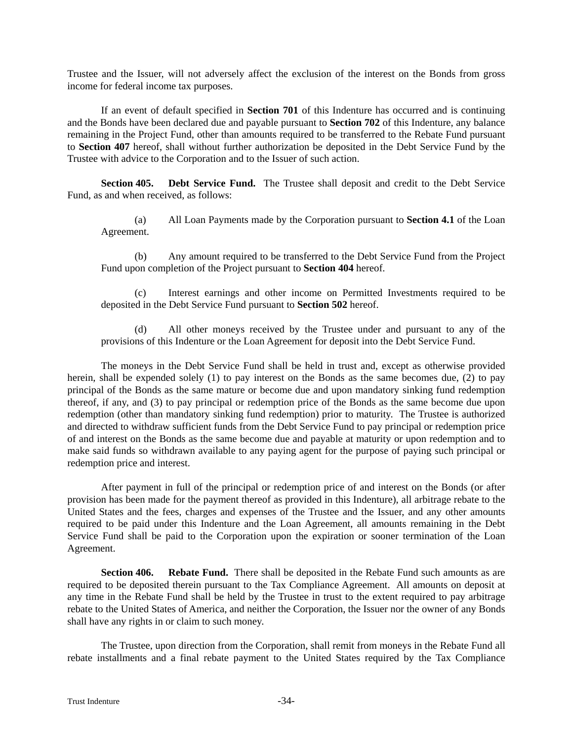Trustee and the Issuer, will not adversely affect the exclusion of the interest on the Bonds from gross income for federal income tax purposes.

 If an event of default specified in **Section 701** of this Indenture has occurred and is continuing and the Bonds have been declared due and payable pursuant to **Section 702** of this Indenture, any balance remaining in the Project Fund, other than amounts required to be transferred to the Rebate Fund pursuant to **Section 407** hereof, shall without further authorization be deposited in the Debt Service Fund by the Trustee with advice to the Corporation and to the Issuer of such action.

 **Section 405. Debt Service Fund.** The Trustee shall deposit and credit to the Debt Service Fund, as and when received, as follows:

 (a) All Loan Payments made by the Corporation pursuant to **Section 4.1** of the Loan Agreement.

 (b) Any amount required to be transferred to the Debt Service Fund from the Project Fund upon completion of the Project pursuant to **Section 404** hereof.

Interest earnings and other income on Permitted Investments required to be deposited in the Debt Service Fund pursuant to **Section 502** hereof.

 (d) All other moneys received by the Trustee under and pursuant to any of the provisions of this Indenture or the Loan Agreement for deposit into the Debt Service Fund.

 The moneys in the Debt Service Fund shall be held in trust and, except as otherwise provided herein, shall be expended solely (1) to pay interest on the Bonds as the same becomes due, (2) to pay principal of the Bonds as the same mature or become due and upon mandatory sinking fund redemption thereof, if any, and (3) to pay principal or redemption price of the Bonds as the same become due upon redemption (other than mandatory sinking fund redemption) prior to maturity. The Trustee is authorized and directed to withdraw sufficient funds from the Debt Service Fund to pay principal or redemption price of and interest on the Bonds as the same become due and payable at maturity or upon redemption and to make said funds so withdrawn available to any paying agent for the purpose of paying such principal or redemption price and interest.

 After payment in full of the principal or redemption price of and interest on the Bonds (or after provision has been made for the payment thereof as provided in this Indenture), all arbitrage rebate to the United States and the fees, charges and expenses of the Trustee and the Issuer, and any other amounts required to be paid under this Indenture and the Loan Agreement, all amounts remaining in the Debt Service Fund shall be paid to the Corporation upon the expiration or sooner termination of the Loan Agreement.

**Section 406.** Rebate Fund. There shall be deposited in the Rebate Fund such amounts as are required to be deposited therein pursuant to the Tax Compliance Agreement. All amounts on deposit at any time in the Rebate Fund shall be held by the Trustee in trust to the extent required to pay arbitrage rebate to the United States of America, and neither the Corporation, the Issuer nor the owner of any Bonds shall have any rights in or claim to such money.

 The Trustee, upon direction from the Corporation, shall remit from moneys in the Rebate Fund all rebate installments and a final rebate payment to the United States required by the Tax Compliance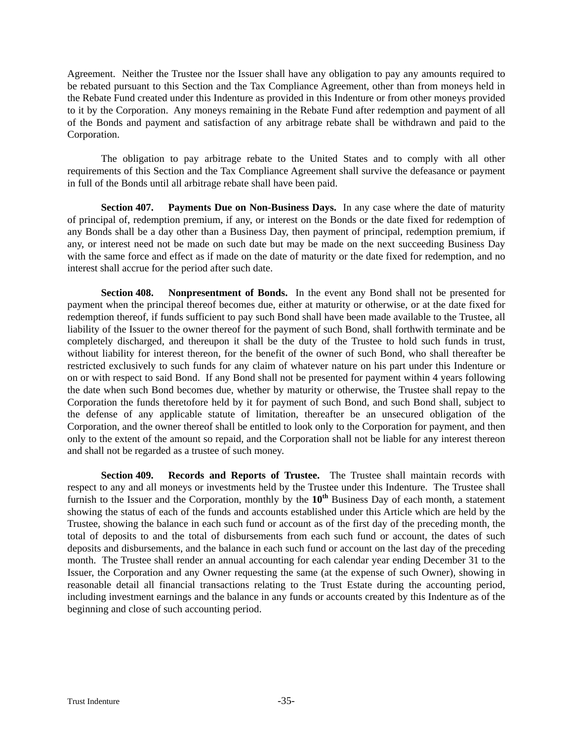Agreement. Neither the Trustee nor the Issuer shall have any obligation to pay any amounts required to be rebated pursuant to this Section and the Tax Compliance Agreement, other than from moneys held in the Rebate Fund created under this Indenture as provided in this Indenture or from other moneys provided to it by the Corporation. Any moneys remaining in the Rebate Fund after redemption and payment of all of the Bonds and payment and satisfaction of any arbitrage rebate shall be withdrawn and paid to the Corporation.

 The obligation to pay arbitrage rebate to the United States and to comply with all other requirements of this Section and the Tax Compliance Agreement shall survive the defeasance or payment in full of the Bonds until all arbitrage rebate shall have been paid.

 **Section 407. Payments Due on Non-Business Days.** In any case where the date of maturity of principal of, redemption premium, if any, or interest on the Bonds or the date fixed for redemption of any Bonds shall be a day other than a Business Day, then payment of principal, redemption premium, if any, or interest need not be made on such date but may be made on the next succeeding Business Day with the same force and effect as if made on the date of maturity or the date fixed for redemption, and no interest shall accrue for the period after such date.

 **Section 408. Nonpresentment of Bonds.** In the event any Bond shall not be presented for payment when the principal thereof becomes due, either at maturity or otherwise, or at the date fixed for redemption thereof, if funds sufficient to pay such Bond shall have been made available to the Trustee, all liability of the Issuer to the owner thereof for the payment of such Bond, shall forthwith terminate and be completely discharged, and thereupon it shall be the duty of the Trustee to hold such funds in trust, without liability for interest thereon, for the benefit of the owner of such Bond, who shall thereafter be restricted exclusively to such funds for any claim of whatever nature on his part under this Indenture or on or with respect to said Bond. If any Bond shall not be presented for payment within 4 years following the date when such Bond becomes due, whether by maturity or otherwise, the Trustee shall repay to the Corporation the funds theretofore held by it for payment of such Bond, and such Bond shall, subject to the defense of any applicable statute of limitation, thereafter be an unsecured obligation of the Corporation, and the owner thereof shall be entitled to look only to the Corporation for payment, and then only to the extent of the amount so repaid, and the Corporation shall not be liable for any interest thereon and shall not be regarded as a trustee of such money.

**Section 409. Records and Reports of Trustee.** The Trustee shall maintain records with respect to any and all moneys or investments held by the Trustee under this Indenture. The Trustee shall furnish to the Issuer and the Corporation, monthly by the **10th** Business Day of each month, a statement showing the status of each of the funds and accounts established under this Article which are held by the Trustee, showing the balance in each such fund or account as of the first day of the preceding month, the total of deposits to and the total of disbursements from each such fund or account, the dates of such deposits and disbursements, and the balance in each such fund or account on the last day of the preceding month. The Trustee shall render an annual accounting for each calendar year ending December 31 to the Issuer, the Corporation and any Owner requesting the same (at the expense of such Owner), showing in reasonable detail all financial transactions relating to the Trust Estate during the accounting period, including investment earnings and the balance in any funds or accounts created by this Indenture as of the beginning and close of such accounting period.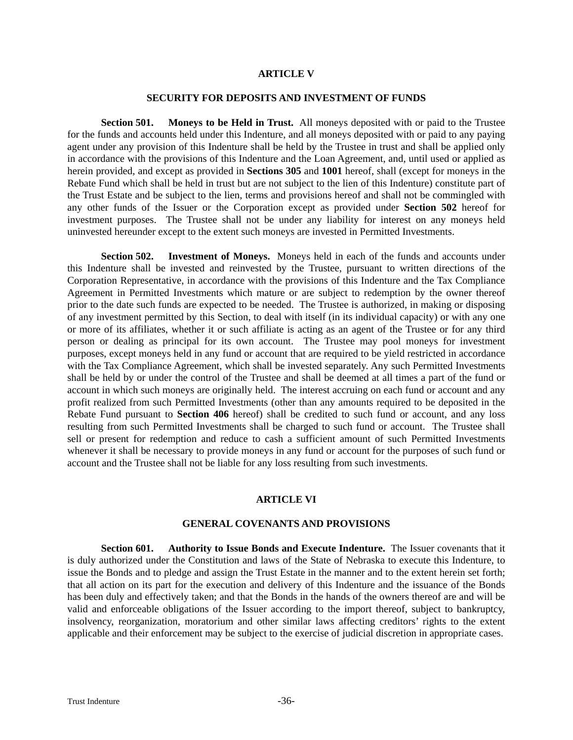#### **ARTICLE V**

## **SECURITY FOR DEPOSITS AND INVESTMENT OF FUNDS**

 **Section 501. Moneys to be Held in Trust.** All moneys deposited with or paid to the Trustee for the funds and accounts held under this Indenture, and all moneys deposited with or paid to any paying agent under any provision of this Indenture shall be held by the Trustee in trust and shall be applied only in accordance with the provisions of this Indenture and the Loan Agreement, and, until used or applied as herein provided, and except as provided in **Sections 305** and **1001** hereof, shall (except for moneys in the Rebate Fund which shall be held in trust but are not subject to the lien of this Indenture) constitute part of the Trust Estate and be subject to the lien, terms and provisions hereof and shall not be commingled with any other funds of the Issuer or the Corporation except as provided under **Section 502** hereof for investment purposes. The Trustee shall not be under any liability for interest on any moneys held uninvested hereunder except to the extent such moneys are invested in Permitted Investments.

**Section 502.** Investment of Moneys. Moneys held in each of the funds and accounts under this Indenture shall be invested and reinvested by the Trustee, pursuant to written directions of the Corporation Representative, in accordance with the provisions of this Indenture and the Tax Compliance Agreement in Permitted Investments which mature or are subject to redemption by the owner thereof prior to the date such funds are expected to be needed. The Trustee is authorized, in making or disposing of any investment permitted by this Section, to deal with itself (in its individual capacity) or with any one or more of its affiliates, whether it or such affiliate is acting as an agent of the Trustee or for any third person or dealing as principal for its own account. The Trustee may pool moneys for investment purposes, except moneys held in any fund or account that are required to be yield restricted in accordance with the Tax Compliance Agreement, which shall be invested separately. Any such Permitted Investments shall be held by or under the control of the Trustee and shall be deemed at all times a part of the fund or account in which such moneys are originally held. The interest accruing on each fund or account and any profit realized from such Permitted Investments (other than any amounts required to be deposited in the Rebate Fund pursuant to **Section 406** hereof) shall be credited to such fund or account, and any loss resulting from such Permitted Investments shall be charged to such fund or account. The Trustee shall sell or present for redemption and reduce to cash a sufficient amount of such Permitted Investments whenever it shall be necessary to provide moneys in any fund or account for the purposes of such fund or account and the Trustee shall not be liable for any loss resulting from such investments.

## **ARTICLE VI**

## **GENERAL COVENANTS AND PROVISIONS**

 **Section 601. Authority to Issue Bonds and Execute Indenture.** The Issuer covenants that it is duly authorized under the Constitution and laws of the State of Nebraska to execute this Indenture, to issue the Bonds and to pledge and assign the Trust Estate in the manner and to the extent herein set forth; that all action on its part for the execution and delivery of this Indenture and the issuance of the Bonds has been duly and effectively taken; and that the Bonds in the hands of the owners thereof are and will be valid and enforceable obligations of the Issuer according to the import thereof, subject to bankruptcy, insolvency, reorganization, moratorium and other similar laws affecting creditors' rights to the extent applicable and their enforcement may be subject to the exercise of judicial discretion in appropriate cases.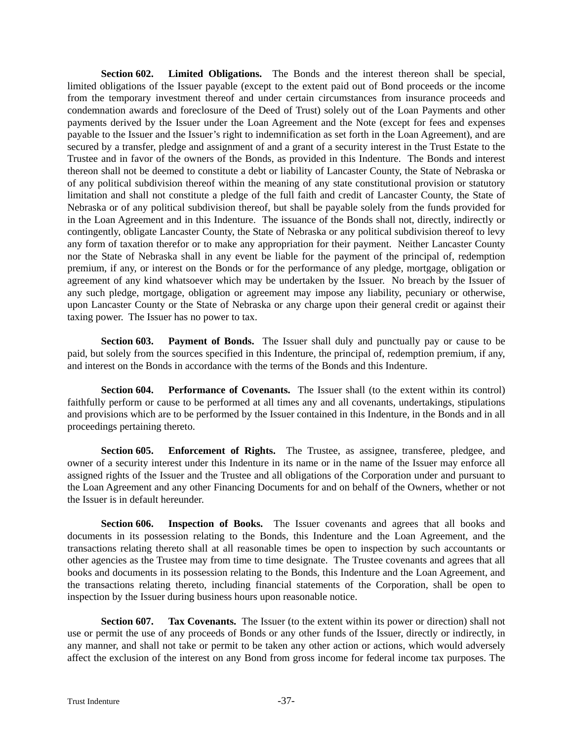**Section 602. Limited Obligations.** The Bonds and the interest thereon shall be special, limited obligations of the Issuer payable (except to the extent paid out of Bond proceeds or the income from the temporary investment thereof and under certain circumstances from insurance proceeds and condemnation awards and foreclosure of the Deed of Trust) solely out of the Loan Payments and other payments derived by the Issuer under the Loan Agreement and the Note (except for fees and expenses payable to the Issuer and the Issuer's right to indemnification as set forth in the Loan Agreement), and are secured by a transfer, pledge and assignment of and a grant of a security interest in the Trust Estate to the Trustee and in favor of the owners of the Bonds, as provided in this Indenture. The Bonds and interest thereon shall not be deemed to constitute a debt or liability of Lancaster County, the State of Nebraska or of any political subdivision thereof within the meaning of any state constitutional provision or statutory limitation and shall not constitute a pledge of the full faith and credit of Lancaster County, the State of Nebraska or of any political subdivision thereof, but shall be payable solely from the funds provided for in the Loan Agreement and in this Indenture. The issuance of the Bonds shall not, directly, indirectly or contingently, obligate Lancaster County, the State of Nebraska or any political subdivision thereof to levy any form of taxation therefor or to make any appropriation for their payment. Neither Lancaster County nor the State of Nebraska shall in any event be liable for the payment of the principal of, redemption premium, if any, or interest on the Bonds or for the performance of any pledge, mortgage, obligation or agreement of any kind whatsoever which may be undertaken by the Issuer. No breach by the Issuer of any such pledge, mortgage, obligation or agreement may impose any liability, pecuniary or otherwise, upon Lancaster County or the State of Nebraska or any charge upon their general credit or against their taxing power. The Issuer has no power to tax.

 **Section 603. Payment of Bonds.** The Issuer shall duly and punctually pay or cause to be paid, but solely from the sources specified in this Indenture, the principal of, redemption premium, if any, and interest on the Bonds in accordance with the terms of the Bonds and this Indenture.

**Section 604.** Performance of Covenants. The Issuer shall (to the extent within its control) faithfully perform or cause to be performed at all times any and all covenants, undertakings, stipulations and provisions which are to be performed by the Issuer contained in this Indenture, in the Bonds and in all proceedings pertaining thereto.

**Section 605. Enforcement of Rights.** The Trustee, as assignee, transferee, pledgee, and owner of a security interest under this Indenture in its name or in the name of the Issuer may enforce all assigned rights of the Issuer and the Trustee and all obligations of the Corporation under and pursuant to the Loan Agreement and any other Financing Documents for and on behalf of the Owners, whether or not the Issuer is in default hereunder.

 **Section 606. Inspection of Books.** The Issuer covenants and agrees that all books and documents in its possession relating to the Bonds, this Indenture and the Loan Agreement, and the transactions relating thereto shall at all reasonable times be open to inspection by such accountants or other agencies as the Trustee may from time to time designate. The Trustee covenants and agrees that all books and documents in its possession relating to the Bonds, this Indenture and the Loan Agreement, and the transactions relating thereto, including financial statements of the Corporation, shall be open to inspection by the Issuer during business hours upon reasonable notice.

**Section 607.** Tax Covenants. The Issuer (to the extent within its power or direction) shall not use or permit the use of any proceeds of Bonds or any other funds of the Issuer, directly or indirectly, in any manner, and shall not take or permit to be taken any other action or actions, which would adversely affect the exclusion of the interest on any Bond from gross income for federal income tax purposes. The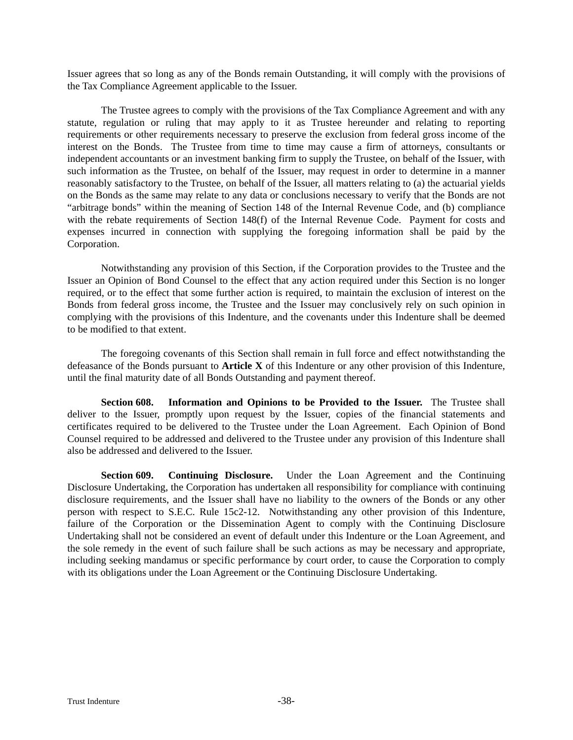Issuer agrees that so long as any of the Bonds remain Outstanding, it will comply with the provisions of the Tax Compliance Agreement applicable to the Issuer.

 The Trustee agrees to comply with the provisions of the Tax Compliance Agreement and with any statute, regulation or ruling that may apply to it as Trustee hereunder and relating to reporting requirements or other requirements necessary to preserve the exclusion from federal gross income of the interest on the Bonds. The Trustee from time to time may cause a firm of attorneys, consultants or independent accountants or an investment banking firm to supply the Trustee, on behalf of the Issuer, with such information as the Trustee, on behalf of the Issuer, may request in order to determine in a manner reasonably satisfactory to the Trustee, on behalf of the Issuer, all matters relating to (a) the actuarial yields on the Bonds as the same may relate to any data or conclusions necessary to verify that the Bonds are not "arbitrage bonds" within the meaning of Section 148 of the Internal Revenue Code, and (b) compliance with the rebate requirements of Section 148(f) of the Internal Revenue Code. Payment for costs and expenses incurred in connection with supplying the foregoing information shall be paid by the Corporation.

 Notwithstanding any provision of this Section, if the Corporation provides to the Trustee and the Issuer an Opinion of Bond Counsel to the effect that any action required under this Section is no longer required, or to the effect that some further action is required, to maintain the exclusion of interest on the Bonds from federal gross income, the Trustee and the Issuer may conclusively rely on such opinion in complying with the provisions of this Indenture, and the covenants under this Indenture shall be deemed to be modified to that extent.

 The foregoing covenants of this Section shall remain in full force and effect notwithstanding the defeasance of the Bonds pursuant to **Article X** of this Indenture or any other provision of this Indenture, until the final maturity date of all Bonds Outstanding and payment thereof.

 **Section 608. Information and Opinions to be Provided to the Issuer.** The Trustee shall deliver to the Issuer, promptly upon request by the Issuer, copies of the financial statements and certificates required to be delivered to the Trustee under the Loan Agreement. Each Opinion of Bond Counsel required to be addressed and delivered to the Trustee under any provision of this Indenture shall also be addressed and delivered to the Issuer.

 **Section 609. Continuing Disclosure.** Under the Loan Agreement and the Continuing Disclosure Undertaking, the Corporation has undertaken all responsibility for compliance with continuing disclosure requirements, and the Issuer shall have no liability to the owners of the Bonds or any other person with respect to S.E.C. Rule 15c2-12. Notwithstanding any other provision of this Indenture, failure of the Corporation or the Dissemination Agent to comply with the Continuing Disclosure Undertaking shall not be considered an event of default under this Indenture or the Loan Agreement, and the sole remedy in the event of such failure shall be such actions as may be necessary and appropriate, including seeking mandamus or specific performance by court order, to cause the Corporation to comply with its obligations under the Loan Agreement or the Continuing Disclosure Undertaking.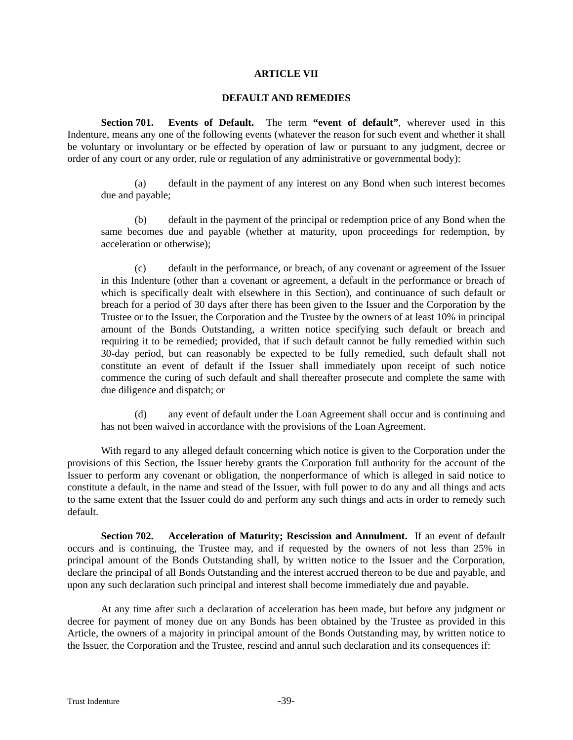#### **ARTICLE VII**

# **DEFAULT AND REMEDIES**

 **Section 701. Events of Default.** The term **"event of default"**, wherever used in this Indenture, means any one of the following events (whatever the reason for such event and whether it shall be voluntary or involuntary or be effected by operation of law or pursuant to any judgment, decree or order of any court or any order, rule or regulation of any administrative or governmental body):

 (a) default in the payment of any interest on any Bond when such interest becomes due and payable;

 (b) default in the payment of the principal or redemption price of any Bond when the same becomes due and payable (whether at maturity, upon proceedings for redemption, by acceleration or otherwise);

 (c) default in the performance, or breach, of any covenant or agreement of the Issuer in this Indenture (other than a covenant or agreement, a default in the performance or breach of which is specifically dealt with elsewhere in this Section), and continuance of such default or breach for a period of 30 days after there has been given to the Issuer and the Corporation by the Trustee or to the Issuer, the Corporation and the Trustee by the owners of at least 10% in principal amount of the Bonds Outstanding, a written notice specifying such default or breach and requiring it to be remedied; provided, that if such default cannot be fully remedied within such 30-day period, but can reasonably be expected to be fully remedied, such default shall not constitute an event of default if the Issuer shall immediately upon receipt of such notice commence the curing of such default and shall thereafter prosecute and complete the same with due diligence and dispatch; or

 (d) any event of default under the Loan Agreement shall occur and is continuing and has not been waived in accordance with the provisions of the Loan Agreement.

 With regard to any alleged default concerning which notice is given to the Corporation under the provisions of this Section, the Issuer hereby grants the Corporation full authority for the account of the Issuer to perform any covenant or obligation, the nonperformance of which is alleged in said notice to constitute a default, in the name and stead of the Issuer, with full power to do any and all things and acts to the same extent that the Issuer could do and perform any such things and acts in order to remedy such default.

**Section 702.** Acceleration of Maturity; Rescission and Annulment. If an event of default occurs and is continuing, the Trustee may, and if requested by the owners of not less than 25% in principal amount of the Bonds Outstanding shall, by written notice to the Issuer and the Corporation, declare the principal of all Bonds Outstanding and the interest accrued thereon to be due and payable, and upon any such declaration such principal and interest shall become immediately due and payable.

 At any time after such a declaration of acceleration has been made, but before any judgment or decree for payment of money due on any Bonds has been obtained by the Trustee as provided in this Article, the owners of a majority in principal amount of the Bonds Outstanding may, by written notice to the Issuer, the Corporation and the Trustee, rescind and annul such declaration and its consequences if: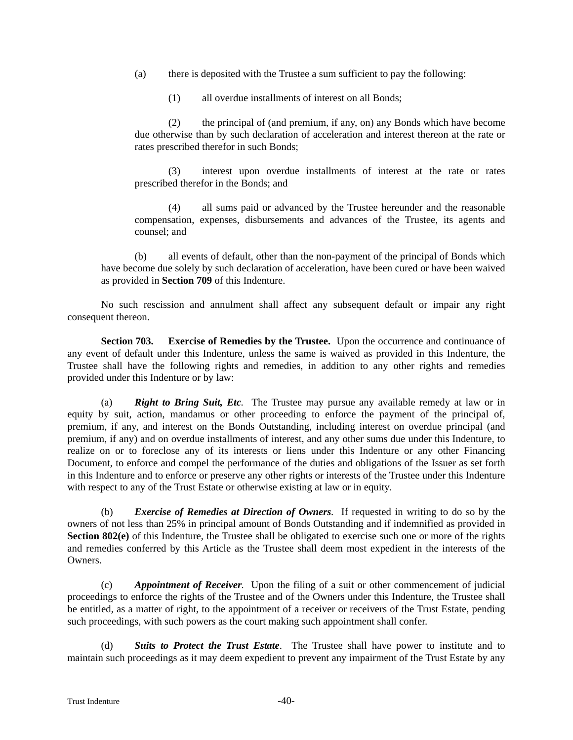- (a) there is deposited with the Trustee a sum sufficient to pay the following:
	- (1) all overdue installments of interest on all Bonds;

(2) the principal of (and premium, if any, on) any Bonds which have become due otherwise than by such declaration of acceleration and interest thereon at the rate or rates prescribed therefor in such Bonds;

(3) interest upon overdue installments of interest at the rate or rates prescribed therefor in the Bonds; and

(4) all sums paid or advanced by the Trustee hereunder and the reasonable compensation, expenses, disbursements and advances of the Trustee, its agents and counsel; and

(b) all events of default, other than the non-payment of the principal of Bonds which have become due solely by such declaration of acceleration, have been cured or have been waived as provided in **Section 709** of this Indenture.

 No such rescission and annulment shall affect any subsequent default or impair any right consequent thereon.

**Section 703.** Exercise of Remedies by the Trustee. Upon the occurrence and continuance of any event of default under this Indenture, unless the same is waived as provided in this Indenture, the Trustee shall have the following rights and remedies, in addition to any other rights and remedies provided under this Indenture or by law:

(a) *Right to Bring Suit, Etc.* The Trustee may pursue any available remedy at law or in equity by suit, action, mandamus or other proceeding to enforce the payment of the principal of, premium, if any, and interest on the Bonds Outstanding, including interest on overdue principal (and premium, if any) and on overdue installments of interest, and any other sums due under this Indenture, to realize on or to foreclose any of its interests or liens under this Indenture or any other Financing Document, to enforce and compel the performance of the duties and obligations of the Issuer as set forth in this Indenture and to enforce or preserve any other rights or interests of the Trustee under this Indenture with respect to any of the Trust Estate or otherwise existing at law or in equity.

(b) *Exercise of Remedies at Direction of Owners.* If requested in writing to do so by the owners of not less than 25% in principal amount of Bonds Outstanding and if indemnified as provided in **Section 802(e)** of this Indenture, the Trustee shall be obligated to exercise such one or more of the rights and remedies conferred by this Article as the Trustee shall deem most expedient in the interests of the Owners.

(c) *Appointment of Receiver.* Upon the filing of a suit or other commencement of judicial proceedings to enforce the rights of the Trustee and of the Owners under this Indenture, the Trustee shall be entitled, as a matter of right, to the appointment of a receiver or receivers of the Trust Estate, pending such proceedings, with such powers as the court making such appointment shall confer.

(d) *Suits to Protect the Trust Estate*. The Trustee shall have power to institute and to maintain such proceedings as it may deem expedient to prevent any impairment of the Trust Estate by any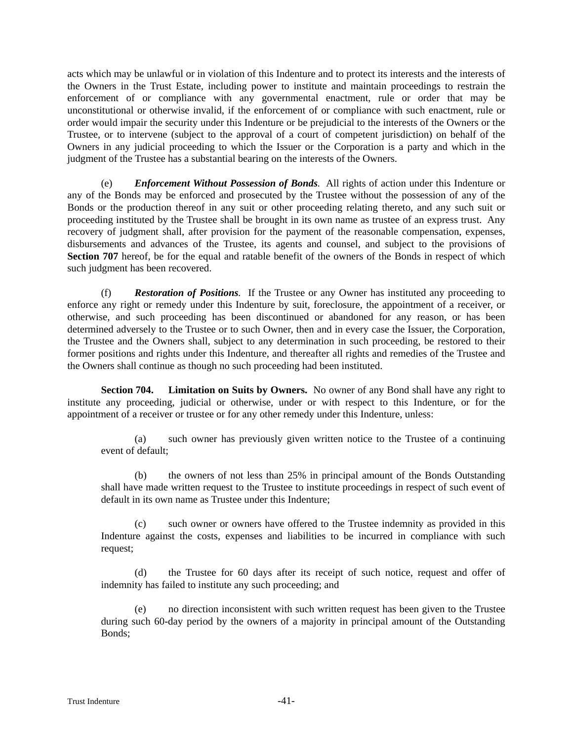acts which may be unlawful or in violation of this Indenture and to protect its interests and the interests of the Owners in the Trust Estate, including power to institute and maintain proceedings to restrain the enforcement of or compliance with any governmental enactment, rule or order that may be unconstitutional or otherwise invalid, if the enforcement of or compliance with such enactment, rule or order would impair the security under this Indenture or be prejudicial to the interests of the Owners or the Trustee, or to intervene (subject to the approval of a court of competent jurisdiction) on behalf of the Owners in any judicial proceeding to which the Issuer or the Corporation is a party and which in the judgment of the Trustee has a substantial bearing on the interests of the Owners.

(e) *Enforcement Without Possession of Bonds.* All rights of action under this Indenture or any of the Bonds may be enforced and prosecuted by the Trustee without the possession of any of the Bonds or the production thereof in any suit or other proceeding relating thereto, and any such suit or proceeding instituted by the Trustee shall be brought in its own name as trustee of an express trust. Any recovery of judgment shall, after provision for the payment of the reasonable compensation, expenses, disbursements and advances of the Trustee, its agents and counsel, and subject to the provisions of Section 707 hereof, be for the equal and ratable benefit of the owners of the Bonds in respect of which such judgment has been recovered.

(f) *Restoration of Positions.* If the Trustee or any Owner has instituted any proceeding to enforce any right or remedy under this Indenture by suit, foreclosure, the appointment of a receiver, or otherwise, and such proceeding has been discontinued or abandoned for any reason, or has been determined adversely to the Trustee or to such Owner, then and in every case the Issuer, the Corporation, the Trustee and the Owners shall, subject to any determination in such proceeding, be restored to their former positions and rights under this Indenture, and thereafter all rights and remedies of the Trustee and the Owners shall continue as though no such proceeding had been instituted.

**Section 704.** Limitation on Suits by Owners. No owner of any Bond shall have any right to institute any proceeding, judicial or otherwise, under or with respect to this Indenture, or for the appointment of a receiver or trustee or for any other remedy under this Indenture, unless:

(a) such owner has previously given written notice to the Trustee of a continuing event of default;

(b) the owners of not less than 25% in principal amount of the Bonds Outstanding shall have made written request to the Trustee to institute proceedings in respect of such event of default in its own name as Trustee under this Indenture;

(c) such owner or owners have offered to the Trustee indemnity as provided in this Indenture against the costs, expenses and liabilities to be incurred in compliance with such request;

(d) the Trustee for 60 days after its receipt of such notice, request and offer of indemnity has failed to institute any such proceeding; and

no direction inconsistent with such written request has been given to the Trustee during such 60-day period by the owners of a majority in principal amount of the Outstanding Bonds;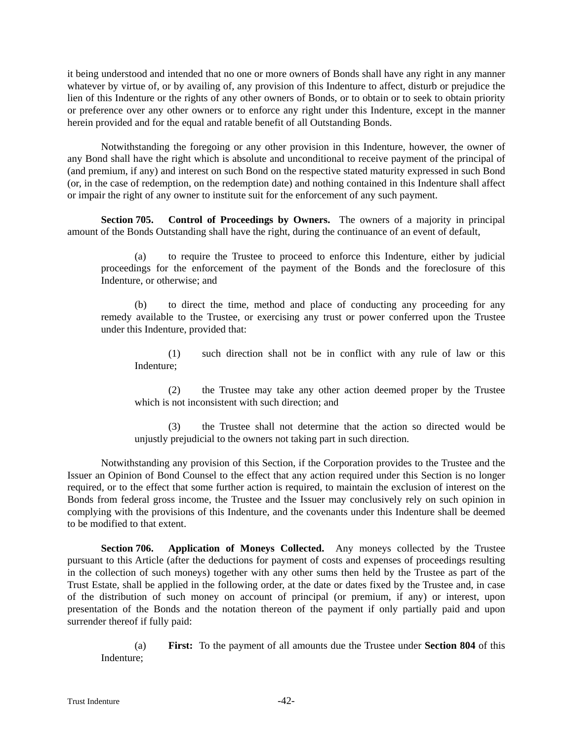it being understood and intended that no one or more owners of Bonds shall have any right in any manner whatever by virtue of, or by availing of, any provision of this Indenture to affect, disturb or prejudice the lien of this Indenture or the rights of any other owners of Bonds, or to obtain or to seek to obtain priority or preference over any other owners or to enforce any right under this Indenture, except in the manner herein provided and for the equal and ratable benefit of all Outstanding Bonds.

 Notwithstanding the foregoing or any other provision in this Indenture, however, the owner of any Bond shall have the right which is absolute and unconditional to receive payment of the principal of (and premium, if any) and interest on such Bond on the respective stated maturity expressed in such Bond (or, in the case of redemption, on the redemption date) and nothing contained in this Indenture shall affect or impair the right of any owner to institute suit for the enforcement of any such payment.

 **Section 705. Control of Proceedings by Owners.** The owners of a majority in principal amount of the Bonds Outstanding shall have the right, during the continuance of an event of default,

(a) to require the Trustee to proceed to enforce this Indenture, either by judicial proceedings for the enforcement of the payment of the Bonds and the foreclosure of this Indenture, or otherwise; and

(b) to direct the time, method and place of conducting any proceeding for any remedy available to the Trustee, or exercising any trust or power conferred upon the Trustee under this Indenture, provided that:

(1) such direction shall not be in conflict with any rule of law or this Indenture;

(2) the Trustee may take any other action deemed proper by the Trustee which is not inconsistent with such direction; and

(3) the Trustee shall not determine that the action so directed would be unjustly prejudicial to the owners not taking part in such direction.

 Notwithstanding any provision of this Section, if the Corporation provides to the Trustee and the Issuer an Opinion of Bond Counsel to the effect that any action required under this Section is no longer required, or to the effect that some further action is required, to maintain the exclusion of interest on the Bonds from federal gross income, the Trustee and the Issuer may conclusively rely on such opinion in complying with the provisions of this Indenture, and the covenants under this Indenture shall be deemed to be modified to that extent.

 **Section 706. Application of Moneys Collected.** Any moneys collected by the Trustee pursuant to this Article (after the deductions for payment of costs and expenses of proceedings resulting in the collection of such moneys) together with any other sums then held by the Trustee as part of the Trust Estate, shall be applied in the following order, at the date or dates fixed by the Trustee and, in case of the distribution of such money on account of principal (or premium, if any) or interest, upon presentation of the Bonds and the notation thereon of the payment if only partially paid and upon surrender thereof if fully paid:

(a) **First:** To the payment of all amounts due the Trustee under **Section 804** of this Indenture;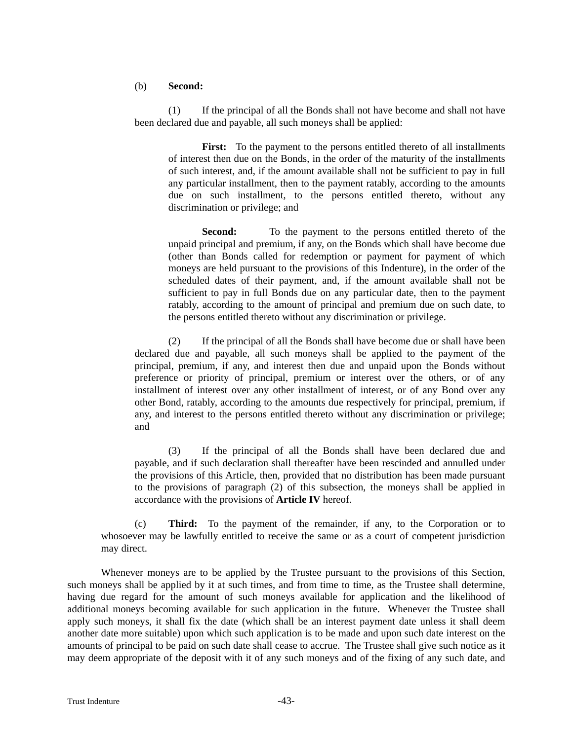## (b) **Second:**

 (1) If the principal of all the Bonds shall not have become and shall not have been declared due and payable, all such moneys shall be applied:

First: To the payment to the persons entitled thereto of all installments of interest then due on the Bonds, in the order of the maturity of the installments of such interest, and, if the amount available shall not be sufficient to pay in full any particular installment, then to the payment ratably, according to the amounts due on such installment, to the persons entitled thereto, without any discrimination or privilege; and

**Second:** To the payment to the persons entitled thereto of the unpaid principal and premium, if any, on the Bonds which shall have become due (other than Bonds called for redemption or payment for payment of which moneys are held pursuant to the provisions of this Indenture), in the order of the scheduled dates of their payment, and, if the amount available shall not be sufficient to pay in full Bonds due on any particular date, then to the payment ratably, according to the amount of principal and premium due on such date, to the persons entitled thereto without any discrimination or privilege.

 (2) If the principal of all the Bonds shall have become due or shall have been declared due and payable, all such moneys shall be applied to the payment of the principal, premium, if any, and interest then due and unpaid upon the Bonds without preference or priority of principal, premium or interest over the others, or of any installment of interest over any other installment of interest, or of any Bond over any other Bond, ratably, according to the amounts due respectively for principal, premium, if any, and interest to the persons entitled thereto without any discrimination or privilege; and

 (3) If the principal of all the Bonds shall have been declared due and payable, and if such declaration shall thereafter have been rescinded and annulled under the provisions of this Article, then, provided that no distribution has been made pursuant to the provisions of paragraph (2) of this subsection, the moneys shall be applied in accordance with the provisions of **Article IV** hereof.

(c) **Third:** To the payment of the remainder, if any, to the Corporation or to whosoever may be lawfully entitled to receive the same or as a court of competent jurisdiction may direct.

 Whenever moneys are to be applied by the Trustee pursuant to the provisions of this Section, such moneys shall be applied by it at such times, and from time to time, as the Trustee shall determine, having due regard for the amount of such moneys available for application and the likelihood of additional moneys becoming available for such application in the future. Whenever the Trustee shall apply such moneys, it shall fix the date (which shall be an interest payment date unless it shall deem another date more suitable) upon which such application is to be made and upon such date interest on the amounts of principal to be paid on such date shall cease to accrue. The Trustee shall give such notice as it may deem appropriate of the deposit with it of any such moneys and of the fixing of any such date, and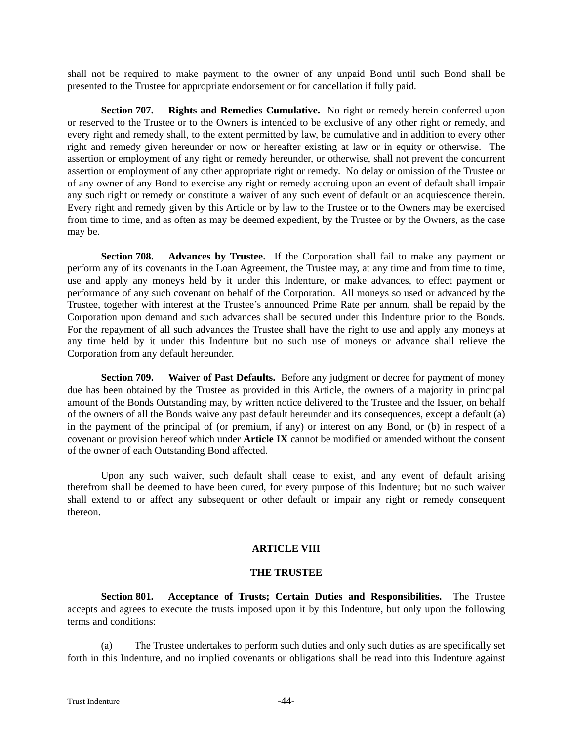shall not be required to make payment to the owner of any unpaid Bond until such Bond shall be presented to the Trustee for appropriate endorsement or for cancellation if fully paid.

**Section 707.** Rights and Remedies Cumulative. No right or remedy herein conferred upon or reserved to the Trustee or to the Owners is intended to be exclusive of any other right or remedy, and every right and remedy shall, to the extent permitted by law, be cumulative and in addition to every other right and remedy given hereunder or now or hereafter existing at law or in equity or otherwise. The assertion or employment of any right or remedy hereunder, or otherwise, shall not prevent the concurrent assertion or employment of any other appropriate right or remedy. No delay or omission of the Trustee or of any owner of any Bond to exercise any right or remedy accruing upon an event of default shall impair any such right or remedy or constitute a waiver of any such event of default or an acquiescence therein. Every right and remedy given by this Article or by law to the Trustee or to the Owners may be exercised from time to time, and as often as may be deemed expedient, by the Trustee or by the Owners, as the case may be.

 **Section 708. Advances by Trustee.** If the Corporation shall fail to make any payment or perform any of its covenants in the Loan Agreement, the Trustee may, at any time and from time to time, use and apply any moneys held by it under this Indenture, or make advances, to effect payment or performance of any such covenant on behalf of the Corporation. All moneys so used or advanced by the Trustee, together with interest at the Trustee's announced Prime Rate per annum, shall be repaid by the Corporation upon demand and such advances shall be secured under this Indenture prior to the Bonds. For the repayment of all such advances the Trustee shall have the right to use and apply any moneys at any time held by it under this Indenture but no such use of moneys or advance shall relieve the Corporation from any default hereunder.

**Section 709.** Waiver of Past Defaults. Before any judgment or decree for payment of money due has been obtained by the Trustee as provided in this Article, the owners of a majority in principal amount of the Bonds Outstanding may, by written notice delivered to the Trustee and the Issuer, on behalf of the owners of all the Bonds waive any past default hereunder and its consequences, except a default (a) in the payment of the principal of (or premium, if any) or interest on any Bond, or (b) in respect of a covenant or provision hereof which under **Article IX** cannot be modified or amended without the consent of the owner of each Outstanding Bond affected.

 Upon any such waiver, such default shall cease to exist, and any event of default arising therefrom shall be deemed to have been cured, for every purpose of this Indenture; but no such waiver shall extend to or affect any subsequent or other default or impair any right or remedy consequent thereon.

## **ARTICLE VIII**

## **THE TRUSTEE**

 **Section 801. Acceptance of Trusts; Certain Duties and Responsibilities.** The Trustee accepts and agrees to execute the trusts imposed upon it by this Indenture, but only upon the following terms and conditions:

(a) The Trustee undertakes to perform such duties and only such duties as are specifically set forth in this Indenture, and no implied covenants or obligations shall be read into this Indenture against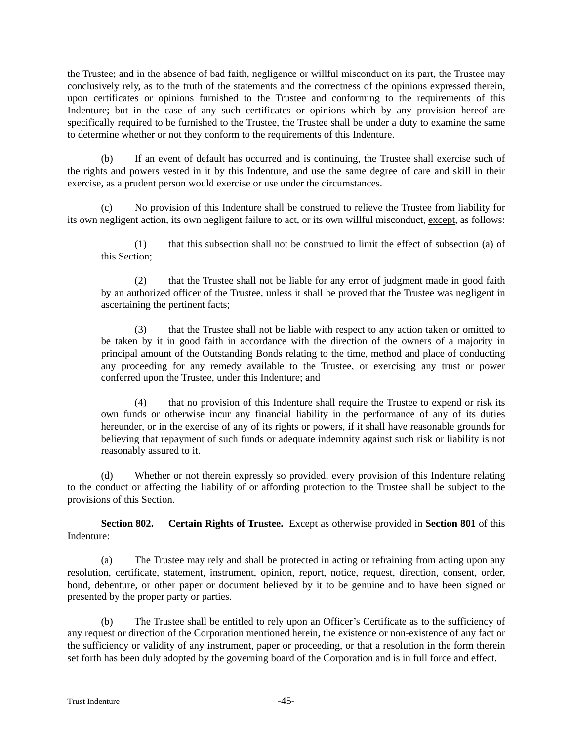the Trustee; and in the absence of bad faith, negligence or willful misconduct on its part, the Trustee may conclusively rely, as to the truth of the statements and the correctness of the opinions expressed therein, upon certificates or opinions furnished to the Trustee and conforming to the requirements of this Indenture; but in the case of any such certificates or opinions which by any provision hereof are specifically required to be furnished to the Trustee, the Trustee shall be under a duty to examine the same to determine whether or not they conform to the requirements of this Indenture.

(b) If an event of default has occurred and is continuing, the Trustee shall exercise such of the rights and powers vested in it by this Indenture, and use the same degree of care and skill in their exercise, as a prudent person would exercise or use under the circumstances.

(c) No provision of this Indenture shall be construed to relieve the Trustee from liability for its own negligent action, its own negligent failure to act, or its own willful misconduct, except, as follows:

(1) that this subsection shall not be construed to limit the effect of subsection (a) of this Section;

(2) that the Trustee shall not be liable for any error of judgment made in good faith by an authorized officer of the Trustee, unless it shall be proved that the Trustee was negligent in ascertaining the pertinent facts;

(3) that the Trustee shall not be liable with respect to any action taken or omitted to be taken by it in good faith in accordance with the direction of the owners of a majority in principal amount of the Outstanding Bonds relating to the time, method and place of conducting any proceeding for any remedy available to the Trustee, or exercising any trust or power conferred upon the Trustee, under this Indenture; and

(4) that no provision of this Indenture shall require the Trustee to expend or risk its own funds or otherwise incur any financial liability in the performance of any of its duties hereunder, or in the exercise of any of its rights or powers, if it shall have reasonable grounds for believing that repayment of such funds or adequate indemnity against such risk or liability is not reasonably assured to it.

(d) Whether or not therein expressly so provided, every provision of this Indenture relating to the conduct or affecting the liability of or affording protection to the Trustee shall be subject to the provisions of this Section.

 **Section 802. Certain Rights of Trustee.** Except as otherwise provided in **Section 801** of this Indenture:

(a) The Trustee may rely and shall be protected in acting or refraining from acting upon any resolution, certificate, statement, instrument, opinion, report, notice, request, direction, consent, order, bond, debenture, or other paper or document believed by it to be genuine and to have been signed or presented by the proper party or parties.

(b) The Trustee shall be entitled to rely upon an Officer's Certificate as to the sufficiency of any request or direction of the Corporation mentioned herein, the existence or non-existence of any fact or the sufficiency or validity of any instrument, paper or proceeding, or that a resolution in the form therein set forth has been duly adopted by the governing board of the Corporation and is in full force and effect.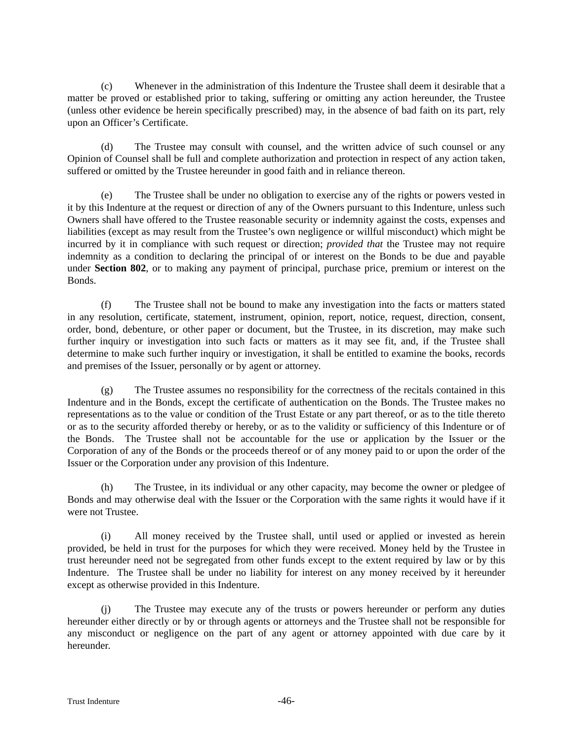(c) Whenever in the administration of this Indenture the Trustee shall deem it desirable that a matter be proved or established prior to taking, suffering or omitting any action hereunder, the Trustee (unless other evidence be herein specifically prescribed) may, in the absence of bad faith on its part, rely upon an Officer's Certificate.

(d) The Trustee may consult with counsel, and the written advice of such counsel or any Opinion of Counsel shall be full and complete authorization and protection in respect of any action taken, suffered or omitted by the Trustee hereunder in good faith and in reliance thereon.

(e) The Trustee shall be under no obligation to exercise any of the rights or powers vested in it by this Indenture at the request or direction of any of the Owners pursuant to this Indenture, unless such Owners shall have offered to the Trustee reasonable security or indemnity against the costs, expenses and liabilities (except as may result from the Trustee's own negligence or willful misconduct) which might be incurred by it in compliance with such request or direction; *provided that* the Trustee may not require indemnity as a condition to declaring the principal of or interest on the Bonds to be due and payable under **Section 802**, or to making any payment of principal, purchase price, premium or interest on the Bonds.

(f) The Trustee shall not be bound to make any investigation into the facts or matters stated in any resolution, certificate, statement, instrument, opinion, report, notice, request, direction, consent, order, bond, debenture, or other paper or document, but the Trustee, in its discretion, may make such further inquiry or investigation into such facts or matters as it may see fit, and, if the Trustee shall determine to make such further inquiry or investigation, it shall be entitled to examine the books, records and premises of the Issuer, personally or by agent or attorney.

(g) The Trustee assumes no responsibility for the correctness of the recitals contained in this Indenture and in the Bonds, except the certificate of authentication on the Bonds. The Trustee makes no representations as to the value or condition of the Trust Estate or any part thereof, or as to the title thereto or as to the security afforded thereby or hereby, or as to the validity or sufficiency of this Indenture or of the Bonds. The Trustee shall not be accountable for the use or application by the Issuer or the Corporation of any of the Bonds or the proceeds thereof or of any money paid to or upon the order of the Issuer or the Corporation under any provision of this Indenture.

(h) The Trustee, in its individual or any other capacity, may become the owner or pledgee of Bonds and may otherwise deal with the Issuer or the Corporation with the same rights it would have if it were not Trustee.

(i) All money received by the Trustee shall, until used or applied or invested as herein provided, be held in trust for the purposes for which they were received. Money held by the Trustee in trust hereunder need not be segregated from other funds except to the extent required by law or by this Indenture. The Trustee shall be under no liability for interest on any money received by it hereunder except as otherwise provided in this Indenture.

(j) The Trustee may execute any of the trusts or powers hereunder or perform any duties hereunder either directly or by or through agents or attorneys and the Trustee shall not be responsible for any misconduct or negligence on the part of any agent or attorney appointed with due care by it hereunder.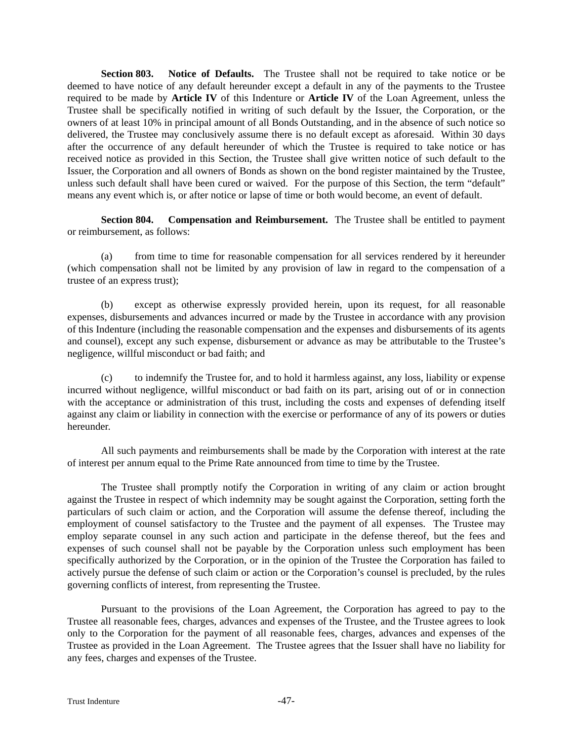**Section 803. Notice of Defaults.** The Trustee shall not be required to take notice or be deemed to have notice of any default hereunder except a default in any of the payments to the Trustee required to be made by **Article IV** of this Indenture or **Article IV** of the Loan Agreement, unless the Trustee shall be specifically notified in writing of such default by the Issuer, the Corporation, or the owners of at least 10% in principal amount of all Bonds Outstanding, and in the absence of such notice so delivered, the Trustee may conclusively assume there is no default except as aforesaid. Within 30 days after the occurrence of any default hereunder of which the Trustee is required to take notice or has received notice as provided in this Section, the Trustee shall give written notice of such default to the Issuer, the Corporation and all owners of Bonds as shown on the bond register maintained by the Trustee, unless such default shall have been cured or waived. For the purpose of this Section, the term "default" means any event which is, or after notice or lapse of time or both would become, an event of default.

**Section 804.** Compensation and Reimbursement. The Trustee shall be entitled to payment or reimbursement, as follows:

(a) from time to time for reasonable compensation for all services rendered by it hereunder (which compensation shall not be limited by any provision of law in regard to the compensation of a trustee of an express trust);

(b) except as otherwise expressly provided herein, upon its request, for all reasonable expenses, disbursements and advances incurred or made by the Trustee in accordance with any provision of this Indenture (including the reasonable compensation and the expenses and disbursements of its agents and counsel), except any such expense, disbursement or advance as may be attributable to the Trustee's negligence, willful misconduct or bad faith; and

(c) to indemnify the Trustee for, and to hold it harmless against, any loss, liability or expense incurred without negligence, willful misconduct or bad faith on its part, arising out of or in connection with the acceptance or administration of this trust, including the costs and expenses of defending itself against any claim or liability in connection with the exercise or performance of any of its powers or duties hereunder.

 All such payments and reimbursements shall be made by the Corporation with interest at the rate of interest per annum equal to the Prime Rate announced from time to time by the Trustee.

 The Trustee shall promptly notify the Corporation in writing of any claim or action brought against the Trustee in respect of which indemnity may be sought against the Corporation, setting forth the particulars of such claim or action, and the Corporation will assume the defense thereof, including the employment of counsel satisfactory to the Trustee and the payment of all expenses. The Trustee may employ separate counsel in any such action and participate in the defense thereof, but the fees and expenses of such counsel shall not be payable by the Corporation unless such employment has been specifically authorized by the Corporation, or in the opinion of the Trustee the Corporation has failed to actively pursue the defense of such claim or action or the Corporation's counsel is precluded, by the rules governing conflicts of interest, from representing the Trustee.

 Pursuant to the provisions of the Loan Agreement, the Corporation has agreed to pay to the Trustee all reasonable fees, charges, advances and expenses of the Trustee, and the Trustee agrees to look only to the Corporation for the payment of all reasonable fees, charges, advances and expenses of the Trustee as provided in the Loan Agreement. The Trustee agrees that the Issuer shall have no liability for any fees, charges and expenses of the Trustee.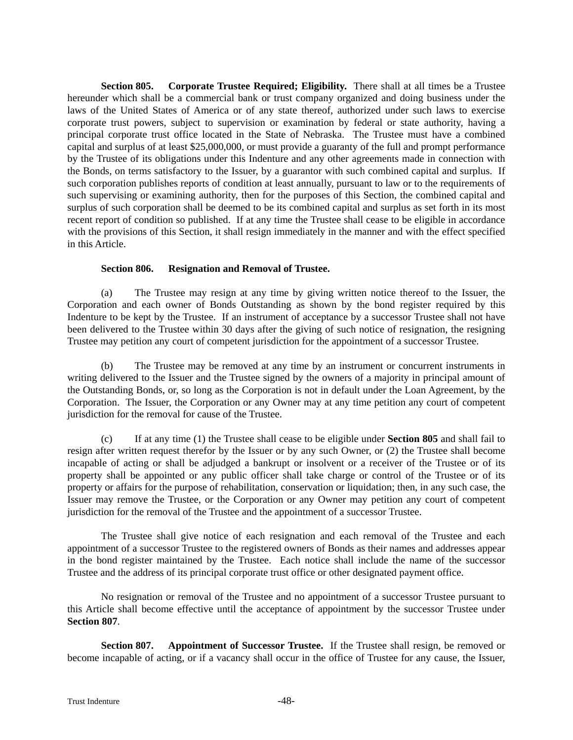**Section 805. Corporate Trustee Required; Eligibility.** There shall at all times be a Trustee hereunder which shall be a commercial bank or trust company organized and doing business under the laws of the United States of America or of any state thereof, authorized under such laws to exercise corporate trust powers, subject to supervision or examination by federal or state authority, having a principal corporate trust office located in the State of Nebraska. The Trustee must have a combined capital and surplus of at least \$25,000,000, or must provide a guaranty of the full and prompt performance by the Trustee of its obligations under this Indenture and any other agreements made in connection with the Bonds, on terms satisfactory to the Issuer, by a guarantor with such combined capital and surplus. If such corporation publishes reports of condition at least annually, pursuant to law or to the requirements of such supervising or examining authority, then for the purposes of this Section, the combined capital and surplus of such corporation shall be deemed to be its combined capital and surplus as set forth in its most recent report of condition so published. If at any time the Trustee shall cease to be eligible in accordance with the provisions of this Section, it shall resign immediately in the manner and with the effect specified in this Article.

## **Section 806. Resignation and Removal of Trustee.**

(a) The Trustee may resign at any time by giving written notice thereof to the Issuer, the Corporation and each owner of Bonds Outstanding as shown by the bond register required by this Indenture to be kept by the Trustee. If an instrument of acceptance by a successor Trustee shall not have been delivered to the Trustee within 30 days after the giving of such notice of resignation, the resigning Trustee may petition any court of competent jurisdiction for the appointment of a successor Trustee.

(b) The Trustee may be removed at any time by an instrument or concurrent instruments in writing delivered to the Issuer and the Trustee signed by the owners of a majority in principal amount of the Outstanding Bonds, or, so long as the Corporation is not in default under the Loan Agreement, by the Corporation. The Issuer, the Corporation or any Owner may at any time petition any court of competent jurisdiction for the removal for cause of the Trustee.

(c) If at any time (1) the Trustee shall cease to be eligible under **Section 805** and shall fail to resign after written request therefor by the Issuer or by any such Owner, or (2) the Trustee shall become incapable of acting or shall be adjudged a bankrupt or insolvent or a receiver of the Trustee or of its property shall be appointed or any public officer shall take charge or control of the Trustee or of its property or affairs for the purpose of rehabilitation, conservation or liquidation; then, in any such case, the Issuer may remove the Trustee, or the Corporation or any Owner may petition any court of competent jurisdiction for the removal of the Trustee and the appointment of a successor Trustee.

 The Trustee shall give notice of each resignation and each removal of the Trustee and each appointment of a successor Trustee to the registered owners of Bonds as their names and addresses appear in the bond register maintained by the Trustee. Each notice shall include the name of the successor Trustee and the address of its principal corporate trust office or other designated payment office.

 No resignation or removal of the Trustee and no appointment of a successor Trustee pursuant to this Article shall become effective until the acceptance of appointment by the successor Trustee under **Section 807**.

**Section 807.** Appointment of Successor Trustee. If the Trustee shall resign, be removed or become incapable of acting, or if a vacancy shall occur in the office of Trustee for any cause, the Issuer,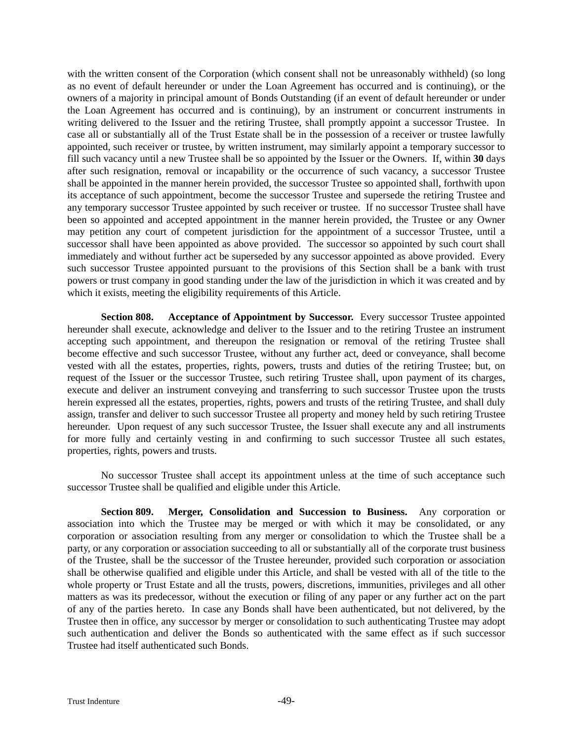with the written consent of the Corporation (which consent shall not be unreasonably withheld) (so long as no event of default hereunder or under the Loan Agreement has occurred and is continuing), or the owners of a majority in principal amount of Bonds Outstanding (if an event of default hereunder or under the Loan Agreement has occurred and is continuing), by an instrument or concurrent instruments in writing delivered to the Issuer and the retiring Trustee, shall promptly appoint a successor Trustee. In case all or substantially all of the Trust Estate shall be in the possession of a receiver or trustee lawfully appointed, such receiver or trustee, by written instrument, may similarly appoint a temporary successor to fill such vacancy until a new Trustee shall be so appointed by the Issuer or the Owners. If, within **30** days after such resignation, removal or incapability or the occurrence of such vacancy, a successor Trustee shall be appointed in the manner herein provided, the successor Trustee so appointed shall, forthwith upon its acceptance of such appointment, become the successor Trustee and supersede the retiring Trustee and any temporary successor Trustee appointed by such receiver or trustee. If no successor Trustee shall have been so appointed and accepted appointment in the manner herein provided, the Trustee or any Owner may petition any court of competent jurisdiction for the appointment of a successor Trustee, until a successor shall have been appointed as above provided. The successor so appointed by such court shall immediately and without further act be superseded by any successor appointed as above provided. Every such successor Trustee appointed pursuant to the provisions of this Section shall be a bank with trust powers or trust company in good standing under the law of the jurisdiction in which it was created and by which it exists, meeting the eligibility requirements of this Article.

**Section 808.** Acceptance of Appointment by Successor. Every successor Trustee appointed hereunder shall execute, acknowledge and deliver to the Issuer and to the retiring Trustee an instrument accepting such appointment, and thereupon the resignation or removal of the retiring Trustee shall become effective and such successor Trustee, without any further act, deed or conveyance, shall become vested with all the estates, properties, rights, powers, trusts and duties of the retiring Trustee; but, on request of the Issuer or the successor Trustee, such retiring Trustee shall, upon payment of its charges, execute and deliver an instrument conveying and transferring to such successor Trustee upon the trusts herein expressed all the estates, properties, rights, powers and trusts of the retiring Trustee, and shall duly assign, transfer and deliver to such successor Trustee all property and money held by such retiring Trustee hereunder. Upon request of any such successor Trustee, the Issuer shall execute any and all instruments for more fully and certainly vesting in and confirming to such successor Trustee all such estates, properties, rights, powers and trusts.

 No successor Trustee shall accept its appointment unless at the time of such acceptance such successor Trustee shall be qualified and eligible under this Article.

 **Section 809. Merger, Consolidation and Succession to Business.** Any corporation or association into which the Trustee may be merged or with which it may be consolidated, or any corporation or association resulting from any merger or consolidation to which the Trustee shall be a party, or any corporation or association succeeding to all or substantially all of the corporate trust business of the Trustee, shall be the successor of the Trustee hereunder, provided such corporation or association shall be otherwise qualified and eligible under this Article, and shall be vested with all of the title to the whole property or Trust Estate and all the trusts, powers, discretions, immunities, privileges and all other matters as was its predecessor, without the execution or filing of any paper or any further act on the part of any of the parties hereto. In case any Bonds shall have been authenticated, but not delivered, by the Trustee then in office, any successor by merger or consolidation to such authenticating Trustee may adopt such authentication and deliver the Bonds so authenticated with the same effect as if such successor Trustee had itself authenticated such Bonds.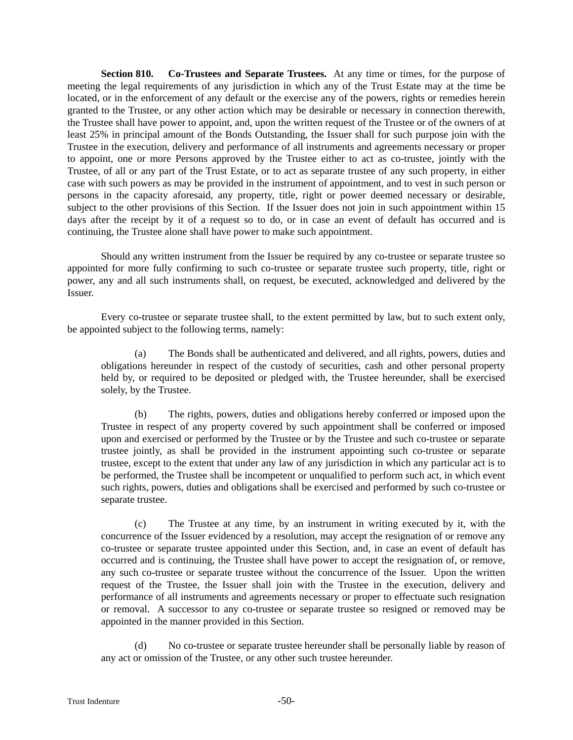**Section 810. Co-Trustees and Separate Trustees.** At any time or times, for the purpose of meeting the legal requirements of any jurisdiction in which any of the Trust Estate may at the time be located, or in the enforcement of any default or the exercise any of the powers, rights or remedies herein granted to the Trustee, or any other action which may be desirable or necessary in connection therewith, the Trustee shall have power to appoint, and, upon the written request of the Trustee or of the owners of at least 25% in principal amount of the Bonds Outstanding, the Issuer shall for such purpose join with the Trustee in the execution, delivery and performance of all instruments and agreements necessary or proper to appoint, one or more Persons approved by the Trustee either to act as co-trustee, jointly with the Trustee, of all or any part of the Trust Estate, or to act as separate trustee of any such property, in either case with such powers as may be provided in the instrument of appointment, and to vest in such person or persons in the capacity aforesaid, any property, title, right or power deemed necessary or desirable, subject to the other provisions of this Section. If the Issuer does not join in such appointment within 15 days after the receipt by it of a request so to do, or in case an event of default has occurred and is continuing, the Trustee alone shall have power to make such appointment.

 Should any written instrument from the Issuer be required by any co-trustee or separate trustee so appointed for more fully confirming to such co-trustee or separate trustee such property, title, right or power, any and all such instruments shall, on request, be executed, acknowledged and delivered by the Issuer.

 Every co-trustee or separate trustee shall, to the extent permitted by law, but to such extent only, be appointed subject to the following terms, namely:

 (a) The Bonds shall be authenticated and delivered, and all rights, powers, duties and obligations hereunder in respect of the custody of securities, cash and other personal property held by, or required to be deposited or pledged with, the Trustee hereunder, shall be exercised solely, by the Trustee.

 (b) The rights, powers, duties and obligations hereby conferred or imposed upon the Trustee in respect of any property covered by such appointment shall be conferred or imposed upon and exercised or performed by the Trustee or by the Trustee and such co-trustee or separate trustee jointly, as shall be provided in the instrument appointing such co-trustee or separate trustee, except to the extent that under any law of any jurisdiction in which any particular act is to be performed, the Trustee shall be incompetent or unqualified to perform such act, in which event such rights, powers, duties and obligations shall be exercised and performed by such co-trustee or separate trustee.

 (c) The Trustee at any time, by an instrument in writing executed by it, with the concurrence of the Issuer evidenced by a resolution, may accept the resignation of or remove any co-trustee or separate trustee appointed under this Section, and, in case an event of default has occurred and is continuing, the Trustee shall have power to accept the resignation of, or remove, any such co-trustee or separate trustee without the concurrence of the Issuer. Upon the written request of the Trustee, the Issuer shall join with the Trustee in the execution, delivery and performance of all instruments and agreements necessary or proper to effectuate such resignation or removal. A successor to any co-trustee or separate trustee so resigned or removed may be appointed in the manner provided in this Section.

 (d) No co-trustee or separate trustee hereunder shall be personally liable by reason of any act or omission of the Trustee, or any other such trustee hereunder.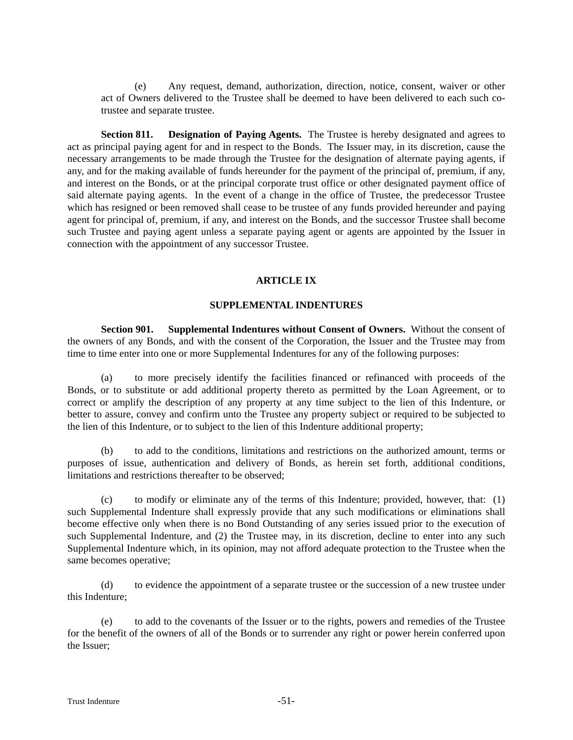(e) Any request, demand, authorization, direction, notice, consent, waiver or other act of Owners delivered to the Trustee shall be deemed to have been delivered to each such cotrustee and separate trustee.

**Section 811.** Designation of Paying Agents. The Trustee is hereby designated and agrees to act as principal paying agent for and in respect to the Bonds. The Issuer may, in its discretion, cause the necessary arrangements to be made through the Trustee for the designation of alternate paying agents, if any, and for the making available of funds hereunder for the payment of the principal of, premium, if any, and interest on the Bonds, or at the principal corporate trust office or other designated payment office of said alternate paying agents. In the event of a change in the office of Trustee, the predecessor Trustee which has resigned or been removed shall cease to be trustee of any funds provided hereunder and paying agent for principal of, premium, if any, and interest on the Bonds, and the successor Trustee shall become such Trustee and paying agent unless a separate paying agent or agents are appointed by the Issuer in connection with the appointment of any successor Trustee.

## **ARTICLE IX**

#### **SUPPLEMENTAL INDENTURES**

 **Section 901. Supplemental Indentures without Consent of Owners.** Without the consent of the owners of any Bonds, and with the consent of the Corporation, the Issuer and the Trustee may from time to time enter into one or more Supplemental Indentures for any of the following purposes:

(a) to more precisely identify the facilities financed or refinanced with proceeds of the Bonds, or to substitute or add additional property thereto as permitted by the Loan Agreement, or to correct or amplify the description of any property at any time subject to the lien of this Indenture, or better to assure, convey and confirm unto the Trustee any property subject or required to be subjected to the lien of this Indenture, or to subject to the lien of this Indenture additional property;

(b) to add to the conditions, limitations and restrictions on the authorized amount, terms or purposes of issue, authentication and delivery of Bonds, as herein set forth, additional conditions, limitations and restrictions thereafter to be observed;

(c) to modify or eliminate any of the terms of this Indenture; provided, however, that: (1) such Supplemental Indenture shall expressly provide that any such modifications or eliminations shall become effective only when there is no Bond Outstanding of any series issued prior to the execution of such Supplemental Indenture, and (2) the Trustee may, in its discretion, decline to enter into any such Supplemental Indenture which, in its opinion, may not afford adequate protection to the Trustee when the same becomes operative;

(d) to evidence the appointment of a separate trustee or the succession of a new trustee under this Indenture;

(e) to add to the covenants of the Issuer or to the rights, powers and remedies of the Trustee for the benefit of the owners of all of the Bonds or to surrender any right or power herein conferred upon the Issuer;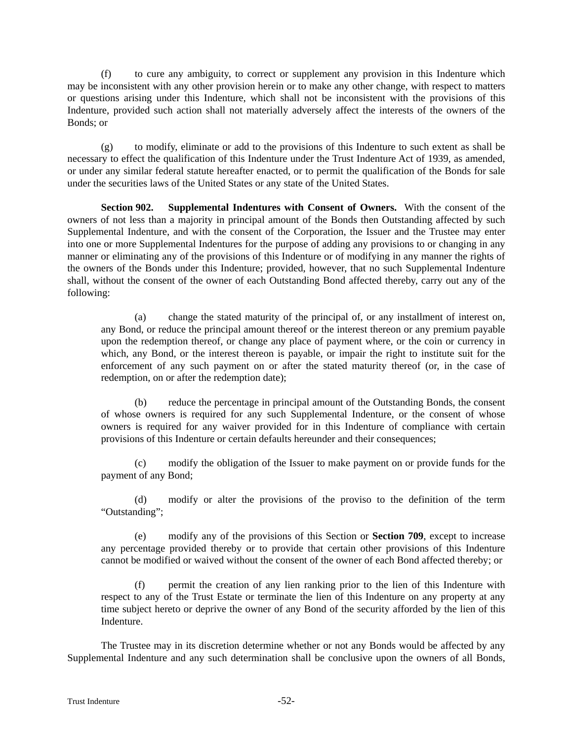(f) to cure any ambiguity, to correct or supplement any provision in this Indenture which may be inconsistent with any other provision herein or to make any other change, with respect to matters or questions arising under this Indenture, which shall not be inconsistent with the provisions of this Indenture, provided such action shall not materially adversely affect the interests of the owners of the Bonds; or

(g) to modify, eliminate or add to the provisions of this Indenture to such extent as shall be necessary to effect the qualification of this Indenture under the Trust Indenture Act of 1939, as amended, or under any similar federal statute hereafter enacted, or to permit the qualification of the Bonds for sale under the securities laws of the United States or any state of the United States.

 **Section 902. Supplemental Indentures with Consent of Owners.** With the consent of the owners of not less than a majority in principal amount of the Bonds then Outstanding affected by such Supplemental Indenture, and with the consent of the Corporation, the Issuer and the Trustee may enter into one or more Supplemental Indentures for the purpose of adding any provisions to or changing in any manner or eliminating any of the provisions of this Indenture or of modifying in any manner the rights of the owners of the Bonds under this Indenture; provided, however, that no such Supplemental Indenture shall, without the consent of the owner of each Outstanding Bond affected thereby, carry out any of the following:

 (a) change the stated maturity of the principal of, or any installment of interest on, any Bond, or reduce the principal amount thereof or the interest thereon or any premium payable upon the redemption thereof, or change any place of payment where, or the coin or currency in which, any Bond, or the interest thereon is payable, or impair the right to institute suit for the enforcement of any such payment on or after the stated maturity thereof (or, in the case of redemption, on or after the redemption date);

 (b) reduce the percentage in principal amount of the Outstanding Bonds, the consent of whose owners is required for any such Supplemental Indenture, or the consent of whose owners is required for any waiver provided for in this Indenture of compliance with certain provisions of this Indenture or certain defaults hereunder and their consequences;

 (c) modify the obligation of the Issuer to make payment on or provide funds for the payment of any Bond;

 (d) modify or alter the provisions of the proviso to the definition of the term "Outstanding";

 (e) modify any of the provisions of this Section or **Section 709**, except to increase any percentage provided thereby or to provide that certain other provisions of this Indenture cannot be modified or waived without the consent of the owner of each Bond affected thereby; or

 (f) permit the creation of any lien ranking prior to the lien of this Indenture with respect to any of the Trust Estate or terminate the lien of this Indenture on any property at any time subject hereto or deprive the owner of any Bond of the security afforded by the lien of this Indenture.

 The Trustee may in its discretion determine whether or not any Bonds would be affected by any Supplemental Indenture and any such determination shall be conclusive upon the owners of all Bonds,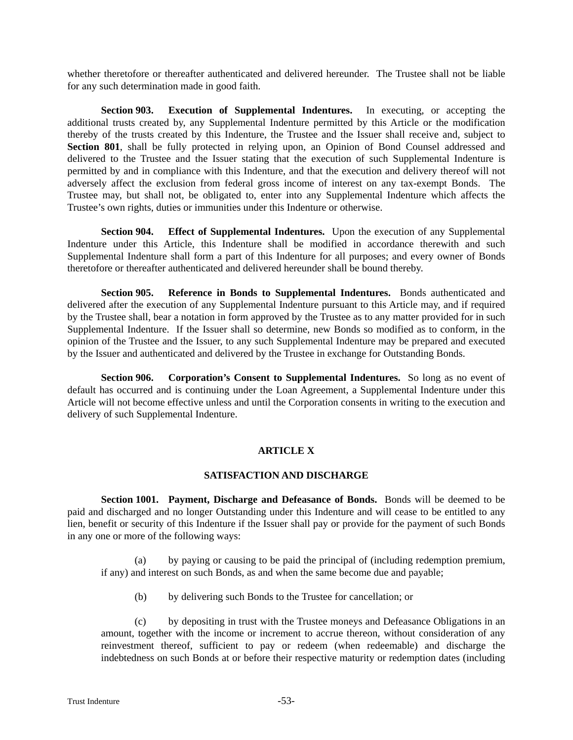whether theretofore or thereafter authenticated and delivered hereunder. The Trustee shall not be liable for any such determination made in good faith.

 **Section 903. Execution of Supplemental Indentures.** In executing, or accepting the additional trusts created by, any Supplemental Indenture permitted by this Article or the modification thereby of the trusts created by this Indenture, the Trustee and the Issuer shall receive and, subject to **Section 801**, shall be fully protected in relying upon, an Opinion of Bond Counsel addressed and delivered to the Trustee and the Issuer stating that the execution of such Supplemental Indenture is permitted by and in compliance with this Indenture, and that the execution and delivery thereof will not adversely affect the exclusion from federal gross income of interest on any tax-exempt Bonds. The Trustee may, but shall not, be obligated to, enter into any Supplemental Indenture which affects the Trustee's own rights, duties or immunities under this Indenture or otherwise.

 **Section 904. Effect of Supplemental Indentures.** Upon the execution of any Supplemental Indenture under this Article, this Indenture shall be modified in accordance therewith and such Supplemental Indenture shall form a part of this Indenture for all purposes; and every owner of Bonds theretofore or thereafter authenticated and delivered hereunder shall be bound thereby.

 **Section 905. Reference in Bonds to Supplemental Indentures.** Bonds authenticated and delivered after the execution of any Supplemental Indenture pursuant to this Article may, and if required by the Trustee shall, bear a notation in form approved by the Trustee as to any matter provided for in such Supplemental Indenture. If the Issuer shall so determine, new Bonds so modified as to conform, in the opinion of the Trustee and the Issuer, to any such Supplemental Indenture may be prepared and executed by the Issuer and authenticated and delivered by the Trustee in exchange for Outstanding Bonds.

 **Section 906. Corporation's Consent to Supplemental Indentures.** So long as no event of default has occurred and is continuing under the Loan Agreement, a Supplemental Indenture under this Article will not become effective unless and until the Corporation consents in writing to the execution and delivery of such Supplemental Indenture.

## **ARTICLE X**

## **SATISFACTION AND DISCHARGE**

 **Section 1001. Payment, Discharge and Defeasance of Bonds.** Bonds will be deemed to be paid and discharged and no longer Outstanding under this Indenture and will cease to be entitled to any lien, benefit or security of this Indenture if the Issuer shall pay or provide for the payment of such Bonds in any one or more of the following ways:

 (a) by paying or causing to be paid the principal of (including redemption premium, if any) and interest on such Bonds, as and when the same become due and payable;

(b) by delivering such Bonds to the Trustee for cancellation; or

 (c) by depositing in trust with the Trustee moneys and Defeasance Obligations in an amount, together with the income or increment to accrue thereon, without consideration of any reinvestment thereof, sufficient to pay or redeem (when redeemable) and discharge the indebtedness on such Bonds at or before their respective maturity or redemption dates (including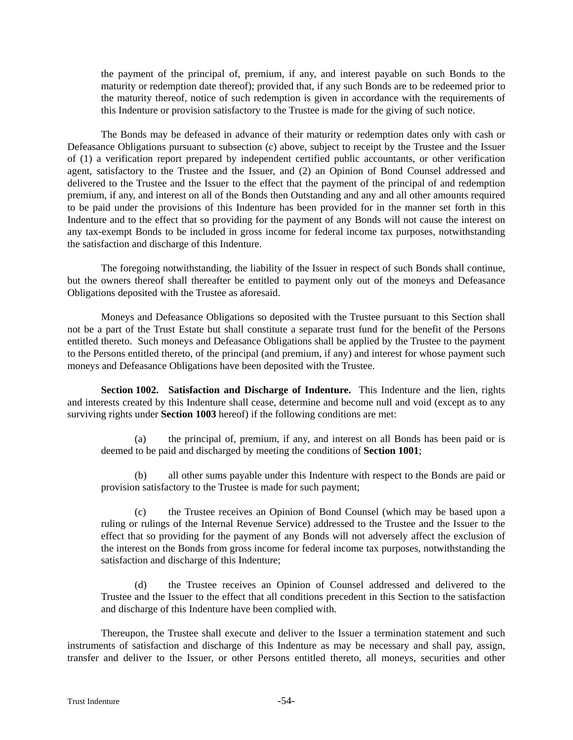the payment of the principal of, premium, if any, and interest payable on such Bonds to the maturity or redemption date thereof); provided that, if any such Bonds are to be redeemed prior to the maturity thereof, notice of such redemption is given in accordance with the requirements of this Indenture or provision satisfactory to the Trustee is made for the giving of such notice.

 The Bonds may be defeased in advance of their maturity or redemption dates only with cash or Defeasance Obligations pursuant to subsection (c) above, subject to receipt by the Trustee and the Issuer of (1) a verification report prepared by independent certified public accountants, or other verification agent, satisfactory to the Trustee and the Issuer, and (2) an Opinion of Bond Counsel addressed and delivered to the Trustee and the Issuer to the effect that the payment of the principal of and redemption premium, if any, and interest on all of the Bonds then Outstanding and any and all other amounts required to be paid under the provisions of this Indenture has been provided for in the manner set forth in this Indenture and to the effect that so providing for the payment of any Bonds will not cause the interest on any tax-exempt Bonds to be included in gross income for federal income tax purposes, notwithstanding the satisfaction and discharge of this Indenture.

 The foregoing notwithstanding, the liability of the Issuer in respect of such Bonds shall continue, but the owners thereof shall thereafter be entitled to payment only out of the moneys and Defeasance Obligations deposited with the Trustee as aforesaid.

 Moneys and Defeasance Obligations so deposited with the Trustee pursuant to this Section shall not be a part of the Trust Estate but shall constitute a separate trust fund for the benefit of the Persons entitled thereto. Such moneys and Defeasance Obligations shall be applied by the Trustee to the payment to the Persons entitled thereto, of the principal (and premium, if any) and interest for whose payment such moneys and Defeasance Obligations have been deposited with the Trustee.

 **Section 1002. Satisfaction and Discharge of Indenture.** This Indenture and the lien, rights and interests created by this Indenture shall cease, determine and become null and void (except as to any surviving rights under **Section 1003** hereof) if the following conditions are met:

(a) the principal of, premium, if any, and interest on all Bonds has been paid or is deemed to be paid and discharged by meeting the conditions of **Section 1001**;

 (b) all other sums payable under this Indenture with respect to the Bonds are paid or provision satisfactory to the Trustee is made for such payment;

 (c) the Trustee receives an Opinion of Bond Counsel (which may be based upon a ruling or rulings of the Internal Revenue Service) addressed to the Trustee and the Issuer to the effect that so providing for the payment of any Bonds will not adversely affect the exclusion of the interest on the Bonds from gross income for federal income tax purposes, notwithstanding the satisfaction and discharge of this Indenture;

 (d) the Trustee receives an Opinion of Counsel addressed and delivered to the Trustee and the Issuer to the effect that all conditions precedent in this Section to the satisfaction and discharge of this Indenture have been complied with.

 Thereupon, the Trustee shall execute and deliver to the Issuer a termination statement and such instruments of satisfaction and discharge of this Indenture as may be necessary and shall pay, assign, transfer and deliver to the Issuer, or other Persons entitled thereto, all moneys, securities and other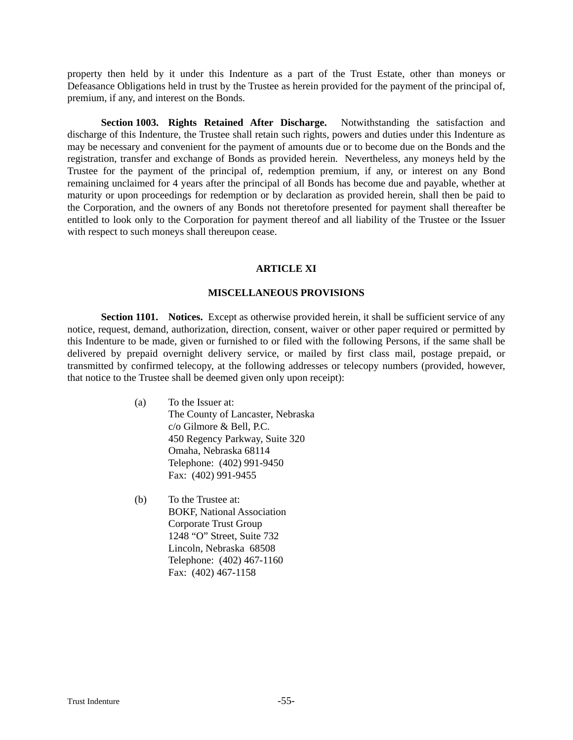property then held by it under this Indenture as a part of the Trust Estate, other than moneys or Defeasance Obligations held in trust by the Trustee as herein provided for the payment of the principal of, premium, if any, and interest on the Bonds.

 **Section 1003. Rights Retained After Discharge.** Notwithstanding the satisfaction and discharge of this Indenture, the Trustee shall retain such rights, powers and duties under this Indenture as may be necessary and convenient for the payment of amounts due or to become due on the Bonds and the registration, transfer and exchange of Bonds as provided herein. Nevertheless, any moneys held by the Trustee for the payment of the principal of, redemption premium, if any, or interest on any Bond remaining unclaimed for 4 years after the principal of all Bonds has become due and payable, whether at maturity or upon proceedings for redemption or by declaration as provided herein, shall then be paid to the Corporation, and the owners of any Bonds not theretofore presented for payment shall thereafter be entitled to look only to the Corporation for payment thereof and all liability of the Trustee or the Issuer with respect to such moneys shall thereupon cease.

## **ARTICLE XI**

## **MISCELLANEOUS PROVISIONS**

**Section 1101.** Notices. Except as otherwise provided herein, it shall be sufficient service of any notice, request, demand, authorization, direction, consent, waiver or other paper required or permitted by this Indenture to be made, given or furnished to or filed with the following Persons, if the same shall be delivered by prepaid overnight delivery service, or mailed by first class mail, postage prepaid, or transmitted by confirmed telecopy, at the following addresses or telecopy numbers (provided, however, that notice to the Trustee shall be deemed given only upon receipt):

- (a) To the Issuer at: The County of Lancaster, Nebraska c/o Gilmore & Bell, P.C. 450 Regency Parkway, Suite 320 Omaha, Nebraska 68114 Telephone: (402) 991-9450 Fax: (402) 991-9455
- (b) To the Trustee at: BOKF, National Association Corporate Trust Group 1248 "O" Street, Suite 732 Lincoln, Nebraska 68508 Telephone: (402) 467-1160 Fax: (402) 467-1158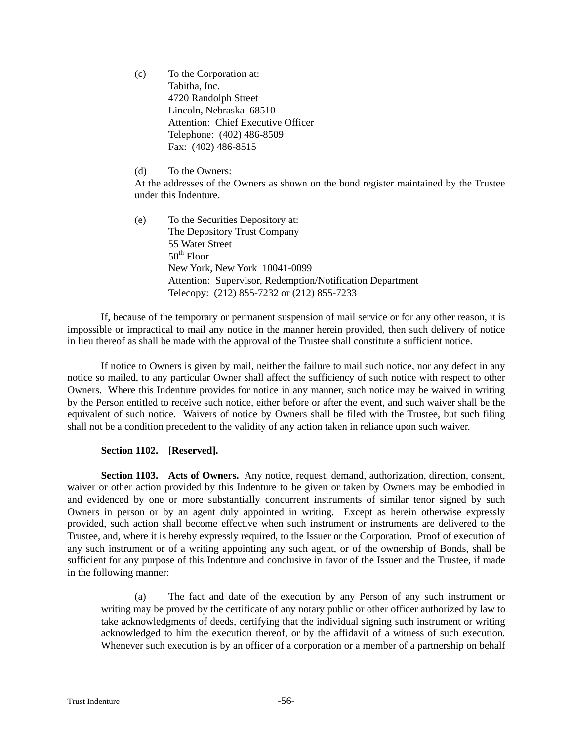- (c) To the Corporation at: Tabitha, Inc. 4720 Randolph Street Lincoln, Nebraska 68510 Attention: Chief Executive Officer Telephone: (402) 486-8509 Fax: (402) 486-8515
- (d) To the Owners:

 At the addresses of the Owners as shown on the bond register maintained by the Trustee under this Indenture.

 (e) To the Securities Depository at: The Depository Trust Company 55 Water Street  $50<sup>th</sup>$  Floor New York, New York 10041-0099 Attention: Supervisor, Redemption/Notification Department Telecopy: (212) 855-7232 or (212) 855-7233

 If, because of the temporary or permanent suspension of mail service or for any other reason, it is impossible or impractical to mail any notice in the manner herein provided, then such delivery of notice in lieu thereof as shall be made with the approval of the Trustee shall constitute a sufficient notice.

 If notice to Owners is given by mail, neither the failure to mail such notice, nor any defect in any notice so mailed, to any particular Owner shall affect the sufficiency of such notice with respect to other Owners. Where this Indenture provides for notice in any manner, such notice may be waived in writing by the Person entitled to receive such notice, either before or after the event, and such waiver shall be the equivalent of such notice. Waivers of notice by Owners shall be filed with the Trustee, but such filing shall not be a condition precedent to the validity of any action taken in reliance upon such waiver.

## **Section 1102. [Reserved].**

**Section 1103.** Acts of Owners. Any notice, request, demand, authorization, direction, consent, waiver or other action provided by this Indenture to be given or taken by Owners may be embodied in and evidenced by one or more substantially concurrent instruments of similar tenor signed by such Owners in person or by an agent duly appointed in writing. Except as herein otherwise expressly provided, such action shall become effective when such instrument or instruments are delivered to the Trustee, and, where it is hereby expressly required, to the Issuer or the Corporation. Proof of execution of any such instrument or of a writing appointing any such agent, or of the ownership of Bonds, shall be sufficient for any purpose of this Indenture and conclusive in favor of the Issuer and the Trustee, if made in the following manner:

 (a) The fact and date of the execution by any Person of any such instrument or writing may be proved by the certificate of any notary public or other officer authorized by law to take acknowledgments of deeds, certifying that the individual signing such instrument or writing acknowledged to him the execution thereof, or by the affidavit of a witness of such execution. Whenever such execution is by an officer of a corporation or a member of a partnership on behalf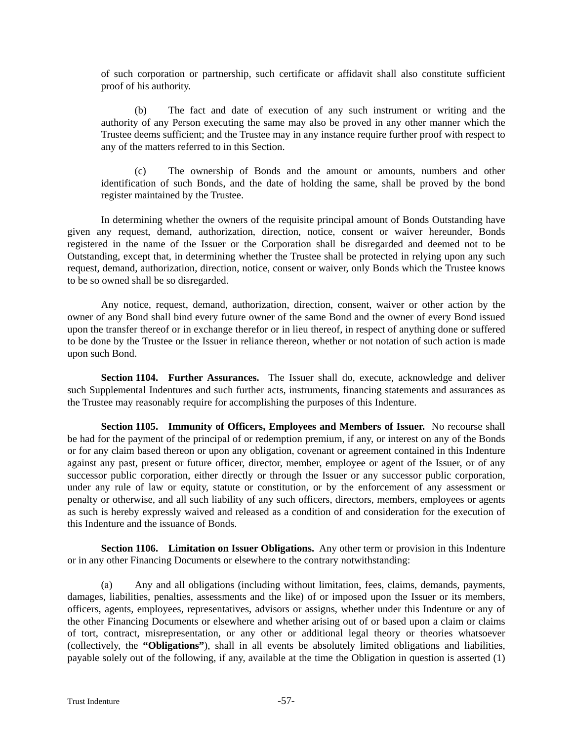of such corporation or partnership, such certificate or affidavit shall also constitute sufficient proof of his authority.

 (b) The fact and date of execution of any such instrument or writing and the authority of any Person executing the same may also be proved in any other manner which the Trustee deems sufficient; and the Trustee may in any instance require further proof with respect to any of the matters referred to in this Section.

 (c) The ownership of Bonds and the amount or amounts, numbers and other identification of such Bonds, and the date of holding the same, shall be proved by the bond register maintained by the Trustee.

 In determining whether the owners of the requisite principal amount of Bonds Outstanding have given any request, demand, authorization, direction, notice, consent or waiver hereunder, Bonds registered in the name of the Issuer or the Corporation shall be disregarded and deemed not to be Outstanding, except that, in determining whether the Trustee shall be protected in relying upon any such request, demand, authorization, direction, notice, consent or waiver, only Bonds which the Trustee knows to be so owned shall be so disregarded.

 Any notice, request, demand, authorization, direction, consent, waiver or other action by the owner of any Bond shall bind every future owner of the same Bond and the owner of every Bond issued upon the transfer thereof or in exchange therefor or in lieu thereof, in respect of anything done or suffered to be done by the Trustee or the Issuer in reliance thereon, whether or not notation of such action is made upon such Bond.

 **Section 1104. Further Assurances.** The Issuer shall do, execute, acknowledge and deliver such Supplemental Indentures and such further acts, instruments, financing statements and assurances as the Trustee may reasonably require for accomplishing the purposes of this Indenture.

 **Section 1105. Immunity of Officers, Employees and Members of Issuer.** No recourse shall be had for the payment of the principal of or redemption premium, if any, or interest on any of the Bonds or for any claim based thereon or upon any obligation, covenant or agreement contained in this Indenture against any past, present or future officer, director, member, employee or agent of the Issuer, or of any successor public corporation, either directly or through the Issuer or any successor public corporation, under any rule of law or equity, statute or constitution, or by the enforcement of any assessment or penalty or otherwise, and all such liability of any such officers, directors, members, employees or agents as such is hereby expressly waived and released as a condition of and consideration for the execution of this Indenture and the issuance of Bonds.

 **Section 1106. Limitation on Issuer Obligations.** Any other term or provision in this Indenture or in any other Financing Documents or elsewhere to the contrary notwithstanding:

(a) Any and all obligations (including without limitation, fees, claims, demands, payments, damages, liabilities, penalties, assessments and the like) of or imposed upon the Issuer or its members, officers, agents, employees, representatives, advisors or assigns, whether under this Indenture or any of the other Financing Documents or elsewhere and whether arising out of or based upon a claim or claims of tort, contract, misrepresentation, or any other or additional legal theory or theories whatsoever (collectively, the **"Obligations"**), shall in all events be absolutely limited obligations and liabilities, payable solely out of the following, if any, available at the time the Obligation in question is asserted (1)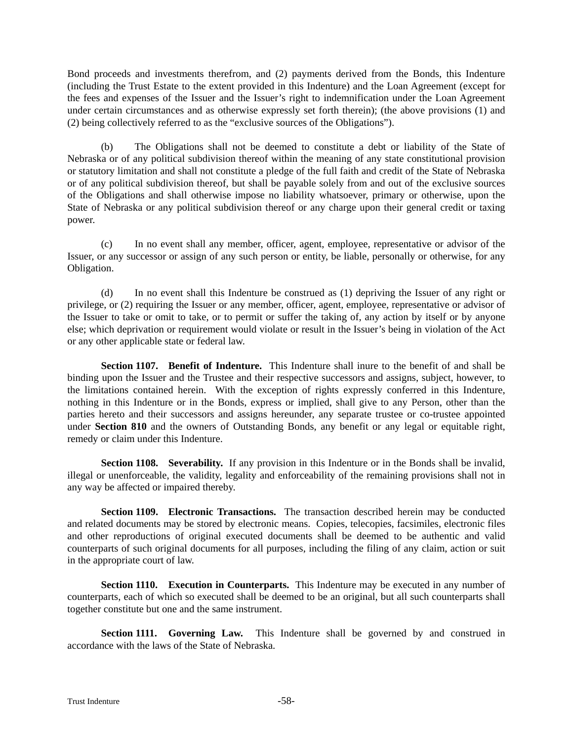Bond proceeds and investments therefrom, and (2) payments derived from the Bonds, this Indenture (including the Trust Estate to the extent provided in this Indenture) and the Loan Agreement (except for the fees and expenses of the Issuer and the Issuer's right to indemnification under the Loan Agreement under certain circumstances and as otherwise expressly set forth therein); (the above provisions (1) and (2) being collectively referred to as the "exclusive sources of the Obligations").

(b) The Obligations shall not be deemed to constitute a debt or liability of the State of Nebraska or of any political subdivision thereof within the meaning of any state constitutional provision or statutory limitation and shall not constitute a pledge of the full faith and credit of the State of Nebraska or of any political subdivision thereof, but shall be payable solely from and out of the exclusive sources of the Obligations and shall otherwise impose no liability whatsoever, primary or otherwise, upon the State of Nebraska or any political subdivision thereof or any charge upon their general credit or taxing power.

(c) In no event shall any member, officer, agent, employee, representative or advisor of the Issuer, or any successor or assign of any such person or entity, be liable, personally or otherwise, for any Obligation.

(d) In no event shall this Indenture be construed as (1) depriving the Issuer of any right or privilege, or (2) requiring the Issuer or any member, officer, agent, employee, representative or advisor of the Issuer to take or omit to take, or to permit or suffer the taking of, any action by itself or by anyone else; which deprivation or requirement would violate or result in the Issuer's being in violation of the Act or any other applicable state or federal law.

 **Section 1107. Benefit of Indenture.** This Indenture shall inure to the benefit of and shall be binding upon the Issuer and the Trustee and their respective successors and assigns, subject, however, to the limitations contained herein. With the exception of rights expressly conferred in this Indenture, nothing in this Indenture or in the Bonds, express or implied, shall give to any Person, other than the parties hereto and their successors and assigns hereunder, any separate trustee or co-trustee appointed under **Section 810** and the owners of Outstanding Bonds, any benefit or any legal or equitable right, remedy or claim under this Indenture.

 **Section 1108. Severability.** If any provision in this Indenture or in the Bonds shall be invalid, illegal or unenforceable, the validity, legality and enforceability of the remaining provisions shall not in any way be affected or impaired thereby.

 **Section 1109. Electronic Transactions.** The transaction described herein may be conducted and related documents may be stored by electronic means. Copies, telecopies, facsimiles, electronic files and other reproductions of original executed documents shall be deemed to be authentic and valid counterparts of such original documents for all purposes, including the filing of any claim, action or suit in the appropriate court of law.

 **Section 1110. Execution in Counterparts.** This Indenture may be executed in any number of counterparts, each of which so executed shall be deemed to be an original, but all such counterparts shall together constitute but one and the same instrument.

 **Section 1111. Governing Law.** This Indenture shall be governed by and construed in accordance with the laws of the State of Nebraska.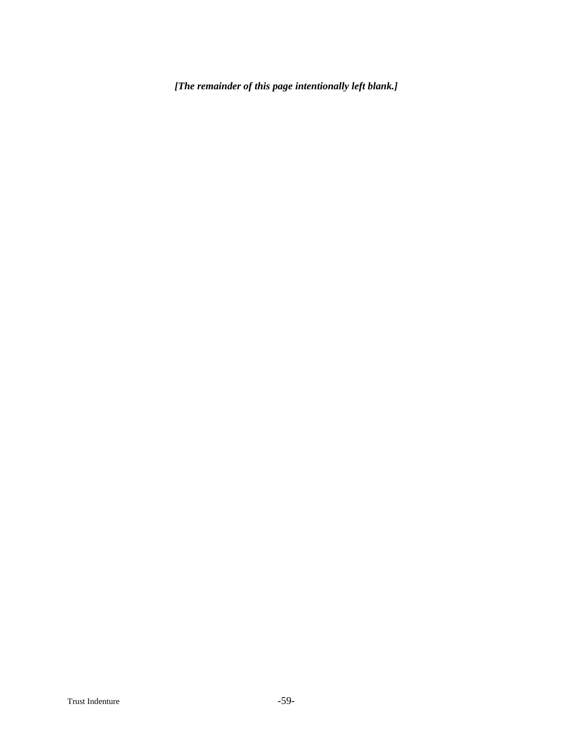*[The remainder of this page intentionally left blank.]*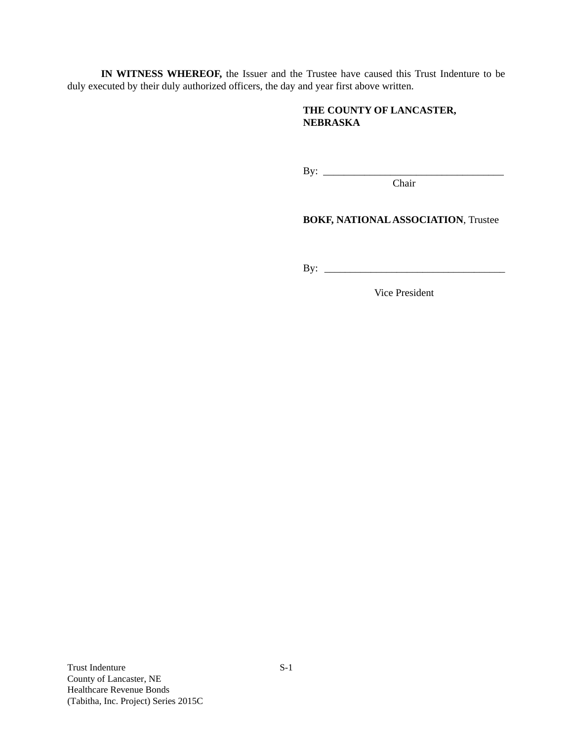**IN WITNESS WHEREOF,** the Issuer and the Trustee have caused this Trust Indenture to be duly executed by their duly authorized officers, the day and year first above written.

# **THE COUNTY OF LANCASTER, NEBRASKA**

 By: \_\_\_\_\_\_\_\_\_\_\_\_\_\_\_\_\_\_\_\_\_\_\_\_\_\_\_\_\_\_\_\_\_\_\_ **Chair** 

# **BOKF, NATIONAL ASSOCIATION**, Trustee

 $By: \_\_$ 

Vice President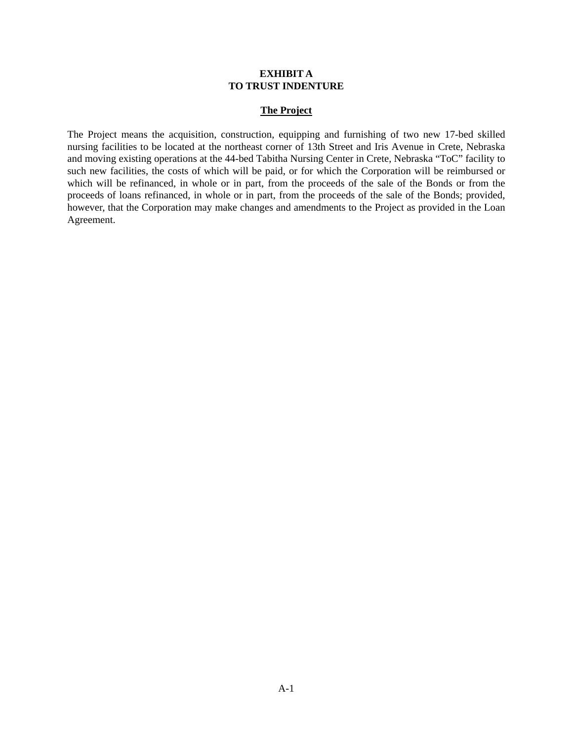## **EXHIBIT A TO TRUST INDENTURE**

#### **The Project**

The Project means the acquisition, construction, equipping and furnishing of two new 17-bed skilled nursing facilities to be located at the northeast corner of 13th Street and Iris Avenue in Crete, Nebraska and moving existing operations at the 44-bed Tabitha Nursing Center in Crete, Nebraska "ToC" facility to such new facilities, the costs of which will be paid, or for which the Corporation will be reimbursed or which will be refinanced, in whole or in part, from the proceeds of the sale of the Bonds or from the proceeds of loans refinanced, in whole or in part, from the proceeds of the sale of the Bonds; provided, however, that the Corporation may make changes and amendments to the Project as provided in the Loan Agreement.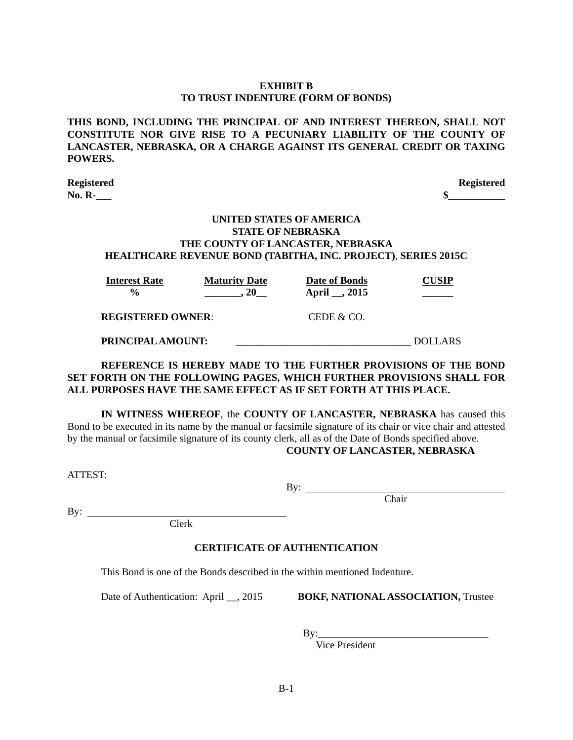#### **EXHIBIT B TO TRUST INDENTURE (FORM OF BONDS)**

**THIS BOND, INCLUDING THE PRINCIPAL OF AND INTEREST THEREON, SHALL NOT**  CONSTITUTE NOR GIVE RISE TO A PECUNIARY LIABILITY OF THE COUNTY OF **LANCASTER, NEBRASKA, OR A CHARGE AGAINST ITS GENERAL CREDIT OR TAXING POWERS.**

| <b>Registered</b> | <b>Registered</b> |
|-------------------|-------------------|
| <b>No. R-</b>     |                   |

## **UNITED STATES OF AMERICA STATE OF NEBRASKA THE COUNTY OF LANCASTER, NEBRASKA HEALTHCARE REVENUE BOND (TABITHA, INC. PROJECT)**, **SERIES 2015C**

| <b>Interest Rate</b><br>$\frac{0}{0}$ | <b>Maturity Date</b> | Date of Bonds<br>April __, 2015 | :USIP   |
|---------------------------------------|----------------------|---------------------------------|---------|
| <b>REGISTERED OWNER:</b>              |                      | CEDE & CO.                      |         |
| PRINCIPAL AMOUNT:                     |                      |                                 | DOLLARS |

## **REFERENCE IS HEREBY MADE TO THE FURTHER PROVISIONS OF THE BOND SET FORTH ON THE FOLLOWING PAGES, WHICH FURTHER PROVISIONS SHALL FOR ALL PURPOSES HAVE THE SAME EFFECT AS IF SET FORTH AT THIS PLACE.**

 **IN WITNESS WHEREOF**, the **COUNTY OF LANCASTER, NEBRASKA** has caused this Bond to be executed in its name by the manual or facsimile signature of its chair or vice chair and attested by the manual or facsimile signature of its county clerk, all as of the Date of Bonds specified above.

**COUNTY OF LANCASTER, NEBRASKA**

ATTEST:

By:  $\qquad \qquad$ 

Chair

By:

Clerk

## **CERTIFICATE OF AUTHENTICATION**

This Bond is one of the Bonds described in the within mentioned Indenture.

Date of Authentication: April \_\_, 2015 **BOKF, NATIONAL ASSOCIATION,** Trustee

 $\rm\,By:\,$ 

Vice President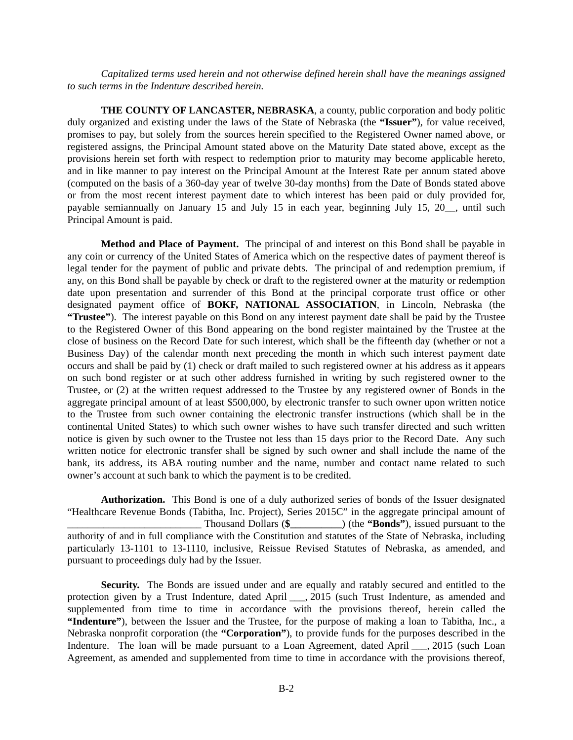*Capitalized terms used herein and not otherwise defined herein shall have the meanings assigned to such terms in the Indenture described herein.*

 **THE COUNTY OF LANCASTER, NEBRASKA**, a county, public corporation and body politic duly organized and existing under the laws of the State of Nebraska (the **"Issuer"**), for value received, promises to pay, but solely from the sources herein specified to the Registered Owner named above, or registered assigns, the Principal Amount stated above on the Maturity Date stated above, except as the provisions herein set forth with respect to redemption prior to maturity may become applicable hereto, and in like manner to pay interest on the Principal Amount at the Interest Rate per annum stated above (computed on the basis of a 360-day year of twelve 30-day months) from the Date of Bonds stated above or from the most recent interest payment date to which interest has been paid or duly provided for, payable semiannually on January 15 and July 15 in each year, beginning July 15, 20\_\_, until such Principal Amount is paid.

 **Method and Place of Payment.** The principal of and interest on this Bond shall be payable in any coin or currency of the United States of America which on the respective dates of payment thereof is legal tender for the payment of public and private debts. The principal of and redemption premium, if any, on this Bond shall be payable by check or draft to the registered owner at the maturity or redemption date upon presentation and surrender of this Bond at the principal corporate trust office or other designated payment office of **BOKF, NATIONAL ASSOCIATION**, in Lincoln, Nebraska (the **"Trustee"**). The interest payable on this Bond on any interest payment date shall be paid by the Trustee to the Registered Owner of this Bond appearing on the bond register maintained by the Trustee at the close of business on the Record Date for such interest, which shall be the fifteenth day (whether or not a Business Day) of the calendar month next preceding the month in which such interest payment date occurs and shall be paid by (1) check or draft mailed to such registered owner at his address as it appears on such bond register or at such other address furnished in writing by such registered owner to the Trustee, or (2) at the written request addressed to the Trustee by any registered owner of Bonds in the aggregate principal amount of at least \$500,000, by electronic transfer to such owner upon written notice to the Trustee from such owner containing the electronic transfer instructions (which shall be in the continental United States) to which such owner wishes to have such transfer directed and such written notice is given by such owner to the Trustee not less than 15 days prior to the Record Date. Any such written notice for electronic transfer shall be signed by such owner and shall include the name of the bank, its address, its ABA routing number and the name, number and contact name related to such owner's account at such bank to which the payment is to be credited.

 **Authorization.** This Bond is one of a duly authorized series of bonds of the Issuer designated "Healthcare Revenue Bonds (Tabitha, Inc. Project), Series 2015C" in the aggregate principal amount of \_\_\_\_\_\_\_\_\_\_\_\_\_\_\_\_\_\_\_\_\_\_\_\_\_\_ Thousand Dollars (**\$\_\_\_\_\_\_\_\_\_\_**) (the **"Bonds"**), issued pursuant to the authority of and in full compliance with the Constitution and statutes of the State of Nebraska, including particularly 13-1101 to 13-1110, inclusive, Reissue Revised Statutes of Nebraska, as amended, and pursuant to proceedings duly had by the Issuer.

 **Security.** The Bonds are issued under and are equally and ratably secured and entitled to the protection given by a Trust Indenture, dated April \_\_\_, 2015 (such Trust Indenture, as amended and supplemented from time to time in accordance with the provisions thereof, herein called the **"Indenture"**), between the Issuer and the Trustee, for the purpose of making a loan to Tabitha, Inc., a Nebraska nonprofit corporation (the **"Corporation"**), to provide funds for the purposes described in the Indenture. The loan will be made pursuant to a Loan Agreement, dated April \_\_\_, 2015 (such Loan Agreement, as amended and supplemented from time to time in accordance with the provisions thereof,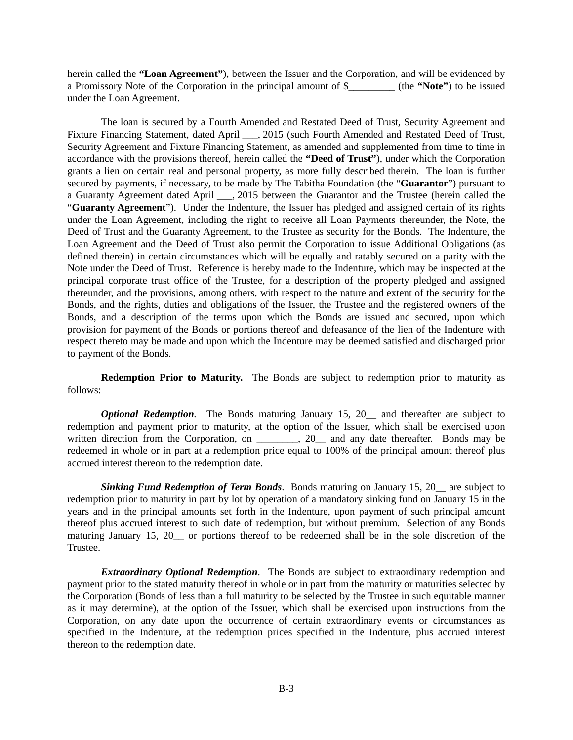herein called the **"Loan Agreement"**), between the Issuer and the Corporation, and will be evidenced by a Promissory Note of the Corporation in the principal amount of \$\_\_\_\_\_\_\_\_\_ (the **"Note"**) to be issued under the Loan Agreement.

 The loan is secured by a Fourth Amended and Restated Deed of Trust, Security Agreement and Fixture Financing Statement, dated April . 2015 (such Fourth Amended and Restated Deed of Trust, Security Agreement and Fixture Financing Statement, as amended and supplemented from time to time in accordance with the provisions thereof, herein called the **"Deed of Trust"**), under which the Corporation grants a lien on certain real and personal property, as more fully described therein. The loan is further secured by payments, if necessary, to be made by The Tabitha Foundation (the "**Guarantor**") pursuant to a Guaranty Agreement dated April \_\_\_, 2015 between the Guarantor and the Trustee (herein called the "**Guaranty Agreement**"). Under the Indenture, the Issuer has pledged and assigned certain of its rights under the Loan Agreement, including the right to receive all Loan Payments thereunder, the Note, the Deed of Trust and the Guaranty Agreement, to the Trustee as security for the Bonds. The Indenture, the Loan Agreement and the Deed of Trust also permit the Corporation to issue Additional Obligations (as defined therein) in certain circumstances which will be equally and ratably secured on a parity with the Note under the Deed of Trust. Reference is hereby made to the Indenture, which may be inspected at the principal corporate trust office of the Trustee, for a description of the property pledged and assigned thereunder, and the provisions, among others, with respect to the nature and extent of the security for the Bonds, and the rights, duties and obligations of the Issuer, the Trustee and the registered owners of the Bonds, and a description of the terms upon which the Bonds are issued and secured, upon which provision for payment of the Bonds or portions thereof and defeasance of the lien of the Indenture with respect thereto may be made and upon which the Indenture may be deemed satisfied and discharged prior to payment of the Bonds.

 **Redemption Prior to Maturity.** The Bonds are subject to redemption prior to maturity as follows:

*Optional Redemption.* The Bonds maturing January 15, 20<sub>\_</sub> and thereafter are subject to redemption and payment prior to maturity, at the option of the Issuer, which shall be exercised upon written direction from the Corporation, on \_\_\_\_\_\_\_, 20\_\_ and any date thereafter. Bonds may be redeemed in whole or in part at a redemption price equal to 100% of the principal amount thereof plus accrued interest thereon to the redemption date.

*Sinking Fund Redemption of Term Bonds*. Bonds maturing on January 15, 20\_\_ are subject to redemption prior to maturity in part by lot by operation of a mandatory sinking fund on January 15 in the years and in the principal amounts set forth in the Indenture, upon payment of such principal amount thereof plus accrued interest to such date of redemption, but without premium. Selection of any Bonds maturing January 15, 20 or portions thereof to be redeemed shall be in the sole discretion of the Trustee.

*Extraordinary Optional Redemption*. The Bonds are subject to extraordinary redemption and payment prior to the stated maturity thereof in whole or in part from the maturity or maturities selected by the Corporation (Bonds of less than a full maturity to be selected by the Trustee in such equitable manner as it may determine), at the option of the Issuer, which shall be exercised upon instructions from the Corporation, on any date upon the occurrence of certain extraordinary events or circumstances as specified in the Indenture, at the redemption prices specified in the Indenture, plus accrued interest thereon to the redemption date.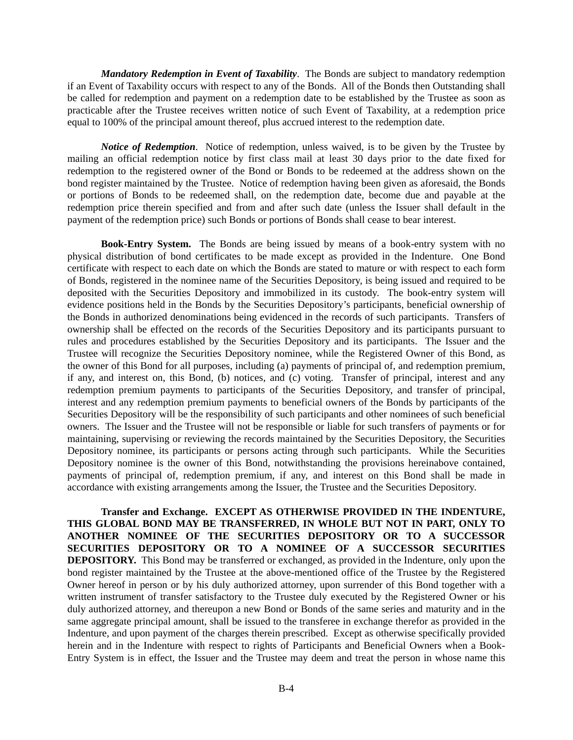*Mandatory Redemption in Event of Taxability*. The Bonds are subject to mandatory redemption if an Event of Taxability occurs with respect to any of the Bonds. All of the Bonds then Outstanding shall be called for redemption and payment on a redemption date to be established by the Trustee as soon as practicable after the Trustee receives written notice of such Event of Taxability, at a redemption price equal to 100% of the principal amount thereof, plus accrued interest to the redemption date.

*Notice of Redemption.* Notice of redemption, unless waived, is to be given by the Trustee by mailing an official redemption notice by first class mail at least 30 days prior to the date fixed for redemption to the registered owner of the Bond or Bonds to be redeemed at the address shown on the bond register maintained by the Trustee. Notice of redemption having been given as aforesaid, the Bonds or portions of Bonds to be redeemed shall, on the redemption date, become due and payable at the redemption price therein specified and from and after such date (unless the Issuer shall default in the payment of the redemption price) such Bonds or portions of Bonds shall cease to bear interest.

 **Book-Entry System.** The Bonds are being issued by means of a book-entry system with no physical distribution of bond certificates to be made except as provided in the Indenture. One Bond certificate with respect to each date on which the Bonds are stated to mature or with respect to each form of Bonds, registered in the nominee name of the Securities Depository, is being issued and required to be deposited with the Securities Depository and immobilized in its custody. The book-entry system will evidence positions held in the Bonds by the Securities Depository's participants, beneficial ownership of the Bonds in authorized denominations being evidenced in the records of such participants. Transfers of ownership shall be effected on the records of the Securities Depository and its participants pursuant to rules and procedures established by the Securities Depository and its participants. The Issuer and the Trustee will recognize the Securities Depository nominee, while the Registered Owner of this Bond, as the owner of this Bond for all purposes, including (a) payments of principal of, and redemption premium, if any, and interest on, this Bond, (b) notices, and (c) voting. Transfer of principal, interest and any redemption premium payments to participants of the Securities Depository, and transfer of principal, interest and any redemption premium payments to beneficial owners of the Bonds by participants of the Securities Depository will be the responsibility of such participants and other nominees of such beneficial owners. The Issuer and the Trustee will not be responsible or liable for such transfers of payments or for maintaining, supervising or reviewing the records maintained by the Securities Depository, the Securities Depository nominee, its participants or persons acting through such participants. While the Securities Depository nominee is the owner of this Bond, notwithstanding the provisions hereinabove contained, payments of principal of, redemption premium, if any, and interest on this Bond shall be made in accordance with existing arrangements among the Issuer, the Trustee and the Securities Depository.

 **Transfer and Exchange. EXCEPT AS OTHERWISE PROVIDED IN THE INDENTURE, THIS GLOBAL BOND MAY BE TRANSFERRED, IN WHOLE BUT NOT IN PART, ONLY TO ANOTHER NOMINEE OF THE SECURITIES DEPOSITORY OR TO A SUCCESSOR SECURITIES DEPOSITORY OR TO A NOMINEE OF A SUCCESSOR SECURITIES DEPOSITORY.** This Bond may be transferred or exchanged, as provided in the Indenture, only upon the bond register maintained by the Trustee at the above-mentioned office of the Trustee by the Registered Owner hereof in person or by his duly authorized attorney, upon surrender of this Bond together with a written instrument of transfer satisfactory to the Trustee duly executed by the Registered Owner or his duly authorized attorney, and thereupon a new Bond or Bonds of the same series and maturity and in the same aggregate principal amount, shall be issued to the transferee in exchange therefor as provided in the Indenture, and upon payment of the charges therein prescribed. Except as otherwise specifically provided herein and in the Indenture with respect to rights of Participants and Beneficial Owners when a Book-Entry System is in effect, the Issuer and the Trustee may deem and treat the person in whose name this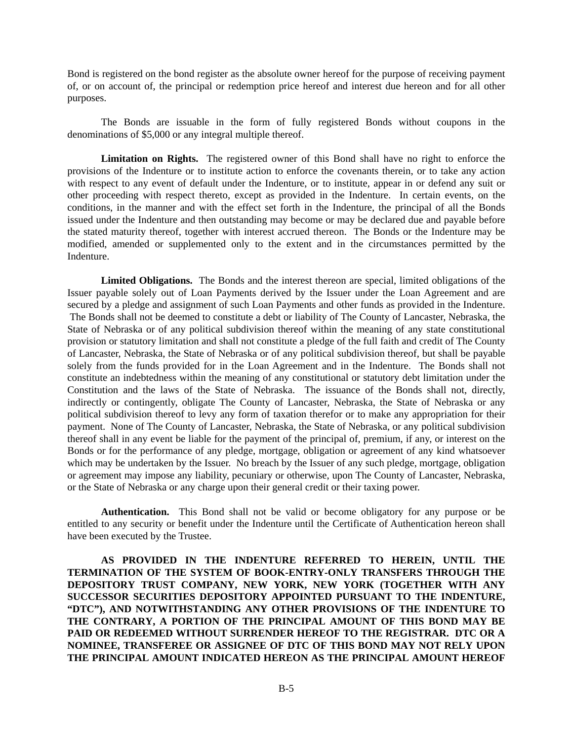Bond is registered on the bond register as the absolute owner hereof for the purpose of receiving payment of, or on account of, the principal or redemption price hereof and interest due hereon and for all other purposes.

 The Bonds are issuable in the form of fully registered Bonds without coupons in the denominations of \$5,000 or any integral multiple thereof.

 **Limitation on Rights.** The registered owner of this Bond shall have no right to enforce the provisions of the Indenture or to institute action to enforce the covenants therein, or to take any action with respect to any event of default under the Indenture, or to institute, appear in or defend any suit or other proceeding with respect thereto, except as provided in the Indenture. In certain events, on the conditions, in the manner and with the effect set forth in the Indenture, the principal of all the Bonds issued under the Indenture and then outstanding may become or may be declared due and payable before the stated maturity thereof, together with interest accrued thereon. The Bonds or the Indenture may be modified, amended or supplemented only to the extent and in the circumstances permitted by the Indenture.

 **Limited Obligations.** The Bonds and the interest thereon are special, limited obligations of the Issuer payable solely out of Loan Payments derived by the Issuer under the Loan Agreement and are secured by a pledge and assignment of such Loan Payments and other funds as provided in the Indenture. The Bonds shall not be deemed to constitute a debt or liability of The County of Lancaster, Nebraska, the State of Nebraska or of any political subdivision thereof within the meaning of any state constitutional provision or statutory limitation and shall not constitute a pledge of the full faith and credit of The County of Lancaster, Nebraska, the State of Nebraska or of any political subdivision thereof, but shall be payable solely from the funds provided for in the Loan Agreement and in the Indenture. The Bonds shall not constitute an indebtedness within the meaning of any constitutional or statutory debt limitation under the Constitution and the laws of the State of Nebraska. The issuance of the Bonds shall not, directly, indirectly or contingently, obligate The County of Lancaster, Nebraska, the State of Nebraska or any political subdivision thereof to levy any form of taxation therefor or to make any appropriation for their payment. None of The County of Lancaster, Nebraska, the State of Nebraska, or any political subdivision thereof shall in any event be liable for the payment of the principal of, premium, if any, or interest on the Bonds or for the performance of any pledge, mortgage, obligation or agreement of any kind whatsoever which may be undertaken by the Issuer. No breach by the Issuer of any such pledge, mortgage, obligation or agreement may impose any liability, pecuniary or otherwise, upon The County of Lancaster, Nebraska, or the State of Nebraska or any charge upon their general credit or their taxing power.

 **Authentication.** This Bond shall not be valid or become obligatory for any purpose or be entitled to any security or benefit under the Indenture until the Certificate of Authentication hereon shall have been executed by the Trustee.

 **AS PROVIDED IN THE INDENTURE REFERRED TO HEREIN, UNTIL THE TERMINATION OF THE SYSTEM OF BOOK-ENTRY-ONLY TRANSFERS THROUGH THE DEPOSITORY TRUST COMPANY, NEW YORK, NEW YORK (TOGETHER WITH ANY SUCCESSOR SECURITIES DEPOSITORY APPOINTED PURSUANT TO THE INDENTURE, "DTC"), AND NOTWITHSTANDING ANY OTHER PROVISIONS OF THE INDENTURE TO THE CONTRARY, A PORTION OF THE PRINCIPAL AMOUNT OF THIS BOND MAY BE PAID OR REDEEMED WITHOUT SURRENDER HEREOF TO THE REGISTRAR. DTC OR A NOMINEE, TRANSFEREE OR ASSIGNEE OF DTC OF THIS BOND MAY NOT RELY UPON THE PRINCIPAL AMOUNT INDICATED HEREON AS THE PRINCIPAL AMOUNT HEREOF**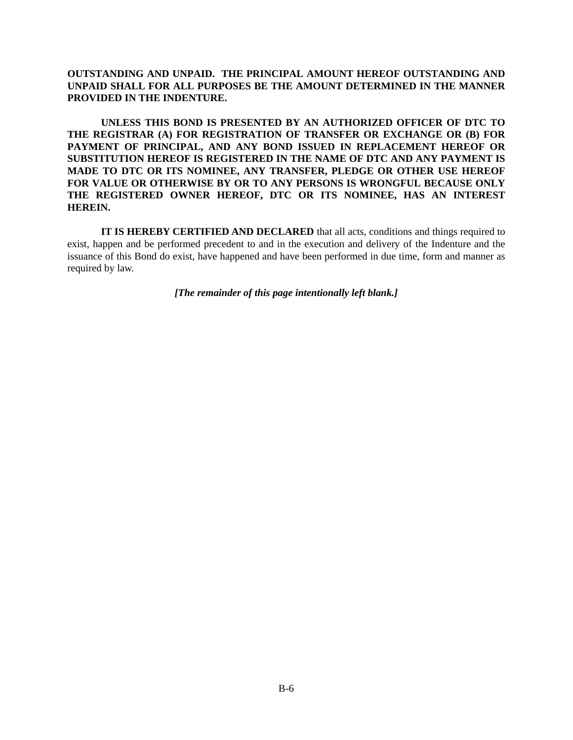**OUTSTANDING AND UNPAID. THE PRINCIPAL AMOUNT HEREOF OUTSTANDING AND UNPAID SHALL FOR ALL PURPOSES BE THE AMOUNT DETERMINED IN THE MANNER PROVIDED IN THE INDENTURE.** 

 **UNLESS THIS BOND IS PRESENTED BY AN AUTHORIZED OFFICER OF DTC TO THE REGISTRAR (A) FOR REGISTRATION OF TRANSFER OR EXCHANGE OR (B) FOR PAYMENT OF PRINCIPAL, AND ANY BOND ISSUED IN REPLACEMENT HEREOF OR SUBSTITUTION HEREOF IS REGISTERED IN THE NAME OF DTC AND ANY PAYMENT IS MADE TO DTC OR ITS NOMINEE, ANY TRANSFER, PLEDGE OR OTHER USE HEREOF FOR VALUE OR OTHERWISE BY OR TO ANY PERSONS IS WRONGFUL BECAUSE ONLY THE REGISTERED OWNER HEREOF, DTC OR ITS NOMINEE, HAS AN INTEREST HEREIN.** 

 **IT IS HEREBY CERTIFIED AND DECLARED** that all acts, conditions and things required to exist, happen and be performed precedent to and in the execution and delivery of the Indenture and the issuance of this Bond do exist, have happened and have been performed in due time, form and manner as required by law.

*[The remainder of this page intentionally left blank.]*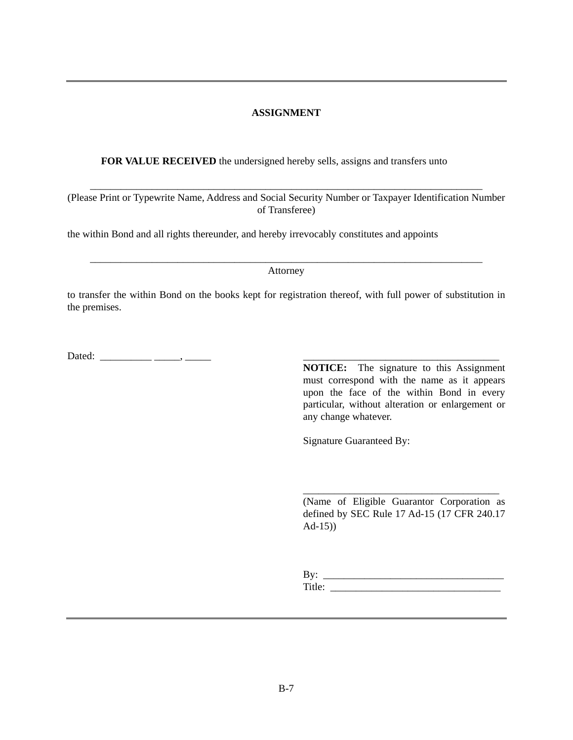## **ASSIGNMENT**

 **FOR VALUE RECEIVED** the undersigned hereby sells, assigns and transfers unto

\_\_\_\_\_\_\_\_\_\_\_\_\_\_\_\_\_\_\_\_\_\_\_\_\_\_\_\_\_\_\_\_\_\_\_\_\_\_\_\_\_\_\_\_\_\_\_\_\_\_\_\_\_\_\_\_\_\_\_\_\_\_\_\_\_\_\_\_\_\_\_\_\_\_\_\_ (Please Print or Typewrite Name, Address and Social Security Number or Taxpayer Identification Number of Transferee)

the within Bond and all rights thereunder, and hereby irrevocably constitutes and appoints

\_\_\_\_\_\_\_\_\_\_\_\_\_\_\_\_\_\_\_\_\_\_\_\_\_\_\_\_\_\_\_\_\_\_\_\_\_\_\_\_\_\_\_\_\_\_\_\_\_\_\_\_\_\_\_\_\_\_\_\_\_\_\_\_\_\_\_\_\_\_\_\_\_\_\_\_ Attorney

to transfer the within Bond on the books kept for registration thereof, with full power of substitution in the premises.

 $\overline{\phantom{a}}$  , which is a constant of the constant of the constant of the constant of the constant of the constant of the constant of the constant of the constant of the constant of the constant of the constant of the cons

Dated: \_\_\_\_\_\_\_\_\_\_ \_\_\_\_\_, \_\_\_\_\_ \_\_\_\_\_\_\_\_\_\_\_\_\_\_\_\_\_\_\_\_\_\_\_\_\_\_\_\_\_\_\_\_\_\_\_\_\_\_

 **NOTICE:** The signature to this Assignment must correspond with the name as it appears upon the face of the within Bond in every particular, without alteration or enlargement or any change whatever.

Signature Guaranteed By:

 (Name of Eligible Guarantor Corporation as defined by SEC Rule 17 Ad-15 (17 CFR 240.17 Ad-15))

 By: \_\_\_\_\_\_\_\_\_\_\_\_\_\_\_\_\_\_\_\_\_\_\_\_\_\_\_\_\_\_\_\_\_\_\_ Title: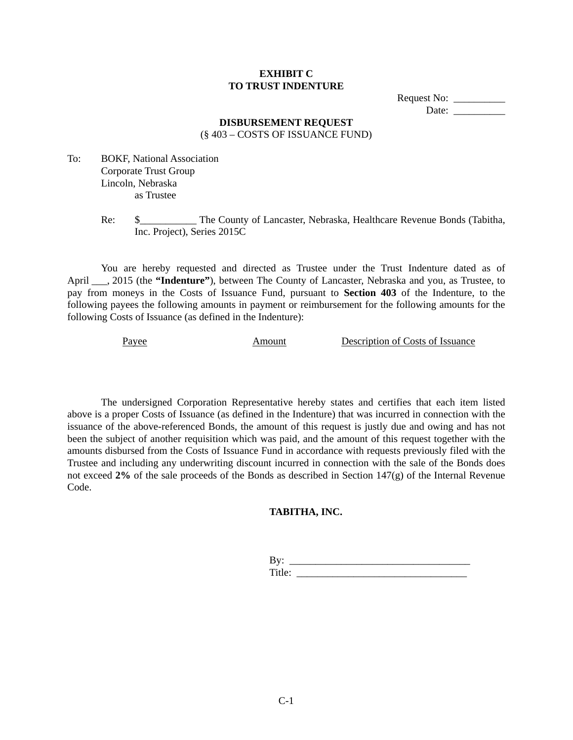## **EXHIBIT C TO TRUST INDENTURE**

 Request No: \_\_\_\_\_\_\_\_\_\_ Date:

# **DISBURSEMENT REQUEST**

(§ 403 – COSTS OF ISSUANCE FUND)

- To: BOKF, National Association Corporate Trust Group Lincoln, Nebraska as Trustee
	- Re: \$\_\_\_\_\_\_\_\_\_\_\_ The County of Lancaster, Nebraska, Healthcare Revenue Bonds (Tabitha, Inc. Project), Series 2015C

 You are hereby requested and directed as Trustee under the Trust Indenture dated as of April \_\_\_, 2015 (the **"Indenture"**), between The County of Lancaster, Nebraska and you, as Trustee, to pay from moneys in the Costs of Issuance Fund, pursuant to **Section 403** of the Indenture, to the following payees the following amounts in payment or reimbursement for the following amounts for the following Costs of Issuance (as defined in the Indenture):

Payee **Amount** Description of Costs of Issuance

 The undersigned Corporation Representative hereby states and certifies that each item listed above is a proper Costs of Issuance (as defined in the Indenture) that was incurred in connection with the issuance of the above-referenced Bonds, the amount of this request is justly due and owing and has not been the subject of another requisition which was paid, and the amount of this request together with the amounts disbursed from the Costs of Issuance Fund in accordance with requests previously filed with the Trustee and including any underwriting discount incurred in connection with the sale of the Bonds does not exceed **2%** of the sale proceeds of the Bonds as described in Section 147(g) of the Internal Revenue Code.

# **TABITHA, INC.**

| By:                |  |  |  |
|--------------------|--|--|--|
| Title <sup>.</sup> |  |  |  |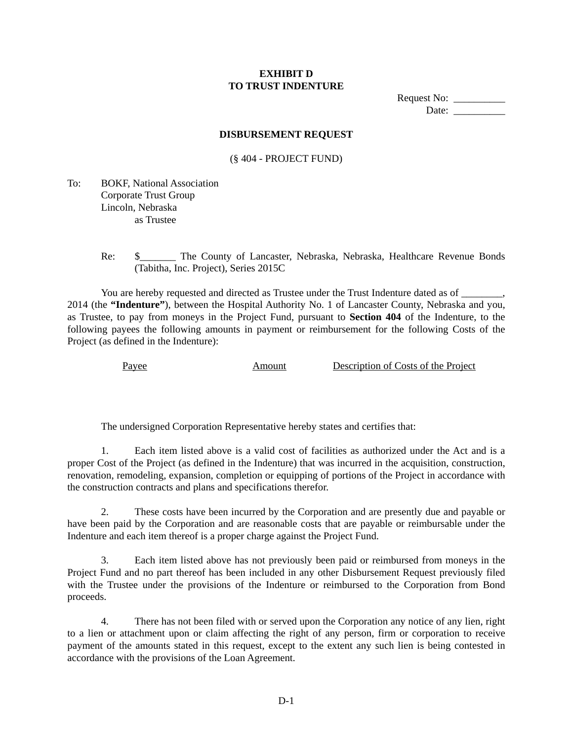## **EXHIBIT D TO TRUST INDENTURE**

 Request No: \_\_\_\_\_\_\_\_\_\_ Date:

#### **DISBURSEMENT REQUEST**

(§ 404 - PROJECT FUND)

To: BOKF, National Association Corporate Trust Group Lincoln, Nebraska as Trustee

> Re: \$\_\_\_\_\_\_\_ The County of Lancaster, Nebraska, Nebraska, Healthcare Revenue Bonds (Tabitha, Inc. Project), Series 2015C

You are hereby requested and directed as Trustee under the Trust Indenture dated as of \_\_\_\_\_\_\_, 2014 (the **"Indenture"**), between the Hospital Authority No. 1 of Lancaster County, Nebraska and you, as Trustee, to pay from moneys in the Project Fund, pursuant to **Section 404** of the Indenture, to the following payees the following amounts in payment or reimbursement for the following Costs of the Project (as defined in the Indenture):

Payee Amount Description of Costs of the Project

The undersigned Corporation Representative hereby states and certifies that:

 1. Each item listed above is a valid cost of facilities as authorized under the Act and is a proper Cost of the Project (as defined in the Indenture) that was incurred in the acquisition, construction, renovation, remodeling, expansion, completion or equipping of portions of the Project in accordance with the construction contracts and plans and specifications therefor.

 2. These costs have been incurred by the Corporation and are presently due and payable or have been paid by the Corporation and are reasonable costs that are payable or reimbursable under the Indenture and each item thereof is a proper charge against the Project Fund.

 3. Each item listed above has not previously been paid or reimbursed from moneys in the Project Fund and no part thereof has been included in any other Disbursement Request previously filed with the Trustee under the provisions of the Indenture or reimbursed to the Corporation from Bond proceeds.

 4. There has not been filed with or served upon the Corporation any notice of any lien, right to a lien or attachment upon or claim affecting the right of any person, firm or corporation to receive payment of the amounts stated in this request, except to the extent any such lien is being contested in accordance with the provisions of the Loan Agreement.